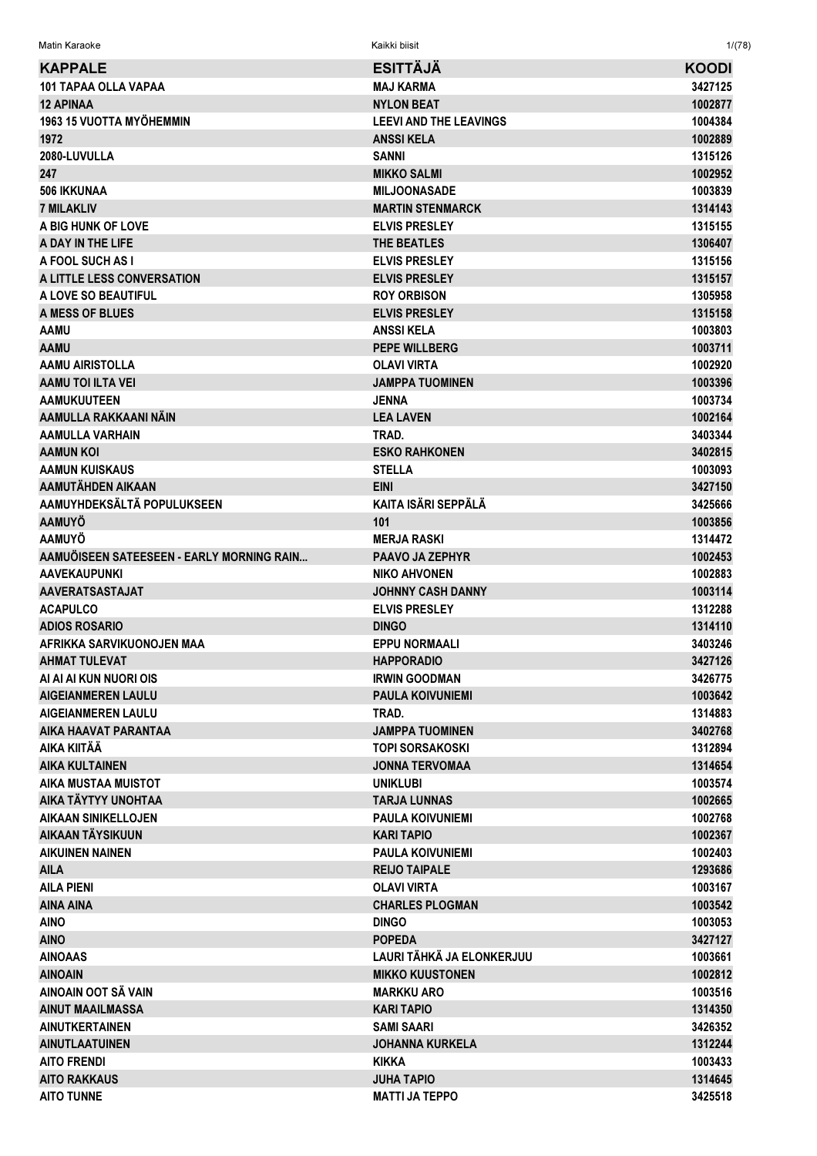Matin Karaoke Kaikki biisit 1/(78)

| <b>KAPPALE</b>                            | <b>ESITTAJA</b>               | <b>KOODI</b> |
|-------------------------------------------|-------------------------------|--------------|
| 101 TAPAA OLLA VAPAA                      | <b>MAJ KARMA</b>              | 3427125      |
| <b>12 APINAA</b>                          | <b>NYLON BEAT</b>             | 1002877      |
| 1963 15 VUOTTA MYÖHEMMIN                  | <b>LEEVI AND THE LEAVINGS</b> | 1004384      |
| 1972                                      | <b>ANSSIKELA</b>              | 1002889      |
| 2080-LUVULLA                              | <b>SANNI</b>                  | 1315126      |
| 247                                       | <b>MIKKO SALMI</b>            | 1002952      |
| <b>506 IKKUNAA</b>                        | <b>MILJOONASADE</b>           | 1003839      |
| <b>7 MILAKLIV</b>                         | <b>MARTIN STENMARCK</b>       | 1314143      |
| A BIG HUNK OF LOVE                        | <b>ELVIS PRESLEY</b>          | 1315155      |
| A DAY IN THE LIFE                         | <b>THE BEATLES</b>            | 1306407      |
| A FOOL SUCH AS I                          | <b>ELVIS PRESLEY</b>          | 1315156      |
| A LITTLE LESS CONVERSATION                | <b>ELVIS PRESLEY</b>          | 1315157      |
| A LOVE SO BEAUTIFUL                       | <b>ROY ORBISON</b>            | 1305958      |
| <b>A MESS OF BLUES</b>                    | <b>ELVIS PRESLEY</b>          | 1315158      |
| AAMU                                      | <b>ANSSIKELA</b>              | 1003803      |
| AAMU                                      | <b>PEPE WILLBERG</b>          | 1003711      |
| <b>AAMU AIRISTOLLA</b>                    | <b>OLAVI VIRTA</b>            |              |
|                                           | <b>JAMPPA TUOMINEN</b>        | 1002920      |
| <b>AAMU TOI ILTA VEI</b>                  |                               | 1003396      |
| <b>AAMUKUUTEEN</b>                        | <b>JENNA</b>                  | 1003734      |
| AAMULLA RAKKAANI NÄIN                     | <b>LEA LAVEN</b>              | 1002164      |
| <b>AAMULLA VARHAIN</b>                    | TRAD.                         | 3403344      |
| <b>AAMUN KOI</b>                          | <b>ESKO RAHKONEN</b>          | 3402815      |
| <b>AAMUN KUISKAUS</b>                     | <b>STELLA</b>                 | 1003093      |
| AAMUTÄHDEN AIKAAN                         | <b>EINI</b>                   | 3427150      |
| AAMUYHDEKSÄLTÄ POPULUKSEEN                | <b>KAITA ISÄRI SEPPÄLÄ</b>    | 3425666      |
| <b>AAMUYÖ</b>                             | 101                           | 1003856      |
| <b>AAMUYÖ</b>                             | <b>MERJA RASKI</b>            | 1314472      |
| AAMUÖISEEN SATEESEEN - EARLY MORNING RAIN | <b>PAAVO JA ZEPHYR</b>        | 1002453      |
| <b>AAVEKAUPUNKI</b>                       | <b>NIKO AHVONEN</b>           | 1002883      |
| <b>AAVERATSASTAJAT</b>                    | <b>JOHNNY CASH DANNY</b>      | 1003114      |
| <b>ACAPULCO</b>                           | <b>ELVIS PRESLEY</b>          | 1312288      |
| <b>ADIOS ROSARIO</b>                      | <b>DINGO</b>                  | 1314110      |
| AFRIKKA SARVIKUONOJEN MAA                 | <b>EPPU NORMAALI</b>          | 3403246      |
| <b>AHMAT TULEVAT</b>                      | <b>HAPPORADIO</b>             | 3427126      |
| AI AI AI KUN NUORI OIS                    | <b>IRWIN GOODMAN</b>          | 3426775      |
| <b>AIGEIANMEREN LAULU</b>                 | <b>PAULA KOIVUNIEMI</b>       | 1003642      |
| <b>AIGEIANMEREN LAULU</b>                 | TRAD.                         | 1314883      |
| AIKA HAAVAT PARANTAA                      | <b>JAMPPA TUOMINEN</b>        | 3402768      |
| AIKA KIITÄÄ                               | <b>TOPI SORSAKOSKI</b>        | 1312894      |
| <b>AIKA KULTAINEN</b>                     | <b>JONNA TERVOMAA</b>         | 1314654      |
| AIKA MUSTAA MUISTOT                       | <b>UNIKLUBI</b>               | 1003574      |
| AIKA TÄYTYY UNOHTAA                       | <b>TARJA LUNNAS</b>           | 1002665      |
| <b>AIKAAN SINIKELLOJEN</b>                | <b>PAULA KOIVUNIEMI</b>       | 1002768      |
| AIKAAN TÄYSIKUUN                          | <b>KARI TAPIO</b>             | 1002367      |
| <b>AIKUINEN NAINEN</b>                    | <b>PAULA KOIVUNIEMI</b>       | 1002403      |
| <b>AILA</b>                               | <b>REIJO TAIPALE</b>          | 1293686      |
| <b>AILA PIENI</b>                         | <b>OLAVI VIRTA</b>            | 1003167      |
| <b>AINA AINA</b>                          | <b>CHARLES PLOGMAN</b>        | 1003542      |
| <b>AINO</b>                               | <b>DINGO</b>                  | 1003053      |
| <b>AINO</b>                               | <b>POPEDA</b>                 | 3427127      |
| <b>AINOAAS</b>                            | LAURI TÄHKÄ JA ELONKERJUU     | 1003661      |
| <b>AINOAIN</b>                            | <b>MIKKO KUUSTONEN</b>        | 1002812      |
| AINOAIN OOT SÄ VAIN                       | <b>MARKKU ARO</b>             | 1003516      |
| <b>AINUT MAAILMASSA</b>                   | <b>KARI TAPIO</b>             | 1314350      |
| <b>AINUTKERTAINEN</b>                     | <b>SAMI SAARI</b>             |              |
|                                           |                               | 3426352      |
| <b>AINUTLAATUINEN</b>                     | <b>JOHANNA KURKELA</b>        | 1312244      |
| <b>AITO FRENDI</b>                        | <b>KIKKA</b>                  | 1003433      |
| <b>AITO RAKKAUS</b>                       | <b>JUHA TAPIO</b>             | 1314645      |
| <b>AITO TUNNE</b>                         | <b>MATTI JA TEPPO</b>         | 3425518      |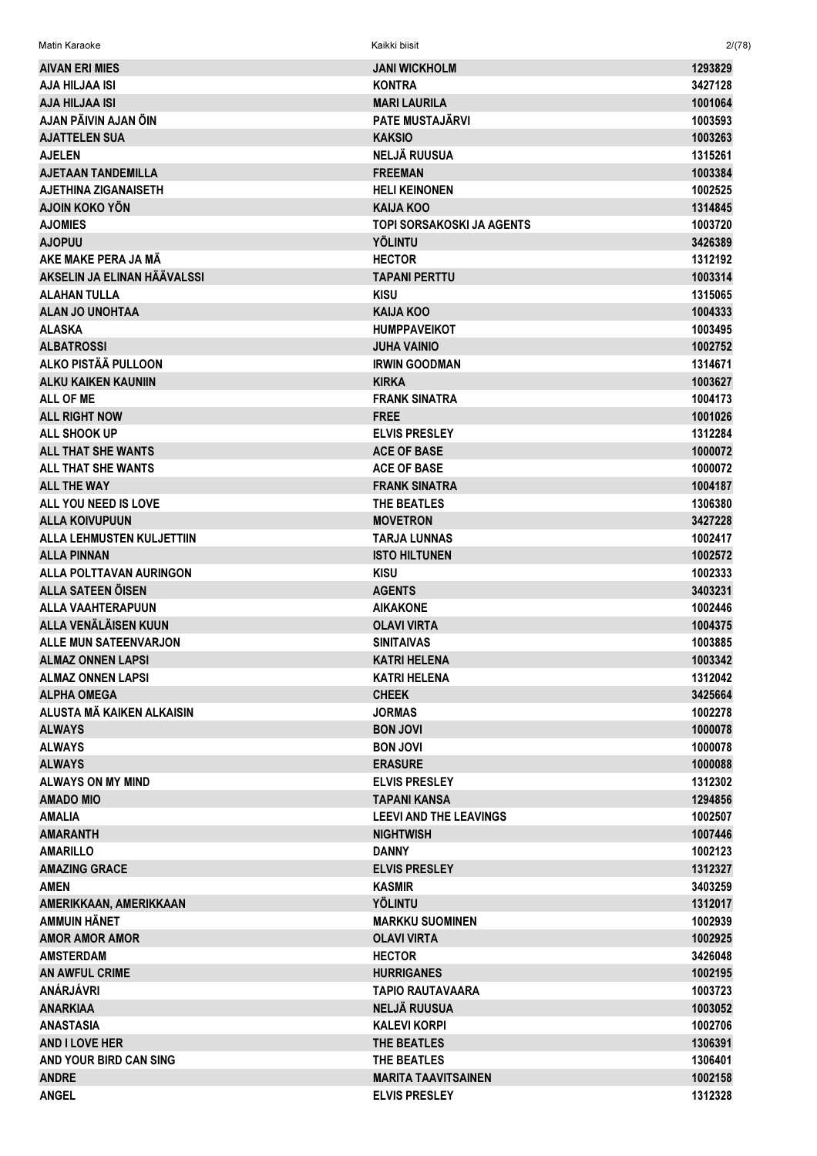| <b>AIVAN ERI MIES</b>            | <b>JANI WICKHOLM</b>             | 1293829 |
|----------------------------------|----------------------------------|---------|
| AJA HILJAA ISI                   | <b>KONTRA</b>                    | 3427128 |
| <b>AJA HILJAA ISI</b>            | <b>MARI LAURILA</b>              | 1001064 |
| AJAN PÄIVIN AJAN ÖIN             | <b>PATE MUSTAJÄRVI</b>           | 1003593 |
| <b>AJATTELEN SUA</b>             | <b>KAKSIO</b>                    | 1003263 |
| <b>AJELEN</b>                    | <b>NELJÄ RUUSUA</b>              | 1315261 |
| <b>AJETAAN TANDEMILLA</b>        | <b>FREEMAN</b>                   | 1003384 |
| <b>AJETHINA ZIGANAISETH</b>      | <b>HELI KEINONEN</b>             | 1002525 |
| <b>AJOIN KOKO YÖN</b>            | <b>KAIJA KOO</b>                 | 1314845 |
| <b>AJOMIES</b>                   | <b>TOPI SORSAKOSKI JA AGENTS</b> | 1003720 |
| <b>AJOPUU</b>                    | <b>YÖLINTU</b>                   | 3426389 |
| AKE MAKE PERA JA MÄ              | <b>HECTOR</b>                    | 1312192 |
| AKSELIN JA ELINAN HÄÄVALSSI      | <b>TAPANI PERTTU</b>             | 1003314 |
| <b>ALAHAN TULLA</b>              | <b>KISU</b>                      | 1315065 |
| <b>ALAN JO UNOHTAA</b>           | <b>KAIJA KOO</b>                 | 1004333 |
| <b>ALASKA</b>                    | <b>HUMPPAVEIKOT</b>              | 1003495 |
| <b>ALBATROSSI</b>                | <b>JUHA VAINIO</b>               | 1002752 |
| ALKO PISTÄÄ PULLOON              | <b>IRWIN GOODMAN</b>             | 1314671 |
| <b>ALKU KAIKEN KAUNIIN</b>       | <b>KIRKA</b>                     | 1003627 |
| <b>ALL OF ME</b>                 | <b>FRANK SINATRA</b>             | 1004173 |
| <b>ALL RIGHT NOW</b>             | <b>FREE</b>                      | 1001026 |
| ALL SHOOK UP                     | <b>ELVIS PRESLEY</b>             | 1312284 |
| <b>ALL THAT SHE WANTS</b>        | <b>ACE OF BASE</b>               | 1000072 |
| ALL THAT SHE WANTS               | <b>ACE OF BASE</b>               | 1000072 |
| <b>ALL THE WAY</b>               | <b>FRANK SINATRA</b>             |         |
|                                  |                                  | 1004187 |
| ALL YOU NEED IS LOVE             | THE BEATLES                      | 1306380 |
| <b>ALLA KOIVUPUUN</b>            | <b>MOVETRON</b>                  | 3427228 |
| <b>ALLA LEHMUSTEN KULJETTIIN</b> | <b>TARJA LUNNAS</b>              | 1002417 |
| <b>ALLA PINNAN</b>               | <b>ISTO HILTUNEN</b>             | 1002572 |
| ALLA POLTTAVAN AURINGON          | <b>KISU</b>                      | 1002333 |
| <b>ALLA SATEEN ÖISEN</b>         | <b>AGENTS</b>                    | 3403231 |
| <b>ALLA VAAHTERAPUUN</b>         | <b>AIKAKONE</b>                  | 1002446 |
| ALLA VENÄLÄISEN KUUN             | <b>OLAVI VIRTA</b>               | 1004375 |
| <b>ALLE MUN SATEENVARJON</b>     | <b>SINITAIVAS</b>                | 1003885 |
| <b>ALMAZ ONNEN LAPSI</b>         | <b>KATRI HELENA</b>              | 1003342 |
| <b>ALMAZ ONNEN LAPSI</b>         | <b>KATRI HELENA</b>              | 1312042 |
| <b>ALPHA OMEGA</b>               | <b>CHEEK</b>                     | 3425664 |
| ALUSTA MÄ KAIKEN ALKAISIN        | <b>JORMAS</b>                    | 1002278 |
| <b>ALWAYS</b>                    | <b>BON JOVI</b>                  | 1000078 |
| <b>ALWAYS</b>                    | <b>BON JOVI</b>                  | 1000078 |
| <b>ALWAYS</b>                    | <b>ERASURE</b>                   | 1000088 |
| <b>ALWAYS ON MY MIND</b>         | <b>ELVIS PRESLEY</b>             | 1312302 |
| <b>AMADO MIO</b>                 | <b>TAPANI KANSA</b>              | 1294856 |
| <b>AMALIA</b>                    | <b>LEEVI AND THE LEAVINGS</b>    | 1002507 |
| <b>AMARANTH</b>                  | <b>NIGHTWISH</b>                 | 1007446 |
| <b>AMARILLO</b>                  | <b>DANNY</b>                     | 1002123 |
| <b>AMAZING GRACE</b>             | <b>ELVIS PRESLEY</b>             | 1312327 |
| <b>AMEN</b>                      | <b>KASMIR</b>                    | 3403259 |
| AMERIKKAAN, AMERIKKAAN           | <b>YÖLINTU</b>                   | 1312017 |
| AMMUIN HÄNET                     | <b>MARKKU SUOMINEN</b>           | 1002939 |
| <b>AMOR AMOR AMOR</b>            | <b>OLAVI VIRTA</b>               | 1002925 |
| <b>AMSTERDAM</b>                 | <b>HECTOR</b>                    | 3426048 |
| <b>AN AWFUL CRIME</b>            | <b>HURRIGANES</b>                | 1002195 |
| ANÁRJÁVRI                        | <b>TAPIO RAUTAVAARA</b>          | 1003723 |
| <b>ANARKIAA</b>                  | <b>NELJÄ RUUSUA</b>              | 1003052 |
| <b>ANASTASIA</b>                 | <b>KALEVI KORPI</b>              | 1002706 |
| <b>AND I LOVE HER</b>            | <b>THE BEATLES</b>               | 1306391 |
| AND YOUR BIRD CAN SING           | THE BEATLES                      | 1306401 |
| <b>ANDRE</b>                     | <b>MARITA TAAVITSAINEN</b>       | 1002158 |
| <b>ANGEL</b>                     | <b>ELVIS PRESLEY</b>             | 1312328 |

 $2/(78)$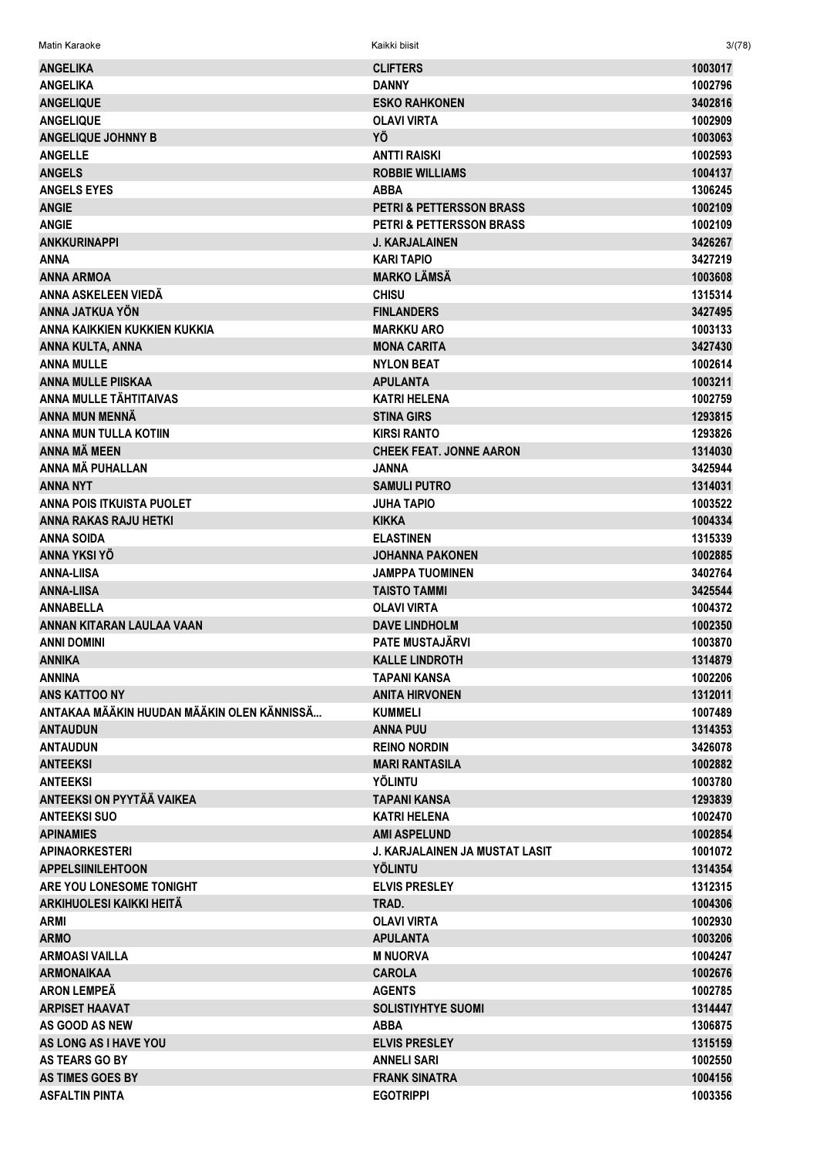| <b>ANGELIKA</b>                            | <b>CLIFTERS</b>                       | 1003017 |
|--------------------------------------------|---------------------------------------|---------|
| <b>ANGELIKA</b>                            | <b>DANNY</b>                          | 1002796 |
| <b>ANGELIQUE</b>                           | <b>ESKO RAHKONEN</b>                  | 3402816 |
| <b>ANGELIQUE</b>                           | <b>OLAVI VIRTA</b>                    | 1002909 |
| <b>ANGELIQUE JOHNNY B</b>                  | YÖ                                    | 1003063 |
| <b>ANGELLE</b>                             |                                       | 1002593 |
|                                            | ANTTI RAISKI                          |         |
| <b>ANGELS</b>                              | <b>ROBBIE WILLIAMS</b>                | 1004137 |
| <b>ANGELS EYES</b>                         | <b>ABBA</b>                           | 1306245 |
| <b>ANGIE</b>                               | PETRI & PETTERSSON BRASS              | 1002109 |
| <b>ANGIE</b>                               | <b>PETRI &amp; PETTERSSON BRASS</b>   | 1002109 |
| <b>ANKKURINAPPI</b>                        | <b>J. KARJALAINEN</b>                 | 3426267 |
| ANNA                                       | <b>KARI TAPIO</b>                     | 3427219 |
| <b>ANNA ARMOA</b>                          | <b>MARKO LÄMSÄ</b>                    | 1003608 |
| ANNA ASKELEEN VIEDÄ                        | <b>CHISU</b>                          | 1315314 |
| ANNA JATKUA YÖN                            | <b>FINLANDERS</b>                     | 3427495 |
| ANNA KAIKKIEN KUKKIEN KUKKIA               | <b>MARKKU ARO</b>                     | 1003133 |
| ANNA KULTA, ANNA                           | <b>MONA CARITA</b>                    | 3427430 |
| <b>ANNA MULLE</b>                          | <b>NYLON BEAT</b>                     | 1002614 |
| <b>ANNA MULLE PIISKAA</b>                  | <b>APULANTA</b>                       | 1003211 |
| <b>ANNA MULLE TÄHTITAIVAS</b>              | <b>KATRI HELENA</b>                   | 1002759 |
| <b>ANNA MUN MENNÄ</b>                      | <b>STINA GIRS</b>                     | 1293815 |
| ANNA MUN TULLA KOTIIN                      | <b>KIRSI RANTO</b>                    | 1293826 |
| <b>ANNA MÄ MEEN</b>                        | <b>CHEEK FEAT, JONNE AARON</b>        | 1314030 |
| ANNA MÄ PUHALLAN                           | JANNA                                 | 3425944 |
| <b>ANNA NYT</b>                            | <b>SAMULI PUTRO</b>                   | 1314031 |
| <b>ANNA POIS ITKUISTA PUOLET</b>           | JUHA TAPIO                            | 1003522 |
| <b>ANNA RAKAS RAJU HETKI</b>               | <b>KIKKA</b>                          | 1004334 |
| <b>ANNA SOIDA</b>                          | <b>ELASTINEN</b>                      | 1315339 |
| ANNA YKSI YÖ                               | <b>JOHANNA PAKONEN</b>                | 1002885 |
| <b>ANNA-LIISA</b>                          | <b>JAMPPA TUOMINEN</b>                | 3402764 |
| <b>ANNA-LIISA</b>                          | <b>TAISTO TAMMI</b>                   | 3425544 |
| <b>ANNABELLA</b>                           | <b>OLAVI VIRTA</b>                    | 1004372 |
| ANNAN KITARAN LAULAA VAAN                  | <b>DAVE LINDHOLM</b>                  | 1002350 |
| ANNI DOMINI                                | <b>PATE MUSTAJÄRVI</b>                | 1003870 |
| <b>ANNIKA</b>                              | <b>KALLE LINDROTH</b>                 | 1314879 |
| <b>ANNINA</b>                              | <b>TAPANI KANSA</b>                   | 1002206 |
| <b>ANS KATTOO NY</b>                       | <b>ANITA HIRVONEN</b>                 | 1312011 |
| ANTAKAA MÄÄKIN HUUDAN MÄÄKIN OLEN KÄNNISSÄ |                                       | 1007489 |
|                                            | <b>KUMMELI</b>                        |         |
| <b>ANTAUDUN</b>                            | <b>ANNA PUU</b>                       | 1314353 |
| <b>ANTAUDUN</b>                            | <b>REINO NORDIN</b>                   | 3426078 |
| <b>ANTEEKSI</b>                            | <b>MARI RANTASILA</b>                 | 1002882 |
| <b>ANTEEKSI</b>                            | <b>YÖLINTU</b>                        | 1003780 |
| <b>ANTEEKSI ON PYYTÄÄ VAIKEA</b>           | <b>TAPANI KANSA</b>                   | 1293839 |
| <b>ANTEEKSI SUO</b>                        | <b>KATRI HELENA</b>                   | 1002470 |
| <b>APINAMIES</b>                           | <b>AMI ASPELUND</b>                   | 1002854 |
| <b>APINAORKESTERI</b>                      | <b>J. KARJALAINEN JA MUSTAT LASIT</b> | 1001072 |
| <b>APPELSIINILEHTOON</b>                   | YÖLINTU                               | 1314354 |
| ARE YOU LONESOME TONIGHT                   | <b>ELVIS PRESLEY</b>                  | 1312315 |
| <b>ARKIHUOLESI KAIKKI HEITÄ</b>            | TRAD.                                 | 1004306 |
| <b>ARMI</b>                                | <b>OLAVI VIRTA</b>                    | 1002930 |
| <b>ARMO</b>                                | <b>APULANTA</b>                       | 1003206 |
| <b>ARMOASI VAILLA</b>                      | <b>M NUORVA</b>                       | 1004247 |
| <b>ARMONAIKAA</b>                          | <b>CAROLA</b>                         | 1002676 |
| <b>ARON LEMPEÄ</b>                         | <b>AGENTS</b>                         | 1002785 |
| <b>ARPISET HAAVAT</b>                      | <b>SOLISTIYHTYE SUOMI</b>             | 1314447 |
| AS GOOD AS NEW                             | <b>ABBA</b>                           | 1306875 |
| AS LONG AS I HAVE YOU                      | <b>ELVIS PRESLEY</b>                  | 1315159 |
| <b>AS TEARS GO BY</b>                      | <b>ANNELI SARI</b>                    | 1002550 |
| <b>AS TIMES GOES BY</b>                    | <b>FRANK SINATRA</b>                  | 1004156 |
| <b>ASFALTIN PINTA</b>                      | <b>EGOTRIPPI</b>                      | 1003356 |

 $3/(78)$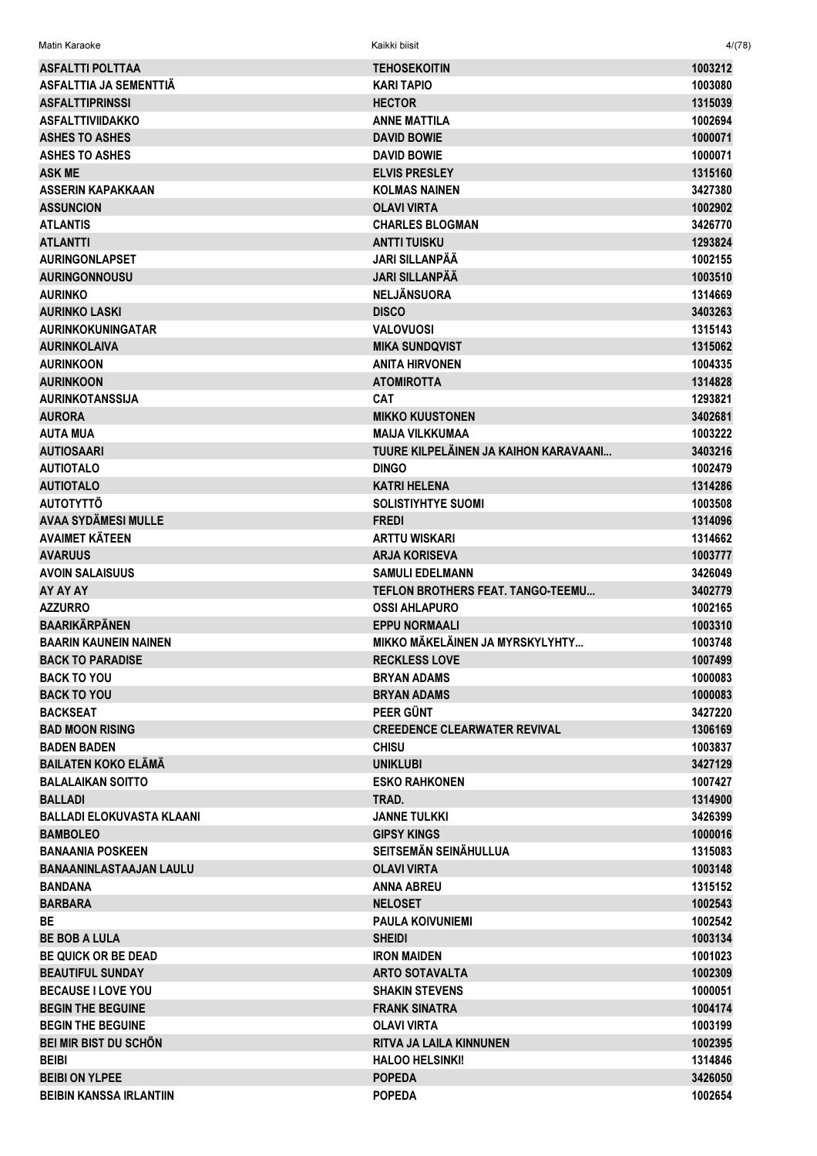| Matin Karaoke                    | Kaikki biisit                         | 4/(78)  |
|----------------------------------|---------------------------------------|---------|
| <b>ASFALTTI POLTTAA</b>          | TEHOSEKOITIN                          | 1003212 |
| ASFALTTIA JA SEMENTTIÄ           | <b>KARI TAPIO</b>                     | 1003080 |
| <b>ASFALTTIPRINSSI</b>           | <b>HECTOR</b>                         | 1315039 |
| <b>ASFALTTIVIIDAKKO</b>          | <b>ANNE MATTILA</b>                   | 1002694 |
| <b>ASHES TO ASHES</b>            | <b>DAVID BOWIE</b>                    | 1000071 |
| <b>ASHES TO ASHES</b>            | <b>DAVID BOWIE</b>                    | 1000071 |
| <b>ASK ME</b>                    | <b>ELVIS PRESLEY</b>                  | 1315160 |
| ASSERIN KAPAKKAAN                | <b>KOLMAS NAINEN</b>                  | 3427380 |
| <b>ASSUNCION</b>                 | <b>OLAVI VIRTA</b>                    | 1002902 |
| <b>ATLANTIS</b>                  | <b>CHARLES BLOGMAN</b>                | 3426770 |
| <b>ATLANTTI</b>                  | <b>ANTTI TUISKU</b>                   | 1293824 |
| <b>AURINGONLAPSET</b>            | JARI SILLANPÄÄ                        | 1002155 |
| <b>AURINGONNOUSU</b>             | <b>JARI SILLANPÄÄ</b>                 | 1003510 |
| <b>AURINKO</b>                   | <b>NELJÄNSUORA</b>                    | 1314669 |
| <b>AURINKO LASKI</b>             | <b>DISCO</b>                          | 3403263 |
| <b>AURINKOKUNINGATAR</b>         | VALOVUOSI                             | 1315143 |
| <b>AURINKOLAIVA</b>              | <b>MIKA SUNDQVIST</b>                 | 1315062 |
| <b>AURINKOON</b>                 | ANITA HIRVONEN                        | 1004335 |
| <b>AURINKOON</b>                 | <b>ATOMIROTTA</b>                     | 1314828 |
| <b>AURINKOTANSSIJA</b>           | CAT                                   | 1293821 |
| <b>AURORA</b>                    | <b>MIKKO KUUSTONEN</b>                | 3402681 |
| <b>AUTA MUA</b>                  | <b>MAIJA VILKKUMAA</b>                | 1003222 |
| <b>AUTIOSAARI</b>                | TUURE KILPELÄINEN JA KAIHON KARAVAANI | 3403216 |
| <b>AUTIOTALO</b>                 | <b>DINGO</b>                          | 1002479 |
| <b>AUTIOTALO</b>                 | <b>KATRI HELENA</b>                   | 1314286 |
| <b>AUTOTYTTÖ</b>                 | <b>SOLISTIYHTYE SUOMI</b>             | 1003508 |
| <b>AVAA SYDÄMESI MULLE</b>       | <b>FREDI</b>                          | 1314096 |
| <b>AVAIMET KÄTEEN</b>            | <b>ARTTU WISKARI</b>                  | 1314662 |
| <b>AVARUUS</b>                   | <b>ARJA KORISEVA</b>                  | 1003777 |
| <b>AVOIN SALAISUUS</b>           | <b>SAMULI EDELMANN</b>                | 3426049 |
| AY AY AY                         | TEFLON BROTHERS FEAT. TANGO-TEEMU     | 3402779 |
| <b>AZZURRO</b>                   | <b>OSSI AHLAPURO</b>                  | 1002165 |
| <b>BAARIKÄRPÄNEN</b>             | <b>EPPU NORMAALI</b>                  | 1003310 |
| <b>BAARIN KAUNEIN NAINEN</b>     | MIKKO MÄKELÄINEN JA MYRSKYLYHTY       | 1003748 |
| <b>BACK TO PARADISE</b>          | <b>RECKLESS LOVE</b>                  | 1007499 |
| <b>BACK TO YOU</b>               | <b>BRYAN ADAMS</b>                    | 1000083 |
| <b>BACK TO YOU</b>               | <b>BRYAN ADAMS</b>                    | 1000083 |
| <b>BACKSEAT</b>                  | PEER GÜNT                             | 3427220 |
| <b>BAD MOON RISING</b>           | <b>CREEDENCE CLEARWATER REVIVAL</b>   | 1306169 |
| <b>BADEN BADEN</b>               | <b>CHISU</b>                          | 1003837 |
| <b>BAILATEN KOKO ELÄMÄ</b>       | <b>UNIKLUBI</b>                       | 3427129 |
| <b>BALALAIKAN SOITTO</b>         | <b>ESKO RAHKONEN</b>                  | 1007427 |
| <b>BALLADI</b>                   | TRAD.                                 | 1314900 |
| <b>BALLADI ELOKUVASTA KLAANI</b> | <b>JANNE TULKKI</b>                   | 3426399 |
| <b>BAMBOLEO</b>                  | <b>GIPSY KINGS</b>                    | 1000016 |
| <b>BANAANIA POSKEEN</b>          | SEITSEMÄN SEINÄHULLUA                 | 1315083 |
| <b>BANAANINLASTAAJAN LAULU</b>   | <b>OLAVI VIRTA</b>                    | 1003148 |
| <b>BANDANA</b>                   | <b>ANNA ABREU</b>                     | 1315152 |
| <b>BARBARA</b>                   | <b>NELOSET</b>                        | 1002543 |
| <b>BE</b>                        | <b>PAULA KOIVUNIEMI</b>               | 1002542 |
| <b>BE BOB A LULA</b>             | <b>SHEIDI</b>                         | 1003134 |
| <b>BE QUICK OR BE DEAD</b>       | <b>IRON MAIDEN</b>                    | 1001023 |
| <b>BEAUTIFUL SUNDAY</b>          | <b>ARTO SOTAVALTA</b>                 | 1002309 |
| <b>BECAUSE I LOVE YOU</b>        | <b>SHAKIN STEVENS</b>                 | 1000051 |
| <b>BEGIN THE BEGUINE</b>         | <b>FRANK SINATRA</b>                  | 1004174 |
| <b>BEGIN THE BEGUINE</b>         | OLAVI VIRTA                           | 1003199 |
| <b>BEI MIR BIST DU SCHÖN</b>     | <b>RITVA JA LAILA KINNUNEN</b>        | 1002395 |
| <b>BEIBI</b>                     | <b>HALOO HELSINKI!</b>                | 1314846 |
| <b>BEIBI ON YLPEE</b>            | <b>POPEDA</b>                         | 3426050 |
| <b>BEIBIN KANSSA IRLANTIIN</b>   | <b>POPEDA</b>                         | 1002654 |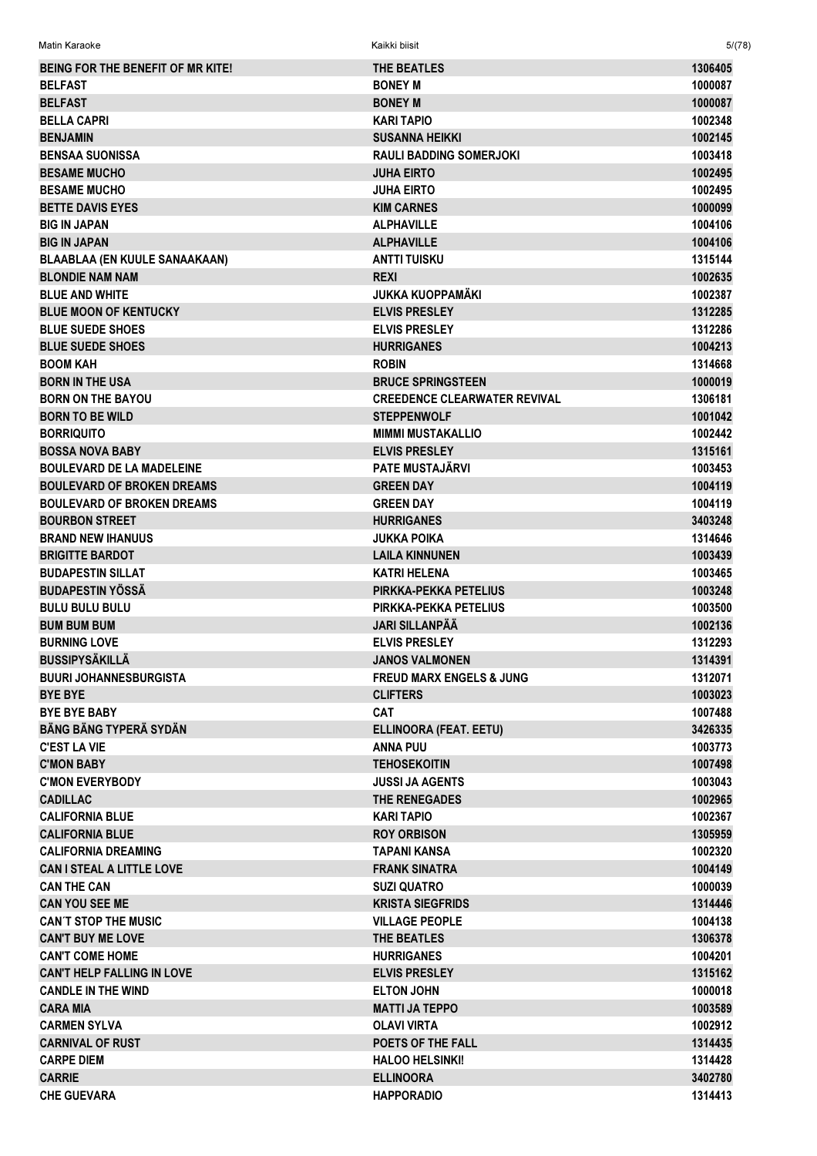| Matin Karaoke                                | Kaikki biisit                                  | 5/(78)             |
|----------------------------------------------|------------------------------------------------|--------------------|
| <b>BEING FOR THE BENEFIT OF MR KITE!</b>     | <b>THE BEATLES</b>                             | 1306405            |
| <b>BELFAST</b>                               | <b>BONEY M</b>                                 | 1000087            |
| <b>BELFAST</b>                               | <b>BONEY M</b>                                 | 1000087            |
| <b>BELLA CAPRI</b>                           | <b>KARI TAPIO</b>                              | 1002348            |
| <b>BENJAMIN</b>                              | <b>SUSANNA HEIKKI</b>                          | 1002145            |
| <b>BENSAA SUONISSA</b>                       | <b>RAULI BADDING SOMERJOKI</b>                 | 1003418            |
| <b>BESAME MUCHO</b>                          | <b>JUHA EIRTO</b>                              | 1002495            |
| <b>BESAME MUCHO</b>                          | JUHA EIRTO                                     | 1002495            |
| <b>BETTE DAVIS EYES</b>                      | <b>KIM CARNES</b>                              | 1000099            |
| <b>BIG IN JAPAN</b>                          | <b>ALPHAVILLE</b>                              | 1004106            |
| <b>BIG IN JAPAN</b>                          | <b>ALPHAVILLE</b>                              | 1004106            |
| <b>BLAABLAA (EN KUULE SANAAKAAN)</b>         | ANTTI TUISKU                                   | 1315144            |
| <b>BLONDIE NAM NAM</b>                       | <b>REXI</b>                                    | 1002635            |
| <b>BLUE AND WHITE</b>                        | JUKKA KUOPPAMÄKI                               | 1002387            |
| <b>BLUE MOON OF KENTUCKY</b>                 | <b>ELVIS PRESLEY</b>                           | 1312285            |
| <b>BLUE SUEDE SHOES</b>                      | <b>ELVIS PRESLEY</b>                           | 1312286            |
| <b>BLUE SUEDE SHOES</b>                      | <b>HURRIGANES</b>                              | 1004213            |
| <b>BOOM KAH</b>                              | <b>ROBIN</b>                                   | 1314668            |
| <b>BORN IN THE USA</b>                       | <b>BRUCE SPRINGSTEEN</b>                       | 1000019            |
| <b>BORN ON THE BAYOU</b>                     | <b>CREEDENCE CLEARWATER REVIVAL</b>            | 1306181            |
| <b>BORN TO BE WILD</b>                       | <b>STEPPENWOLF</b>                             | 1001042            |
| <b>BORRIQUITO</b>                            | <b>MIMMI MUSTAKALLIO</b>                       | 1002442            |
| <b>BOSSA NOVA BABY</b>                       | <b>ELVIS PRESLEY</b>                           | 1315161            |
| <b>BOULEVARD DE LA MADELEINE</b>             | <b>PATE MUSTAJÄRVI</b>                         | 1003453            |
| <b>BOULEVARD OF BROKEN DREAMS</b>            | <b>GREEN DAY</b>                               | 1004119            |
| <b>BOULEVARD OF BROKEN DREAMS</b>            | <b>GREEN DAY</b>                               | 1004119            |
| <b>BOURBON STREET</b>                        | <b>HURRIGANES</b>                              | 3403248            |
| <b>BRAND NEW IHANUUS</b>                     | JUKKA POIKA                                    | 1314646            |
| <b>BRIGITTE BARDOT</b>                       | <b>LAILA KINNUNEN</b>                          | 1003439            |
| <b>BUDAPESTIN SILLAT</b>                     | KATRI HELENA                                   | 1003465            |
| <b>BUDAPESTIN YÖSSÄ</b>                      | PIRKKA-PEKKA PETELIUS                          | 1003248            |
| <b>BULU BULU BULU</b>                        | PIRKKA-PEKKA PETELIUS                          | 1003500            |
| <b>BUM BUM BUM</b>                           | <b>JARI SILLANPÄÄ</b>                          | 1002136            |
| <b>BURNING LOVE</b>                          | <b>ELVIS PRESLEY</b>                           | 1312293            |
| <b>BUSSIPYSÄKILLÄ</b>                        | <b>JANOS VALMONEN</b>                          | 1314391            |
| <b>BUURI JOHANNESBURGISTA</b>                | <b>FREUD MARX ENGELS &amp; JUNG</b>            | 1312071            |
| <b>BYE BYE</b>                               | <b>CLIFTERS</b>                                | 1003023            |
| <b>BYE BYE BABY</b>                          | <b>CAT</b>                                     | 1007488            |
| BÄNG BÄNG TYPERÄ SYDÄN                       | <b>ELLINOORA (FEAT. EETU)</b>                  | 3426335            |
| <b>C'EST LA VIE</b>                          | ANNA PUU                                       | 1003773            |
| <b>C'MON BABY</b>                            | TEHOSEKOITIN                                   | 1007498            |
| <b>C'MON EVERYBODY</b>                       | JUSSI JA AGENTS                                | 1003043            |
| <b>CADILLAC</b>                              | <b>THE RENEGADES</b>                           | 1002965            |
| <b>CALIFORNIA BLUE</b>                       | <b>KARI TAPIO</b>                              | 1002367            |
| <b>CALIFORNIA BLUE</b>                       | <b>ROY ORBISON</b>                             | 1305959            |
| <b>CALIFORNIA DREAMING</b>                   | TAPANI KANSA                                   | 1002320            |
| <b>CAN I STEAL A LITTLE LOVE</b>             | <b>FRANK SINATRA</b>                           | 1004149            |
| <b>CAN THE CAN</b>                           | <b>SUZI QUATRO</b>                             | 1000039            |
| <b>CAN YOU SEE ME</b>                        | <b>KRISTA SIEGFRIDS</b>                        | 1314446            |
| <b>CAN'T STOP THE MUSIC</b>                  | <b>VILLAGE PEOPLE</b>                          | 1004138            |
| <b>CAN'T BUY ME LOVE</b>                     | THE BEATLES                                    | 1306378            |
| <b>CAN'T COME HOME</b>                       | <b>HURRIGANES</b>                              | 1004201            |
| <b>CAN'T HELP FALLING IN LOVE</b>            | <b>ELVIS PRESLEY</b>                           | 1315162            |
| <b>CANDLE IN THE WIND</b>                    | <b>ELTON JOHN</b>                              | 1000018            |
|                                              |                                                | 1003589            |
| <b>CARA MIA</b>                              | <b>MATTI JA TEPPO</b>                          |                    |
| <b>CARMEN SYLVA</b>                          | <b>OLAVI VIRTA</b><br><b>POETS OF THE FALL</b> | 1002912<br>1314435 |
| <b>CARNIVAL OF RUST</b><br><b>CARPE DIEM</b> |                                                | 1314428            |
| <b>CARRIE</b>                                | <b>HALOO HELSINKI!</b>                         |                    |
|                                              | <b>ELLINOORA</b>                               | 3402780            |
| <b>CHE GUEVARA</b>                           | <b>HAPPORADIO</b>                              | 1314413            |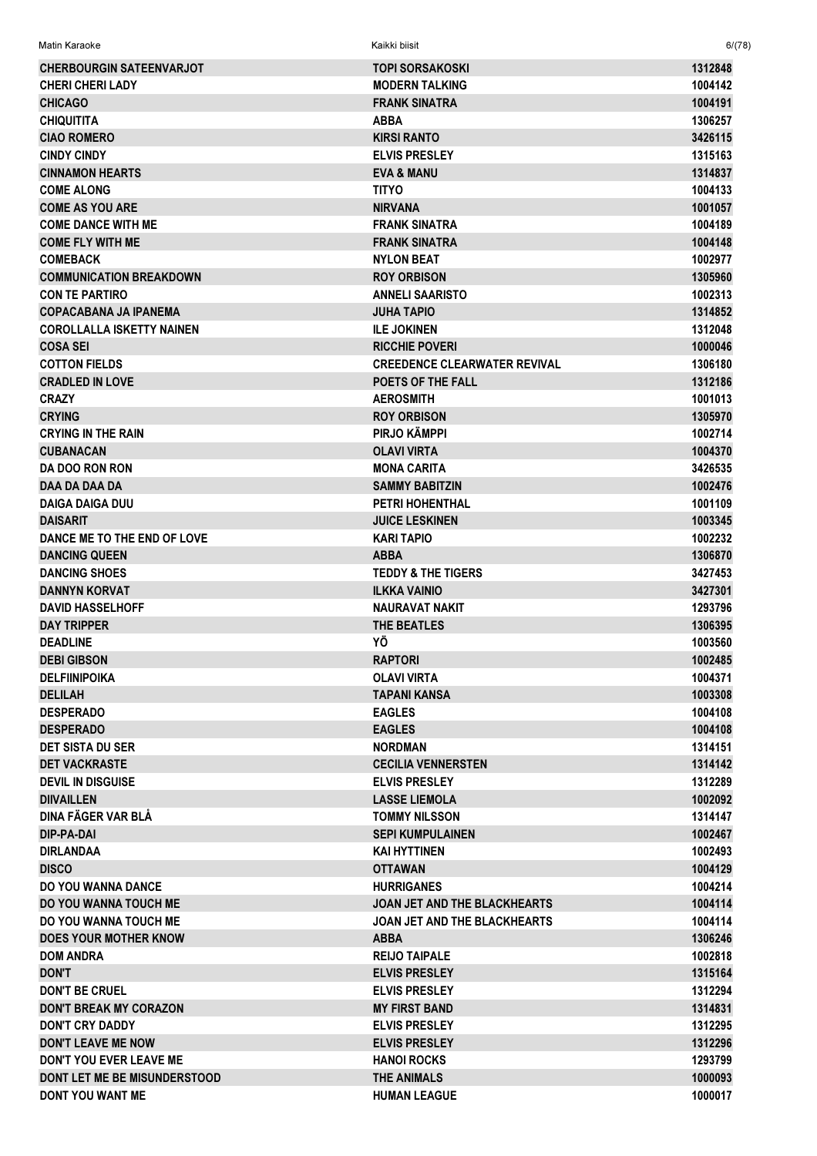| Matin Karaoke                       | Kaikki biisit                       | 6/(78)  |
|-------------------------------------|-------------------------------------|---------|
| <b>CHERBOURGIN SATEENVARJOT</b>     | <b>TOPI SORSAKOSKI</b>              | 1312848 |
| <b>CHERI CHERI LADY</b>             | <b>MODERN TALKING</b>               | 1004142 |
| <b>CHICAGO</b>                      | <b>FRANK SINATRA</b>                | 1004191 |
| <b>CHIQUITITA</b>                   | <b>ABBA</b>                         | 1306257 |
| <b>CIAO ROMERO</b>                  | <b>KIRSI RANTO</b>                  | 3426115 |
| <b>CINDY CINDY</b>                  | <b>ELVIS PRESLEY</b>                | 1315163 |
| <b>CINNAMON HEARTS</b>              | <b>EVA &amp; MANU</b>               | 1314837 |
| <b>COME ALONG</b>                   | <b>TITYO</b>                        | 1004133 |
| <b>COME AS YOU ARE</b>              | <b>NIRVANA</b>                      | 1001057 |
| <b>COME DANCE WITH ME</b>           | <b>FRANK SINATRA</b>                | 1004189 |
| <b>COME FLY WITH ME</b>             | <b>FRANK SINATRA</b>                | 1004148 |
| <b>COMEBACK</b>                     | <b>NYLON BEAT</b>                   | 1002977 |
| <b>COMMUNICATION BREAKDOWN</b>      | <b>ROY ORBISON</b>                  | 1305960 |
| <b>CON TE PARTIRO</b>               | <b>ANNELI SAARISTO</b>              | 1002313 |
| <b>COPACABANA JA IPANEMA</b>        | <b>JUHA TAPIO</b>                   | 1314852 |
| <b>COROLLALLA ISKETTY NAINEN</b>    | <b>ILE JOKINEN</b>                  | 1312048 |
| <b>COSA SEI</b>                     | <b>RICCHIE POVERI</b>               | 1000046 |
| <b>COTTON FIELDS</b>                | <b>CREEDENCE CLEARWATER REVIVAL</b> | 1306180 |
| <b>CRADLED IN LOVE</b>              | POETS OF THE FALL                   | 1312186 |
| <b>CRAZY</b>                        | <b>AEROSMITH</b>                    | 1001013 |
| <b>CRYING</b>                       | <b>ROY ORBISON</b>                  | 1305970 |
| <b>CRYING IN THE RAIN</b>           | PIRJO KÄMPPI                        | 1002714 |
| <b>CUBANACAN</b>                    | <b>OLAVI VIRTA</b>                  | 1004370 |
| <b>DA DOO RON RON</b>               | <b>MONA CARITA</b>                  | 3426535 |
| DAA DA DAA DA                       | <b>SAMMY BABITZIN</b>               | 1002476 |
| <b>DAIGA DAIGA DUU</b>              | <b>PETRI HOHENTHAL</b>              | 1001109 |
| <b>DAISARIT</b>                     | <b>JUICE LESKINEN</b>               | 1003345 |
| DANCE ME TO THE END OF LOVE         | <b>KARI TAPIO</b>                   | 1002232 |
| <b>DANCING QUEEN</b>                | <b>ABBA</b>                         | 1306870 |
| <b>DANCING SHOES</b>                | <b>TEDDY &amp; THE TIGERS</b>       | 3427453 |
| <b>DANNYN KORVAT</b>                | <b>ILKKA VAINIO</b>                 | 3427301 |
| <b>DAVID HASSELHOFF</b>             | <b>NAURAVAT NAKIT</b>               | 1293796 |
| <b>DAY TRIPPER</b>                  | THE BEATLES                         | 1306395 |
| <b>DEADLINE</b>                     | ΥÖ                                  | 1003560 |
| <b>DEBI GIBSON</b>                  | <b>RAPTORI</b>                      | 1002485 |
| <b>DELFIINIPOIKA</b>                | OLAVI VIRTA                         | 1004371 |
| <b>DELILAH</b>                      | <b>TAPANI KANSA</b>                 | 1003308 |
| <b>DESPERADO</b>                    | <b>EAGLES</b>                       | 1004108 |
| <b>DESPERADO</b>                    | <b>EAGLES</b>                       | 1004108 |
| <b>DET SISTA DU SER</b>             | <b>NORDMAN</b>                      | 1314151 |
| <b>DET VACKRASTE</b>                | <b>CECILIA VENNERSTEN</b>           | 1314142 |
| <b>DEVIL IN DISGUISE</b>            | <b>ELVIS PRESLEY</b>                | 1312289 |
| <b>DIIVAILLEN</b>                   | <b>LASSE LIEMOLA</b>                | 1002092 |
| DINA FÄGER VAR BLÅ                  | <b>TOMMY NILSSON</b>                | 1314147 |
| DIP-PA-DAI                          | <b>SEPI KUMPULAINEN</b>             | 1002467 |
| <b>DIRLANDAA</b>                    | <b>KAI HYTTINEN</b>                 | 1002493 |
| <b>DISCO</b>                        | <b>OTTAWAN</b>                      | 1004129 |
| <b>DO YOU WANNA DANCE</b>           | <b>HURRIGANES</b>                   | 1004214 |
| <b>DO YOU WANNA TOUCH ME</b>        | JOAN JET AND THE BLACKHEARTS        | 1004114 |
| DO YOU WANNA TOUCH ME               | <b>JOAN JET AND THE BLACKHEARTS</b> | 1004114 |
| <b>DOES YOUR MOTHER KNOW</b>        | <b>ABBA</b>                         | 1306246 |
| <b>DOM ANDRA</b>                    | <b>REIJO TAIPALE</b>                | 1002818 |
| <b>DON'T</b>                        | <b>ELVIS PRESLEY</b>                | 1315164 |
| <b>DON'T BE CRUEL</b>               | <b>ELVIS PRESLEY</b>                | 1312294 |
| <b>DON'T BREAK MY CORAZON</b>       | <b>MY FIRST BAND</b>                | 1314831 |
| <b>DON'T CRY DADDY</b>              | <b>ELVIS PRESLEY</b>                | 1312295 |
| <b>DON'T LEAVE ME NOW</b>           | <b>ELVIS PRESLEY</b>                | 1312296 |
| <b>DON'T YOU EVER LEAVE ME</b>      | <b>HANOI ROCKS</b>                  | 1293799 |
| <b>DONT LET ME BE MISUNDERSTOOD</b> | <b>THE ANIMALS</b>                  | 1000093 |
| DONT YOU WANT ME                    | <b>HUMAN LEAGUE</b>                 | 1000017 |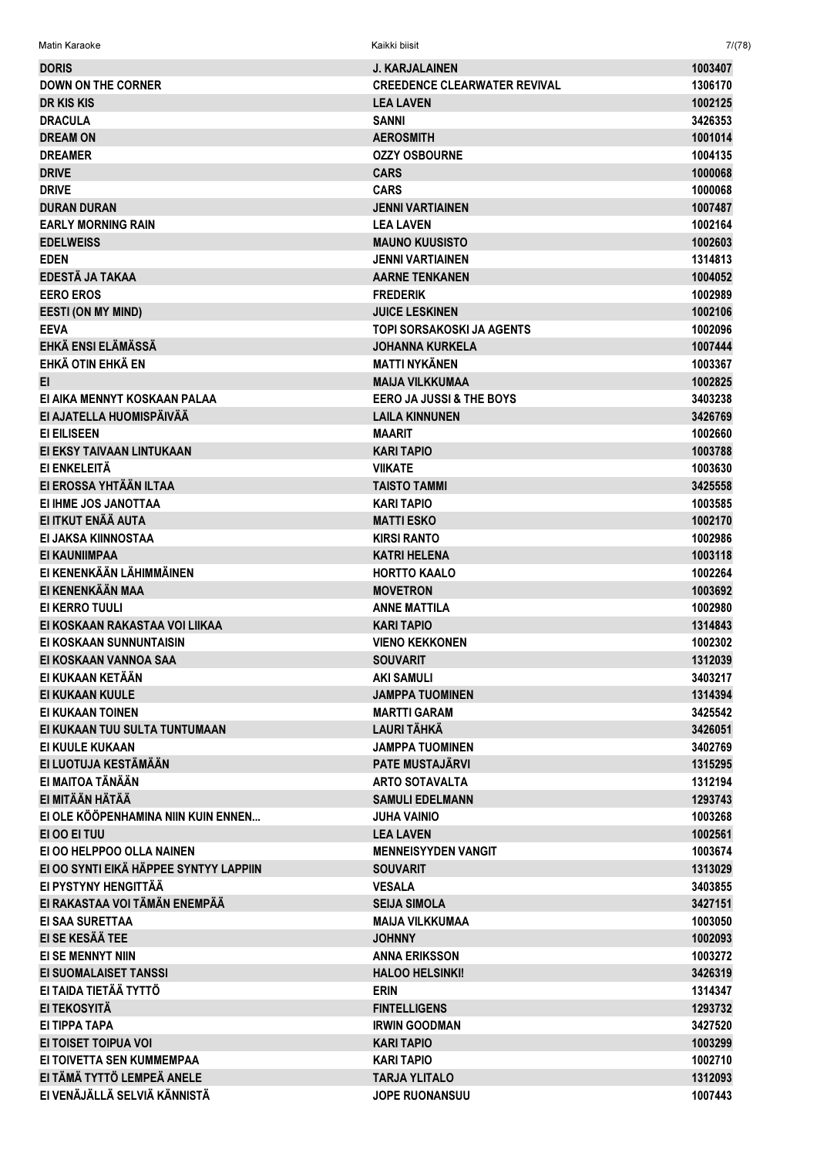| <b>DORIS</b>                           | <b>J. KARJALAINEN</b>               | 1003407 |
|----------------------------------------|-------------------------------------|---------|
| <b>DOWN ON THE CORNER</b>              | <b>CREEDENCE CLEARWATER REVIVAL</b> | 1306170 |
|                                        |                                     |         |
| <b>DR KIS KIS</b>                      | <b>LEA LAVEN</b>                    | 1002125 |
| <b>DRACULA</b>                         | <b>SANNI</b>                        | 3426353 |
| <b>DREAM ON</b>                        | <b>AEROSMITH</b>                    | 1001014 |
| <b>DREAMER</b>                         | <b>OZZY OSBOURNE</b>                | 1004135 |
| <b>DRIVE</b>                           | <b>CARS</b>                         | 1000068 |
| <b>DRIVE</b>                           | <b>CARS</b>                         | 1000068 |
| <b>DURAN DURAN</b>                     | <b>JENNI VARTIAINEN</b>             | 1007487 |
| <b>EARLY MORNING RAIN</b>              | <b>LEA LAVEN</b>                    | 1002164 |
| <b>EDELWEISS</b>                       | <b>MAUNO KUUSISTO</b>               | 1002603 |
| <b>EDEN</b>                            | <b>JENNI VARTIAINEN</b>             | 1314813 |
| EDESTÄ JA TAKAA                        | <b>AARNE TENKANEN</b>               | 1004052 |
| <b>EERO EROS</b>                       | <b>FREDERIK</b>                     | 1002989 |
| <b>EESTI (ON MY MIND)</b>              | <b>JUICE LESKINEN</b>               | 1002106 |
| <b>EEVA</b>                            | <b>TOPI SORSAKOSKI JA AGENTS</b>    | 1002096 |
| EHKÄ ENSI ELÄMÄSSÄ                     | <b>JOHANNA KURKELA</b>              | 1007444 |
| EHKÄ OTIN EHKÄ EN                      | <b>MATTI NYKÄNEN</b>                | 1003367 |
| EI.                                    | <b>MAIJA VILKKUMAA</b>              | 1002825 |
| EI AIKA MENNYT KOSKAAN PALAA           | <b>EERO JA JUSSI &amp; THE BOYS</b> | 3403238 |
| EI AJATELLA HUOMISPÄIVÄÄ               | <b>LAILA KINNUNEN</b>               | 3426769 |
| <b>EI EILISEEN</b>                     | <b>MAARIT</b>                       | 1002660 |
| EI EKSY TAIVAAN LINTUKAAN              | <b>KARI TAPIO</b>                   | 1003788 |
| EI ENKELEITÄ                           | <b>VIIKATE</b>                      | 1003630 |
| EI EROSSA YHTÄÄN ILTAA                 | <b>TAISTO TAMMI</b>                 | 3425558 |
| EI IHME JOS JANOTTAA                   | <b>KARI TAPIO</b>                   | 1003585 |
| EI ITKUT ENÄÄ AUTA                     | <b>MATTI ESKO</b>                   | 1002170 |
| EI JAKSA KIINNOSTAA                    | <b>KIRSI RANTO</b>                  | 1002986 |
| <b>EI KAUNIIMPAA</b>                   | <b>KATRI HELENA</b>                 | 1003118 |
| EI KENENKÄÄN LÄHIMMÄINEN               | <b>HORTTO KAALO</b>                 | 1002264 |
| EI KENENKÄÄN MAA                       | <b>MOVETRON</b>                     | 1003692 |
| EI KERRO TUULI                         | <b>ANNE MATTILA</b>                 | 1002980 |
| EI KOSKAAN RAKASTAA VOI LIIKAA         | <b>KARI TAPIO</b>                   | 1314843 |
| EI KOSKAAN SUNNUNTAISIN                | <b>VIENO KEKKONEN</b>               | 1002302 |
| EI KOSKAAN VANNOA SAA                  | <b>SOUVARIT</b>                     | 1312039 |
| EI KUKAAN KETÄÄN                       | <b>AKI SAMULI</b>                   | 3403217 |
| <b>EI KUKAAN KUULE</b>                 | <b>JAMPPA TUOMINEN</b>              | 1314394 |
| EI KUKAAN TOINEN                       | <b>MARTTI GARAM</b>                 | 3425542 |
| EI KUKAAN TUU SULTA TUNTUMAAN          | <b>LAURI TÄHKÄ</b>                  |         |
| EI KUULE KUKAAN                        | <b>JAMPPA TUOMINEN</b>              | 3426051 |
| EI LUOTUJA KESTÄMÄÄN                   | <b>PATE MUSTAJÄRVI</b>              | 3402769 |
| EI MAITOA TÄNÄÄN                       |                                     | 1315295 |
|                                        | <b>ARTO SOTAVALTA</b>               | 1312194 |
| EI MITÄÄN HÄTÄÄ                        | <b>SAMULI EDELMANN</b>              | 1293743 |
| EI OLE KÖÖPENHAMINA NIIN KUIN ENNEN    | <b>JUHA VAINIO</b>                  | 1003268 |
| EI OO EI TUU                           | <b>LEA LAVEN</b>                    | 1002561 |
| EI OO HELPPOO OLLA NAINEN              | <b>MENNEISYYDEN VANGIT</b>          | 1003674 |
| EI OO SYNTI EIKÄ HÄPPEE SYNTYY LAPPIIN | <b>SOUVARIT</b>                     | 1313029 |
| EI PYSTYNY HENGITTÄÄ                   | <b>VESALA</b>                       | 3403855 |
| EI RAKASTAA VOI TÄMÄN ENEMPÄÄ          | <b>SEIJA SIMOLA</b>                 | 3427151 |
| EI SAA SURETTAA                        | <b>MAIJA VILKKUMAA</b>              | 1003050 |
| EI SE KESÄÄ TEE                        | <b>JOHNNY</b>                       | 1002093 |
| EI SE MENNYT NIIN                      | <b>ANNA ERIKSSON</b>                | 1003272 |
| EI SUOMALAISET TANSSI                  | <b>HALOO HELSINKI!</b>              | 3426319 |
| EI TAIDA TIETÄÄ TYTTÖ                  | <b>ERIN</b>                         | 1314347 |
| EI TEKOSYITÄ                           | <b>FINTELLIGENS</b>                 | 1293732 |
| EI TIPPA TAPA                          | <b>IRWIN GOODMAN</b>                | 3427520 |
| EI TOISET TOIPUA VOI                   | <b>KARI TAPIO</b>                   | 1003299 |
| EI TOIVETTA SEN KUMMEMPAA              | <b>KARI TAPIO</b>                   | 1002710 |
| EI TÄMÄ TYTTÖ LEMPEÄ ANELE             | <b>TARJA YLITALO</b>                | 1312093 |
| EI VENÄJÄLLÄ SELVIÄ KÄNNISTÄ           | JOPE RUONANSUU                      | 1007443 |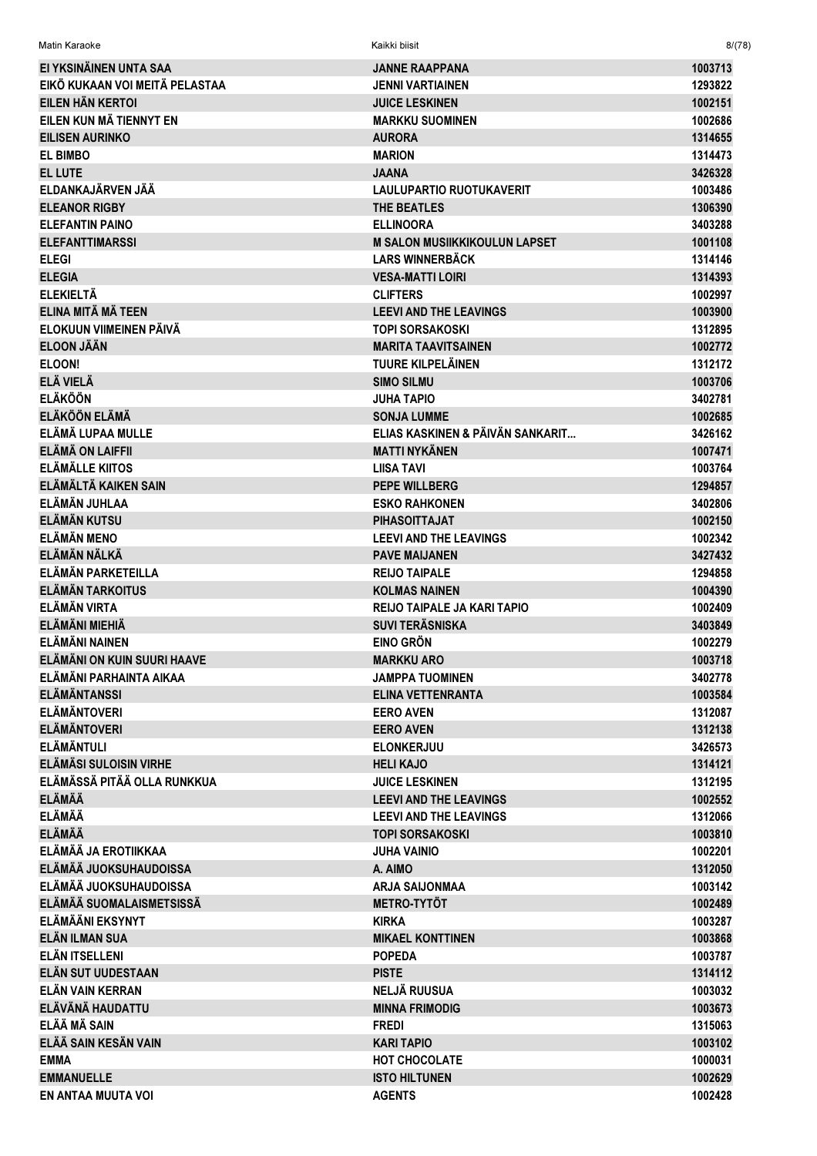| Matin Karaoke                         | Kaikki biisit                                                | 8/(78)             |
|---------------------------------------|--------------------------------------------------------------|--------------------|
| EI YKSINÄINEN UNTA SAA                | <b>JANNE RAAPPANA</b>                                        | 1003713            |
| EIKÖ KUKAAN VOI MEITÄ PELASTAA        | <b>JENNI VARTIAINEN</b>                                      | 1293822            |
| EILEN HÄN KERTOI                      | <b>JUICE LESKINEN</b>                                        | 1002151            |
| EILEN KUN MÄ TIENNYT EN               | <b>MARKKU SUOMINEN</b>                                       | 1002686            |
| EILISEN AURINKO                       | <b>AURORA</b>                                                | 1314655            |
| <b>EL BIMBO</b>                       | <b>MARION</b>                                                | 1314473            |
| <b>EL LUTE</b>                        | <b>JAANA</b>                                                 | 3426328            |
| ELDANKAJÄRVEN JÄÄ                     | <b>LAULUPARTIO RUOTUKAVERIT</b>                              | 1003486            |
| <b>ELEANOR RIGBY</b>                  | THE BEATLES                                                  | 1306390            |
| <b>ELEFANTIN PAINO</b>                | <b>ELLINOORA</b>                                             | 3403288            |
| <b>ELEFANTTIMARSSI</b>                | <b>M SALON MUSIIKKIKOULUN LAPSET</b>                         | 1001108            |
| <b>ELEGI</b>                          | <b>LARS WINNERBÄCK</b>                                       | 1314146            |
| <b>ELEGIA</b>                         | <b>VESA-MATTI LOIRI</b>                                      | 1314393            |
| <b>ELEKIELTÄ</b>                      | <b>CLIFTERS</b>                                              | 1002997            |
| ELINA MITÄ MÄ TEEN                    | <b>LEEVI AND THE LEAVINGS</b>                                | 1003900            |
| ELOKUUN VIIMEINEN PÄIVÄ               | <b>TOPI SORSAKOSKI</b>                                       | 1312895            |
| <b>ELOON JÄÄN</b>                     | <b>MARITA TAAVITSAINEN</b>                                   | 1002772            |
| ELOON!                                | <b>TUURE KILPELÄINEN</b>                                     | 1312172            |
| ELÄ VIELÄ                             | <b>SIMO SILMU</b>                                            | 1003706            |
| <b>ELÄKÖÖN</b>                        | JUHA TAPIO                                                   | 3402781            |
| <b>ELÄKÖÖN ELÄMÄ</b>                  | <b>SONJA LUMME</b>                                           | 1002685            |
| ELÄMÄ LUPAA MULLE                     | ELIAS KASKINEN & PÄIVÄN SANKARIT                             | 3426162            |
| <b>ELÄMÄ ON LAIFFII</b>               | <b>MATTI NYKÄNEN</b>                                         | 1007471            |
| <b>ELÄMÄLLE KIITOS</b>                | <b>LIISA TAVI</b>                                            | 1003764            |
| ELÄMÄLTÄ KAIKEN SAIN                  | <b>PEPE WILLBERG</b>                                         | 1294857            |
| ELÄMÄN JUHLAA                         | <b>ESKO RAHKONEN</b>                                         | 3402806            |
| <b>ELÄMÄN KUTSU</b>                   | <b>PIHASOITTAJAT</b>                                         | 1002150            |
| <b>ELÄMÄN MENO</b>                    | <b>LEEVI AND THE LEAVINGS</b>                                | 1002342            |
| ELÄMÄN NÄLKÄ                          | <b>PAVE MAIJANEN</b>                                         | 3427432            |
| ELÄMÄN PARKETEILLA                    | <b>REIJO TAIPALE</b>                                         | 1294858            |
| <b>ELÄMÄN TARKOITUS</b>               | <b>KOLMAS NAINEN</b>                                         | 1004390            |
| <b>ELÄMÄN VIRTA</b><br>ELÄMÄNI MIEHIÄ | <b>REIJO TAIPALE JA KARI TAPIO</b><br><b>SUVI TERÄSNISKA</b> | 1002409            |
| <b>ELÄMÄNI NAINEN</b>                 | EINO GRÖN                                                    | 3403849<br>1002279 |
| ELÄMÄNI ON KUIN SUURI HAAVE           | <b>MARKKU ARO</b>                                            | 1003718            |
| ELÄMÄNI PARHAINTA AIKAA               | JAMPPA TUOMINEN                                              | 3402778            |
| <b>ELÄMÄNTANSSI</b>                   | <b>ELINA VETTENRANTA</b>                                     | 1003584            |
| <b>ELÄMÄNTOVERI</b>                   | <b>EERO AVEN</b>                                             | 1312087            |
| <b>ELÄMÄNTOVERI</b>                   | <b>EERO AVEN</b>                                             | 1312138            |
| <b>ELÄMÄNTULI</b>                     | <b>ELONKERJUU</b>                                            | 3426573            |
| <b>ELÄMÄSI SULOISIN VIRHE</b>         | <b>HELI KAJO</b>                                             | 1314121            |
| ELÄMÄSSÄ PITÄÄ OLLA RUNKKUA           | <b>JUICE LESKINEN</b>                                        | 1312195            |
| ELÄMÄÄ                                | <b>LEEVI AND THE LEAVINGS</b>                                | 1002552            |
| <b>ELÄMÄÄ</b>                         | <b>LEEVI AND THE LEAVINGS</b>                                | 1312066            |
| <b>ELÄMÄÄ</b>                         | <b>TOPI SORSAKOSKI</b>                                       | 1003810            |
| ELÄMÄÄ JA EROTIIKKAA                  | <b>JUHA VAINIO</b>                                           | 1002201            |
| ELÄMÄÄ JUOKSUHAUDOISSA                | A. AIMO                                                      | 1312050            |
| ELÄMÄÄ JUOKSUHAUDOISSA                | <b>ARJA SAIJONMAA</b>                                        | 1003142            |
| ELÄMÄÄ SUOMALAISMETSISSÄ              | <b>METRO-TYTÖT</b>                                           | 1002489            |
| ELÄMÄÄNI EKSYNYT                      | <b>KIRKA</b>                                                 | 1003287            |
| <b>ELÄN ILMAN SUA</b>                 | <b>MIKAEL KONTTINEN</b>                                      | 1003868            |
| ELÄN ITSELLENI                        | <b>POPEDA</b>                                                | 1003787            |
| ELÄN SUT UUDESTAAN                    | <b>PISTE</b>                                                 | 1314112            |
| ELÄN VAIN KERRAN                      | <b>NELJÄ RUUSUA</b>                                          | 1003032            |
| ELÄVÄNÄ HAUDATTU                      | <b>MINNA FRIMODIG</b>                                        | 1003673            |
| ELÄÄ MÄ SAIN                          | <b>FREDI</b>                                                 | 1315063            |
| ELÄÄ SAIN KESÄN VAIN                  | <b>KARI TAPIO</b>                                            | 1003102            |
| <b>EMMA</b><br><b>EMMANUELLE</b>      | <b>HOT CHOCOLATE</b><br><b>ISTO HILTUNEN</b>                 | 1000031<br>1002629 |
| EN ANTAA MUUTA VOI                    | <b>AGENTS</b>                                                | 1002428            |
|                                       |                                                              |                    |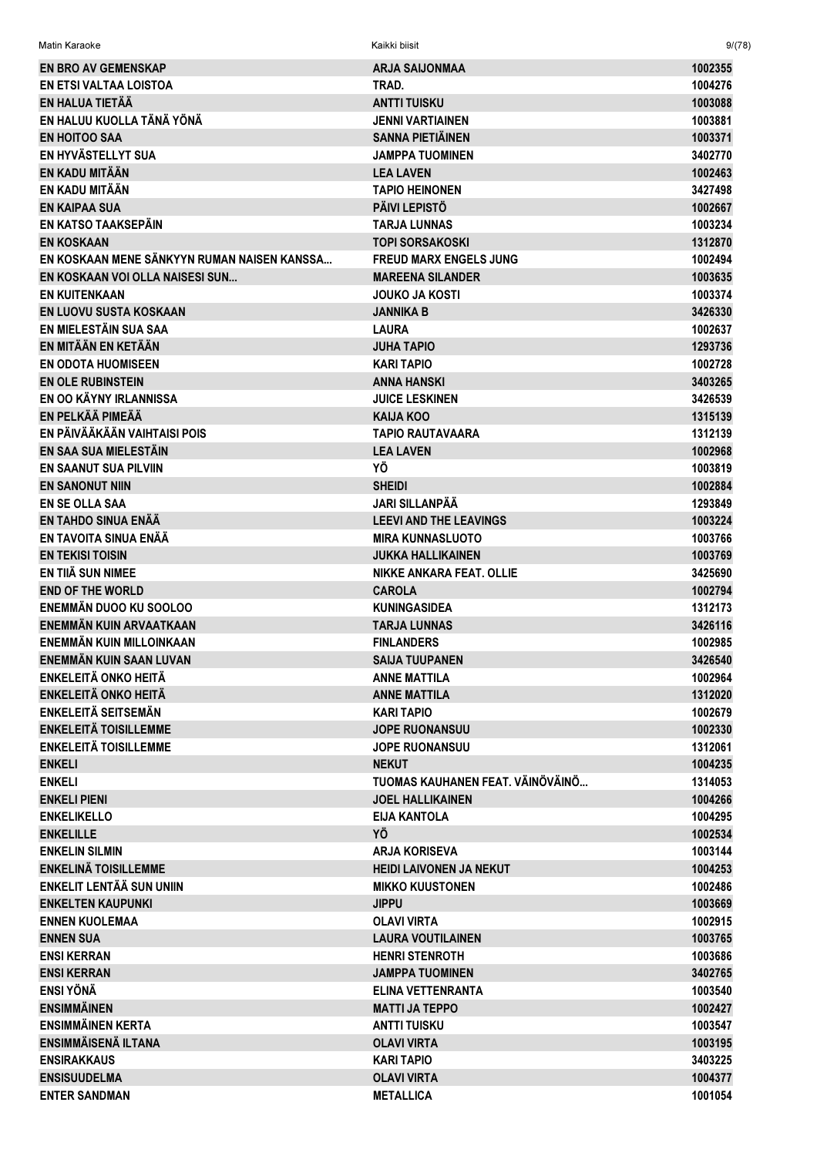| Matin Karaoke                                     | Kaikki biisit                              | 9/(78)             |
|---------------------------------------------------|--------------------------------------------|--------------------|
| <b>EN BRO AV GEMENSKAP</b>                        | <b>ARJA SAIJONMAA</b>                      | 1002355            |
| EN ETSI VALTAA LOISTOA                            | TRAD.                                      | 1004276            |
| EN HALUA TIETÄÄ                                   | <b>ANTTI TUISKU</b>                        | 1003088            |
| EN HALUU KUOLLA TÄNÄ YÖNÄ                         | <b>JENNI VARTIAINEN</b>                    | 1003881            |
| <b>EN HOITOO SAA</b>                              | <b>SANNA PIETIÄINEN</b>                    | 1003371            |
| EN HYVÄSTELLYT SUA                                | <b>JAMPPA TUOMINEN</b>                     | 3402770            |
| EN KADU MITÄÄN                                    | <b>LEA LAVEN</b>                           | 1002463            |
| EN KADU MITÄÄN                                    | <b>TAPIO HEINONEN</b>                      | 3427498            |
| <b>EN KAIPAA SUA</b>                              | <b>PÄIVI LEPISTÖ</b>                       | 1002667            |
| EN KATSO TAAKSEPÄIN                               | <b>TARJA LUNNAS</b>                        | 1003234            |
| <b>EN KOSKAAN</b>                                 | <b>TOPI SORSAKOSKI</b>                     | 1312870            |
| EN KOSKAAN MENE SÄNKYYN RUMAN NAISEN KANSSA       | <b>FREUD MARX ENGELS JUNG</b>              | 1002494            |
| EN KOSKAAN VOI OLLA NAISESI SUN                   | <b>MAREENA SILANDER</b>                    | 1003635            |
| <b>EN KUITENKAAN</b>                              | <b>JOUKO JA KOSTI</b>                      | 1003374            |
| EN LUOVU SUSTA KOSKAAN                            | JANNIKA B                                  | 3426330            |
| EN MIELESTÄIN SUA SAA                             | <b>LAURA</b>                               | 1002637            |
| EN MITÄÄN EN KETÄÄN                               | <b>JUHA TAPIO</b>                          | 1293736            |
| <b>EN ODOTA HUOMISEEN</b>                         | <b>KARI TAPIO</b>                          | 1002728            |
| <b>EN OLE RUBINSTEIN</b>                          | <b>ANNA HANSKI</b>                         | 3403265            |
| EN OO KÄYNY IRLANNISSA                            | <b>JUICE LESKINEN</b>                      | 3426539            |
| EN PELKÄÄ PIMEÄÄ                                  | <b>KAIJA KOO</b>                           | 1315139            |
| EN PÄIVÄÄKÄÄN VAIHTAISI POIS                      | <b>TAPIO RAUTAVAARA</b>                    | 1312139            |
| EN SAA SUA MIELESTÄIN                             | <b>LEA LAVEN</b>                           | 1002968            |
| <b>EN SAANUT SUA PILVIIN</b>                      | ΥÖ                                         | 1003819            |
| <b>EN SANONUT NIIN</b>                            | <b>SHEIDI</b>                              | 1002884            |
| <b>EN SE OLLA SAA</b>                             | JARI SILLANPÄÄ                             | 1293849            |
| EN TAHDO SINUA ENÄÄ                               | <b>LEEVI AND THE LEAVINGS</b>              | 1003224            |
| EN TAVOITA SINUA ENÄÄ                             | <b>MIRA KUNNASLUOTO</b>                    | 1003766            |
| <b>EN TEKISI TOISIN</b>                           | <b>JUKKA HALLIKAINEN</b>                   | 1003769            |
| EN TIIÄ SUN NIMEE                                 | NIKKE ANKARA FEAT. OLLIE                   | 3425690            |
| <b>END OF THE WORLD</b><br>ENEMMÄN DUOO KU SOOLOO | <b>CAROLA</b>                              | 1002794            |
| ENEMMÄN KUIN ARVAATKAAN                           | <b>KUNINGASIDEA</b><br><b>TARJA LUNNAS</b> | 1312173<br>3426116 |
| ENEMMÄN KUIN MILLOINKAAN                          | <b>FINLANDERS</b>                          | 1002985            |
| ENEMMÄN KUIN SAAN LUVAN                           | <b>SAIJA TUUPANEN</b>                      | 3426540            |
| <b>ENKELEITÄ ONKO HEITÄ</b>                       | <b>ANNE MATTILA</b>                        | 1002964            |
| <b>ENKELEITÄ ONKO HEITÄ</b>                       | <b>ANNE MATTILA</b>                        | 1312020            |
| <b>ENKELEITÄ SEITSEMÄN</b>                        | <b>KARI TAPIO</b>                          | 1002679            |
| <b>ENKELEITÄ TOISILLEMME</b>                      | <b>JOPE RUONANSUU</b>                      | 1002330            |
| <b>ENKELEITÄ TOISILLEMME</b>                      | <b>JOPE RUONANSUU</b>                      | 1312061            |
| <b>ENKELI</b>                                     | <b>NEKUT</b>                               | 1004235            |
| <b>ENKELI</b>                                     | TUOMAS KAUHANEN FEAT. VÄINÖVÄINÖ           | 1314053            |
| <b>ENKELI PIENI</b>                               | <b>JOEL HALLIKAINEN</b>                    | 1004266            |
| <b>ENKELIKELLO</b>                                | <b>EIJA KANTOLA</b>                        | 1004295            |
| <b>ENKELILLE</b>                                  | ΥÖ                                         | 1002534            |
| <b>ENKELIN SILMIN</b>                             | <b>ARJA KORISEVA</b>                       | 1003144            |
| <b>ENKELINÄ TOISILLEMME</b>                       | <b>HEIDI LAIVONEN JA NEKUT</b>             | 1004253            |
| ENKELIT LENTÄÄ SUN UNIIN                          | <b>MIKKO KUUSTONEN</b>                     | 1002486            |
| <b>ENKELTEN KAUPUNKI</b>                          | <b>JIPPU</b>                               | 1003669            |
| <b>ENNEN KUOLEMAA</b>                             | <b>OLAVI VIRTA</b>                         | 1002915            |
| <b>ENNEN SUA</b>                                  | <b>LAURA VOUTILAINEN</b>                   | 1003765            |
| <b>ENSI KERRAN</b>                                | <b>HENRI STENROTH</b>                      | 1003686            |
| <b>ENSI KERRAN</b>                                | <b>JAMPPA TUOMINEN</b>                     | 3402765            |
| <b>ENSI YÖNÄ</b>                                  | ELINA VETTENRANTA                          | 1003540            |
| <b>ENSIMMÄINEN</b>                                | <b>MATTI JA TEPPO</b>                      | 1002427            |
| <b>ENSIMMÄINEN KERTA</b>                          | <b>ANTTI TUISKU</b>                        | 1003547            |
| ENSIMMÄISENÄ ILTANA                               | <b>OLAVI VIRTA</b>                         | 1003195            |
| <b>ENSIRAKKAUS</b>                                | <b>KARI TAPIO</b>                          | 3403225            |
| <b>ENSISUUDELMA</b>                               | <b>OLAVI VIRTA</b>                         | 1004377            |
| <b>ENTER SANDMAN</b>                              | <b>METALLICA</b>                           | 1001054            |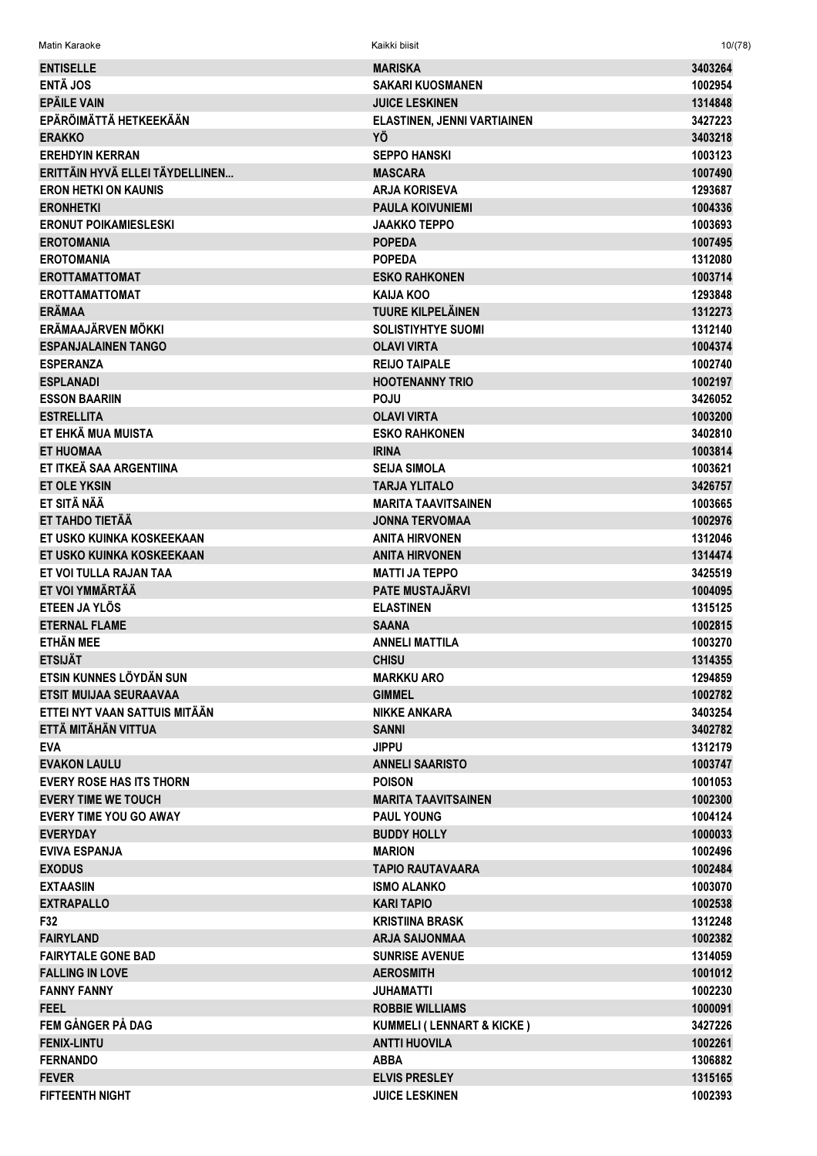| <b>ENTISELLE</b>                | <b>MARISKA</b>                           | 3403264 |
|---------------------------------|------------------------------------------|---------|
| <b>ENTÄ JOS</b>                 | <b>SAKARI KUOSMANEN</b>                  | 1002954 |
| <b>EPÄILE VAIN</b>              | <b>JUICE LESKINEN</b>                    | 1314848 |
| EPÄRÖIMÄTTÄ HETKEEKÄÄN          |                                          | 3427223 |
|                                 | <b>ELASTINEN, JENNI VARTIAINEN</b><br>YÖ | 3403218 |
| <b>ERAKKO</b>                   |                                          |         |
| <b>EREHDYIN KERRAN</b>          | <b>SEPPO HANSKI</b>                      | 1003123 |
| ERITTÄIN HYVÄ ELLEI TÄYDELLINEN | <b>MASCARA</b>                           | 1007490 |
| <b>ERON HETKI ON KAUNIS</b>     | <b>ARJA KORISEVA</b>                     | 1293687 |
| <b>ERONHETKI</b>                | <b>PAULA KOIVUNIEMI</b>                  | 1004336 |
| <b>ERONUT POIKAMIESLESKI</b>    | <b>JAAKKO TEPPO</b>                      | 1003693 |
| <b>EROTOMANIA</b>               | <b>POPEDA</b>                            | 1007495 |
| <b>EROTOMANIA</b>               | <b>POPEDA</b>                            | 1312080 |
| <b>EROTTAMATTOMAT</b>           | <b>ESKO RAHKONEN</b>                     | 1003714 |
| <b>EROTTAMATTOMAT</b>           | <b>KAIJA KOO</b>                         | 1293848 |
| <b>ERÄMAA</b>                   | <b>TUURE KILPELÄINEN</b>                 | 1312273 |
| ERÄMAAJÄRVEN MÖKKI              | <b>SOLISTIYHTYE SUOMI</b>                | 1312140 |
| <b>ESPANJALAINEN TANGO</b>      | <b>OLAVI VIRTA</b>                       | 1004374 |
| <b>ESPERANZA</b>                | <b>REIJO TAIPALE</b>                     | 1002740 |
| <b>ESPLANADI</b>                | <b>HOOTENANNY TRIO</b>                   | 1002197 |
| <b>ESSON BAARIIN</b>            | <b>POJU</b>                              | 3426052 |
| <b>ESTRELLITA</b>               | <b>OLAVI VIRTA</b>                       | 1003200 |
| ET EHKÄ MUA MUISTA              | <b>ESKO RAHKONEN</b>                     | 3402810 |
| <b>ET HUOMAA</b>                | <b>IRINA</b>                             | 1003814 |
| ET ITKEÄ SAA ARGENTIINA         | <b>SEIJA SIMOLA</b>                      | 1003621 |
| <b>ET OLE YKSIN</b>             | <b>TARJA YLITALO</b>                     | 3426757 |
| ET SITÄ NÄÄ                     | <b>MARITA TAAVITSAINEN</b>               | 1003665 |
| ET TAHDO TIETÄÄ                 | <b>JONNA TERVOMAA</b>                    | 1002976 |
| ET USKO KUINKA KOSKEEKAAN       | <b>ANITA HIRVONEN</b>                    | 1312046 |
| ET USKO KUINKA KOSKEEKAAN       | <b>ANITA HIRVONEN</b>                    | 1314474 |
| ET VOI TULLA RAJAN TAA          | <b>MATTI JA TEPPO</b>                    | 3425519 |
| ET VOI YMMÄRTÄÄ                 | <b>PATE MUSTAJÄRVI</b>                   | 1004095 |
| ETEEN JA YLÖS                   | <b>ELASTINEN</b>                         | 1315125 |
| <b>ETERNAL FLAME</b>            | <b>SAANA</b>                             | 1002815 |
| <b>ETHÄN MEE</b>                | <b>ANNELI MATTILA</b>                    | 1003270 |
| <b>ETSIJÄT</b>                  | <b>CHISU</b>                             | 1314355 |
| ETSIN KUNNES LÖYDÄN SUN         | <b>MARKKU ARO</b>                        | 1294859 |
| <b>ETSIT MUIJAA SEURAAVAA</b>   | <b>GIMMEL</b>                            | 1002782 |
| ETTEI NYT VAAN SATTUIS MITÄÄN   | <b>NIKKE ANKARA</b>                      | 3403254 |
| ETTÄ MITÄHÄN VITTUA             | <b>SANNI</b>                             | 3402782 |
| <b>EVA</b>                      | <b>JIPPU</b>                             | 1312179 |
| <b>EVAKON LAULU</b>             | <b>ANNELI SAARISTO</b>                   | 1003747 |
| <b>EVERY ROSE HAS ITS THORN</b> | <b>POISON</b>                            | 1001053 |
| <b>EVERY TIME WE TOUCH</b>      |                                          |         |
|                                 | <b>MARITA TAAVITSAINEN</b>               | 1002300 |
| <b>EVERY TIME YOU GO AWAY</b>   | <b>PAUL YOUNG</b>                        | 1004124 |
| <b>EVERYDAY</b>                 | <b>BUDDY HOLLY</b>                       | 1000033 |
| <b>EVIVA ESPANJA</b>            | <b>MARION</b>                            | 1002496 |
| <b>EXODUS</b>                   | <b>TAPIO RAUTAVAARA</b>                  | 1002484 |
| <b>EXTAASIIN</b>                | <b>ISMO ALANKO</b>                       | 1003070 |
| <b>EXTRAPALLO</b>               | <b>KARI TAPIO</b>                        | 1002538 |
| F32                             | <b>KRISTIINA BRASK</b>                   | 1312248 |
| <b>FAIRYLAND</b>                | <b>ARJA SAIJONMAA</b>                    | 1002382 |
| <b>FAIRYTALE GONE BAD</b>       | <b>SUNRISE AVENUE</b>                    | 1314059 |
| <b>FALLING IN LOVE</b>          | <b>AEROSMITH</b>                         | 1001012 |
| <b>FANNY FANNY</b>              | <b>JUHAMATTI</b>                         | 1002230 |
| <b>FEEL</b>                     | <b>ROBBIE WILLIAMS</b>                   | 1000091 |
| FEM GÅNGER PÅ DAG               | <b>KUMMELI (LENNART &amp; KICKE)</b>     | 3427226 |
| <b>FENIX-LINTU</b>              | <b>ANTTI HUOVILA</b>                     | 1002261 |
| <b>FERNANDO</b>                 | <b>ABBA</b>                              | 1306882 |
| <b>FEVER</b>                    | <b>ELVIS PRESLEY</b>                     | 1315165 |
| <b>FIFTEENTH NIGHT</b>          | <b>JUICE LESKINEN</b>                    | 1002393 |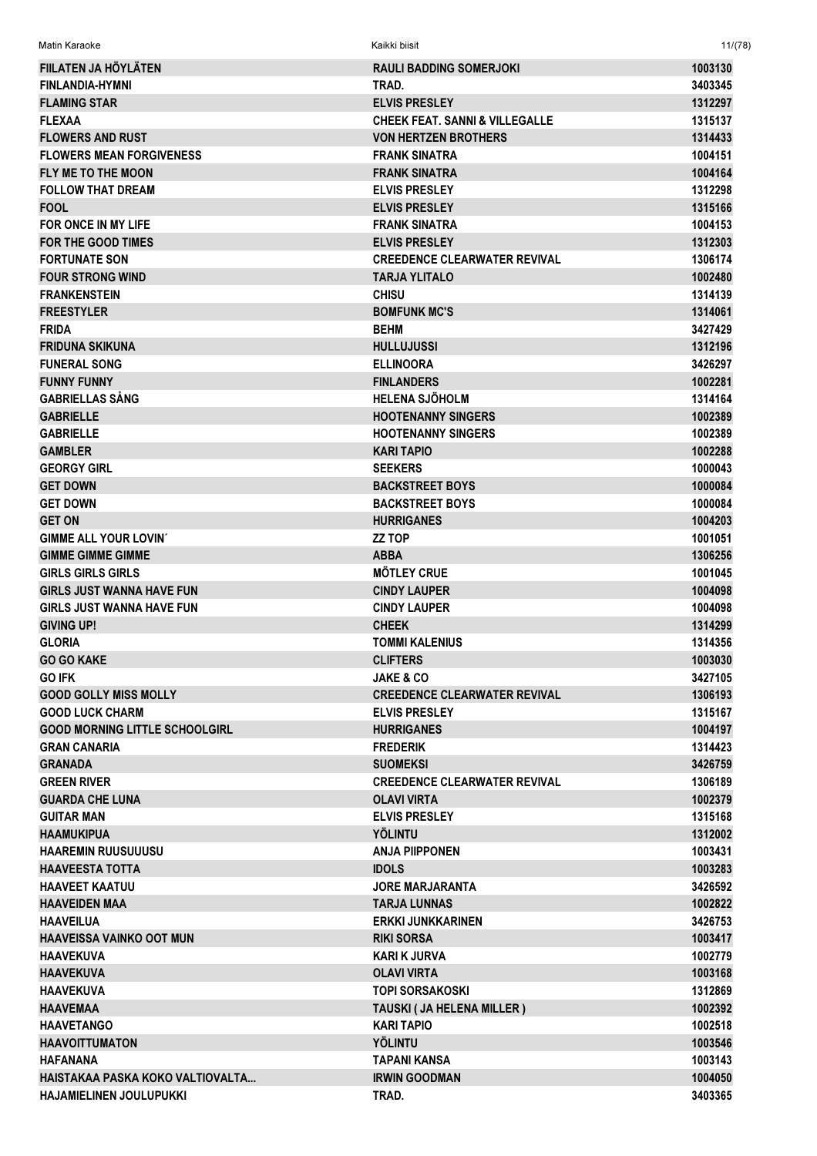| Matin Karaoke                         | Kaikki biisit                             | 11/(78) |
|---------------------------------------|-------------------------------------------|---------|
| FIILATEN JA HÖYLÄTEN                  | <b>RAULI BADDING SOMERJOKI</b>            | 1003130 |
| <b>FINLANDIA-HYMNI</b>                | TRAD.                                     | 3403345 |
| <b>FLAMING STAR</b>                   | <b>ELVIS PRESLEY</b>                      | 1312297 |
| <b>FLEXAA</b>                         | <b>CHEEK FEAT, SANNI &amp; VILLEGALLE</b> | 1315137 |
| <b>FLOWERS AND RUST</b>               | <b>VON HERTZEN BROTHERS</b>               | 1314433 |
| <b>FLOWERS MEAN FORGIVENESS</b>       | <b>FRANK SINATRA</b>                      | 1004151 |
| <b>FLY ME TO THE MOON</b>             | <b>FRANK SINATRA</b>                      | 1004164 |
| <b>FOLLOW THAT DREAM</b>              | <b>ELVIS PRESLEY</b>                      | 1312298 |
| <b>FOOL</b>                           | <b>ELVIS PRESLEY</b>                      | 1315166 |
| FOR ONCE IN MY LIFE                   | <b>FRANK SINATRA</b>                      | 1004153 |
| <b>FOR THE GOOD TIMES</b>             | <b>ELVIS PRESLEY</b>                      | 1312303 |
| <b>FORTUNATE SON</b>                  | <b>CREEDENCE CLEARWATER REVIVAL</b>       | 1306174 |
| <b>FOUR STRONG WIND</b>               | <b>TARJA YLITALO</b>                      | 1002480 |
| <b>FRANKENSTEIN</b>                   | <b>CHISU</b>                              | 1314139 |
| <b>FREESTYLER</b>                     | <b>BOMFUNK MC'S</b>                       | 1314061 |
| <b>FRIDA</b>                          | <b>BEHM</b>                               | 3427429 |
| <b>FRIDUNA SKIKUNA</b>                | <b>HULLUJUSSI</b>                         | 1312196 |
| <b>FUNERAL SONG</b>                   | <b>ELLINOORA</b>                          | 3426297 |
| <b>FUNNY FUNNY</b>                    | <b>FINLANDERS</b>                         | 1002281 |
| <b>GABRIELLAS SÅNG</b>                | <b>HELENA SJÖHOLM</b>                     | 1314164 |
| <b>GABRIELLE</b>                      | <b>HOOTENANNY SINGERS</b>                 | 1002389 |
| <b>GABRIELLE</b>                      | <b>HOOTENANNY SINGERS</b>                 | 1002389 |
| <b>GAMBLER</b>                        | <b>KARI TAPIO</b>                         | 1002288 |
| <b>GEORGY GIRL</b>                    | <b>SEEKERS</b>                            | 1000043 |
| <b>GET DOWN</b>                       | <b>BACKSTREET BOYS</b>                    | 1000084 |
| <b>GET DOWN</b>                       | <b>BACKSTREET BOYS</b>                    | 1000084 |
| <b>GET ON</b>                         | <b>HURRIGANES</b>                         | 1004203 |
| <b>GIMME ALL YOUR LOVIN'</b>          | <b>ZZ TOP</b>                             | 1001051 |
| <b>GIMME GIMME GIMME</b>              | ABBA                                      | 1306256 |
| <b>GIRLS GIRLS GIRLS</b>              | <b>MÖTLEY CRUE</b>                        | 1001045 |
| <b>GIRLS JUST WANNA HAVE FUN</b>      | <b>CINDY LAUPER</b>                       | 1004098 |
| <b>GIRLS JUST WANNA HAVE FUN</b>      | <b>CINDY LAUPER</b>                       | 1004098 |
| <b>GIVING UP!</b>                     | <b>CHEEK</b>                              | 1314299 |
| <b>GLORIA</b>                         | <b>TOMMI KALENIUS</b>                     | 1314356 |
| <b>GO GO KAKE</b>                     | <b>CLIFTERS</b>                           | 1003030 |
| <b>GO IFK</b>                         | <b>JAKE &amp; CO</b>                      | 3427105 |
| <b>GOOD GOLLY MISS MOLLY</b>          | <b>CREEDENCE CLEARWATER REVIVAL</b>       | 1306193 |
| <b>GOOD LUCK CHARM</b>                | <b>ELVIS PRESLEY</b>                      | 1315167 |
| <b>GOOD MORNING LITTLE SCHOOLGIRL</b> | <b>HURRIGANES</b>                         | 1004197 |
| <b>GRAN CANARIA</b>                   | <b>FREDERIK</b>                           | 1314423 |
| <b>GRANADA</b>                        | <b>SUOMEKSI</b>                           | 3426759 |
| <b>GREEN RIVER</b>                    | <b>CREEDENCE CLEARWATER REVIVAL</b>       | 1306189 |
| <b>GUARDA CHE LUNA</b>                | <b>OLAVI VIRTA</b>                        | 1002379 |
| <b>GUITAR MAN</b>                     | <b>ELVIS PRESLEY</b>                      | 1315168 |
| <b>HAAMUKIPUA</b>                     | <b>YÖLINTU</b>                            | 1312002 |
| <b>HAAREMIN RUUSUUUSU</b>             | ANJA PIIPPONEN                            | 1003431 |
| <b>HAAVEESTA TOTTA</b>                | <b>IDOLS</b>                              | 1003283 |
| <b>HAAVEET KAATUU</b>                 | <b>JORE MARJARANTA</b>                    | 3426592 |
| <b>HAAVEIDEN MAA</b>                  | <b>TARJA LUNNAS</b>                       | 1002822 |
| <b>HAAVEILUA</b>                      | <b>ERKKI JUNKKARINEN</b>                  | 3426753 |
| <b>HAAVEISSA VAINKO OOT MUN</b>       | <b>RIKI SORSA</b>                         | 1003417 |
| <b>HAAVEKUVA</b>                      | KARI K JURVA                              | 1002779 |
| <b>HAAVEKUVA</b>                      | <b>OLAVI VIRTA</b>                        | 1003168 |
| <b>HAAVEKUVA</b>                      | <b>TOPI SORSAKOSKI</b>                    | 1312869 |
| <b>HAAVEMAA</b>                       | TAUSKI ( JA HELENA MILLER )               | 1002392 |
| <b>HAAVETANGO</b>                     | <b>KARI TAPIO</b>                         | 1002518 |
| <b>HAAVOITTUMATON</b>                 | <b>YÖLINTU</b>                            | 1003546 |
| <b>HAFANANA</b>                       | <b>TAPANI KANSA</b>                       | 1003143 |
| HAISTAKAA PASKA KOKO VALTIOVALTA      | <b>IRWIN GOODMAN</b>                      | 1004050 |
| <b>HAJAMIELINEN JOULUPUKKI</b>        | TRAD.                                     | 3403365 |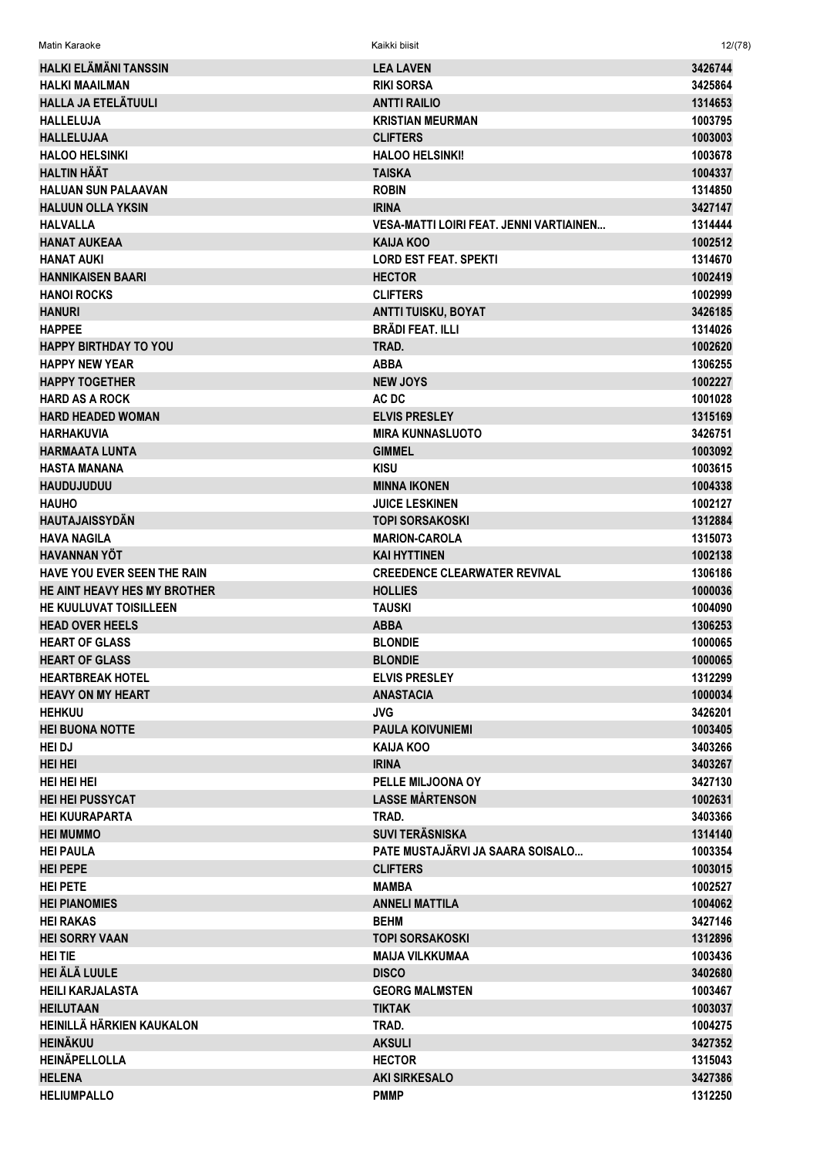| Matin Karaoke                           | Kaikki biisit                                    | 12/(78)            |
|-----------------------------------------|--------------------------------------------------|--------------------|
| HALKI ELÄMÄNI TANSSIN                   | <b>LEA LAVEN</b>                                 | 3426744            |
| <b>HALKI MAAILMAN</b>                   | <b>RIKI SORSA</b>                                | 3425864            |
| <b>HALLA JA ETELÄTUULI</b>              | <b>ANTTI RAILIO</b>                              | 1314653            |
| <b>HALLELUJA</b>                        | <b>KRISTIAN MEURMAN</b>                          | 1003795            |
| <b>HALLELUJAA</b>                       | <b>CLIFTERS</b>                                  | 1003003            |
| <b>HALOO HELSINKI</b>                   | <b>HALOO HELSINKI!</b>                           | 1003678            |
| <b>HALTIN HÄÄT</b>                      | <b>TAISKA</b>                                    | 1004337            |
| <b>HALUAN SUN PALAAVAN</b>              | <b>ROBIN</b>                                     | 1314850            |
| <b>HALUUN OLLA YKSIN</b>                | <b>IRINA</b>                                     | 3427147            |
| <b>HALVALLA</b>                         | VESA-MATTI LOIRI FEAT. JENNI VARTIAINEN          | 1314444            |
| <b>HANAT AUKEAA</b>                     | KAIJA KOO                                        | 1002512            |
| <b>HANAT AUKI</b>                       | <b>LORD EST FEAT. SPEKTI</b>                     | 1314670            |
| <b>HANNIKAISEN BAARI</b>                | <b>HECTOR</b>                                    | 1002419            |
| <b>HANOI ROCKS</b>                      | <b>CLIFTERS</b>                                  | 1002999            |
| <b>HANURI</b>                           | ANTTI TUISKU, BOYAT                              | 3426185            |
| <b>HAPPEE</b>                           | <b>BRÄDI FEAT. ILLI</b>                          | 1314026            |
| <b>HAPPY BIRTHDAY TO YOU</b>            | TRAD.                                            | 1002620            |
| <b>HAPPY NEW YEAR</b>                   | <b>ABBA</b>                                      | 1306255            |
| <b>HAPPY TOGETHER</b>                   | <b>NEW JOYS</b>                                  | 1002227            |
| <b>HARD AS A ROCK</b>                   | AC DC                                            | 1001028            |
| <b>HARD HEADED WOMAN</b>                | <b>ELVIS PRESLEY</b>                             | 1315169            |
| <b>HARHAKUVIA</b>                       | <b>MIRA KUNNASLUOTO</b>                          | 3426751            |
| <b>HARMAATA LUNTA</b>                   | <b>GIMMEL</b>                                    | 1003092            |
| <b>HASTA MANANA</b>                     | <b>KISU</b>                                      | 1003615            |
| <b>HAUDUJUDUU</b>                       | <b>MINNA IKONEN</b>                              | 1004338            |
| <b>HAUHO</b>                            | <b>JUICE LESKINEN</b>                            | 1002127            |
| <b>HAUTAJAISSYDÄN</b>                   | <b>TOPI SORSAKOSKI</b>                           | 1312884            |
| <b>HAVA NAGILA</b>                      | <b>MARION-CAROLA</b>                             | 1315073            |
| <b>HAVANNAN YÖT</b>                     | <b>KAI HYTTINEN</b>                              | 1002138            |
| HAVE YOU EVER SEEN THE RAIN             | <b>CREEDENCE CLEARWATER REVIVAL</b>              | 1306186            |
| HE AINT HEAVY HES MY BROTHER            | <b>HOLLIES</b>                                   | 1000036            |
| HE KUULUVAT TOISILLEEN                  | <b>TAUSKI</b>                                    | 1004090            |
| <b>HEAD OVER HEELS</b>                  | <b>ABBA</b>                                      | 1306253            |
| <b>HEART OF GLASS</b>                   | <b>BLONDIE</b>                                   | 1000065            |
| <b>HEART OF GLASS</b>                   | <b>BLONDIE</b>                                   | 1000065            |
| <b>HEARTBREAK HOTEL</b>                 | <b>ELVIS PRESLEY</b>                             | 1312299            |
| <b>HEAVY ON MY HEART</b>                | <b>ANASTACIA</b>                                 | 1000034            |
| <b>HEHKUU</b>                           | <b>JVG</b>                                       | 3426201            |
| <b>HEI BUONA NOTTE</b>                  | <b>PAULA KOIVUNIEMI</b>                          | 1003405            |
| <b>HEI DJ</b>                           | <b>KAIJA KOO</b>                                 | 3403266            |
| <b>HEI HEI</b>                          | <b>IRINA</b>                                     | 3403267            |
| HEI HEI HEI                             | PELLE MILJOONA OY                                | 3427130            |
| <b>HEI HEI PUSSYCAT</b>                 | <b>LASSE MÅRTENSON</b>                           | 1002631            |
| <b>HEI KUURAPARTA</b>                   | TRAD.                                            | 3403366            |
| <b>HEI MUMMO</b>                        | <b>SUVI TERÄSNISKA</b>                           | 1314140            |
| <b>HEI PAULA</b>                        | PATE MUSTAJÄRVI JA SAARA SOISALO                 | 1003354            |
| <b>HEI PEPE</b>                         | <b>CLIFTERS</b>                                  | 1003015            |
| <b>HEI PETE</b><br><b>HEI PIANOMIES</b> | <b>MAMBA</b><br><b>ANNELI MATTILA</b>            | 1002527<br>1004062 |
| <b>HEI RAKAS</b>                        | <b>BEHM</b>                                      | 3427146            |
|                                         |                                                  |                    |
| <b>HEI SORRY VAAN</b><br><b>HEITIE</b>  | <b>TOPI SORSAKOSKI</b><br><b>MAIJA VILKKUMAA</b> | 1312896<br>1003436 |
| <b>HEI ÄLÄ LUULE</b>                    | <b>DISCO</b>                                     | 3402680            |
| <b>HEILI KARJALASTA</b>                 | <b>GEORG MALMSTEN</b>                            | 1003467            |
| <b>HEILUTAAN</b>                        | <b>TIKTAK</b>                                    | 1003037            |
| HEINILLÄ HÄRKIEN KAUKALON               | TRAD.                                            | 1004275            |
| <b>HEINÄKUU</b>                         | <b>AKSULI</b>                                    | 3427352            |
| <b>HEINÄPELLOLLA</b>                    | <b>HECTOR</b>                                    | 1315043            |
| <b>HELENA</b>                           | <b>AKI SIRKESALO</b>                             | 3427386            |
| <b>HELIUMPALLO</b>                      | <b>PMMP</b>                                      | 1312250            |
|                                         |                                                  |                    |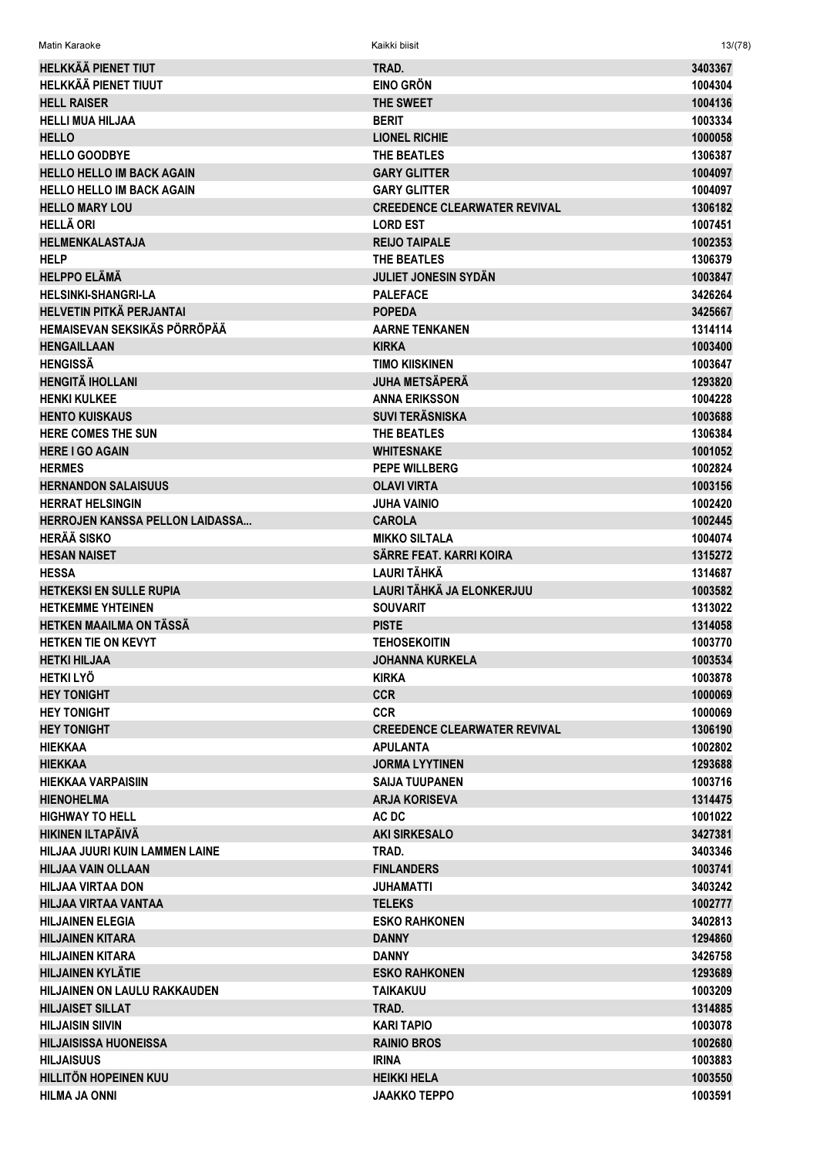| <b>HELKKÄÄ PIENET TIUT</b>          | TRAD.                               | 3403367 |
|-------------------------------------|-------------------------------------|---------|
| HELKKÄÄ PIENET TIUUT                | <b>EINO GRÖN</b>                    | 1004304 |
| <b>HELL RAISER</b>                  | THE SWEET                           | 1004136 |
| <b>HELLI MUA HILJAA</b>             | <b>BERIT</b>                        | 1003334 |
| <b>HELLO</b>                        | <b>LIONEL RICHIE</b>                | 1000058 |
| <b>HELLO GOODBYE</b>                | THE BEATLES                         | 1306387 |
| <b>HELLO HELLO IM BACK AGAIN</b>    | <b>GARY GLITTER</b>                 | 1004097 |
| <b>HELLO HELLO IM BACK AGAIN</b>    | <b>GARY GLITTER</b>                 | 1004097 |
| <b>HELLO MARY LOU</b>               | <b>CREEDENCE CLEARWATER REVIVAL</b> | 1306182 |
| <b>HELLÄ ORI</b>                    | <b>LORD EST</b>                     | 1007451 |
| <b>HELMENKALASTAJA</b>              | <b>REIJO TAIPALE</b>                | 1002353 |
| <b>HELP</b>                         | THE BEATLES                         | 1306379 |
| <b>HELPPO ELÄMÄ</b>                 | <b>JULIET JONESIN SYDÄN</b>         | 1003847 |
| <b>HELSINKI-SHANGRI-LA</b>          | <b>PALEFACE</b>                     | 3426264 |
| <b>HELVETIN PITKÄ PERJANTAI</b>     | <b>POPEDA</b>                       | 3425667 |
| HEMAISEVAN SEKSIKÄS PÖRRÖPÄÄ        | <b>AARNE TENKANEN</b>               | 1314114 |
| <b>HENGAILLAAN</b>                  | <b>KIRKA</b>                        | 1003400 |
| <b>HENGISSÄ</b>                     | <b>TIMO KIISKINEN</b>               | 1003647 |
| <b>HENGITÄ IHOLLANI</b>             | <b>JUHA METSÄPERÄ</b>               | 1293820 |
| <b>HENKI KULKEE</b>                 | <b>ANNA ERIKSSON</b>                | 1004228 |
| <b>HENTO KUISKAUS</b>               | <b>SUVI TERÄSNISKA</b>              | 1003688 |
| <b>HERE COMES THE SUN</b>           | THE BEATLES                         | 1306384 |
| <b>HERE I GO AGAIN</b>              | <b>WHITESNAKE</b>                   | 1001052 |
| <b>HERMES</b>                       | <b>PEPE WILLBERG</b>                | 1002824 |
| <b>HERNANDON SALAISUUS</b>          | <b>OLAVI VIRTA</b>                  | 1003156 |
| <b>HERRAT HELSINGIN</b>             | <b>JUHA VAINIO</b>                  | 1002420 |
| HERROJEN KANSSA PELLON LAIDASSA     | <b>CAROLA</b>                       | 1002445 |
|                                     |                                     |         |
| <b>HERÄÄ SISKO</b>                  | <b>MIKKO SILTALA</b>                | 1004074 |
| <b>HESAN NAISET</b>                 | SÄRRE FEAT. KARRI KOIRA             | 1315272 |
| <b>HESSA</b>                        | <b>LAURI TÄHKÄ</b>                  | 1314687 |
| <b>HETKEKSI EN SULLE RUPIA</b>      | LAURI TÄHKÄ JA ELONKERJUU           | 1003582 |
| <b>HETKEMME YHTEINEN</b>            | <b>SOUVARIT</b>                     | 1313022 |
| HETKEN MAAILMA ON TÄSSÄ             | <b>PISTE</b>                        | 1314058 |
| <b>HETKEN TIE ON KEVYT</b>          | <b>TEHOSEKOITIN</b>                 | 1003770 |
| <b>HETKI HILJAA</b>                 | <b>JOHANNA KURKELA</b>              | 1003534 |
| <b>HETKI LYÖ</b>                    | <b>KIRKA</b>                        | 1003878 |
| <b>HEY TONIGHT</b>                  | <b>CCR</b>                          | 1000069 |
| <b>HEY TONIGHT</b>                  | <b>CCR</b>                          | 1000069 |
| <b>HEY TONIGHT</b>                  | <b>CREEDENCE CLEARWATER REVIVAL</b> | 1306190 |
| <b>HIEKKAA</b>                      | <b>APULANTA</b>                     | 1002802 |
| <b>HIEKKAA</b>                      | <b>JORMA LYYTINEN</b>               | 1293688 |
| HIEKKAA VARPAISIIN                  | <b>SAIJA TUUPANEN</b>               | 1003716 |
| <b>HIENOHELMA</b>                   | <b>ARJA KORISEVA</b>                | 1314475 |
| <b>HIGHWAY TO HELL</b>              | AC DC                               | 1001022 |
| HIKINEN ILTAPÄIVÄ                   | <b>AKI SIRKESALO</b>                | 3427381 |
| HILJAA JUURI KUIN LAMMEN LAINE      | TRAD.                               | 3403346 |
| HILJAA VAIN OLLAAN                  | <b>FINLANDERS</b>                   | 1003741 |
| <b>HILJAA VIRTAA DON</b>            | JUHAMATTI                           | 3403242 |
| HILJAA VIRTAA VANTAA                | <b>TELEKS</b>                       | 1002777 |
| <b>HILJAINEN ELEGIA</b>             | <b>ESKO RAHKONEN</b>                | 3402813 |
| <b>HILJAINEN KITARA</b>             | <b>DANNY</b>                        | 1294860 |
| <b>HILJAINEN KITARA</b>             | <b>DANNY</b>                        | 3426758 |
| <b>HILJAINEN KYLÄTIE</b>            | <b>ESKO RAHKONEN</b>                | 1293689 |
| <b>HILJAINEN ON LAULU RAKKAUDEN</b> | TAIKAKUU                            | 1003209 |
| <b>HILJAISET SILLAT</b>             | TRAD.                               | 1314885 |
| <b>HILJAISIN SIIVIN</b>             | <b>KARI TAPIO</b>                   | 1003078 |
| <b>HILJAISISSA HUONEISSA</b>        | <b>RAINIO BROS</b>                  | 1002680 |
| <b>HILJAISUUS</b>                   | <b>IRINA</b>                        | 1003883 |
| <b>HILLITÖN HOPEINEN KUU</b>        | <b>HEIKKI HELA</b>                  | 1003550 |
| <b>HILMA JA ONNI</b>                | <b>JAAKKO TEPPO</b>                 | 1003591 |

Matin Karaoke Kaikki biisit 13/(78)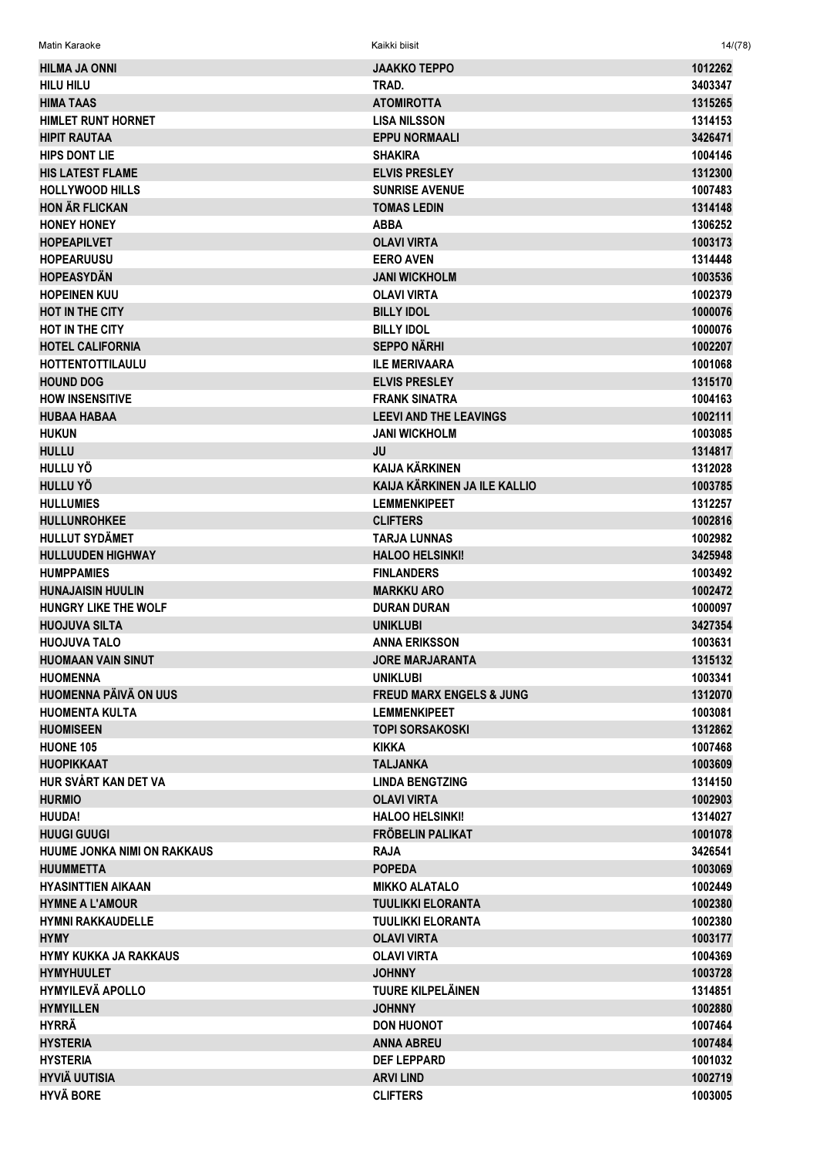| <b>HILMA JA ONNI</b>         | <b>JAAKKO TEPPO</b>                 | 1012262 |
|------------------------------|-------------------------------------|---------|
| <b>HILU HILU</b>             | TRAD.                               | 3403347 |
| <b>HIMA TAAS</b>             | <b>ATOMIROTTA</b>                   | 1315265 |
| <b>HIMLET RUNT HORNET</b>    | <b>LISA NILSSON</b>                 | 1314153 |
| <b>HIPIT RAUTAA</b>          | <b>EPPU NORMAALI</b>                | 3426471 |
| <b>HIPS DONT LIE</b>         | <b>SHAKIRA</b>                      | 1004146 |
| <b>HIS LATEST FLAME</b>      | <b>ELVIS PRESLEY</b>                | 1312300 |
| <b>HOLLYWOOD HILLS</b>       | <b>SUNRISE AVENUE</b>               | 1007483 |
| <b>HON ÄR FLICKAN</b>        | <b>TOMAS LEDIN</b>                  | 1314148 |
|                              |                                     |         |
| <b>HONEY HONEY</b>           | <b>ABBA</b>                         | 1306252 |
| <b>HOPEAPILVET</b>           | <b>OLAVI VIRTA</b>                  | 1003173 |
| <b>HOPEARUUSU</b>            | <b>EERO AVEN</b>                    | 1314448 |
| <b>HOPEASYDÄN</b>            | <b>JANI WICKHOLM</b>                | 1003536 |
| <b>HOPEINEN KUU</b>          | <b>OLAVI VIRTA</b>                  | 1002379 |
| <b>HOT IN THE CITY</b>       | <b>BILLY IDOL</b>                   | 1000076 |
| HOT IN THE CITY              | <b>BILLY IDOL</b>                   | 1000076 |
| <b>HOTEL CALIFORNIA</b>      | <b>SEPPO NÄRHI</b>                  | 1002207 |
| <b>HOTTENTOTTILAULU</b>      | <b>ILE MERIVAARA</b>                | 1001068 |
| <b>HOUND DOG</b>             | <b>ELVIS PRESLEY</b>                | 1315170 |
| <b>HOW INSENSITIVE</b>       | <b>FRANK SINATRA</b>                | 1004163 |
| <b>HUBAA HABAA</b>           | <b>LEEVI AND THE LEAVINGS</b>       | 1002111 |
| <b>HUKUN</b>                 | <b>JANI WICKHOLM</b>                | 1003085 |
| <b>HULLU</b>                 | JU                                  | 1314817 |
| HULLU YÖ                     | <b>KAIJA KÄRKINEN</b>               | 1312028 |
| <b>HULLU YÖ</b>              | KAIJA KÄRKINEN JA ILE KALLIO        | 1003785 |
| <b>HULLUMIES</b>             | <b>LEMMENKIPEET</b>                 | 1312257 |
| <b>HULLUNROHKEE</b>          | <b>CLIFTERS</b>                     | 1002816 |
| <b>HULLUT SYDÄMET</b>        | <b>TARJA LUNNAS</b>                 | 1002982 |
| <b>HULLUUDEN HIGHWAY</b>     | <b>HALOO HELSINKI!</b>              | 3425948 |
| <b>HUMPPAMIES</b>            | <b>FINLANDERS</b>                   | 1003492 |
| <b>HUNAJAISIN HUULIN</b>     | <b>MARKKU ARO</b>                   | 1002472 |
| HUNGRY LIKE THE WOLF         | <b>DURAN DURAN</b>                  | 1000097 |
| <b>HUOJUVA SILTA</b>         | <b>UNIKLUBI</b>                     | 3427354 |
| <b>HUOJUVA TALO</b>          | <b>ANNA ERIKSSON</b>                | 1003631 |
| <b>HUOMAAN VAIN SINUT</b>    | <b>JORE MARJARANTA</b>              | 1315132 |
|                              |                                     |         |
| <b>HUOMENNA</b>              | <b>UNIKLUBI</b>                     | 1003341 |
| <b>HUOMENNA PÄIVÄ ON UUS</b> | <b>FREUD MARX ENGELS &amp; JUNG</b> | 1312070 |
| <b>HUOMENTA KULTA</b>        | <b>LEMMENKIPEET</b>                 | 1003081 |
| <b>HUOMISEEN</b>             | TOPI SORSAKOSKI                     | 1312862 |
| <b>HUONE 105</b>             | <b>KIKKA</b>                        | 1007468 |
| <b>HUOPIKKAAT</b>            | <b>TALJANKA</b>                     | 1003609 |
| HUR SVÅRT KAN DET VA         | <b>LINDA BENGTZING</b>              | 1314150 |
| <b>HURMIO</b>                | <b>OLAVI VIRTA</b>                  | 1002903 |
| <b>HUUDA!</b>                | <b>HALOO HELSINKI!</b>              | 1314027 |
| <b>HUUGI GUUGI</b>           | <b>FRÖBELIN PALIKAT</b>             | 1001078 |
| HUUME JONKA NIMI ON RAKKAUS  | <b>RAJA</b>                         | 3426541 |
| <b>HUUMMETTA</b>             | <b>POPEDA</b>                       | 1003069 |
| <b>HYASINTTIEN AIKAAN</b>    | <b>MIKKO ALATALO</b>                | 1002449 |
| <b>HYMNE A L'AMOUR</b>       | <b>TUULIKKI ELORANTA</b>            | 1002380 |
| <b>HYMNI RAKKAUDELLE</b>     | <b>TUULIKKI ELORANTA</b>            | 1002380 |
| <b>HYMY</b>                  | <b>OLAVI VIRTA</b>                  | 1003177 |
| <b>HYMY KUKKA JA RAKKAUS</b> | <b>OLAVI VIRTA</b>                  | 1004369 |
| <b>HYMYHUULET</b>            | <b>JOHNNY</b>                       | 1003728 |
| <b>HYMYILEVÄ APOLLO</b>      | TUURE KILPELÄINEN                   | 1314851 |
| <b>HYMYILLEN</b>             | <b>JOHNNY</b>                       | 1002880 |
| <b>HYRRÄ</b>                 | <b>DON HUONOT</b>                   | 1007464 |
| <b>HYSTERIA</b>              | <b>ANNA ABREU</b>                   | 1007484 |
| <b>HYSTERIA</b>              | <b>DEF LEPPARD</b>                  | 1001032 |
| <b>HYVIÄ UUTISIA</b>         | <b>ARVILIND</b>                     | 1002719 |
| <b>HYVÄ BORE</b>             | <b>CLIFTERS</b>                     | 1003005 |
|                              |                                     |         |

 $14/(78)$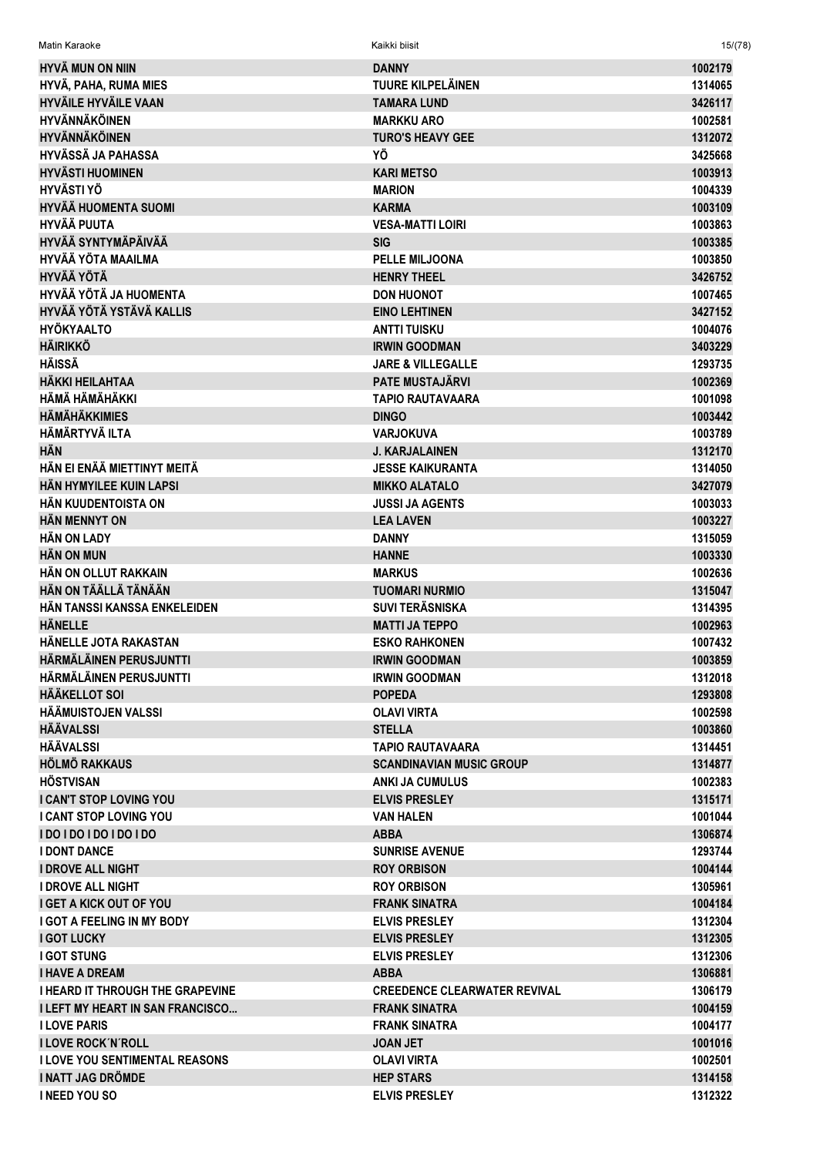| Matin Karaoke                           | Kaikki biisit                       | 15/(78)            |
|-----------------------------------------|-------------------------------------|--------------------|
| <b>HYVÄ MUN ON NIIN</b>                 | <b>DANNY</b>                        | 1002179            |
| HYVÄ, PAHA, RUMA MIES                   | <b>TUURE KILPELÄINEN</b>            | 1314065            |
| <b>HYVÄILE HYVÄILE VAAN</b>             | <b>TAMARA LUND</b>                  | 3426117            |
| <b>HYVÄNNÄKÖINEN</b>                    | <b>MARKKU ARO</b>                   | 1002581            |
| <b>HYVÄNNÄKÖINEN</b>                    | <b>TURO'S HEAVY GEE</b>             | 1312072            |
| <b>HYVÄSSÄ JA PAHASSA</b>               | ΥÖ                                  | 3425668            |
| <b>HYVÄSTI HUOMINEN</b>                 | <b>KARI METSO</b>                   | 1003913            |
| <b>HYVÄSTI YÖ</b>                       | <b>MARION</b>                       | 1004339            |
| <b>HYVÄÄ HUOMENTA SUOMI</b>             | <b>KARMA</b>                        | 1003109            |
| <b>HYVÄÄ PUUTA</b>                      | <b>VESA-MATTI LOIRI</b>             | 1003863            |
| <b>HYVÄÄ SYNTYMÄPÄIVÄÄ</b>              | <b>SIG</b>                          | 1003385            |
| <b>HYVÄÄ YÖTA MAAILMA</b>               | <b>PELLE MILJOONA</b>               | 1003850            |
| <b>HYVÄÄ YÖTÄ</b>                       | <b>HENRY THEEL</b>                  | 3426752            |
| HYVÄÄ YÖTÄ JA HUOMENTA                  | <b>DON HUONOT</b>                   | 1007465            |
| HYVÄÄ YÖTÄ YSTÄVÄ KALLIS                | <b>EINO LEHTINEN</b>                | 3427152            |
| <b>HYÖKYAALTO</b>                       | <b>ANTTI TUISKU</b>                 | 1004076            |
| <b>HÄIRIKKÖ</b>                         | <b>IRWIN GOODMAN</b>                | 3403229            |
| <b>HÄISSÄ</b>                           | <b>JARE &amp; VILLEGALLE</b>        | 1293735            |
| <b>HÄKKI HEILAHTAA</b>                  | <b>PATE MUSTAJÄRVI</b>              | 1002369            |
| HÄMÄ HÄMÄHÄKKI                          | <b>TAPIO RAUTAVAARA</b>             | 1001098            |
| <b>HÄMÄHÄKKIMIES</b>                    | <b>DINGO</b>                        | 1003442            |
| <b>HÄMÄRTYVÄ ILTA</b>                   | <b>VARJOKUVA</b>                    | 1003789            |
| <b>HÄN</b>                              | <b>J. KARJALAINEN</b>               | 1312170            |
| HÄN EI ENÄÄ MIETTINYT MEITÄ             | <b>JESSE KAIKURANTA</b>             | 1314050            |
| HÄN HYMYILEE KUIN LAPSI                 | <b>MIKKO ALATALO</b>                | 3427079            |
| HÄN KUUDENTOISTA ON                     | <b>JUSSI JA AGENTS</b>              | 1003033            |
| <b>HÄN MENNYT ON</b>                    | <b>LEA LAVEN</b>                    | 1003227            |
| <b>HÄN ON LADY</b>                      | <b>DANNY</b>                        | 1315059            |
| <b>HAN ON MUN</b>                       | <b>HANNE</b>                        | 1003330            |
| HÄN ON OLLUT RAKKAIN                    | <b>MARKUS</b>                       | 1002636            |
| HÄN ON TÄÄLLÄ TÄNÄÄN                    | <b>TUOMARI NURMIO</b>               | 1315047            |
| HÄN TANSSI KANSSA ENKELEIDEN            | <b>SUVI TERÄSNISKA</b>              | 1314395            |
| <b>HÄNELLE</b>                          | <b>MATTI JA TEPPO</b>               | 1002963            |
| HÄNELLE JOTA RAKASTAN                   | <b>ESKO RAHKONEN</b>                | 1007432            |
| HÄRMÄLÄINEN PERUSJUNTTI                 | <b>IRWIN GOODMAN</b>                | 1003859            |
| HÄRMÄLÄINEN PERUSJUNTTI                 | <b>IRWIN GOODMAN</b>                | 1312018            |
| <b>HÄÄKELLOT SOI</b>                    | <b>POPEDA</b>                       | 1293808            |
| HÄÄMUISTOJEN VALSSI                     | <b>OLAVI VIRTA</b>                  | 1002598            |
| <b>HÄÄVALSSI</b>                        | <b>STELLA</b>                       | 1003860            |
| <b>HÄÄVALSSI</b>                        | <b>TAPIO RAUTAVAARA</b>             | 1314451            |
| HÖLMÖ RAKKAUS                           | <b>SCANDINAVIAN MUSIC GROUP</b>     | 1314877            |
| <b>HÖSTVISAN</b>                        | ANKI JA CUMULUS                     | 1002383            |
| <b>I CAN'T STOP LOVING YOU</b>          | <b>ELVIS PRESLEY</b>                | 1315171            |
| <b>I CANT STOP LOVING YOU</b>           | <b>VAN HALEN</b>                    | 1001044            |
| <b>IDO IDO IDO IDO IDO</b>              | <b>ABBA</b>                         | 1306874            |
| <b>I DONT DANCE</b>                     | <b>SUNRISE AVENUE</b>               | 1293744            |
| <b>I DROVE ALL NIGHT</b>                | <b>ROY ORBISON</b>                  | 1004144            |
| <b>I DROVE ALL NIGHT</b>                | <b>ROY ORBISON</b>                  | 1305961            |
| <b>I GET A KICK OUT OF YOU</b>          | <b>FRANK SINATRA</b>                | 1004184            |
| <b>I GOT A FEELING IN MY BODY</b>       | <b>ELVIS PRESLEY</b>                | 1312304            |
| <b>I GOT LUCKY</b>                      | <b>ELVIS PRESLEY</b>                |                    |
| <b>I GOT STUNG</b>                      | <b>ELVIS PRESLEY</b>                | 1312305<br>1312306 |
| <b>I HAVE A DREAM</b>                   | <b>ABBA</b>                         | 1306881            |
| <b>I HEARD IT THROUGH THE GRAPEVINE</b> | <b>CREEDENCE CLEARWATER REVIVAL</b> | 1306179            |
| <b>I LEFT MY HEART IN SAN FRANCISCO</b> | <b>FRANK SINATRA</b>                | 1004159            |
| <b>I LOVE PARIS</b>                     | <b>FRANK SINATRA</b>                | 1004177            |
| <b>I LOVE ROCK'N'ROLL</b>               | <b>JOAN JET</b>                     | 1001016            |
| <b>I LOVE YOU SENTIMENTAL REASONS</b>   | <b>OLAVI VIRTA</b>                  | 1002501            |
| I NATT JAG DRÖMDE                       | <b>HEP STARS</b>                    | 1314158            |
| <b>INEED YOU SO</b>                     | <b>ELVIS PRESLEY</b>                | 1312322            |
|                                         |                                     |                    |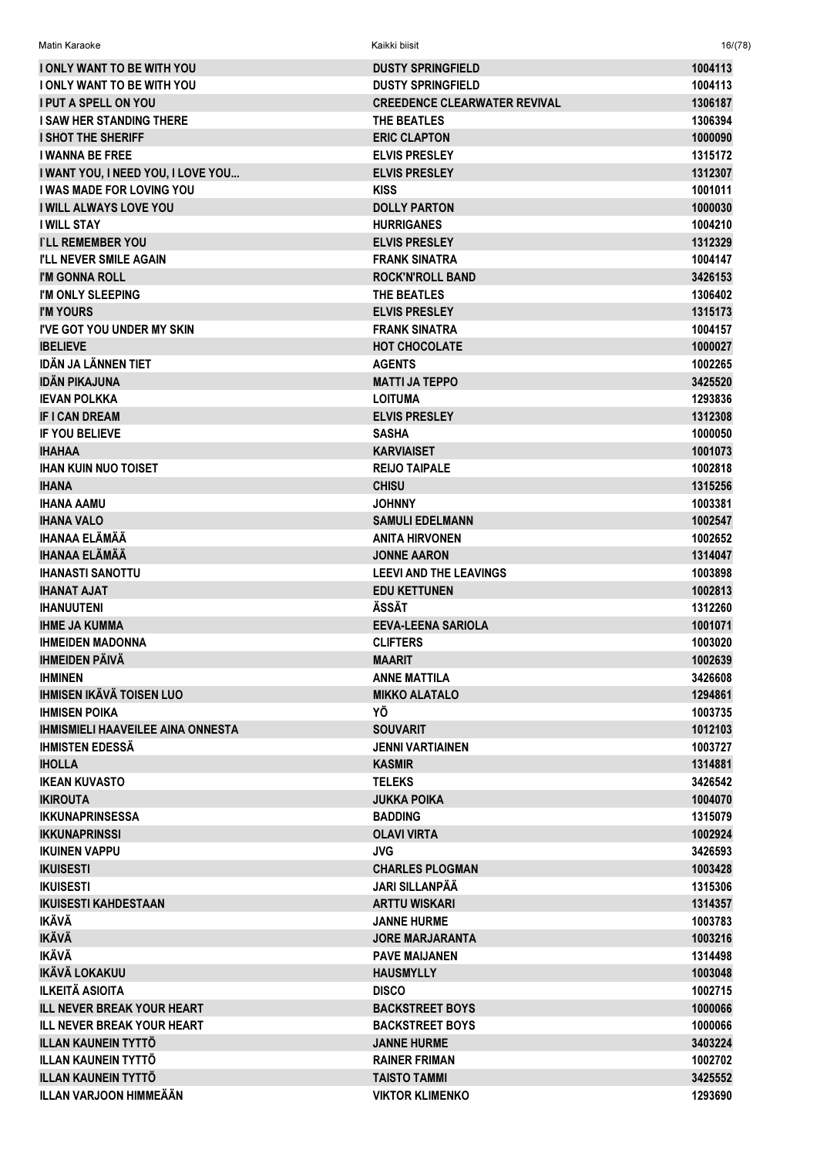| <b>I ONLY WANT TO BE WITH YOU</b>               | <b>DUSTY SPRINGFIELD</b>                     | 1004113            |
|-------------------------------------------------|----------------------------------------------|--------------------|
| <b>I ONLY WANT TO BE WITH YOU</b>               | <b>DUSTY SPRINGFIELD</b>                     | 1004113            |
| <b>I PUT A SPELL ON YOU</b>                     | <b>CREEDENCE CLEARWATER REVIVAL</b>          | 1306187            |
| <b>I SAW HER STANDING THERE</b>                 | THE BEATLES                                  | 1306394            |
| <b>I SHOT THE SHERIFF</b>                       | <b>ERIC CLAPTON</b>                          | 1000090            |
| <b>I WANNA BE FREE</b>                          | <b>ELVIS PRESLEY</b>                         | 1315172            |
| I WANT YOU, I NEED YOU, I LOVE YOU              | <b>ELVIS PRESLEY</b>                         | 1312307            |
| I WAS MADE FOR LOVING YOU                       | <b>KISS</b>                                  | 1001011            |
| <b>I WILL ALWAYS LOVE YOU</b>                   | <b>DOLLY PARTON</b>                          | 1000030            |
| <b>I WILL STAY</b>                              | <b>HURRIGANES</b>                            | 1004210            |
| <b>TLL REMEMBER YOU</b>                         | <b>ELVIS PRESLEY</b>                         | 1312329            |
| <b>I'LL NEVER SMILE AGAIN</b>                   | <b>FRANK SINATRA</b>                         | 1004147            |
| I'M GONNA ROLL                                  | <b>ROCK'N'ROLL BAND</b>                      | 3426153            |
| I'M ONLY SLEEPING                               | THE BEATLES                                  | 1306402            |
| <b>I'M YOURS</b>                                | <b>ELVIS PRESLEY</b>                         | 1315173            |
| <b>I'VE GOT YOU UNDER MY SKIN</b>               | <b>FRANK SINATRA</b>                         | 1004157            |
| <b>IBELIEVE</b>                                 | <b>HOT CHOCOLATE</b>                         | 1000027            |
| <b>IDÄN JA LÄNNEN TIET</b>                      | <b>AGENTS</b>                                | 1002265            |
| <b>IDÄN PIKAJUNA</b>                            | <b>MATTI JA TEPPO</b>                        | 3425520            |
| <b>IEVAN POLKKA</b>                             | <b>LOITUMA</b>                               | 1293836            |
| <b>IF I CAN DREAM</b>                           | <b>ELVIS PRESLEY</b>                         | 1312308            |
| <b>IF YOU BELIEVE</b>                           | <b>SASHA</b>                                 | 1000050            |
| <b>IHAHAA</b>                                   | <b>KARVIAISET</b>                            | 1001073            |
| <b>IHAN KUIN NUO TOISET</b>                     | <b>REIJO TAIPALE</b>                         | 1002818            |
| <b>IHANA</b>                                    | <b>CHISU</b>                                 | 1315256            |
| <b>IHANA AAMU</b>                               | <b>JOHNNY</b>                                | 1003381            |
| <b>IHANA VALO</b>                               | <b>SAMULI EDELMANN</b>                       | 1002547            |
| IHANAA ELÄMÄÄ                                   | <b>ANITA HIRVONEN</b>                        | 1002652            |
| <b>IHANAA ELÄMÄÄ</b>                            | <b>JONNE AARON</b>                           | 1314047            |
| <b>IHANASTI SANOTTU</b>                         | <b>LEEVI AND THE LEAVINGS</b>                | 1003898            |
| <b>IHANAT AJAT</b>                              | <b>EDU KETTUNEN</b>                          | 1002813            |
| <b>IHANUUTENI</b>                               | ÄSSÄT                                        | 1312260            |
| <b>IHME JA KUMMA</b><br><b>IHMEIDEN MADONNA</b> | <b>EEVA-LEENA SARIOLA</b><br><b>CLIFTERS</b> | 1001071            |
| <b>IHMEIDEN PÄIVÄ</b>                           |                                              | 1003020<br>1002639 |
| <b>IHMINEN</b>                                  | <b>MAARIT</b>                                |                    |
| <b>IHMISEN IKÄVÄ TOISEN LUO</b>                 | <b>ANNE MATTILA</b><br><b>MIKKO ALATALO</b>  | 3426608<br>1294861 |
| <b>IHMISEN POIKA</b>                            | ΥÖ                                           | 1003735            |
| <b>IHMISMIELI HAAVEILEE AINA ONNESTA</b>        | <b>SOUVARIT</b>                              | 1012103            |
| <b>IHMISTEN EDESSÄ</b>                          | <b>JENNI VARTIAINEN</b>                      | 1003727            |
| <b>IHOLLA</b>                                   | <b>KASMIR</b>                                | 1314881            |
| <b>IKEAN KUVASTO</b>                            | <b>TELEKS</b>                                | 3426542            |
| <b>IKIROUTA</b>                                 | <b>JUKKA POIKA</b>                           | 1004070            |
| <b>IKKUNAPRINSESSA</b>                          | <b>BADDING</b>                               | 1315079            |
| <b>IKKUNAPRINSSI</b>                            | <b>OLAVI VIRTA</b>                           | 1002924            |
| <b>IKUINEN VAPPU</b>                            | <b>JVG</b>                                   | 3426593            |
| <b>IKUISESTI</b>                                | <b>CHARLES PLOGMAN</b>                       | 1003428            |
| <b>IKUISESTI</b>                                | <b>JARI SILLANPÄÄ</b>                        | 1315306            |
| <b>IKUISESTI KAHDESTAAN</b>                     | <b>ARTTU WISKARI</b>                         | 1314357            |
| <b>IKÄVÄ</b>                                    | <b>JANNE HURME</b>                           | 1003783            |
| <b>IKÄVÄ</b>                                    | <b>JORE MARJARANTA</b>                       | 1003216            |
| <b>IKÄVÄ</b>                                    | <b>PAVE MAIJANEN</b>                         | 1314498            |
| <b>IKÄVÄ LOKAKUU</b>                            | <b>HAUSMYLLY</b>                             | 1003048            |
| <b>ILKEITÄ ASIOITA</b>                          | <b>DISCO</b>                                 | 1002715            |
| <b>ILL NEVER BREAK YOUR HEART</b>               | <b>BACKSTREET BOYS</b>                       | 1000066            |
| <b>ILL NEVER BREAK YOUR HEART</b>               | <b>BACKSTREET BOYS</b>                       | 1000066            |
| <b>ILLAN KAUNEIN TYTTÖ</b>                      | <b>JANNE HURME</b>                           | 3403224            |
| <b>ILLAN KAUNEIN TYTTÖ</b>                      | <b>RAINER FRIMAN</b>                         | 1002702            |
| <b>ILLAN KAUNEIN TYTTÖ</b>                      | <b>TAISTO TAMMI</b>                          | 3425552            |
| <b>ILLAN VARJOON HIMMEÄÄN</b>                   | <b>VIKTOR KLIMENKO</b>                       | 1293690            |
|                                                 |                                              |                    |

Matin Karaoke Kaikki biisit 16/(78)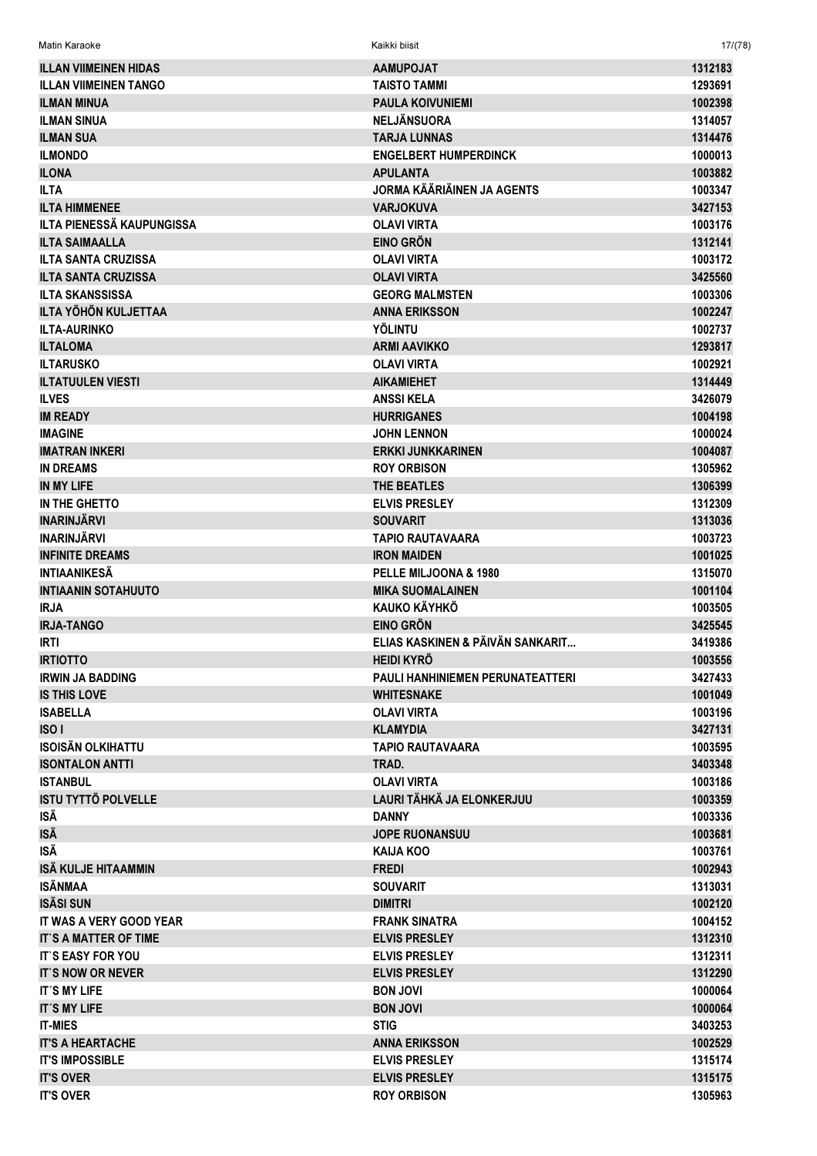| <b>AAMUPOJAT</b>                             | 1312183                                                    |
|----------------------------------------------|------------------------------------------------------------|
| <b>TAISTO TAMMI</b>                          | 1293691                                                    |
| <b>PAULA KOIVUNIEMI</b>                      | 1002398                                                    |
| <b>NELJÄNSUORA</b>                           | 1314057                                                    |
| <b>TARJA LUNNAS</b>                          | 1314476                                                    |
| <b>ENGELBERT HUMPERDINCK</b>                 | 1000013                                                    |
| <b>APULANTA</b>                              | 1003882                                                    |
| JORMA KÄÄRIÄINEN JA AGENTS                   | 1003347                                                    |
| <b>VARJOKUVA</b>                             | 3427153                                                    |
| <b>OLAVI VIRTA</b>                           | 1003176                                                    |
| <b>EINO GRÖN</b>                             | 1312141                                                    |
| <b>OLAVI VIRTA</b>                           | 1003172                                                    |
| <b>OLAVI VIRTA</b>                           | 3425560                                                    |
| <b>GEORG MALMSTEN</b>                        | 1003306                                                    |
| <b>ANNA ERIKSSON</b>                         | 1002247                                                    |
| <b>YÖLINTU</b>                               | 1002737                                                    |
| <b>ARMI AAVIKKO</b>                          | 1293817                                                    |
| <b>OLAVI VIRTA</b>                           | 1002921                                                    |
| <b>AIKAMIEHET</b>                            | 1314449                                                    |
| <b>ANSSIKELA</b>                             | 3426079                                                    |
| <b>HURRIGANES</b>                            | 1004198                                                    |
| <b>JOHN LENNON</b>                           | 1000024                                                    |
| <b>ERKKI JUNKKARINEN</b>                     | 1004087                                                    |
| <b>ROY ORBISON</b>                           | 1305962                                                    |
| <b>THE BEATLES</b>                           | 1306399                                                    |
| <b>ELVIS PRESLEY</b>                         | 1312309                                                    |
| <b>SOUVARIT</b>                              | 1313036                                                    |
| <b>TAPIO RAUTAVAARA</b>                      | 1003723                                                    |
| <b>IRON MAIDEN</b>                           | 1001025                                                    |
| PELLE MILJOONA & 1980                        | 1315070                                                    |
| <b>MIKA SUOMALAINEN</b>                      | 1001104                                                    |
| <b>KAUKO KÄYHKÖ</b>                          | 1003505                                                    |
| <b>EINO GRÖN</b>                             | 3425545                                                    |
| ELIAS KASKINEN & PÄIVÄN SANKARIT             | 3419386                                                    |
| <b>HEIDI KYRÖ</b>                            | 1003556                                                    |
| <b>PAULI HANHINIEMEN PERUNATEATTERI</b>      | 3427433                                                    |
| <b>WHITESNAKE</b>                            | 1001049                                                    |
| <b>OLAVI VIRTA</b>                           | 1003196                                                    |
| <b>KLAMYDIA</b>                              | 3427131                                                    |
| <b>TAPIO RAUTAVAARA</b>                      | 1003595                                                    |
| TRAD.                                        | 3403348                                                    |
| <b>OLAVI VIRTA</b>                           | 1003186                                                    |
| LAURI TÄHKÄ JA ELONKERJUU                    | 1003359                                                    |
| <b>DANNY</b>                                 | 1003336                                                    |
| <b>JOPE RUONANSUU</b>                        | 1003681                                                    |
| KAIJA KOO                                    | 1003761                                                    |
| <b>FREDI</b>                                 | 1002943                                                    |
| <b>SOUVARIT</b>                              | 1313031                                                    |
| <b>DIMITRI</b>                               | 1002120                                                    |
| <b>FRANK SINATRA</b>                         | 1004152                                                    |
| <b>ELVIS PRESLEY</b>                         | 1312310                                                    |
|                                              | 1312311                                                    |
| <b>ELVIS PRESLEY</b>                         | 1312290                                                    |
|                                              | 1000064                                                    |
|                                              | 1000064                                                    |
|                                              |                                                            |
|                                              |                                                            |
| <b>STIG</b>                                  | 3403253                                                    |
| <b>ANNA ERIKSSON</b>                         | 1002529                                                    |
| <b>ELVIS PRESLEY</b><br><b>ELVIS PRESLEY</b> | 1315174<br>1315175                                         |
|                                              | <b>ELVIS PRESLEY</b><br><b>BON JOVI</b><br><b>BON JOVI</b> |

 $17/(78)$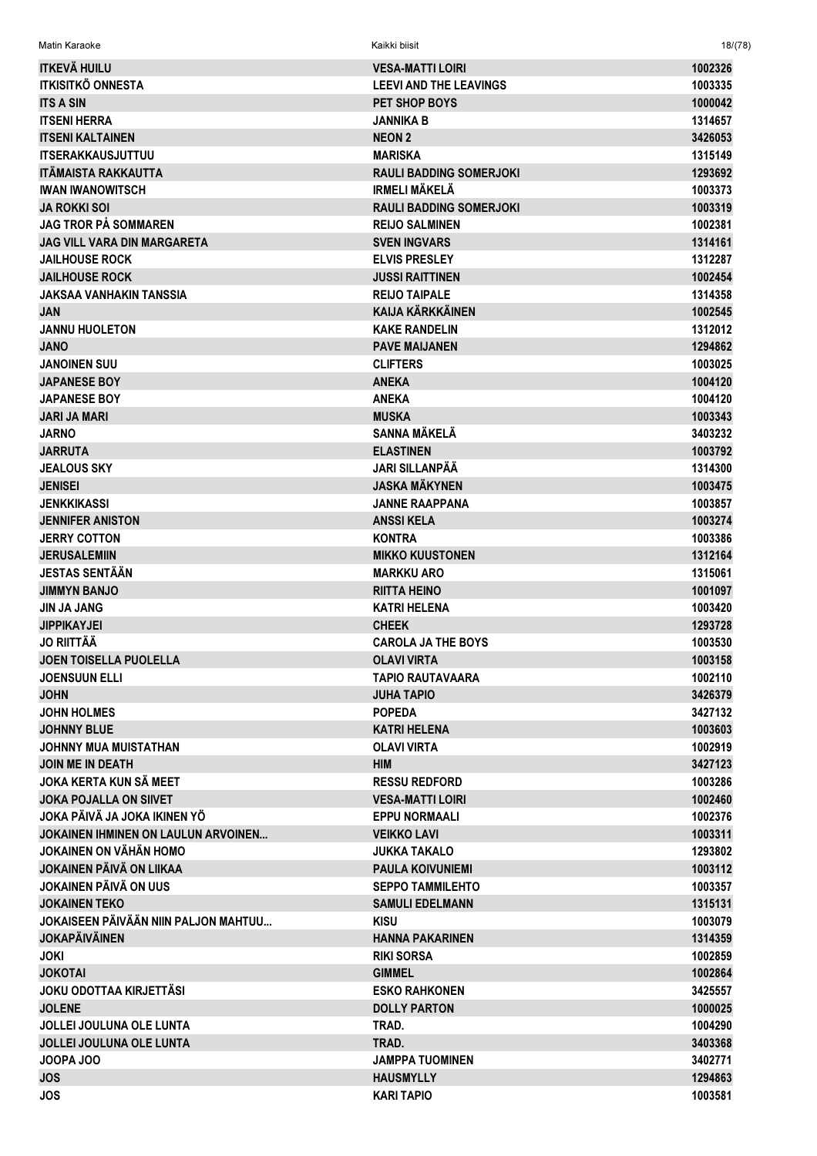| <b>ITKEVÄ HUILU</b>                  | <b>VESA-MATTI LOIRI</b>        | 1002326 |
|--------------------------------------|--------------------------------|---------|
| <b>ITKISITKÖ ONNESTA</b>             | <b>LEEVI AND THE LEAVINGS</b>  | 1003335 |
| <b>ITS A SIN</b>                     | PET SHOP BOYS                  | 1000042 |
| <b>ITSENI HERRA</b>                  | <b>JANNIKA B</b>               | 1314657 |
| <b>ITSENI KALTAINEN</b>              | <b>NEON 2</b>                  | 3426053 |
| <b>ITSERAKKAUSJUTTUU</b>             | <b>MARISKA</b>                 | 1315149 |
| <b>ITÄMAISTA RAKKAUTTA</b>           | <b>RAULI BADDING SOMERJOKI</b> | 1293692 |
| <b>IWAN IWANOWITSCH</b>              | <b>IRMELI MÄKELÄ</b>           | 1003373 |
| <b>JA ROKKI SOI</b>                  | <b>RAULI BADDING SOMERJOKI</b> | 1003319 |
| JAG TROR PÅ SOMMAREN                 | <b>REIJO SALMINEN</b>          | 1002381 |
| <b>JAG VILL VARA DIN MARGARETA</b>   | <b>SVEN INGVARS</b>            | 1314161 |
| <b>JAILHOUSE ROCK</b>                | <b>ELVIS PRESLEY</b>           | 1312287 |
| <b>JAILHOUSE ROCK</b>                | <b>JUSSI RAITTINEN</b>         | 1002454 |
| <b>JAKSAA VANHAKIN TANSSIA</b>       | <b>REIJO TAIPALE</b>           | 1314358 |
| <b>JAN</b>                           | <b>KAIJA KÄRKKÄINEN</b>        | 1002545 |
| <b>JANNU HUOLETON</b>                | <b>KAKE RANDELIN</b>           | 1312012 |
| <b>JANO</b>                          | <b>PAVE MAIJANEN</b>           | 1294862 |
| <b>JANOINEN SUU</b>                  | <b>CLIFTERS</b>                | 1003025 |
| <b>JAPANESE BOY</b>                  | <b>ANEKA</b>                   | 1004120 |
| <b>JAPANESE BOY</b>                  | <b>ANEKA</b>                   | 1004120 |
| <b>JARI JA MARI</b>                  | <b>MUSKA</b>                   | 1003343 |
| <b>JARNO</b>                         | <b>SANNA MÄKELÄ</b>            | 3403232 |
| <b>JARRUTA</b>                       | <b>ELASTINEN</b>               | 1003792 |
| <b>JEALOUS SKY</b>                   | <b>JARI SILLANPÄÄ</b>          | 1314300 |
| <b>JENISEI</b>                       | <b>JASKA MÄKYNEN</b>           | 1003475 |
| <b>JENKKIKASSI</b>                   | <b>JANNE RAAPPANA</b>          | 1003857 |
| <b>JENNIFER ANISTON</b>              | <b>ANSSIKELA</b>               | 1003274 |
| <b>JERRY COTTON</b>                  | <b>KONTRA</b>                  | 1003386 |
| <b>JERUSALEMIIN</b>                  | <b>MIKKO KUUSTONEN</b>         | 1312164 |
| <b>JESTAS SENTÄÄN</b>                | <b>MARKKU ARO</b>              | 1315061 |
| <b>JIMMYN BANJO</b>                  | <b>RIITTA HEINO</b>            | 1001097 |
| <b>JIN JA JANG</b>                   | <b>KATRI HELENA</b>            | 1003420 |
| <b>JIPPIKAYJEI</b>                   | <b>CHEEK</b>                   | 1293728 |
| <b>JO RIITTÄÄ</b>                    | <b>CAROLA JA THE BOYS</b>      | 1003530 |
| <b>JOEN TOISELLA PUOLELLA</b>        | <b>OLAVI VIRTA</b>             | 1003158 |
| <b>JOENSUUN ELLI</b>                 | <b>TAPIO RAUTAVAARA</b>        | 1002110 |
| <b>JOHN</b>                          | <b>JUHA TAPIO</b>              | 3426379 |
| <b>JOHN HOLMES</b>                   | <b>POPEDA</b>                  | 3427132 |
| <b>JOHNNY BLUE</b>                   | <b>KATRI HELENA</b>            | 1003603 |
| <b>JOHNNY MUA MUISTATHAN</b>         | <b>OLAVI VIRTA</b>             | 1002919 |
| <b>JOIN ME IN DEATH</b>              | <b>HIM</b>                     | 3427123 |
| JOKA KERTA KUN SÄ MEET               | <b>RESSU REDFORD</b>           | 1003286 |
| <b>JOKA POJALLA ON SIIVET</b>        | <b>VESA-MATTI LOIRI</b>        | 1002460 |
| JOKA PÄIVÄ JA JOKA IKINEN YÖ         | <b>EPPU NORMAALI</b>           | 1002376 |
| JOKAINEN IHMINEN ON LAULUN ARVOINEN  | <b>VEIKKO LAVI</b>             | 1003311 |
| JOKAINEN ON VÄHÄN HOMO               | JUKKA TAKALO                   | 1293802 |
| JOKAINEN PÄIVÄ ON LIIKAA             | <b>PAULA KOIVUNIEMI</b>        | 1003112 |
| <b>JOKAINEN PÄIVÄ ON UUS</b>         | <b>SEPPO TAMMILEHTO</b>        | 1003357 |
| <b>JOKAINEN TEKO</b>                 | <b>SAMULI EDELMANN</b>         | 1315131 |
| JOKAISEEN PÄIVÄÄN NIIN PALJON MAHTUU | <b>KISU</b>                    | 1003079 |
| <b>JOKAPÄIVÄINEN</b>                 | <b>HANNA PAKARINEN</b>         | 1314359 |
| JOKI                                 | <b>RIKI SORSA</b>              | 1002859 |
| <b>JOKOTAI</b>                       | <b>GIMMEL</b>                  | 1002864 |
| <b>JOKU ODOTTAA KIRJETTÄSI</b>       | <b>ESKO RAHKONEN</b>           | 3425557 |
| <b>JOLENE</b>                        | <b>DOLLY PARTON</b>            | 1000025 |
| <b>JOLLEI JOULUNA OLE LUNTA</b>      | TRAD.                          | 1004290 |
| <b>JOLLEI JOULUNA OLE LUNTA</b>      | TRAD.                          | 3403368 |
| JOOPA JOO                            | <b>JAMPPA TUOMINEN</b>         | 3402771 |
| <b>JOS</b>                           | <b>HAUSMYLLY</b>               | 1294863 |
| <b>JOS</b>                           | <b>KARI TAPIO</b>              | 1003581 |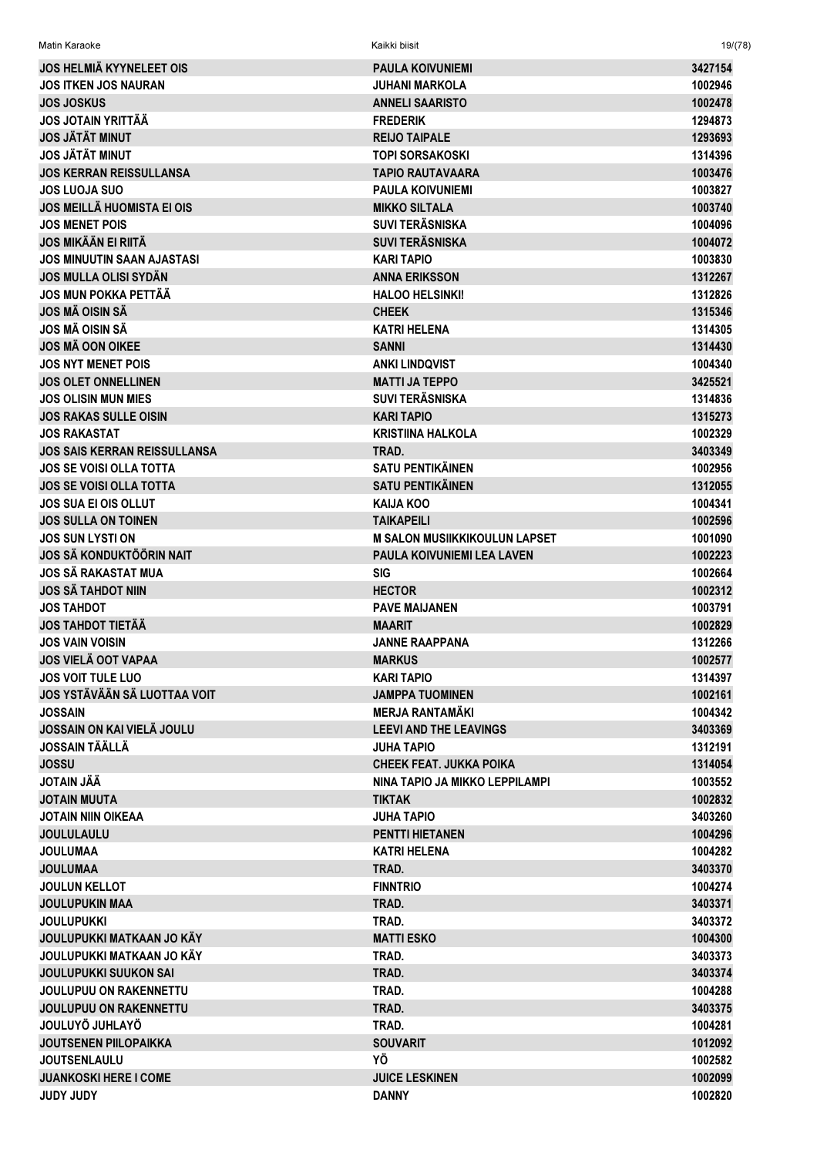| <b>JOS HELMIÄ KYYNELEET OIS</b>     | <b>PAULA KOIVUNIEMI</b>              | 3427154 |
|-------------------------------------|--------------------------------------|---------|
| <b>JOS ITKEN JOS NAURAN</b>         | <b>JUHANI MARKOLA</b>                | 1002946 |
| <b>JOS JOSKUS</b>                   | <b>ANNELI SAARISTO</b>               | 1002478 |
| <b>JOS JOTAIN YRITTÄÄ</b>           | <b>FREDERIK</b>                      | 1294873 |
| <b>JOS JÄTÄT MINUT</b>              | <b>REIJO TAIPALE</b>                 | 1293693 |
| <b>JOS JÄTÄT MINUT</b>              | <b>TOPI SORSAKOSKI</b>               | 1314396 |
| <b>JOS KERRAN REISSULLANSA</b>      | <b>TAPIO RAUTAVAARA</b>              | 1003476 |
| <b>JOS LUOJA SUO</b>                | <b>PAULA KOIVUNIEMI</b>              | 1003827 |
| <b>JOS MEILLÄ HUOMISTA EI OIS</b>   | <b>MIKKO SILTALA</b>                 | 1003740 |
| <b>JOS MENET POIS</b>               | <b>SUVI TERÄSNISKA</b>               | 1004096 |
| <b>JOS MIKÄÄN EI RIITÄ</b>          | <b>SUVI TERÄSNISKA</b>               | 1004072 |
| <b>JOS MINUUTIN SAAN AJASTASI</b>   | <b>KARI TAPIO</b>                    | 1003830 |
| <b>JOS MULLA OLISI SYDÄN</b>        | <b>ANNA ERIKSSON</b>                 | 1312267 |
| <b>JOS MUN POKKA PETTÄÄ</b>         | <b>HALOO HELSINKI!</b>               | 1312826 |
| <b>JOS MÄ OISIN SÄ</b>              | <b>CHEEK</b>                         | 1315346 |
| JOS MÄ OISIN SÄ                     | <b>KATRI HELENA</b>                  | 1314305 |
| <b>JOS MÄ OON OIKEE</b>             | <b>SANNI</b>                         | 1314430 |
| <b>JOS NYT MENET POIS</b>           | <b>ANKI LINDQVIST</b>                | 1004340 |
| <b>JOS OLET ONNELLINEN</b>          | <b>MATTI JA TEPPO</b>                | 3425521 |
| <b>JOS OLISIN MUN MIES</b>          | <b>SUVI TERÄSNISKA</b>               | 1314836 |
| <b>JOS RAKAS SULLE OISIN</b>        | <b>KARI TAPIO</b>                    | 1315273 |
| <b>JOS RAKASTAT</b>                 | <b>KRISTIINA HALKOLA</b>             | 1002329 |
| <b>JOS SAIS KERRAN REISSULLANSA</b> | TRAD.                                | 3403349 |
| <b>JOS SE VOISI OLLA TOTTA</b>      | <b>SATU PENTIKÄINEN</b>              | 1002956 |
| <b>JOS SE VOISI OLLA TOTTA</b>      | <b>SATU PENTIKÄINEN</b>              | 1312055 |
| <b>JOS SUA EI OIS OLLUT</b>         | <b>KAIJA KOO</b>                     | 1004341 |
| <b>JOS SULLA ON TOINEN</b>          | <b>TAIKAPEILI</b>                    | 1002596 |
| <b>JOS SUN LYSTI ON</b>             | <b>M SALON MUSIIKKIKOULUN LAPSET</b> | 1001090 |
| <b>JOS SÄ KONDUKTÖÖRIN NAIT</b>     | PAULA KOIVUNIEMI LEA LAVEN           | 1002223 |
| <b>JOS SÄ RAKASTAT MUA</b>          | <b>SIG</b>                           | 1002664 |
| <b>JOS SÄ TAHDOT NIIN</b>           | <b>HECTOR</b>                        | 1002312 |
|                                     |                                      |         |
| <b>JOS TAHDOT</b>                   | <b>PAVE MAIJANEN</b>                 | 1003791 |
| <b>JOS TAHDOT TIETÄÄ</b>            | <b>MAARIT</b>                        | 1002829 |
| <b>JOS VAIN VOISIN</b>              | <b>JANNE RAAPPANA</b>                | 1312266 |
| <b>JOS VIELÄ OOT VAPAA</b>          | <b>MARKUS</b>                        | 1002577 |
| <b>JOS VOIT TULE LUO</b>            | <b>KARI TAPIO</b>                    | 1314397 |
| JOS YSTÄVÄÄN SÄ LUOTTAA VOIT        | <b>JAMPPA TUOMINEN</b>               | 1002161 |
| <b>JOSSAIN</b>                      | <b>MERJA RANTAMÄKI</b>               | 1004342 |
| JOSSAIN ON KAI VIELÄ JOULU          | <b>LEEVI AND THE LEAVINGS</b>        | 3403369 |
| <b>JOSSAIN TÄÄLLÄ</b>               | <b>JUHA TAPIO</b>                    | 1312191 |
| <b>JOSSU</b>                        | <b>CHEEK FEAT, JUKKA POIKA</b>       | 1314054 |
| <b>JOTAIN JÄÄ</b>                   | NINA TAPIO JA MIKKO LEPPILAMPI       | 1003552 |
| <b>JOTAIN MUUTA</b>                 | <b>TIKTAK</b>                        | 1002832 |
| <b>JOTAIN NIIN OIKEAA</b>           | <b>JUHA TAPIO</b>                    | 3403260 |
| <b>JOULULAULU</b>                   | <b>PENTTI HIETANEN</b>               | 1004296 |
| <b>JOULUMAA</b>                     | <b>KATRI HELENA</b>                  | 1004282 |
| <b>JOULUMAA</b>                     | TRAD.                                | 3403370 |
| <b>JOULUN KELLOT</b>                | <b>FINNTRIO</b>                      | 1004274 |
| <b>JOULUPUKIN MAA</b>               | TRAD.                                | 3403371 |
| <b>JOULUPUKKI</b>                   | TRAD.                                | 3403372 |
| JOULUPUKKI MATKAAN JO KÄY           | <b>MATTI ESKO</b>                    | 1004300 |
| JOULUPUKKI MATKAAN JO KÄY           | TRAD.                                | 3403373 |
| <b>JOULUPUKKI SUUKON SAI</b>        | TRAD.                                | 3403374 |
| <b>JOULUPUU ON RAKENNETTU</b>       | TRAD.                                | 1004288 |
| <b>JOULUPUU ON RAKENNETTU</b>       | TRAD.                                | 3403375 |
| JOULUYÖ JUHLAYÖ                     | TRAD.                                | 1004281 |
| <b>JOUTSENEN PIILOPAIKKA</b>        | <b>SOUVARIT</b>                      | 1012092 |
| <b>JOUTSENLAULU</b>                 | ΥÖ                                   | 1002582 |
| <b>JUANKOSKI HERE I COME</b>        | <b>JUICE LESKINEN</b>                | 1002099 |
| <b>YQUL YQUL</b>                    | <b>DANNY</b>                         | 1002820 |

 $19/(78)$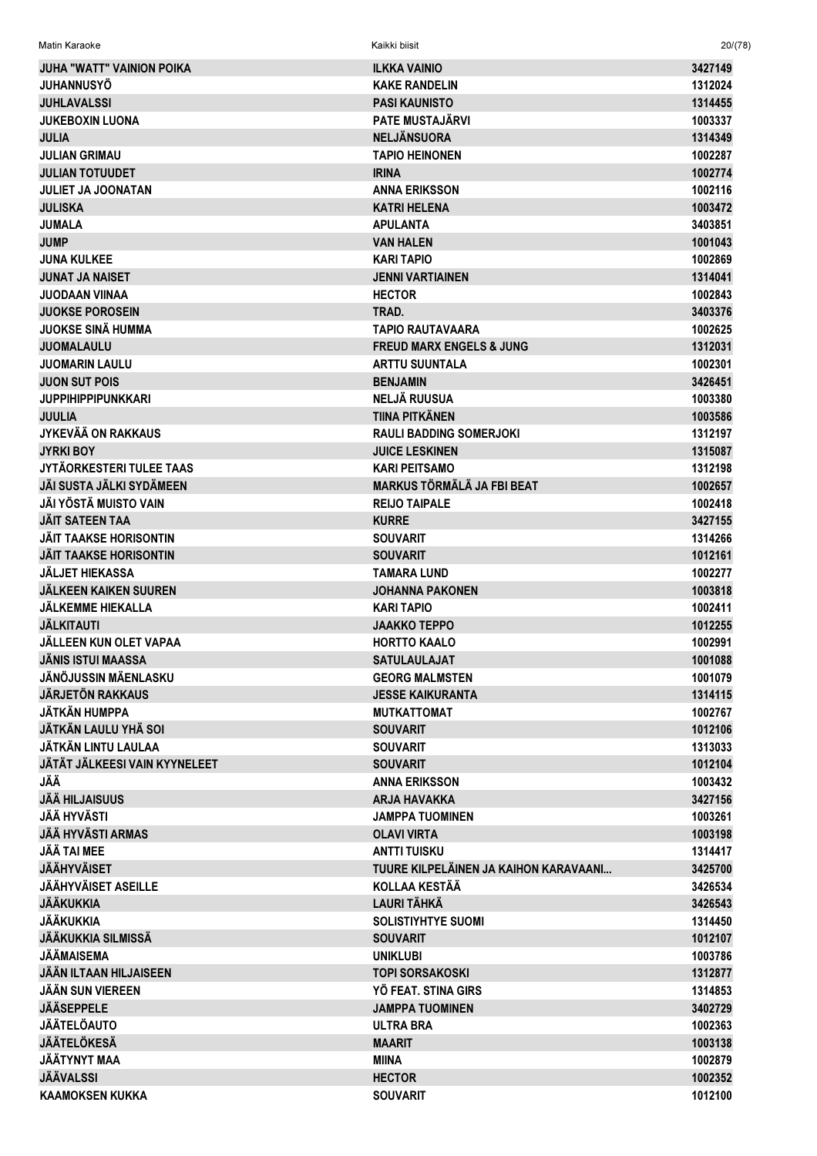| Matin Karaoke                    | Kaikki biisit                         | 20/(78) |
|----------------------------------|---------------------------------------|---------|
| <b>JUHA "WATT" VAINION POIKA</b> | <b>ILKKA VAINIO</b>                   | 3427149 |
| <b>JUHANNUSYÖ</b>                | <b>KAKE RANDELIN</b>                  | 1312024 |
| <b>JUHLAVALSSI</b>               | <b>PASI KAUNISTO</b>                  | 1314455 |
| <b>JUKEBOXIN LUONA</b>           | <b>PATE MUSTAJÄRVI</b>                | 1003337 |
| <b>JULIA</b>                     | <b>NELJÄNSUORA</b>                    | 1314349 |
| <b>JULIAN GRIMAU</b>             | <b>TAPIO HEINONEN</b>                 | 1002287 |
| <b>JULIAN TOTUUDET</b>           | <b>IRINA</b>                          | 1002774 |
| <b>JULIET JA JOONATAN</b>        | <b>ANNA ERIKSSON</b>                  | 1002116 |
| <b>JULISKA</b>                   | <b>KATRI HELENA</b>                   | 1003472 |
| <b>JUMALA</b>                    | <b>APULANTA</b>                       | 3403851 |
| <b>JUMP</b>                      | <b>VAN HALEN</b>                      | 1001043 |
| <b>JUNA KULKEE</b>               | <b>KARI TAPIO</b>                     | 1002869 |
| <b>JUNAT JA NAISET</b>           | <b>JENNI VARTIAINEN</b>               | 1314041 |
| <b>JUODAAN VIINAA</b>            | <b>HECTOR</b>                         | 1002843 |
| <b>JUOKSE POROSEIN</b>           | TRAD.                                 |         |
|                                  |                                       | 3403376 |
| <b>JUOKSE SINÄ HUMMA</b>         | TAPIO RAUTAVAARA                      | 1002625 |
| <b>JUOMALAULU</b>                | <b>FREUD MARX ENGELS &amp; JUNG</b>   | 1312031 |
| <b>JUOMARIN LAULU</b>            | <b>ARTTU SUUNTALA</b>                 | 1002301 |
| <b>JUON SUT POIS</b>             | <b>BENJAMIN</b>                       | 3426451 |
| <b>JUPPIHIPPIPUNKKARI</b>        | <b>NELJÄ RUUSUA</b>                   | 1003380 |
| <b>JUULIA</b>                    | <b>TIINA PITKÄNEN</b>                 | 1003586 |
| <b>JYKEVÄÄ ON RAKKAUS</b>        | <b>RAULI BADDING SOMERJOKI</b>        | 1312197 |
| <b>JYRKI BOY</b>                 | <b>JUICE LESKINEN</b>                 | 1315087 |
| JYTÄORKESTERI TULEE TAAS         | <b>KARI PEITSAMO</b>                  | 1312198 |
| JÄI SUSTA JÄLKI SYDÄMEEN         | <b>MARKUS TÖRMÄLÄ JA FBI BEAT</b>     | 1002657 |
| JÄI YÖSTÄ MUISTO VAIN            | <b>REIJO TAIPALE</b>                  | 1002418 |
| <b>JÄIT SATEEN TAA</b>           | <b>KURRE</b>                          | 3427155 |
| <b>JÄIT TAAKSE HORISONTIN</b>    | <b>SOUVARIT</b>                       | 1314266 |
| <b>JÄIT TAAKSE HORISONTIN</b>    | <b>SOUVARIT</b>                       | 1012161 |
| <b>JÄLJET HIEKASSA</b>           | <b>TAMARA LUND</b>                    | 1002277 |
| <b>JÄLKEEN KAIKEN SUUREN</b>     | <b>JOHANNA PAKONEN</b>                | 1003818 |
| <b>JÄLKEMME HIEKALLA</b>         | <b>KARI TAPIO</b>                     | 1002411 |
| <b>JÄLKITAUTI</b>                | <b>JAAKKO TEPPO</b>                   | 1012255 |
| JÄLLEEN KUN OLET VAPAA           | <b>HORTTO KAALO</b>                   | 1002991 |
| <b>JÄNIS ISTUI MAASSA</b>        | <b>SATULAULAJAT</b>                   | 1001088 |
| <b>JÄNÖJUSSIN MÄENLASKU</b>      | <b>GEORG MALMSTEN</b>                 | 1001079 |
| <b>JÄRJETÖN RAKKAUS</b>          | <b>JESSE KAIKURANTA</b>               | 1314115 |
| <b>JÄTKÄN HUMPPA</b>             | <b>MUTKATTOMAT</b>                    | 1002767 |
| <b>JÄTKÄN LAULU YHÄ SOI</b>      | <b>SOUVARIT</b>                       | 1012106 |
| JÄTKÄN LINTU LAULAA              | <b>SOUVARIT</b>                       | 1313033 |
| JÄTÄT JÄLKEESI VAIN KYYNELEET    | <b>SOUVARIT</b>                       | 1012104 |
| JÄÄ                              | <b>ANNA ERIKSSON</b>                  | 1003432 |
| <b>JÄÄ HILJAISUUS</b>            | <b>ARJA HAVAKKA</b>                   | 3427156 |
| JÄÄ HYVÄSTI                      | <b>JAMPPA TUOMINEN</b>                | 1003261 |
| <b>JÄÄ HYVÄSTI ARMAS</b>         | <b>OLAVI VIRTA</b>                    | 1003198 |
| <b>JÄÄ TAI MEE</b>               | <b>ANTTI TUISKU</b>                   | 1314417 |
| <b>JÄÄHYVÄISET</b>               | TUURE KILPELÄINEN JA KAIHON KARAVAANI | 3425700 |
| <b>JÄÄHYVÄISET ASEILLE</b>       | <b>KOLLAA KESTÄÄ</b>                  | 3426534 |
| <b>JÄÄKUKKIA</b>                 | <b>LAURI TÄHKÄ</b>                    | 3426543 |
| <b>JÄÄKUKKIA</b>                 | <b>SOLISTIYHTYE SUOMI</b>             | 1314450 |
| <b>JÄÄKUKKIA SILMISSÄ</b>        | <b>SOUVARIT</b>                       | 1012107 |
| JÄÄMAISEMA                       | <b>UNIKLUBI</b>                       | 1003786 |
| <b>JÄÄN ILTAAN HILJAISEEN</b>    | <b>TOPI SORSAKOSKI</b>                | 1312877 |
| <b>JÄÄN SUN VIEREEN</b>          | YÖ FEAT. STINA GIRS                   | 1314853 |
| <b>JÄÄSEPPELE</b>                | <b>JAMPPA TUOMINEN</b>                | 3402729 |
| <b>JÄÄTELÖAUTO</b>               | <b>ULTRA BRA</b>                      | 1002363 |
| <b>JÄÄTELÖKESÄ</b>               | <b>MAARIT</b>                         | 1003138 |
| JÄÄTYNYT MAA                     | <b>MIINA</b>                          | 1002879 |
| <b>JÄÄVALSSI</b>                 | <b>HECTOR</b>                         | 1002352 |
| <b>KAAMOKSEN KUKKA</b>           | <b>SOUVARIT</b>                       | 1012100 |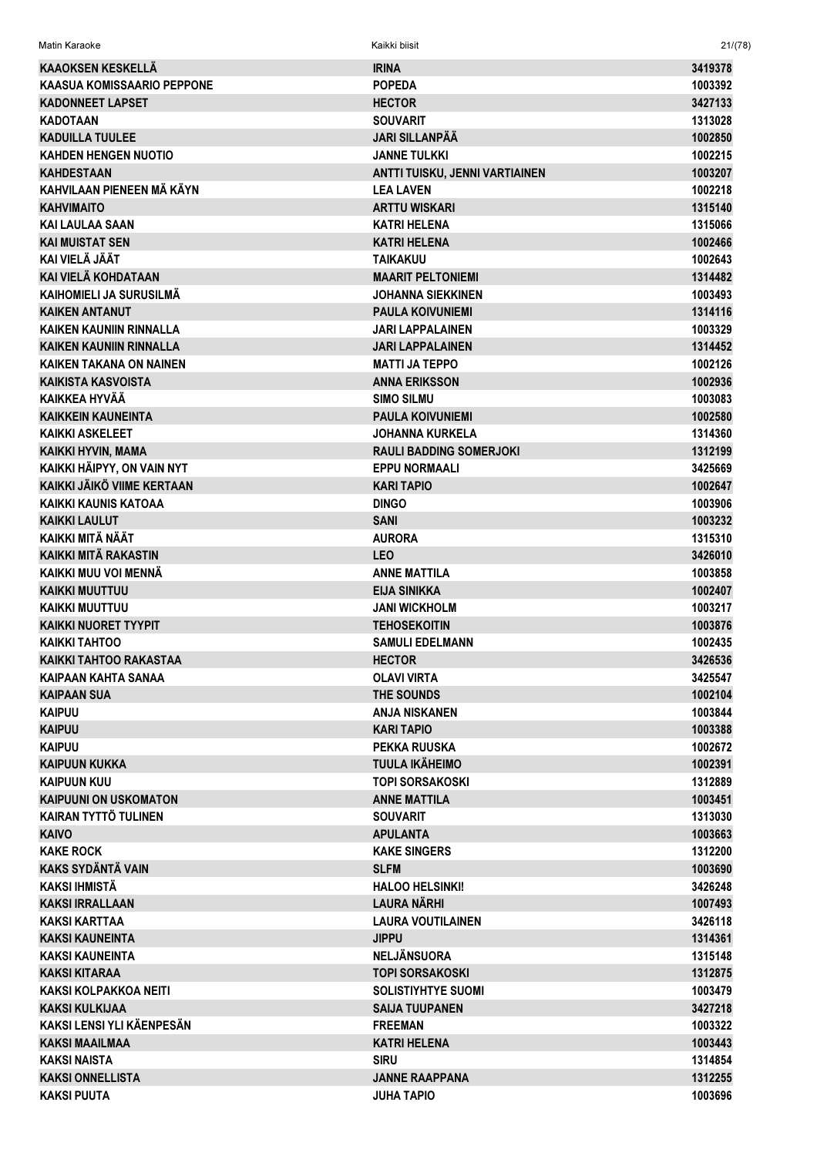| Matin Karaoke                  | Kaikki biisit                  | 21/(78) |
|--------------------------------|--------------------------------|---------|
| <b>KAAOKSEN KESKELLÄ</b>       | <b>IRINA</b>                   | 3419378 |
| KAASUA KOMISSAARIO PEPPONE     | <b>POPEDA</b>                  | 1003392 |
| <b>KADONNEET LAPSET</b>        | <b>HECTOR</b>                  | 3427133 |
| <b>KADOTAAN</b>                | <b>SOUVARIT</b>                | 1313028 |
| <b>KADUILLA TUULEE</b>         | <b>JARI SILLANPÄÄ</b>          | 1002850 |
| <b>KAHDEN HENGEN NUOTIO</b>    | <b>JANNE TULKKI</b>            | 1002215 |
| <b>KAHDESTAAN</b>              | ANTTI TUISKU, JENNI VARTIAINEN | 1003207 |
| KAHVILAAN PIENEEN MÄ KÄYN      | <b>LEA LAVEN</b>               | 1002218 |
| <b>KAHVIMAITO</b>              | <b>ARTTU WISKARI</b>           | 1315140 |
| <b>KAI LAULAA SAAN</b>         | <b>KATRI HELENA</b>            | 1315066 |
| <b>KAI MUISTAT SEN</b>         | <b>KATRI HELENA</b>            | 1002466 |
| KAI VIELÄ JÄÄT                 | <b>TAIKAKUU</b>                | 1002643 |
| KAI VIELÄ KOHDATAAN            | <b>MAARIT PELTONIEMI</b>       | 1314482 |
| KAIHOMIELI JA SURUSILMÄ        | JOHANNA SIEKKINEN              | 1003493 |
| <b>KAIKEN ANTANUT</b>          | <b>PAULA KOIVUNIEMI</b>        | 1314116 |
| <b>KAIKEN KAUNIIN RINNALLA</b> | <b>JARI LAPPALAINEN</b>        | 1003329 |
| <b>KAIKEN KAUNIIN RINNALLA</b> | JARI LAPPALAINEN               | 1314452 |
| <b>KAIKEN TAKANA ON NAINEN</b> | <b>MATTI JA TEPPO</b>          | 1002126 |
| <b>KAIKISTA KASVOISTA</b>      | <b>ANNA ERIKSSON</b>           | 1002936 |
| <b>KAIKKEA HYVÄÄ</b>           | <b>SIMO SILMU</b>              | 1003083 |
| <b>KAIKKEIN KAUNEINTA</b>      | <b>PAULA KOIVUNIEMI</b>        | 1002580 |
| <b>KAIKKI ASKELEET</b>         | JOHANNA KURKELA                | 1314360 |
| KAIKKI HYVIN, MAMA             | <b>RAULI BADDING SOMERJOKI</b> | 1312199 |
| KAIKKI HÄIPYY, ON VAIN NYT     | <b>EPPU NORMAALI</b>           | 3425669 |
| KAIKKI JÄIKÖ VIIME KERTAAN     | <b>KARI TAPIO</b>              | 1002647 |
| KAIKKI KAUNIS KATOAA           | <b>DINGO</b>                   | 1003906 |
| <b>KAIKKI LAULUT</b>           | <b>SANI</b>                    | 1003232 |
| KAIKKI MITÄ NÄÄT               | <b>AURORA</b>                  | 1315310 |
| <b>KAIKKI MITÄ RAKASTIN</b>    | <b>LEO</b>                     | 3426010 |
| KAIKKI MUU VOI MENNÄ           | <b>ANNE MATTILA</b>            | 1003858 |
| <b>KAIKKI MUUTTUU</b>          | EIJA SINIKKA                   | 1002407 |
| <b>KAIKKI MUUTTUU</b>          | <b>JANI WICKHOLM</b>           | 1003217 |
| <b>KAIKKI NUORET TYYPIT</b>    | <b>TEHOSEKOITIN</b>            | 1003876 |
| <b>KAIKKI TAHTOO</b>           | <b>SAMULI EDELMANN</b>         | 1002435 |
| <b>KAIKKI TAHTOO RAKASTAA</b>  | <b>HECTOR</b>                  | 3426536 |
| <b>KAIPAAN KAHTA SANAA</b>     | <b>OLAVI VIRTA</b>             | 3425547 |
| <b>KAIPAAN SUA</b>             | THE SOUNDS                     | 1002104 |
| <b>KAIPUU</b>                  | <b>ANJA NISKANEN</b>           | 1003844 |
| <b>KAIPUU</b>                  | KARI TAPIO                     | 1003388 |
| <b>KAIPUU</b>                  | PEKKA RUUSKA                   | 1002672 |
| <b>KAIPUUN KUKKA</b>           | <b>TUULA IKÄHEIMO</b>          | 1002391 |
| <b>KAIPUUN KUU</b>             | <b>TOPI SORSAKOSKI</b>         | 1312889 |
| <b>KAIPUUNI ON USKOMATON</b>   | <b>ANNE MATTILA</b>            | 1003451 |
| <b>KAIRAN TYTTÖ TULINEN</b>    | <b>SOUVARIT</b>                | 1313030 |
| <b>KAIVO</b>                   | <b>APULANTA</b>                | 1003663 |
| <b>KAKE ROCK</b>               | <b>KAKE SINGERS</b>            | 1312200 |
| <b>KAKS SYDÄNTÄ VAIN</b>       | <b>SLFM</b>                    | 1003690 |
| KAKSI IHMISTÄ                  | <b>HALOO HELSINKI!</b>         | 3426248 |
| <b>KAKSI IRRALLAAN</b>         | <b>LAURA NÄRHI</b>             | 1007493 |
| <b>KAKSI KARTTAA</b>           | <b>LAURA VOUTILAINEN</b>       | 3426118 |
| <b>KAKSI KAUNEINTA</b>         | <b>JIPPU</b>                   | 1314361 |
| KAKSI KAUNEINTA                | <b>NELJÄNSUORA</b>             | 1315148 |
| <b>KAKSI KITARAA</b>           | <b>TOPI SORSAKOSKI</b>         | 1312875 |
| KAKSI KOLPAKKOA NEITI          | <b>SOLISTIYHTYE SUOMI</b>      | 1003479 |
| <b>KAKSI KULKIJAA</b>          | <b>SAIJA TUUPANEN</b>          | 3427218 |
| KAKSI LENSI YLI KÄENPESÄN      | <b>FREEMAN</b>                 | 1003322 |
| <b>KAKSI MAAILMAA</b>          | <b>KATRI HELENA</b>            | 1003443 |
| <b>KAKSI NAISTA</b>            | <b>SIRU</b>                    | 1314854 |
| <b>KAKSI ONNELLISTA</b>        | <b>JANNE RAAPPANA</b>          | 1312255 |
| <b>KAKSI PUUTA</b>             | <b>JUHA TAPIO</b>              | 1003696 |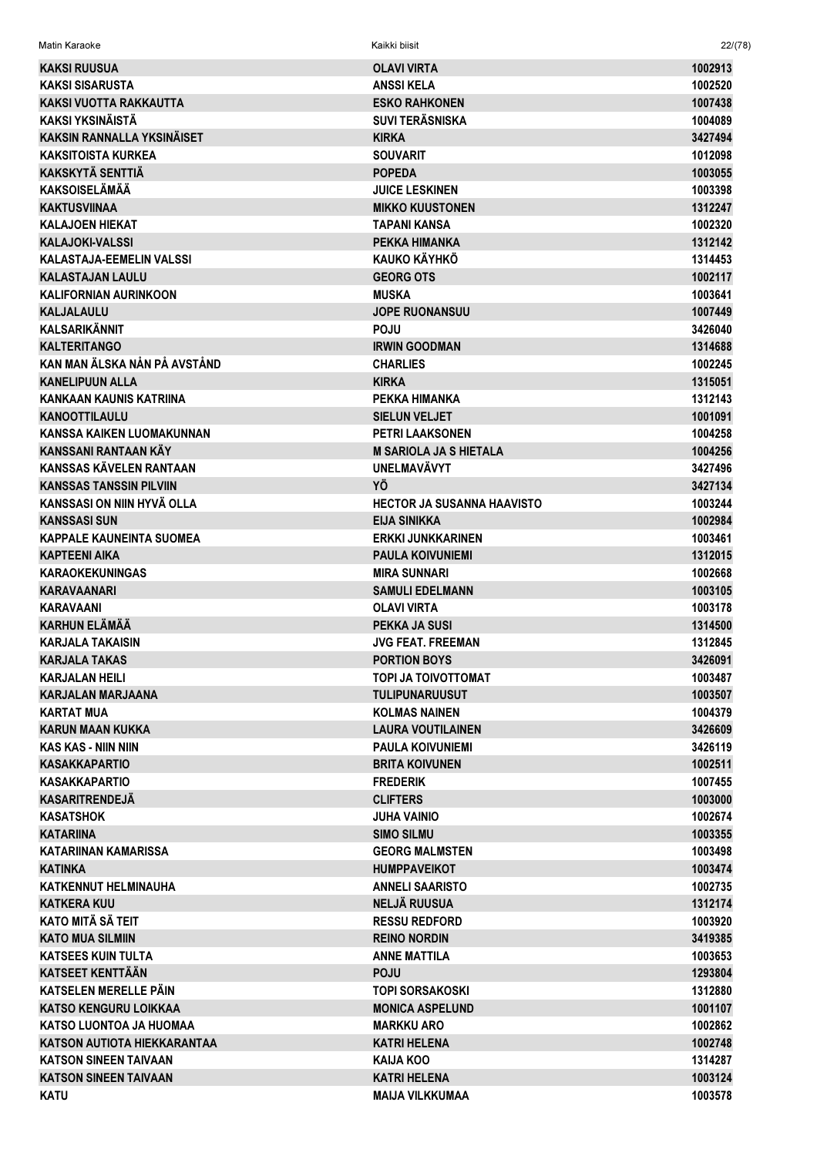| Matin Karaoke                                  | Kaikki biisit                                  | 22/(78)            |
|------------------------------------------------|------------------------------------------------|--------------------|
| KAKSI RUUSUA                                   | <b>OLAVI VIRTA</b>                             | 1002913            |
| <b>KAKSI SISARUSTA</b>                         | <b>ANSSIKELA</b>                               | 1002520            |
| KAKSI VUOTTA RAKKAUTTA                         | <b>ESKO RAHKONEN</b>                           | 1007438            |
| KAKSI YKSINÄISTÄ                               | <b>SUVI TERÄSNISKA</b>                         | 1004089            |
| <b>KAKSIN RANNALLA YKSINÄISET</b>              | <b>KIRKA</b>                                   | 3427494            |
| <b>KAKSITOISTA KURKEA</b>                      | <b>SOUVARIT</b>                                | 1012098            |
| <b>KAKSKYTÄ SENTTIÄ</b>                        | <b>POPEDA</b>                                  | 1003055            |
| <b>KAKSOISELÄMÄÄ</b>                           | <b>JUICE LESKINEN</b>                          | 1003398            |
| <b>KAKTUSVIINAA</b>                            | <b>MIKKO KUUSTONEN</b>                         | 1312247            |
| <b>KALAJOEN HIEKAT</b>                         | <b>TAPANI KANSA</b>                            | 1002320            |
| <b>KALAJOKI-VALSSI</b>                         | PEKKA HIMANKA                                  | 1312142            |
| KALASTAJA-EEMELIN VALSSI                       | KAUKO KÄYHKÖ                                   | 1314453            |
| <b>KALASTAJAN LAULU</b>                        | <b>GEORG OTS</b>                               | 1002117            |
| <b>KALIFORNIAN AURINKOON</b>                   | <b>MUSKA</b>                                   | 1003641            |
| <b>KALJALAULU</b>                              | <b>JOPE RUONANSUU</b>                          | 1007449            |
| <b>KALSARIKÄNNIT</b>                           | <b>POJU</b>                                    | 3426040            |
| <b>KALTERITANGO</b>                            | <b>IRWIN GOODMAN</b>                           | 1314688            |
| KAN MAN ÄLSKA NÅN PÅ AVSTÅND                   | <b>CHARLIES</b>                                | 1002245            |
| <b>KANELIPUUN ALLA</b>                         | <b>KIRKA</b>                                   | 1315051            |
| KANKAAN KAUNIS KATRIINA                        | PEKKA HIMANKA                                  | 1312143            |
| <b>KANOOTTILAULU</b>                           | <b>SIELUN VELJET</b>                           | 1001091            |
| <b>KANSSA KAIKEN LUOMAKUNNAN</b>               | <b>PETRI LAAKSONEN</b>                         | 1004258            |
| KANSSANI RANTAAN KÄY                           | <b>M SARIOLA JA S HIETALA</b>                  | 1004256            |
| KANSSAS KÄVELEN RANTAAN                        | <b>UNELMAVÄVYT</b>                             | 3427496            |
| <b>KANSSAS TANSSIN PILVIIN</b>                 | YÖ                                             | 3427134            |
| KANSSASI ON NIIN HYVÄ OLLA                     | <b>HECTOR JA SUSANNA HAAVISTO</b>              | 1003244            |
| <b>KANSSASI SUN</b>                            | <b>EIJA SINIKKA</b>                            | 1002984            |
| <b>KAPPALE KAUNEINTA SUOMEA</b>                | <b>ERKKI JUNKKARINEN</b>                       | 1003461            |
| <b>KAPTEENI AIKA</b><br><b>KARAOKEKUNINGAS</b> | <b>PAULA KOIVUNIEMI</b><br><b>MIRA SUNNARI</b> | 1312015<br>1002668 |
| <b>KARAVAANARI</b>                             | <b>SAMULI EDELMANN</b>                         |                    |
| <b>KARAVAANI</b>                               | <b>OLAVI VIRTA</b>                             | 1003105<br>1003178 |
| KARHUN ELÄMÄÄ                                  | PEKKA JA SUSI                                  | 1314500            |
| <b>KARJALA TAKAISIN</b>                        | JVG FEAT. FREEMAN                              | 1312845            |
| <b>KARJALA TAKAS</b>                           | <b>PORTION BOYS</b>                            | 3426091            |
| <b>KARJALAN HEILI</b>                          | TOPI JA TOIVOTTOMAT                            | 1003487            |
| KARJALAN MARJAANA                              | <b>TULIPUNARUUSUT</b>                          | 1003507            |
| <b>KARTAT MUA</b>                              | <b>KOLMAS NAINEN</b>                           | 1004379            |
| <b>KARUN MAAN KUKKA</b>                        | <b>LAURA VOUTILAINEN</b>                       | 3426609            |
| <b>KAS KAS - NIIN NIIN</b>                     | <b>PAULA KOIVUNIEMI</b>                        | 3426119            |
| <b>KASAKKAPARTIO</b>                           | <b>BRITA KOIVUNEN</b>                          | 1002511            |
| <b>KASAKKAPARTIO</b>                           | <b>FREDERIK</b>                                | 1007455            |
| <b>KASARITRENDEJÄ</b>                          | <b>CLIFTERS</b>                                | 1003000            |
| <b>KASATSHOK</b>                               | JUHA VAINIO                                    | 1002674            |
| <b>KATARIINA</b>                               | <b>SIMO SILMU</b>                              | 1003355            |
| <b>KATARIINAN KAMARISSA</b>                    | <b>GEORG MALMSTEN</b>                          | 1003498            |
| <b>KATINKA</b>                                 | <b>HUMPPAVEIKOT</b>                            | 1003474            |
| <b>KATKENNUT HELMINAUHA</b>                    | <b>ANNELI SAARISTO</b>                         | 1002735            |
| <b>KATKERA KUU</b>                             | <b>NELJÄ RUUSUA</b>                            | 1312174            |
| KATO MITÄ SÄ TEIT                              | <b>RESSU REDFORD</b>                           | 1003920            |
| <b>KATO MUA SILMIIN</b>                        | <b>REINO NORDIN</b>                            | 3419385            |
| <b>KATSEES KUIN TULTA</b>                      | <b>ANNE MATTILA</b>                            | 1003653            |
| <b>KATSEET KENTTÄÄN</b>                        | <b>POJU</b>                                    | 1293804            |
| KATSELEN MERELLE PÄIN                          | <b>TOPI SORSAKOSKI</b>                         | 1312880            |
| <b>KATSO KENGURU LOIKKAA</b>                   | <b>MONICA ASPELUND</b>                         | 1001107            |
| KATSO LUONTOA JA HUOMAA                        | <b>MARKKU ARO</b>                              | 1002862            |
| <b>KATSON AUTIOTA HIEKKARANTAA</b>             | <b>KATRI HELENA</b>                            | 1002748            |
| <b>KATSON SINEEN TAIVAAN</b>                   | <b>KAIJA KOO</b>                               | 1314287            |
| <b>KATSON SINEEN TAIVAAN</b>                   | <b>KATRI HELENA</b>                            | 1003124            |
| <b>KATU</b>                                    | <b>MAIJA VILKKUMAA</b>                         | 1003578            |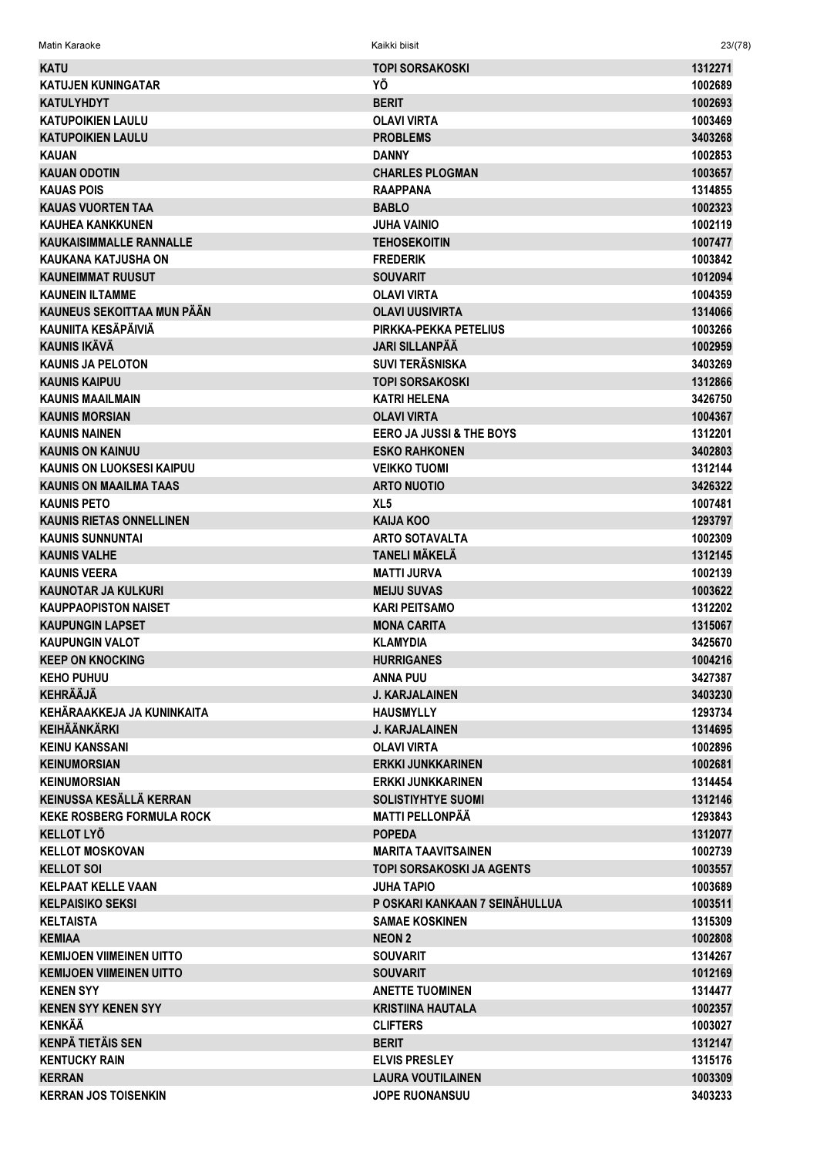| <b>KATU</b>                      | <b>TOPI SORSAKOSKI</b>              | 1312271 |
|----------------------------------|-------------------------------------|---------|
| KATUJEN KUNINGATAR               | ΥÖ                                  | 1002689 |
| <b>KATULYHDYT</b>                | <b>BERIT</b>                        | 1002693 |
| <b>KATUPOIKIEN LAULU</b>         | <b>OLAVI VIRTA</b>                  | 1003469 |
| <b>KATUPOIKIEN LAULU</b>         | <b>PROBLEMS</b>                     | 3403268 |
| <b>KAUAN</b>                     | <b>DANNY</b>                        | 1002853 |
| <b>KAUAN ODOTIN</b>              | <b>CHARLES PLOGMAN</b>              | 1003657 |
| <b>KAUAS POIS</b>                | <b>RAAPPANA</b>                     | 1314855 |
| <b>KAUAS VUORTEN TAA</b>         | <b>BABLO</b>                        | 1002323 |
| <b>KAUHEA KANKKUNEN</b>          | <b>JUHA VAINIO</b>                  | 1002119 |
| <b>KAUKAISIMMALLE RANNALLE</b>   | <b>TEHOSEKOITIN</b>                 | 1007477 |
| <b>KAUKANA KATJUSHA ON</b>       | <b>FREDERIK</b>                     | 1003842 |
| <b>KAUNEIMMAT RUUSUT</b>         | <b>SOUVARIT</b>                     | 1012094 |
| <b>KAUNEIN ILTAMME</b>           | <b>OLAVI VIRTA</b>                  | 1004359 |
| KAUNEUS SEKOITTAA MUN PÄÄN       | <b>OLAVI UUSIVIRTA</b>              | 1314066 |
| KAUNIITA KESÄPÄIVIÄ              | PIRKKA-PEKKA PETELIUS               | 1003266 |
| KAUNIS IKÄVÄ                     | <b>JARI SILLANPÄÄ</b>               | 1002959 |
| <b>KAUNIS JA PELOTON</b>         | <b>SUVI TERÄSNISKA</b>              | 3403269 |
| <b>KAUNIS KAIPUU</b>             | <b>TOPI SORSAKOSKI</b>              | 1312866 |
| <b>KAUNIS MAAILMAIN</b>          | <b>KATRI HELENA</b>                 | 3426750 |
| <b>KAUNIS MORSIAN</b>            | <b>OLAVI VIRTA</b>                  | 1004367 |
| <b>KAUNIS NAINEN</b>             | <b>EERO JA JUSSI &amp; THE BOYS</b> | 1312201 |
| <b>KAUNIS ON KAINUU</b>          | <b>ESKO RAHKONEN</b>                | 3402803 |
| <b>KAUNIS ON LUOKSESI KAIPUU</b> | <b>VEIKKO TUOMI</b>                 | 1312144 |
| <b>KAUNIS ON MAAILMA TAAS</b>    | <b>ARTO NUOTIO</b>                  | 3426322 |
| <b>KAUNIS PETO</b>               | XL <sub>5</sub>                     | 1007481 |
| <b>KAUNIS RIETAS ONNELLINEN</b>  | <b>KAIJA KOO</b>                    | 1293797 |
| <b>KAUNIS SUNNUNTAI</b>          | <b>ARTO SOTAVALTA</b>               | 1002309 |
| <b>KAUNIS VALHE</b>              | <b>TANELI MÄKELÄ</b>                | 1312145 |
| <b>KAUNIS VEERA</b>              | <b>MATTI JURVA</b>                  | 1002139 |
| <b>KAUNOTAR JA KULKURI</b>       | <b>MEIJU SUVAS</b>                  | 1003622 |
| <b>KAUPPAOPISTON NAISET</b>      | <b>KARI PEITSAMO</b>                | 1312202 |
| <b>KAUPUNGIN LAPSET</b>          | <b>MONA CARITA</b>                  | 1315067 |
| <b>KAUPUNGIN VALOT</b>           | <b>KLAMYDIA</b>                     | 3425670 |
| <b>KEEP ON KNOCKING</b>          | <b>HURRIGANES</b>                   | 1004216 |
| <b>KEHO PUHUU</b>                | <b>ANNA PUU</b>                     | 3427387 |
| <b>KEHRÄÄJÄ</b>                  | <b>J. KARJALAINEN</b>               | 3403230 |
| KEHÄRAAKKEJA JA KUNINKAITA       | <b>HAUSMYLLY</b>                    | 1293734 |
| <b>KEIHÄÄNKÄRKI</b>              | <b>J. KARJALAINEN</b>               | 1314695 |
| <b>KEINU KANSSANI</b>            | <b>OLAVI VIRTA</b>                  | 1002896 |
| <b>KEINUMORSIAN</b>              | <b>ERKKI JUNKKARINEN</b>            | 1002681 |
| <b>KEINUMORSIAN</b>              | <b>ERKKI JUNKKARINEN</b>            | 1314454 |
| KEINUSSA KESÄLLÄ KERRAN          | <b>SOLISTIYHTYE SUOMI</b>           | 1312146 |
| <b>KEKE ROSBERG FORMULA ROCK</b> | <b>MATTI PELLONPÄÄ</b>              | 1293843 |
| <b>KELLOT LYÖ</b>                | <b>POPEDA</b>                       | 1312077 |
| <b>KELLOT MOSKOVAN</b>           | <b>MARITA TAAVITSAINEN</b>          | 1002739 |
| <b>KELLOT SOI</b>                | <b>TOPI SORSAKOSKI JA AGENTS</b>    | 1003557 |
| <b>KELPAAT KELLE VAAN</b>        | <b>JUHA TAPIO</b>                   | 1003689 |
| <b>KELPAISIKO SEKSI</b>          | P OSKARI KANKAAN 7 SEINÄHULLUA      | 1003511 |
| <b>KELTAISTA</b>                 | <b>SAMAE KOSKINEN</b>               | 1315309 |
| <b>KEMIAA</b>                    | <b>NEON 2</b>                       | 1002808 |
| <b>KEMIJOEN VIIMEINEN UITTO</b>  | <b>SOUVARIT</b>                     | 1314267 |
| <b>KEMIJOEN VIIMEINEN UITTO</b>  | <b>SOUVARIT</b>                     | 1012169 |
| <b>KENEN SYY</b>                 | <b>ANETTE TUOMINEN</b>              | 1314477 |
| <b>KENEN SYY KENEN SYY</b>       | <b>KRISTIINA HAUTALA</b>            | 1002357 |
| <b>KENKÄÄ</b>                    | <b>CLIFTERS</b>                     | 1003027 |
| <b>KENPÄ TIETÄIS SEN</b>         | <b>BERIT</b>                        | 1312147 |
| <b>KENTUCKY RAIN</b>             | <b>ELVIS PRESLEY</b>                | 1315176 |
| <b>KERRAN</b>                    | <b>LAURA VOUTILAINEN</b>            | 1003309 |
| <b>KERRAN JOS TOISENKIN</b>      | JOPE RUONANSUU                      | 3403233 |

Matin Karaoke Kaikki biisit 23/(78)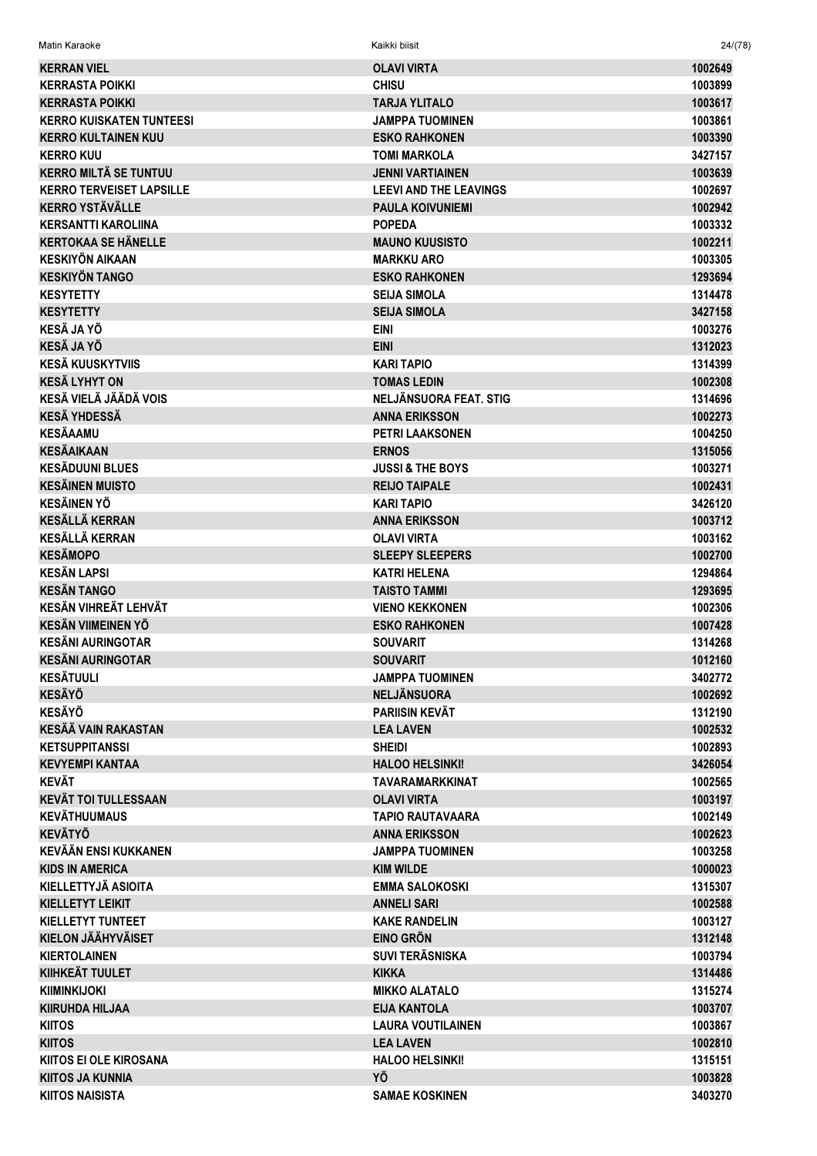| Matin Karaoke                                     | Kaikki biisit                           | 24/(78)            |
|---------------------------------------------------|-----------------------------------------|--------------------|
| <b>KERRAN VIEL</b>                                | <b>OLAVI VIRTA</b>                      | 1002649            |
| <b>KERRASTA POIKKI</b>                            | <b>CHISU</b>                            | 1003899            |
| <b>KERRASTA POIKKI</b>                            | <b>TARJA YLITALO</b>                    | 1003617            |
| <b>KERRO KUISKATEN TUNTEESI</b>                   | <b>JAMPPA TUOMINEN</b>                  | 1003861            |
| <b>KERRO KULTAINEN KUU</b>                        | <b>ESKO RAHKONEN</b>                    | 1003390            |
| <b>KERRO KUU</b>                                  | <b>TOMI MARKOLA</b>                     | 3427157            |
| <b>KERRO MILTÀ SE TUNTUU</b>                      | <b>JENNI VARTIAINEN</b>                 | 1003639            |
| <b>KERRO TERVEISET LAPSILLE</b>                   | <b>LEEVI AND THE LEAVINGS</b>           | 1002697            |
| <b>KERRO YSTÄVÄLLE</b>                            | <b>PAULA KOIVUNIEMI</b>                 | 1002942            |
| <b>KERSANTTI KAROLIINA</b>                        | <b>POPEDA</b>                           | 1003332            |
| <b>KERTOKAA SE HÄNELLE</b>                        | <b>MAUNO KUUSISTO</b>                   | 1002211            |
| <b>KESKIYÖN AIKAAN</b>                            | <b>MARKKU ARO</b>                       | 1003305            |
| <b>KESKIYÖN TANGO</b>                             | <b>ESKO RAHKONEN</b>                    | 1293694            |
| <b>KESYTETTY</b>                                  | <b>SEIJA SIMOLA</b>                     | 1314478            |
| <b>KESYTETTY</b>                                  | <b>SEIJA SIMOLA</b>                     | 3427158            |
| <b>KESÄ JA YÖ</b>                                 | <b>EINI</b>                             | 1003276            |
| <b>KESÄ JA YÖ</b>                                 | <b>EINI</b>                             | 1312023            |
| <b>KESÄ KUUSKYTVIIS</b>                           | <b>KARI TAPIO</b>                       | 1314399            |
| <b>KESÄ LYHYT ON</b>                              | <b>TOMAS LEDIN</b>                      | 1002308            |
| KESÄ VIELÄ JÄÄDÄ VOIS                             | NELJÄNSUORA FEAT. STIG                  | 1314696            |
| <b>KESÄ YHDESSÄ</b>                               | <b>ANNA ERIKSSON</b>                    | 1002273            |
| <b>KESÄAAMU</b>                                   | <b>PETRI LAAKSONEN</b>                  | 1004250            |
| <b>KESÄAIKAAN</b>                                 | <b>ERNOS</b>                            | 1315056            |
| <b>KESÄDUUNI BLUES</b>                            | <b>JUSSI &amp; THE BOYS</b>             | 1003271            |
| <b>KESÄINEN MUISTO</b>                            | <b>REIJO TAIPALE</b>                    | 1002431            |
| <b>KESÄINEN YÖ</b>                                | <b>KARI TAPIO</b>                       | 3426120            |
| <b>KESÄLLÄ KERRAN</b>                             | <b>ANNA ERIKSSON</b>                    | 1003712            |
| <b>KESÄLLÄ KERRAN</b>                             | <b>OLAVI VIRTA</b>                      | 1003162            |
| <b>KESÄMOPO</b>                                   | <b>SLEEPY SLEEPERS</b>                  | 1002700            |
| <b>KESÄN LAPSI</b><br><b>KESÄN TANGO</b>          | <b>KATRI HELENA</b>                     | 1294864            |
|                                                   | <b>TAISTO TAMMI</b>                     | 1293695            |
| KESÄN VIHREÄT LEHVÄT<br><b>KESÄN VIIMEINEN YÖ</b> | <b>VIENO KEKKONEN</b>                   | 1002306            |
| <b>KESÄNI AURINGOTAR</b>                          | <b>ESKO RAHKONEN</b><br><b>SOUVARIT</b> | 1007428<br>1314268 |
| <b>KESÄNI AURINGOTAR</b>                          | <b>SOUVARIT</b>                         | 1012160            |
| <b>KESÄTUULI</b>                                  | <b>JAMPPA TUOMINEN</b>                  | 3402772            |
| <b>KESÄYÖ</b>                                     | <b>NELJÄNSUORA</b>                      | 1002692            |
| <b>KESÄYÖ</b>                                     | <b>PARIISIN KEVÄT</b>                   | 1312190            |
| <b>KESÄÄ VAIN RAKASTAN</b>                        | <b>LEA LAVEN</b>                        | 1002532            |
| <b>KETSUPPITANSSI</b>                             | <b>SHEIDI</b>                           | 1002893            |
| <b>KEVYEMPI KANTAA</b>                            | <b>HALOO HELSINKI!</b>                  | 3426054            |
| <b>KEVÄT</b>                                      | <b>TAVARAMARKKINAT</b>                  | 1002565            |
| <b>KEVÄT TOI TULLESSAAN</b>                       | <b>OLAVI VIRTA</b>                      | 1003197            |
| <b>KEVÄTHUUMAUS</b>                               | <b>TAPIO RAUTAVAARA</b>                 | 1002149            |
| <b>KEVÄTYÖ</b>                                    | <b>ANNA ERIKSSON</b>                    | 1002623            |
| <b>KEVÄÄN ENSI KUKKANEN</b>                       | <b>JAMPPA TUOMINEN</b>                  | 1003258            |
| <b>KIDS IN AMERICA</b>                            | <b>KIM WILDE</b>                        | 1000023            |
| KIELLETTYJÄ ASIOITA                               | <b>EMMA SALOKOSKI</b>                   | 1315307            |
| <b>KIELLETYT LEIKIT</b>                           | <b>ANNELI SARI</b>                      | 1002588            |
| <b>KIELLETYT TUNTEET</b>                          | <b>KAKE RANDELIN</b>                    | 1003127            |
| <b>KIELON JÄÄHYVÄISET</b>                         | <b>EINO GRÖN</b>                        | 1312148            |
| <b>KIERTOLAINEN</b>                               | <b>SUVI TERÄSNISKA</b>                  | 1003794            |
| KIIHKEÄT TUULET                                   | <b>KIKKA</b>                            | 1314486            |
| <b>KIIMINKIJOKI</b>                               | <b>MIKKO ALATALO</b>                    | 1315274            |
| <b>KIIRUHDA HILJAA</b>                            | <b>EIJA KANTOLA</b>                     | 1003707            |
| <b>KIITOS</b>                                     | <b>LAURA VOUTILAINEN</b>                | 1003867            |
| <b>KIITOS</b>                                     | <b>LEA LAVEN</b>                        | 1002810            |
| <b>KIITOS EI OLE KIROSANA</b>                     | <b>HALOO HELSINKI!</b>                  | 1315151            |
| <b>KIITOS JA KUNNIA</b>                           | YÖ                                      | 1003828            |
| <b>KIITOS NAISISTA</b>                            | <b>SAMAE KOSKINEN</b>                   | 3403270            |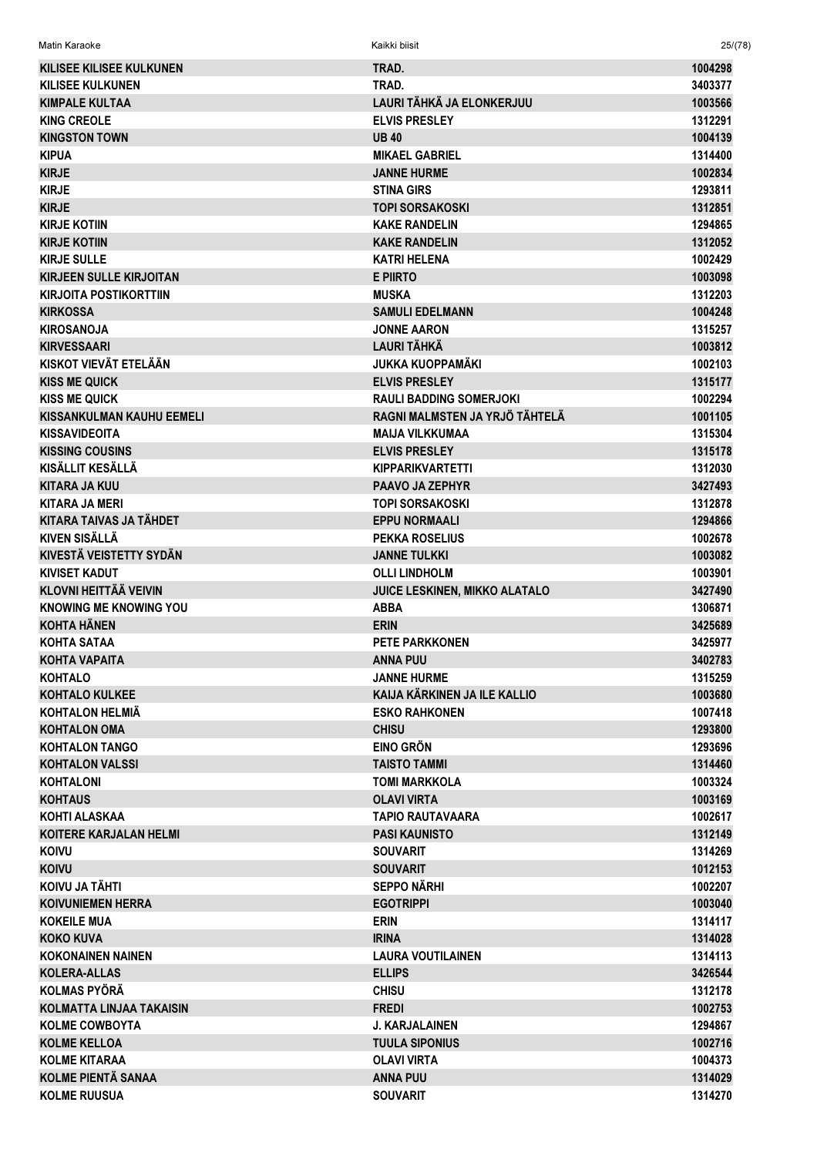| <b>KILISEE KILISEE KULKUNEN</b>  | TRAD.                          | 1004298 |
|----------------------------------|--------------------------------|---------|
| <b>KILISEE KULKUNEN</b>          | TRAD.                          | 3403377 |
| <b>KIMPALE KULTAA</b>            | LAURI TÄHKÄ JA ELONKERJUU      | 1003566 |
| <b>KING CREOLE</b>               | <b>ELVIS PRESLEY</b>           | 1312291 |
| <b>KINGSTON TOWN</b>             | <b>UB40</b>                    | 1004139 |
| <b>KIPUA</b>                     | <b>MIKAEL GABRIEL</b>          | 1314400 |
| <b>KIRJE</b>                     | <b>JANNE HURME</b>             | 1002834 |
| <b>KIRJE</b>                     | <b>STINA GIRS</b>              | 1293811 |
| <b>KIRJE</b>                     | <b>TOPI SORSAKOSKI</b>         | 1312851 |
| <b>KIRJE KOTIIN</b>              | <b>KAKE RANDELIN</b>           | 1294865 |
| <b>KIRJE KOTIIN</b>              | <b>KAKE RANDELIN</b>           | 1312052 |
| <b>KIRJE SULLE</b>               | <b>KATRI HELENA</b>            | 1002429 |
| <b>KIRJEEN SULLE KIRJOITAN</b>   | <b>E PIIRTO</b>                | 1003098 |
|                                  |                                |         |
| <b>KIRJOITA POSTIKORTTIIN</b>    | <b>MUSKA</b>                   | 1312203 |
| <b>KIRKOSSA</b>                  | <b>SAMULI EDELMANN</b>         | 1004248 |
| <b>KIROSANOJA</b>                | <b>JONNE AARON</b>             | 1315257 |
| <b>KIRVESSAARI</b>               | <b>LAURI TÄHKÄ</b>             | 1003812 |
| KISKOT VIEVÄT ETELÄÄN            | <b>JUKKA KUOPPAMÄKI</b>        | 1002103 |
| <b>KISS ME QUICK</b>             | <b>ELVIS PRESLEY</b>           | 1315177 |
| <b>KISS ME QUICK</b>             | <b>RAULI BADDING SOMERJOKI</b> | 1002294 |
| <b>KISSANKULMAN KAUHU EEMELI</b> | RAGNI MALMSTEN JA YRJÖ TÄHTELÄ | 1001105 |
| <b>KISSAVIDEOITA</b>             | <b>MAIJA VILKKUMAA</b>         | 1315304 |
| <b>KISSING COUSINS</b>           | <b>ELVIS PRESLEY</b>           | 1315178 |
| KISÄLLIT KESÄLLÄ                 | <b>KIPPARIKVARTETTI</b>        | 1312030 |
| <b>KITARA JA KUU</b>             | <b>PAAVO JA ZEPHYR</b>         | 3427493 |
| <b>KITARA JA MERI</b>            | <b>TOPI SORSAKOSKI</b>         | 1312878 |
| KITARA TAIVAS JA TÄHDET          | <b>EPPU NORMAALI</b>           | 1294866 |
| <b>KIVEN SISÄLLÄ</b>             | <b>PEKKA ROSELIUS</b>          | 1002678 |
| <b>KIVESTÄ VEISTETTY SYDÄN</b>   | <b>JANNE TULKKI</b>            | 1003082 |
| <b>KIVISET KADUT</b>             | <b>OLLI LINDHOLM</b>           | 1003901 |
| <b>KLOVNI HEITTÄÄ VEIVIN</b>     | JUICE LESKINEN, MIKKO ALATALO  | 3427490 |
| <b>KNOWING ME KNOWING YOU</b>    | <b>ABBA</b>                    | 1306871 |
| <b>KOHTA HÄNEN</b>               | <b>ERIN</b>                    | 3425689 |
| <b>KOHTA SATAA</b>               | <b>PETE PARKKONEN</b>          | 3425977 |
| <b>KOHTA VAPAITA</b>             | <b>ANNA PUU</b>                | 3402783 |
| <b>KOHTALO</b>                   | <b>JANNE HURME</b>             | 1315259 |
| <b>KOHTALO KULKEE</b>            | KAIJA KÄRKINEN JA ILE KALLIO   | 1003680 |
| <b>KOHTALON HELMIÄ</b>           | <b>ESKO RAHKONEN</b>           | 1007418 |
| <b>KOHTALON OMA</b>              | <b>CHISU</b>                   | 1293800 |
| <b>KOHTALON TANGO</b>            | <b>EINO GRÖN</b>               |         |
|                                  |                                | 1293696 |
| <b>KOHTALON VALSSI</b>           | <b>TAISTO TAMMI</b>            | 1314460 |
| <b>KOHTALONI</b>                 | <b>TOMI MARKKOLA</b>           | 1003324 |
| <b>KOHTAUS</b>                   | <b>OLAVI VIRTA</b>             | 1003169 |
| KOHTI ALASKAA                    | <b>TAPIO RAUTAVAARA</b>        | 1002617 |
| <b>KOITERE KARJALAN HELMI</b>    | <b>PASI KAUNISTO</b>           | 1312149 |
| <b>KOIVU</b>                     | <b>SOUVARIT</b>                | 1314269 |
| <b>KOIVU</b>                     | <b>SOUVARIT</b>                | 1012153 |
| KOIVU JA TÄHTI                   | <b>SEPPO NÄRHI</b>             | 1002207 |
| <b>KOIVUNIEMEN HERRA</b>         | <b>EGOTRIPPI</b>               | 1003040 |
| <b>KOKEILE MUA</b>               | <b>ERIN</b>                    | 1314117 |
| <b>KOKO KUVA</b>                 | <b>IRINA</b>                   | 1314028 |
| <b>KOKONAINEN NAINEN</b>         | <b>LAURA VOUTILAINEN</b>       | 1314113 |
| <b>KOLERA-ALLAS</b>              | <b>ELLIPS</b>                  | 3426544 |
| <b>KOLMAS PYÖRÄ</b>              | <b>CHISU</b>                   | 1312178 |
| KOLMATTA LINJAA TAKAISIN         | <b>FREDI</b>                   | 1002753 |
| <b>KOLME COWBOYTA</b>            | <b>J. KARJALAINEN</b>          | 1294867 |
| <b>KOLME KELLOA</b>              | <b>TUULA SIPONIUS</b>          | 1002716 |
| <b>KOLME KITARAA</b>             | <b>OLAVI VIRTA</b>             | 1004373 |
| <b>KOLME PIENTÄ SANAA</b>        | <b>ANNA PUU</b>                | 1314029 |
| <b>KOLME RUUSUA</b>              | <b>SOUVARIT</b>                | 1314270 |
|                                  |                                |         |

Matin Karaoke Kaikki biisit 25/(78)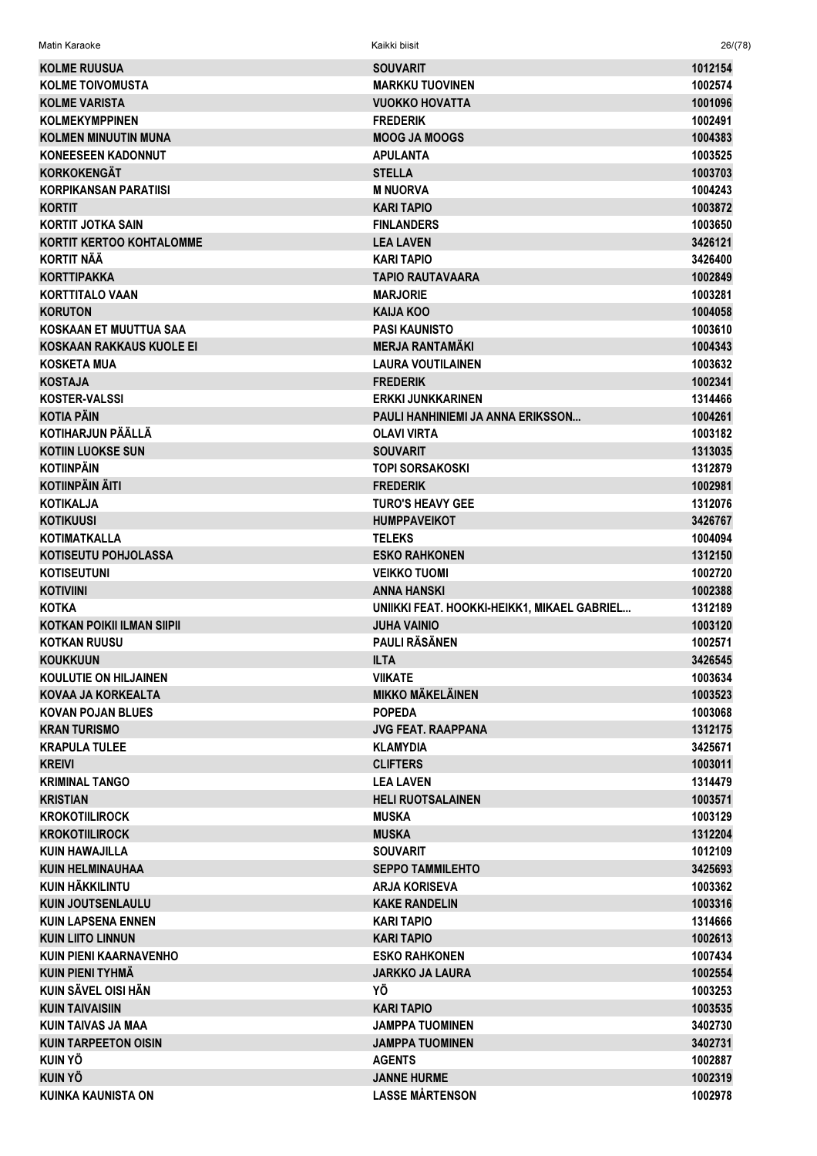| Matin Karaoke                     | Kaikki biisit                               | 26/(78) |
|-----------------------------------|---------------------------------------------|---------|
| <b>KOLME RUUSUA</b>               | <b>SOUVARIT</b>                             | 1012154 |
| <b>KOLME TOIVOMUSTA</b>           | <b>MARKKU TUOVINEN</b>                      | 1002574 |
| <b>KOLME VARISTA</b>              | <b>VUOKKO HOVATTA</b>                       | 1001096 |
| <b>KOLMEKYMPPINEN</b>             | <b>FREDERIK</b>                             | 1002491 |
| <b>KOLMEN MINUUTIN MUNA</b>       | <b>MOOG JA MOOGS</b>                        | 1004383 |
| <b>KONEESEEN KADONNUT</b>         | <b>APULANTA</b>                             | 1003525 |
| <b>KORKOKENGÄT</b>                | <b>STELLA</b>                               | 1003703 |
| <b>KORPIKANSAN PARATIISI</b>      | <b>M NUORVA</b>                             | 1004243 |
| <b>KORTIT</b>                     | <b>KARI TAPIO</b>                           | 1003872 |
| <b>KORTIT JOTKA SAIN</b>          | <b>FINLANDERS</b>                           | 1003650 |
| <b>KORTIT KERTOO KOHTALOMME</b>   | <b>LEA LAVEN</b>                            | 3426121 |
| <b>KORTIT NÄÄ</b>                 | KARI TAPIO                                  | 3426400 |
| <b>KORTTIPAKKA</b>                | <b>TAPIO RAUTAVAARA</b>                     | 1002849 |
| <b>KORTTITALO VAAN</b>            | <b>MARJORIE</b>                             | 1003281 |
| <b>KORUTON</b>                    | <b>KAIJA KOO</b>                            | 1004058 |
| KOSKAAN ET MUUTTUA SAA            | <b>PASI KAUNISTO</b>                        | 1003610 |
| KOSKAAN RAKKAUS KUOLE EI          | <b>MERJA RANTAMÄKI</b>                      | 1004343 |
| <b>KOSKETA MUA</b>                | <b>LAURA VOUTILAINEN</b>                    | 1003632 |
| <b>KOSTAJA</b>                    | <b>FREDERIK</b>                             | 1002341 |
| <b>KOSTER-VALSSI</b>              | <b>ERKKI JUNKKARINEN</b>                    | 1314466 |
| <b>KOTIA PÄIN</b>                 | PAULI HANHINIEMI JA ANNA ERIKSSON           | 1004261 |
| <b>KOTIHARJUN PÄÄLLÄ</b>          | <b>OLAVI VIRTA</b>                          | 1003182 |
| <b>KOTIIN LUOKSE SUN</b>          | <b>SOUVARIT</b>                             | 1313035 |
| <b>KOTIINPÄIN</b>                 | <b>TOPI SORSAKOSKI</b>                      | 1312879 |
| KOTIINPÄIN ÄITI                   | <b>FREDERIK</b>                             | 1002981 |
| <b>KOTIKALJA</b>                  | <b>TURO'S HEAVY GEE</b>                     | 1312076 |
| <b>KOTIKUUSI</b>                  | <b>HUMPPAVEIKOT</b>                         | 3426767 |
| KOTIMATKALLA                      | <b>TELEKS</b>                               | 1004094 |
| KOTISEUTU POHJOLASSA              | <b>ESKO RAHKONEN</b>                        | 1312150 |
| <b>KOTISEUTUNI</b>                | <b>VEIKKO TUOMI</b>                         | 1002720 |
| <b>KOTIVIINI</b>                  | ANNA HANSKI                                 | 1002388 |
| <b>KOTKA</b>                      | UNIIKKI FEAT. HOOKKI-HEIKK1, MIKAEL GABRIEL | 1312189 |
| <b>KOTKAN POIKII ILMAN SIIPII</b> | <b>JUHA VAINIO</b>                          | 1003120 |
| <b>KOTKAN RUUSU</b>               | <b>PAULI RÄSÄNEN</b>                        | 1002571 |
| <b>KOUKKUUN</b>                   | <b>ILTA</b>                                 | 3426545 |
| <b>KOULUTIE ON HILJAINEN</b>      | <b>VIIKATE</b>                              | 1003634 |
| KOVAA JA KORKEALTA                | <b>MIKKO MÄKELÄINEN</b>                     | 1003523 |
| <b>KOVAN POJAN BLUES</b>          | <b>POPEDA</b>                               | 1003068 |
| <b>KRAN TURISMO</b>               | <b>JVG FEAT, RAAPPANA</b>                   | 1312175 |
| <b>KRAPULA TULEE</b>              | <b>KLAMYDIA</b>                             | 3425671 |
| <b>KREIVI</b>                     | <b>CLIFTERS</b>                             | 1003011 |
| <b>KRIMINAL TANGO</b>             | <b>LEA LAVEN</b>                            | 1314479 |
| <b>KRISTIAN</b>                   | <b>HELI RUOTSALAINEN</b>                    | 1003571 |
| <b>KROKOTIILIROCK</b>             | <b>MUSKA</b>                                | 1003129 |
| <b>KROKOTIILIROCK</b>             | <b>MUSKA</b>                                | 1312204 |
| KUIN HAWAJILLA                    | <b>SOUVARIT</b>                             | 1012109 |
| <b>KUIN HELMINAUHAA</b>           | <b>SEPPO TAMMILEHTO</b>                     | 3425693 |
| KUIN HÄKKILINTU                   | <b>ARJA KORISEVA</b>                        | 1003362 |
| <b>KUIN JOUTSENLAULU</b>          | <b>KAKE RANDELIN</b>                        | 1003316 |
| <b>KUIN LAPSENA ENNEN</b>         | <b>KARI TAPIO</b>                           | 1314666 |
| <b>KUIN LIITO LINNUN</b>          | <b>KARI TAPIO</b>                           | 1002613 |
| KUIN PIENI KAARNAVENHO            | <b>ESKO RAHKONEN</b>                        | 1007434 |
| KUIN PIENI TYHMÄ                  | <b>JARKKO JA LAURA</b>                      | 1002554 |
| KUIN SÄVEL OISI HÄN               | ΥÖ                                          | 1003253 |
| <b>KUIN TAIVAISIIN</b>            | <b>KARI TAPIO</b>                           | 1003535 |
| KUIN TAIVAS JA MAA                | <b>JAMPPA TUOMINEN</b>                      | 3402730 |
| <b>KUIN TARPEETON OISIN</b>       | <b>JAMPPA TUOMINEN</b>                      | 3402731 |
| <b>KUIN YÖ</b>                    | <b>AGENTS</b>                               | 1002887 |
| <b>KUIN YÖ</b>                    | <b>JANNE HURME</b>                          | 1002319 |
| <b>KUINKA KAUNISTA ON</b>         | <b>LASSE MÅRTENSON</b>                      | 1002978 |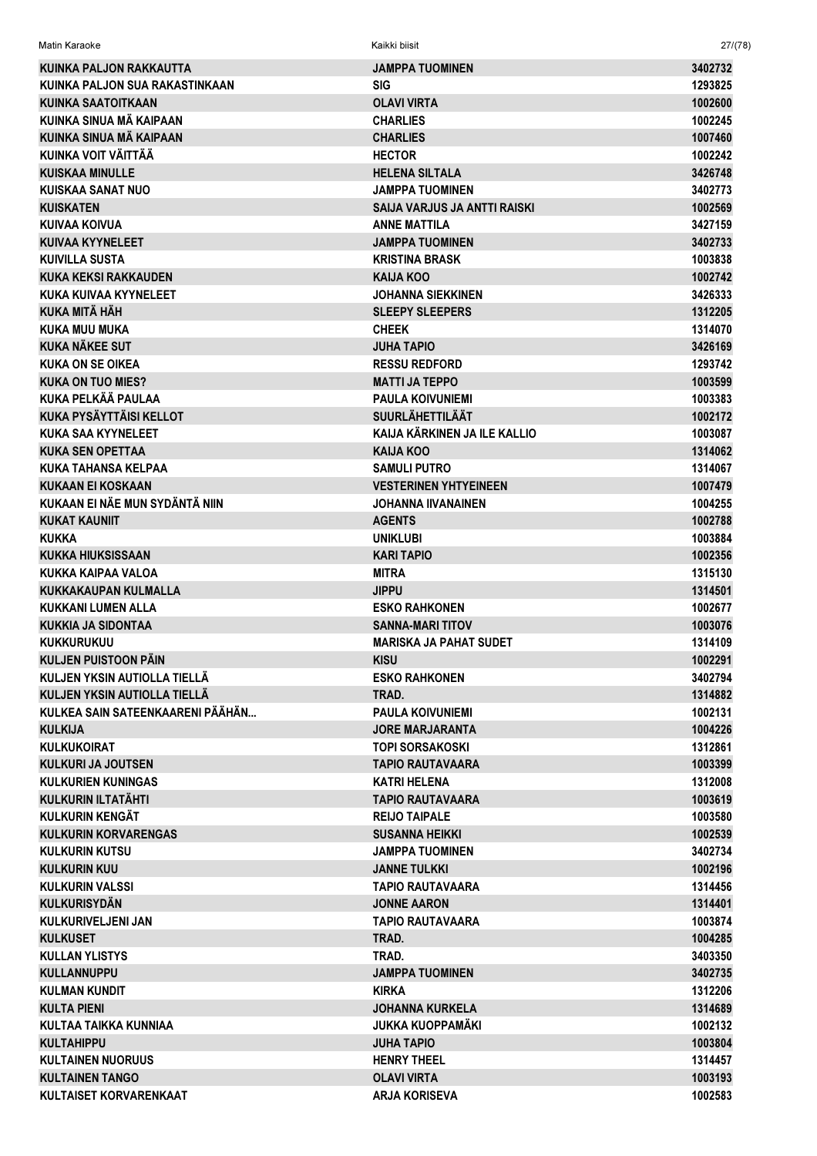| KUINKA PALJON RAKKAUTTA          | <b>JAMPPA TUOMINEN</b>              | 3402732 |
|----------------------------------|-------------------------------------|---------|
| KUINKA PALJON SUA RAKASTINKAAN   | <b>SIG</b>                          | 1293825 |
| <b>KUINKA SAATOITKAAN</b>        | <b>OLAVI VIRTA</b>                  | 1002600 |
| KUINKA SINUA MÄ KAIPAAN          | <b>CHARLIES</b>                     | 1002245 |
| <b>KUINKA SINUA MÄ KAIPAAN</b>   | <b>CHARLIES</b>                     | 1007460 |
| KUINKA VOIT VÄITTÄÄ              | <b>HECTOR</b>                       | 1002242 |
| <b>KUISKAA MINULLE</b>           | <b>HELENA SILTALA</b>               | 3426748 |
| <b>KUISKAA SANAT NUO</b>         | <b>JAMPPA TUOMINEN</b>              | 3402773 |
| <b>KUISKATEN</b>                 | <b>SAIJA VARJUS JA ANTTI RAISKI</b> | 1002569 |
| KUIVAA KOIVUA                    | <b>ANNE MATTILA</b>                 | 3427159 |
| <b>KUIVAA KYYNELEET</b>          | <b>JAMPPA TUOMINEN</b>              | 3402733 |
| <b>KUIVILLA SUSTA</b>            | <b>KRISTINA BRASK</b>               | 1003838 |
| <b>KUKA KEKSI RAKKAUDEN</b>      | <b>KAIJA KOO</b>                    | 1002742 |
| KUKA KUIVAA KYYNELEET            | JOHANNA SIEKKINEN                   | 3426333 |
| KUKA MITÄ HÄH                    | <b>SLEEPY SLEEPERS</b>              | 1312205 |
| <b>KUKA MUU MUKA</b>             | <b>CHEEK</b>                        | 1314070 |
| <b>KUKA NÄKEE SUT</b>            | <b>JUHA TAPIO</b>                   | 3426169 |
| <b>KUKA ON SE OIKEA</b>          | <b>RESSU REDFORD</b>                | 1293742 |
| <b>KUKA ON TUO MIES?</b>         | <b>MATTI JA TEPPO</b>               | 1003599 |
| <b>KUKA PELKÄÄ PAULAA</b>        | <b>PAULA KOIVUNIEMI</b>             | 1003383 |
| <b>KUKA PYSÄYTTÄISI KELLOT</b>   | <b>SUURLÄHETTILÄÄT</b>              | 1002172 |
| <b>KUKA SAA KYYNELEET</b>        | KAIJA KÄRKINEN JA ILE KALLIO        | 1003087 |
| <b>KUKA SEN OPETTAA</b>          | <b>KAIJA KOO</b>                    | 1314062 |
| <b>KUKA TAHANSA KELPAA</b>       | <b>SAMULI PUTRO</b>                 | 1314067 |
| <b>KUKAAN EI KOSKAAN</b>         | <b>VESTERINEN YHTYEINEEN</b>        | 1007479 |
| KUKAAN EI NÄE MUN SYDÄNTÄ NIIN   | <b>JOHANNA IIVANAINEN</b>           | 1004255 |
| <b>KUKAT KAUNIIT</b>             | <b>AGENTS</b>                       | 1002788 |
| <b>KUKKA</b>                     | <b>UNIKLUBI</b>                     | 1003884 |
| <b>KUKKA HIUKSISSAAN</b>         | <b>KARI TAPIO</b>                   | 1002356 |
| KUKKA KAIPAA VALOA               | <b>MITRA</b>                        | 1315130 |
| <b>KUKKAKAUPAN KULMALLA</b>      | <b>JIPPU</b>                        | 1314501 |
| KUKKANI LUMEN ALLA               | <b>ESKO RAHKONEN</b>                | 1002677 |
| <b>KUKKIA JA SIDONTAA</b>        | <b>SANNA-MARI TITOV</b>             | 1003076 |
| <b>KUKKURUKUU</b>                | <b>MARISKA JA PAHAT SUDET</b>       | 1314109 |
| KULJEN PUISTOON PÄIN             | <b>KISU</b>                         | 1002291 |
| KULJEN YKSIN AUTIOLLA TIELLÄ     | <b>ESKO RAHKONEN</b>                | 3402794 |
| KULJEN YKSIN AUTIOLLA TIELLÄ     | TRAD.                               | 1314882 |
| KULKEA SAIN SATEENKAARENI PÄÄHÄN | <b>PAULA KOIVUNIEMI</b>             | 1002131 |
| <b>KULKIJA</b>                   | JORE MARJARANTA                     | 1004226 |
| <b>KULKUKOIRAT</b>               | <b>TOPI SORSAKOSKI</b>              | 1312861 |
| KULKURI JA JOUTSEN               | TAPIO RAUTAVAARA                    | 1003399 |
| <b>KULKURIEN KUNINGAS</b>        | <b>KATRI HELENA</b>                 | 1312008 |
| <b>KULKURIN ILTATÄHTI</b>        | <b>TAPIO RAUTAVAARA</b>             | 1003619 |
| <b>KULKURIN KENGÄT</b>           | <b>REIJO TAIPALE</b>                | 1003580 |
| <b>KULKURIN KORVARENGAS</b>      | <b>SUSANNA HEIKKI</b>               | 1002539 |
| <b>KULKURIN KUTSU</b>            | JAMPPA TUOMINEN                     | 3402734 |
| <b>KULKURIN KUU</b>              | <b>JANNE TULKKI</b>                 | 1002196 |
| <b>KULKURIN VALSSI</b>           | TAPIO RAUTAVAARA                    | 1314456 |
| <b>KULKURISYDÄN</b>              | <b>JONNE AARON</b>                  | 1314401 |
| KULKURIVELJENI JAN               | TAPIO RAUTAVAARA                    | 1003874 |
| <b>KULKUSET</b>                  | TRAD.                               | 1004285 |
| <b>KULLAN YLISTYS</b>            | TRAD.                               | 3403350 |
| <b>KULLANNUPPU</b>               | <b>JAMPPA TUOMINEN</b>              |         |
|                                  |                                     | 3402735 |
| <b>KULMAN KUNDIT</b>             | <b>KIRKA</b>                        | 1312206 |
| <b>KULTA PIENI</b>               | <b>JOHANNA KURKELA</b>              | 1314689 |
| KULTAA TAIKKA KUNNIAA            | <b>JUKKA KUOPPAMÄKI</b>             | 1002132 |
| <b>KULTAHIPPU</b>                | JUHA TAPIO                          | 1003804 |
| <b>KULTAINEN NUORUUS</b>         | <b>HENRY THEEL</b>                  | 1314457 |
| <b>KULTAINEN TANGO</b>           | <b>OLAVI VIRTA</b>                  | 1003193 |
| KULTAISET KORVARENKAAT           | <b>ARJA KORISEVA</b>                | 1002583 |

Matin Karaoke Kaikki biisit 27/(78)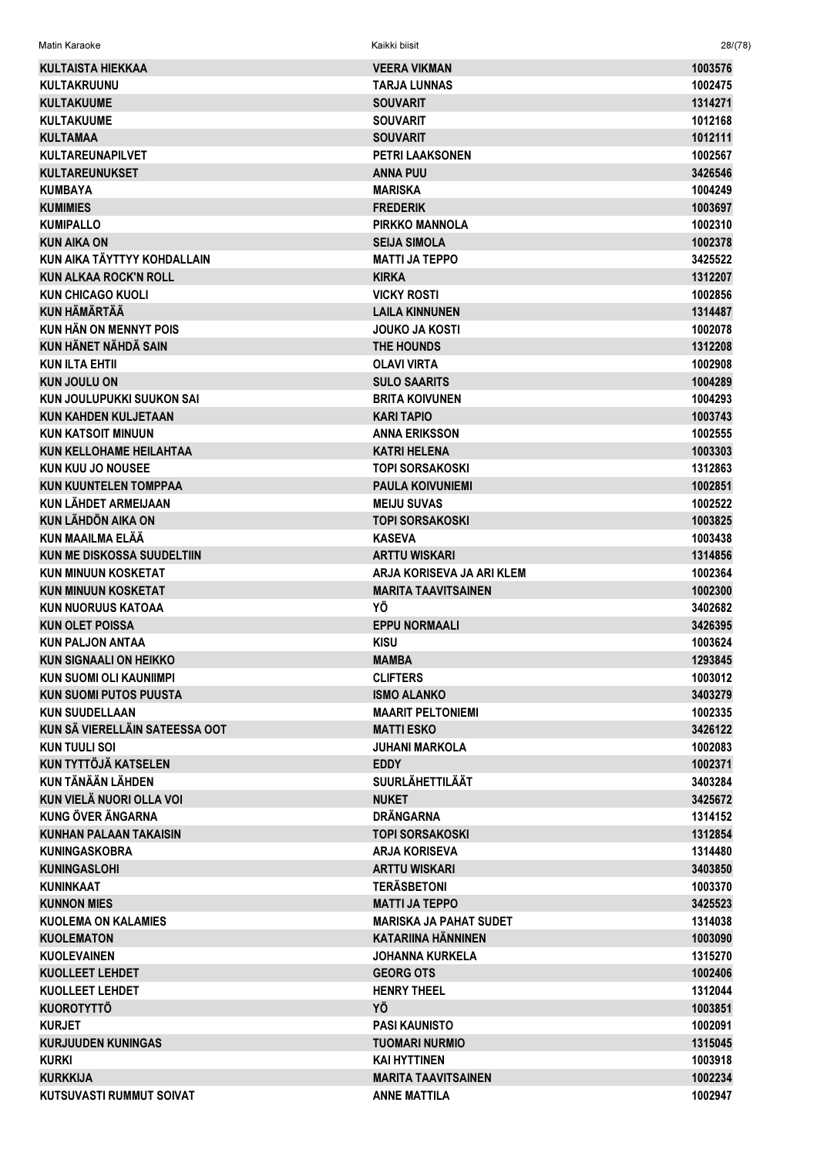| Matin Karaoke<br><br>Kaikki biisit | 28/(78) |  |  |
|------------------------------------|---------|--|--|
|------------------------------------|---------|--|--|

| <b>KULTAISTA HIEKKAA</b>          | <b>VEERA VIKMAN</b>                          | 1003576            |
|-----------------------------------|----------------------------------------------|--------------------|
| <b>KULTAKRUUNU</b>                | <b>TARJA LUNNAS</b>                          | 1002475            |
| <b>KULTAKUUME</b>                 | <b>SOUVARIT</b>                              | 1314271            |
| <b>KULTAKUUME</b>                 | <b>SOUVARIT</b>                              | 1012168            |
| <b>KULTAMAA</b>                   | <b>SOUVARIT</b>                              | 1012111            |
| <b>KULTAREUNAPILVET</b>           | <b>PETRI LAAKSONEN</b>                       | 1002567            |
| <b>KULTAREUNUKSET</b>             | <b>ANNA PUU</b>                              | 3426546            |
| <b>KUMBAYA</b>                    | <b>MARISKA</b>                               | 1004249            |
| <b>KUMIMIES</b>                   | <b>FREDERIK</b>                              | 1003697            |
| <b>KUMIPALLO</b>                  | <b>PIRKKO MANNOLA</b>                        | 1002310            |
| <b>KUN AIKA ON</b>                | <b>SEIJA SIMOLA</b>                          | 1002378            |
| KUN AIKA TÄYTTYY KOHDALLAIN       | <b>MATTI JA TEPPO</b>                        | 3425522            |
| <b>KUN ALKAA ROCK'N ROLL</b>      | <b>KIRKA</b>                                 | 1312207            |
| <b>KUN CHICAGO KUOLI</b>          | <b>VICKY ROSTI</b>                           | 1002856            |
| <b>KUN HÄMÄRTÄÄ</b>               | <b>LAILA KINNUNEN</b>                        | 1314487            |
| <b>KUN HÄN ON MENNYT POIS</b>     | <b>JOUKO JA KOSTI</b>                        | 1002078            |
| KUN HÄNET NÄHDÄ SAIN              | THE HOUNDS                                   | 1312208            |
| <b>KUN ILTA EHTII</b>             | <b>OLAVI VIRTA</b>                           | 1002908            |
| <b>KUN JOULU ON</b>               | <b>SULO SAARITS</b>                          | 1004289            |
| KUN JOULUPUKKI SUUKON SAI         | <b>BRITA KOIVUNEN</b>                        | 1004293            |
| <b>KUN KAHDEN KULJETAAN</b>       | <b>KARI TAPIO</b>                            | 1003743            |
|                                   |                                              |                    |
| <b>KUN KATSOIT MINUUN</b>         | <b>ANNA ERIKSSON</b>                         | 1002555            |
| <b>KUN KELLOHAME HEILAHTAA</b>    | <b>KATRI HELENA</b>                          | 1003303            |
| <b>KUN KUU JO NOUSEE</b>          | <b>TOPI SORSAKOSKI</b>                       | 1312863            |
| <b>KUN KUUNTELEN TOMPPAA</b>      | <b>PAULA KOIVUNIEMI</b>                      | 1002851            |
| KUN LÄHDET ARMEIJAAN              | <b>MEIJU SUVAS</b>                           | 1002522            |
| <b>KUN LÄHDÖN AIKA ON</b>         | <b>TOPI SORSAKOSKI</b>                       | 1003825            |
| KUN MAAILMA ELÄÄ                  | <b>KASEVA</b>                                | 1003438            |
| <b>KUN ME DISKOSSA SUUDELTIIN</b> | <b>ARTTU WISKARI</b>                         | 1314856            |
|                                   |                                              |                    |
| <b>KUN MINUUN KOSKETAT</b>        | ARJA KORISEVA JA ARI KLEM                    | 1002364            |
| <b>KUN MINUUN KOSKETAT</b>        | <b>MARITA TAAVITSAINEN</b>                   | 1002300            |
| <b>KUN NUORUUS KATOAA</b>         | ΥÖ                                           | 3402682            |
| <b>KUN OLET POISSA</b>            | <b>EPPU NORMAALI</b>                         | 3426395            |
| <b>KUN PALJON ANTAA</b>           | <b>KISU</b>                                  | 1003624            |
| <b>KUN SIGNAALI ON HEIKKO</b>     | <b>MAMBA</b>                                 | 1293845            |
| <b>KUN SUOMI OLI KAUNIIMPI</b>    | <b>CLIFTERS</b>                              | 1003012            |
| <b>KUN SUOMI PUTOS PUUSTA</b>     | <b>ISMO ALANKO</b>                           | 3403279            |
| <b>KUN SUUDELLAAN</b>             | <b>MAARIT PELTONIEMI</b>                     | 1002335            |
| KUN SÄ VIERELLÄIN SATEESSA OOT    | <b>MATTI ESKO</b>                            | 3426122            |
| <b>KUN TUULI SOI</b>              | <b>JUHANI MARKOLA</b>                        | 1002083            |
| <b>KUN TYTTÖJÄ KATSELEN</b>       | <b>EDDY</b>                                  | 1002371            |
| KUN TÄNÄÄN LÄHDEN                 | <b>SUURLÄHETTILÄÄT</b>                       | 3403284            |
| KUN VIELÄ NUORI OLLA VOI          | <b>NUKET</b>                                 | 3425672            |
| <b>KUNG ÖVER ÄNGARNA</b>          | <b>DRÄNGARNA</b>                             | 1314152            |
| <b>KUNHAN PALAAN TAKAISIN</b>     | <b>TOPI SORSAKOSKI</b>                       | 1312854            |
| <b>KUNINGASKOBRA</b>              | <b>ARJA KORISEVA</b>                         | 1314480            |
| <b>KUNINGASLOHI</b>               | <b>ARTTU WISKARI</b>                         | 3403850            |
| <b>KUNINKAAT</b>                  | <b>TERÄSBETONI</b>                           | 1003370            |
| <b>KUNNON MIES</b>                | <b>MATTI JA TEPPO</b>                        | 3425523            |
| <b>KUOLEMA ON KALAMIES</b>        | <b>MARISKA JA PAHAT SUDET</b>                | 1314038            |
| <b>KUOLEMATON</b>                 | <b>KATARIINA HÄNNINEN</b>                    | 1003090            |
| <b>KUOLEVAINEN</b>                | <b>JOHANNA KURKELA</b>                       | 1315270            |
| <b>KUOLLEET LEHDET</b>            | <b>GEORG OTS</b>                             | 1002406            |
| <b>KUOLLEET LEHDET</b>            | <b>HENRY THEEL</b>                           | 1312044            |
| <b>KUOROTYTTÖ</b>                 | YÖ                                           | 1003851            |
| <b>KURJET</b>                     | <b>PASI KAUNISTO</b>                         |                    |
| <b>KURJUUDEN KUNINGAS</b>         |                                              | 1002091            |
| <b>KURKI</b>                      | <b>TUOMARI NURMIO</b><br><b>KAI HYTTINEN</b> | 1315045            |
| <b>KURKKIJA</b>                   | <b>MARITA TAAVITSAINEN</b>                   | 1003918<br>1002234 |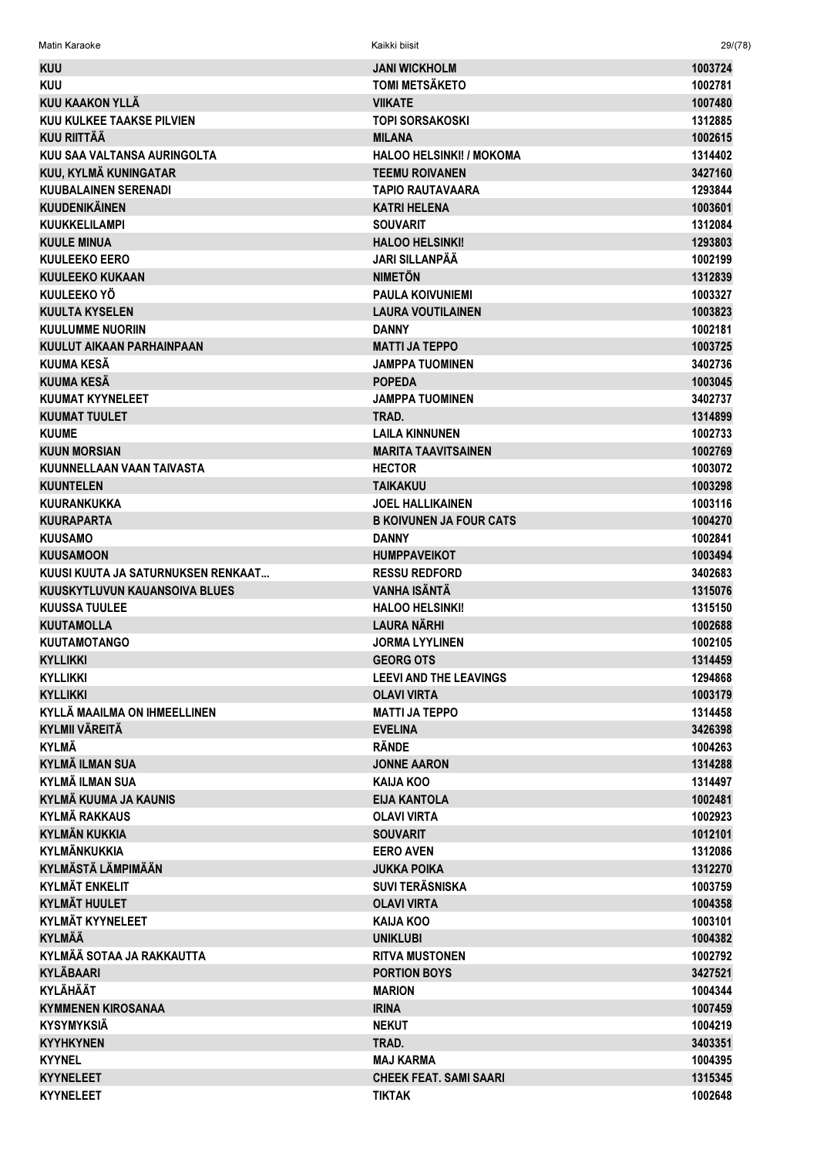Matin Karaoke Kaikki biisit 29/(78)

| <b>KUU</b>                          | <b>JANI WICKHOLM</b>            | 1003724 |
|-------------------------------------|---------------------------------|---------|
| <b>KUU</b>                          | <b>TOMI METSÄKETO</b>           | 1002781 |
| <b>KUU KAAKON YLLÄ</b>              | <b>VIIKATE</b>                  | 1007480 |
| KUU KULKEE TAAKSE PILVIEN           | <b>TOPI SORSAKOSKI</b>          | 1312885 |
| <b>KUU RIITTÄÄ</b>                  | <b>MILANA</b>                   | 1002615 |
| KUU SAA VALTANSA AURINGOLTA         | <b>HALOO HELSINKI! / MOKOMA</b> | 1314402 |
| KUU, KYLMÄ KUNINGATAR               | <b>TEEMU ROIVANEN</b>           | 3427160 |
| <b>KUUBALAINEN SERENADI</b>         | <b>TAPIO RAUTAVAARA</b>         | 1293844 |
| <b>KUUDENIKÄINEN</b>                | <b>KATRI HELENA</b>             | 1003601 |
| <b>KUUKKELILAMPI</b>                | <b>SOUVARIT</b>                 | 1312084 |
| <b>KUULE MINUA</b>                  | <b>HALOO HELSINKI!</b>          | 1293803 |
| <b>KUULEEKO EERO</b>                | <b>JARI SILLANPÄÄ</b>           | 1002199 |
| <b>KUULEEKO KUKAAN</b>              | <b>NIMETÖN</b>                  | 1312839 |
| KUULEEKO YÖ                         | <b>PAULA KOIVUNIEMI</b>         | 1003327 |
| <b>KUULTA KYSELEN</b>               | <b>LAURA VOUTILAINEN</b>        | 1003823 |
| <b>KUULUMME NUORIIN</b>             | <b>DANNY</b>                    | 1002181 |
| KUULUT AIKAAN PARHAINPAAN           | <b>MATTI JA TEPPO</b>           | 1003725 |
| KUUMA KESÄ                          | <b>JAMPPA TUOMINEN</b>          | 3402736 |
| <b>KUUMA KESÄ</b>                   | <b>POPEDA</b>                   | 1003045 |
| <b>KUUMAT KYYNELEET</b>             | <b>JAMPPA TUOMINEN</b>          | 3402737 |
| <b>KUUMAT TUULET</b>                | TRAD.                           | 1314899 |
| <b>KUUME</b>                        | <b>LAILA KINNUNEN</b>           | 1002733 |
| <b>KUUN MORSIAN</b>                 | <b>MARITA TAAVITSAINEN</b>      | 1002769 |
| KUUNNELLAAN VAAN TAIVASTA           | <b>HECTOR</b>                   | 1003072 |
| <b>KUUNTELEN</b>                    | <b>TAIKAKUU</b>                 | 1003298 |
| <b>KUURANKUKKA</b>                  | <b>JOEL HALLIKAINEN</b>         | 1003116 |
| <b>KUURAPARTA</b>                   | <b>B KOIVUNEN JA FOUR CATS</b>  | 1004270 |
| <b>KUUSAMO</b>                      | <b>DANNY</b>                    | 1002841 |
| <b>KUUSAMOON</b>                    | <b>HUMPPAVEIKOT</b>             | 1003494 |
| KUUSI KUUTA JA SATURNUKSEN RENKAAT  | <b>RESSU REDFORD</b>            | 3402683 |
| KUUSKYTLUVUN KAUANSOIVA BLUES       | <b>VANHA ISÄNTÄ</b>             | 1315076 |
| <b>KUUSSA TUULEE</b>                | <b>HALOO HELSINKI!</b>          | 1315150 |
| <b>KUUTAMOLLA</b>                   | <b>LAURA NÄRHI</b>              | 1002688 |
| <b>KUUTAMOTANGO</b>                 | <b>JORMA LYYLINEN</b>           | 1002105 |
| <b>KYLLIKKI</b>                     | <b>GEORG OTS</b>                | 1314459 |
| <b>KYLLIKKI</b>                     | <b>LEEVI AND THE LEAVINGS</b>   | 1294868 |
| <b>KYLLIKKI</b>                     | <b>OLAVI VIRTA</b>              | 1003179 |
| <b>KYLLÄ MAAILMA ON IHMEELLINEN</b> | <b>MATTI JA TEPPO</b>           | 1314458 |
| <b>KYLMII VÄREITÄ</b>               | <b>EVELINA</b>                  | 3426398 |
| <b>KYLMÄ</b>                        | <b>RÄNDE</b>                    | 1004263 |
| <b>KYLMÄ ILMAN SUA</b>              | <b>JONNE AARON</b>              | 1314288 |
| KYLMÄ ILMAN SUA                     | <b>KAIJA KOO</b>                | 1314497 |
| <b>KYLMÄ KUUMA JA KAUNIS</b>        | <b>EIJA KANTOLA</b>             | 1002481 |
| <b>KYLMÄ RAKKAUS</b>                | <b>OLAVI VIRTA</b>              | 1002923 |
| <b>KYLMÄN KUKKIA</b>                | <b>SOUVARIT</b>                 | 1012101 |
| KYLMÄNKUKKIA                        | <b>EERO AVEN</b>                | 1312086 |
| <b>KYLMÄSTÄ LÄMPIMÄÄN</b>           | <b>JUKKA POIKA</b>              | 1312270 |
| <b>KYLMÄT ENKELIT</b>               | <b>SUVI TERÄSNISKA</b>          | 1003759 |
| <b>KYLMÄT HUULET</b>                | <b>OLAVI VIRTA</b>              | 1004358 |
| <b>KYLMÄT KYYNELEET</b>             | <b>KAIJA KOO</b>                | 1003101 |
| <b>KYLMÄÄ</b>                       | <b>UNIKLUBI</b>                 | 1004382 |
| KYLMÄÄ SOTAA JA RAKKAUTTA           | <b>RITVA MUSTONEN</b>           | 1002792 |
| <b>KYLÄBAARI</b>                    | <b>PORTION BOYS</b>             | 3427521 |
| <b>KYLÄHÄÄT</b>                     | <b>MARION</b>                   | 1004344 |
| <b>KYMMENEN KIROSANAA</b>           | <b>IRINA</b>                    | 1007459 |
| <b>KYSYMYKSIÄ</b>                   | <b>NEKUT</b>                    | 1004219 |
| <b>KYYHKYNEN</b>                    | TRAD.                           | 3403351 |
| <b>KYYNEL</b>                       | <b>MAJ KARMA</b>                | 1004395 |
| <b>KYYNELEET</b>                    | <b>CHEEK FEAT. SAMI SAARI</b>   | 1315345 |
| <b>KYYNELEET</b>                    | <b>TIKTAK</b>                   | 1002648 |
|                                     |                                 |         |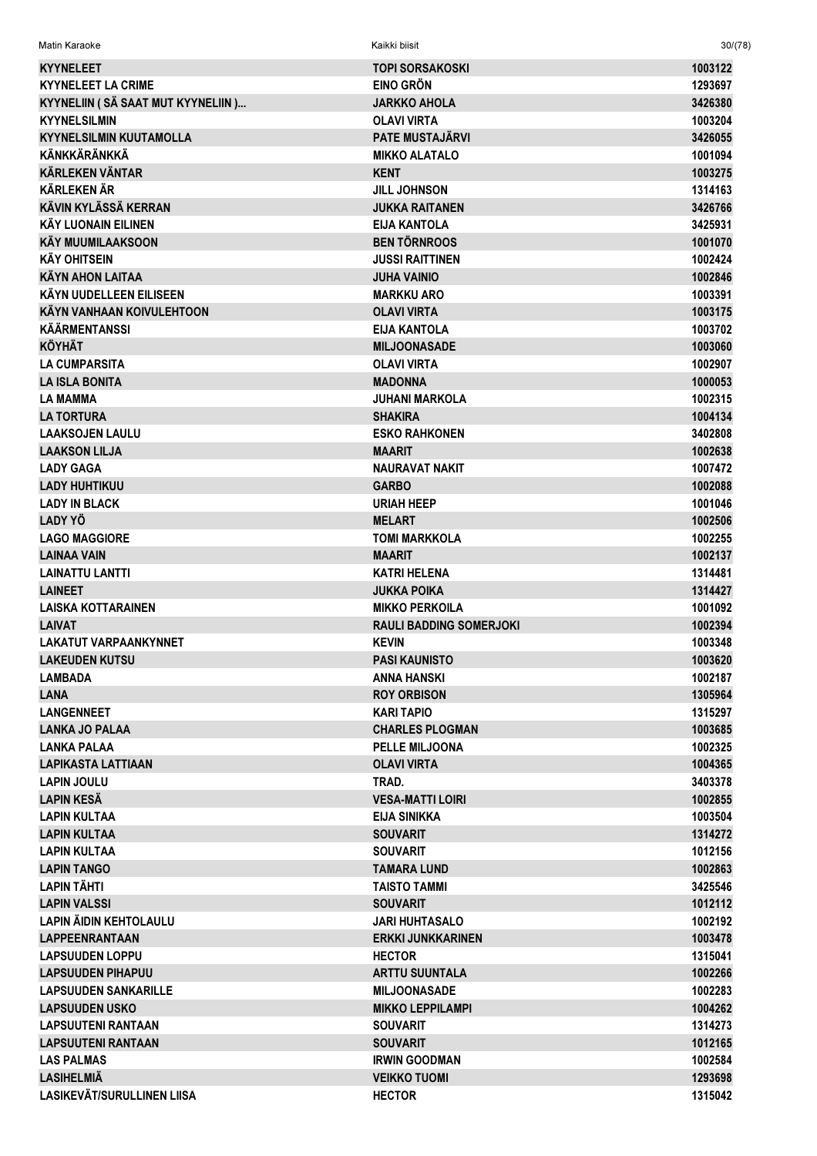| Matin Karaoke                     | Kaikki biisit                              | 30/(78)            |
|-----------------------------------|--------------------------------------------|--------------------|
| <b>KYYNELEET</b>                  | <b>TOPI SORSAKOSKI</b>                     | 1003122            |
| <b>KYYNELEET LA CRIME</b>         | <b>EINO GRÖN</b>                           | 1293697            |
| KYYNELIIN (SÄ SAAT MUT KYYNELIIN) | JARKKO AHOLA                               | 3426380            |
| <b>KYYNELSILMIN</b>               | <b>OLAVI VIRTA</b>                         | 1003204            |
| <b>KYYNELSILMIN KUUTAMOLLA</b>    | <b>PATE MUSTAJÄRVI</b>                     | 3426055            |
| <b>KÄNKKÄRÄNKKÄ</b>               | <b>MIKKO ALATALO</b>                       | 1001094            |
| <b>KÄRLEKEN VÄNTAR</b>            | <b>KENT</b>                                | 1003275            |
| <b>KÄRLEKEN ÄR</b>                | <b>JILL JOHNSON</b>                        | 1314163            |
| <b>KÄVIN KYLÄSSÄ KERRAN</b>       | <b>JUKKA RAITANEN</b>                      | 3426766            |
| KÄY LUONAIN EILINEN               | EIJA KANTOLA                               | 3425931            |
| <b>KÄY MUUMILAAKSOON</b>          | <b>BEN TÖRNROOS</b>                        | 1001070            |
| <b>KÄY OHITSEIN</b>               | <b>JUSSI RAITTINEN</b>                     | 1002424            |
| <b>KÄYN AHON LAITAA</b>           | <b>JUHA VAINIO</b>                         | 1002846            |
| KÄYN UUDELLEEN EILISEEN           | <b>MARKKU ARO</b>                          | 1003391            |
| <b>KÄYN VANHAAN KOIVULEHTOON</b>  | <b>OLAVI VIRTA</b>                         | 1003175            |
| <b>KÄÄRMENTANSSI</b>              | <b>EIJA KANTOLA</b>                        | 1003702            |
| <b>KÖYHÄT</b>                     | <b>MILJOONASADE</b>                        | 1003060            |
| <b>LA CUMPARSITA</b>              | <b>OLAVI VIRTA</b>                         | 1002907            |
| <b>LA ISLA BONITA</b>             | <b>MADONNA</b>                             | 1000053            |
| <b>LA MAMMA</b>                   | <b>JUHANI MARKOLA</b>                      | 1002315            |
| <b>LA TORTURA</b>                 | <b>SHAKIRA</b>                             | 1004134            |
| <b>LAAKSOJEN LAULU</b>            | <b>ESKO RAHKONEN</b>                       | 3402808            |
| <b>LAAKSON LILJA</b>              | <b>MAARIT</b>                              | 1002638            |
| <b>LADY GAGA</b>                  | <b>NAURAVAT NAKIT</b>                      | 1007472            |
| <b>LADY HUHTIKUU</b>              | <b>GARBO</b>                               | 1002088            |
| <b>LADY IN BLACK</b>              | <b>URIAH HEEP</b>                          | 1001046            |
| LADY YÖ                           | <b>MELART</b>                              | 1002506            |
| <b>LAGO MAGGIORE</b>              | <b>TOMI MARKKOLA</b>                       | 1002255            |
| LAINAA VAIN                       | <b>MAARIT</b>                              | 1002137            |
| <b>LAINATTU LANTTI</b>            | KATRI HELENA                               | 1314481            |
| <b>LAINEET</b>                    | <b>JUKKA POIKA</b>                         | 1314427            |
| <b>LAISKA KOTTARAINEN</b>         | <b>MIKKO PERKOILA</b>                      | 1001092            |
| <b>LAIVAT</b>                     | <b>RAULI BADDING SOMERJOKI</b>             | 1002394            |
| LAKATUT VARPAANKYNNET             | <b>KEVIN</b>                               | 1003348            |
| <b>LAKEUDEN KUTSU</b><br>LAMBADA  | <b>PASI KAUNISTO</b><br><b>ANNA HANSKI</b> | 1003620<br>1002187 |
| <b>LANA</b>                       | <b>ROY ORBISON</b>                         | 1305964            |
| <b>LANGENNEET</b>                 | KARI TAPIO                                 | 1315297            |
| <b>LANKA JO PALAA</b>             | <b>CHARLES PLOGMAN</b>                     | 1003685            |
| <b>LANKA PALAA</b>                | PELLE MILJOONA                             | 1002325            |
| <b>LAPIKASTA LATTIAAN</b>         | <b>OLAVI VIRTA</b>                         | 1004365            |
| <b>LAPIN JOULU</b>                | TRAD.                                      | 3403378            |
| LAPIN KESÄ                        | <b>VESA-MATTI LOIRI</b>                    | 1002855            |
| <b>LAPIN KULTAA</b>               | <b>EIJA SINIKKA</b>                        | 1003504            |
| <b>LAPIN KULTAA</b>               | <b>SOUVARIT</b>                            | 1314272            |
| <b>LAPIN KULTAA</b>               | <b>SOUVARIT</b>                            | 1012156            |
| <b>LAPIN TANGO</b>                | TAMARA LUND                                | 1002863            |
| <b>LAPIN TÄHTI</b>                | <b>TAISTO TAMMI</b>                        | 3425546            |
| <b>LAPIN VALSSI</b>               | <b>SOUVARIT</b>                            | 1012112            |
| <b>LAPIN ÄIDIN KEHTOLAULU</b>     | <b>JARI HUHTASALO</b>                      | 1002192            |
| <b>LAPPEENRANTAAN</b>             | <b>ERKKI JUNKKARINEN</b>                   | 1003478            |
| <b>LAPSUUDEN LOPPU</b>            | <b>HECTOR</b>                              | 1315041            |
| <b>LAPSUUDEN PIHAPUU</b>          | <b>ARTTU SUUNTALA</b>                      | 1002266            |
| <b>LAPSUUDEN SANKARILLE</b>       | <b>MILJOONASADE</b>                        | 1002283            |
| <b>LAPSUUDEN USKO</b>             | <b>MIKKO LEPPILAMPI</b>                    | 1004262            |
| <b>LAPSUUTENI RANTAAN</b>         | <b>SOUVARIT</b>                            | 1314273            |
| <b>LAPSUUTENI RANTAAN</b>         | <b>SOUVARIT</b>                            | 1012165            |
| <b>LAS PALMAS</b>                 | <b>IRWIN GOODMAN</b>                       | 1002584            |
| LASIHELMIÄ                        | <b>VEIKKO TUOMI</b>                        | 1293698            |
| LASIKEVÄT/SURULLINEN LIISA        | <b>HECTOR</b>                              | 1315042            |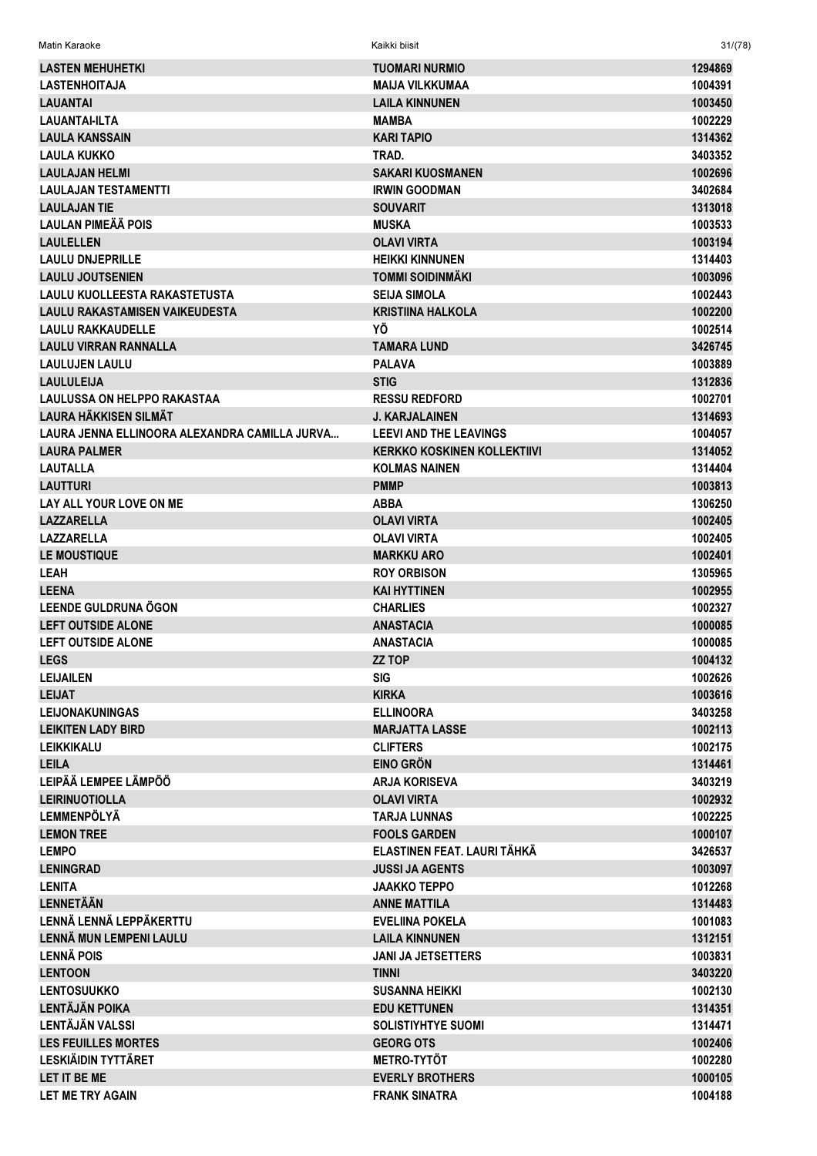| <b>LASTEN MEHUHETKI</b>                       | <b>TUOMARI NURMIO</b>              | 1294869 |
|-----------------------------------------------|------------------------------------|---------|
| <b>LASTENHOITAJA</b>                          | <b>MAIJA VILKKUMAA</b>             | 1004391 |
| <b>LAUANTAI</b>                               | <b>LAILA KINNUNEN</b>              | 1003450 |
| LAUANTAI-ILTA                                 | MAMBA                              | 1002229 |
| <b>LAULA KANSSAIN</b>                         | <b>KARI TAPIO</b>                  | 1314362 |
| <b>LAULA KUKKO</b>                            | TRAD.                              | 3403352 |
| <b>LAULAJAN HELMI</b>                         | <b>SAKARI KUOSMANEN</b>            | 1002696 |
| <b>LAULAJAN TESTAMENTTI</b>                   | <b>IRWIN GOODMAN</b>               | 3402684 |
| <b>LAULAJAN TIE</b>                           | <b>SOUVARIT</b>                    | 1313018 |
| <b>LAULAN PIMEÄÄ POIS</b>                     | <b>MUSKA</b>                       | 1003533 |
| <b>LAULELLEN</b>                              | <b>OLAVI VIRTA</b>                 | 1003194 |
| <b>LAULU DNJEPRILLE</b>                       | <b>HEIKKI KINNUNEN</b>             | 1314403 |
| <b>LAULU JOUTSENIEN</b>                       | <b>TOMMI SOIDINMÄKI</b>            | 1003096 |
| <b>LAULU KUOLLEESTA RAKASTETUSTA</b>          | <b>SEIJA SIMOLA</b>                | 1002443 |
| <b>LAULU RAKASTAMISEN VAIKEUDESTA</b>         | <b>KRISTIINA HALKOLA</b>           | 1002200 |
| <b>LAULU RAKKAUDELLE</b>                      | ΥÖ                                 | 1002514 |
| <b>LAULU VIRRAN RANNALLA</b>                  | <b>TAMARA LUND</b>                 | 3426745 |
| <b>LAULUJEN LAULU</b>                         | <b>PALAVA</b>                      | 1003889 |
| <b>LAULULEIJA</b>                             | <b>STIG</b>                        | 1312836 |
| <b>LAULUSSA ON HELPPO RAKASTAA</b>            | <b>RESSU REDFORD</b>               | 1002701 |
| <b>LAURA HÄKKISEN SILMÄT</b>                  | <b>J. KARJALAINEN</b>              | 1314693 |
| LAURA JENNA ELLINOORA ALEXANDRA CAMILLA JURVA | <b>LEEVI AND THE LEAVINGS</b>      | 1004057 |
| <b>LAURA PALMER</b>                           | <b>KERKKO KOSKINEN KOLLEKTIIVI</b> | 1314052 |
| <b>LAUTALLA</b>                               | <b>KOLMAS NAINEN</b>               | 1314404 |
| <b>LAUTTURI</b>                               | <b>PMMP</b>                        | 1003813 |
| LAY ALL YOUR LOVE ON ME                       | <b>ABBA</b>                        | 1306250 |
| <b>LAZZARELLA</b>                             | <b>OLAVI VIRTA</b>                 | 1002405 |
| <b>LAZZARELLA</b>                             | <b>OLAVI VIRTA</b>                 | 1002405 |
| <b>LE MOUSTIQUE</b>                           | <b>MARKKU ARO</b>                  | 1002401 |
| LEAH                                          | <b>ROY ORBISON</b>                 | 1305965 |
| <b>LEENA</b>                                  | <b>KAI HYTTINEN</b>                | 1002955 |
| <b>LEENDE GULDRUNA ÖGON</b>                   | <b>CHARLIES</b>                    | 1002327 |
| <b>LEFT OUTSIDE ALONE</b>                     | <b>ANASTACIA</b>                   | 1000085 |
| <b>LEFT OUTSIDE ALONE</b>                     | <b>ANASTACIA</b>                   | 1000085 |
| <b>LEGS</b>                                   | <b>ZZ TOP</b>                      | 1004132 |
| <b>LEIJAILEN</b>                              | <b>SIG</b>                         | 1002626 |
| <b>LEIJAT</b>                                 | <b>KIRKA</b>                       | 1003616 |
| <b>LEIJONAKUNINGAS</b>                        | <b>ELLINOORA</b>                   | 3403258 |
| <b>LEIKITEN LADY BIRD</b>                     | <b>MARJATTA LASSE</b>              | 1002113 |
| <b>LEIKKIKALU</b>                             | <b>CLIFTERS</b>                    | 1002175 |
| <b>LEILA</b>                                  | <b>EINO GRÖN</b>                   | 1314461 |
| LEIPÄÄ LEMPEE LÄMPÖÖ                          | <b>ARJA KORISEVA</b>               | 3403219 |
| <b>LEIRINUOTIOLLA</b>                         | <b>OLAVI VIRTA</b>                 | 1002932 |
| <b>LEMMENPÖLYÄ</b>                            | <b>TARJA LUNNAS</b>                | 1002225 |
| <b>LEMON TREE</b>                             | <b>FOOLS GARDEN</b>                | 1000107 |
| <b>LEMPO</b>                                  | ELASTINEN FEAT. LAURI TÄHKÄ        | 3426537 |
| <b>LENINGRAD</b>                              | <b>JUSSI JA AGENTS</b>             | 1003097 |
| <b>LENITA</b>                                 | JAAKKO TEPPO                       | 1012268 |
| <b>LENNETÄÄN</b>                              | <b>ANNE MATTILA</b>                | 1314483 |
| LENNÄ LENNÄ LEPPÄKERTTU                       | <b>EVELIINA POKELA</b>             | 1001083 |
| LENNÄ MUN LEMPENI LAULU                       | <b>LAILA KINNUNEN</b>              | 1312151 |
| <b>LENNÄ POIS</b>                             | <b>JANI JA JETSETTERS</b>          | 1003831 |
| <b>LENTOON</b>                                | <b>TINNI</b>                       | 3403220 |
| <b>LENTOSUUKKO</b>                            | <b>SUSANNA HEIKKI</b>              | 1002130 |
| <b>LENTÄJÄN POIKA</b>                         | <b>EDU KETTUNEN</b>                | 1314351 |
| <b>LENTÄJÄN VALSSI</b>                        | <b>SOLISTIYHTYE SUOMI</b>          | 1314471 |
| <b>LES FEUILLES MORTES</b>                    | <b>GEORG OTS</b>                   | 1002406 |
| <b>LESKIÄIDIN TYTTÄRET</b>                    | <b>METRO-TYTÖT</b>                 | 1002280 |
| LET IT BE ME                                  | <b>EVERLY BROTHERS</b>             | 1000105 |
| LET ME TRY AGAIN                              | <b>FRANK SINATRA</b>               | 1004188 |
|                                               |                                    |         |

Matin Karaoke Kaikki biisit 31/(78)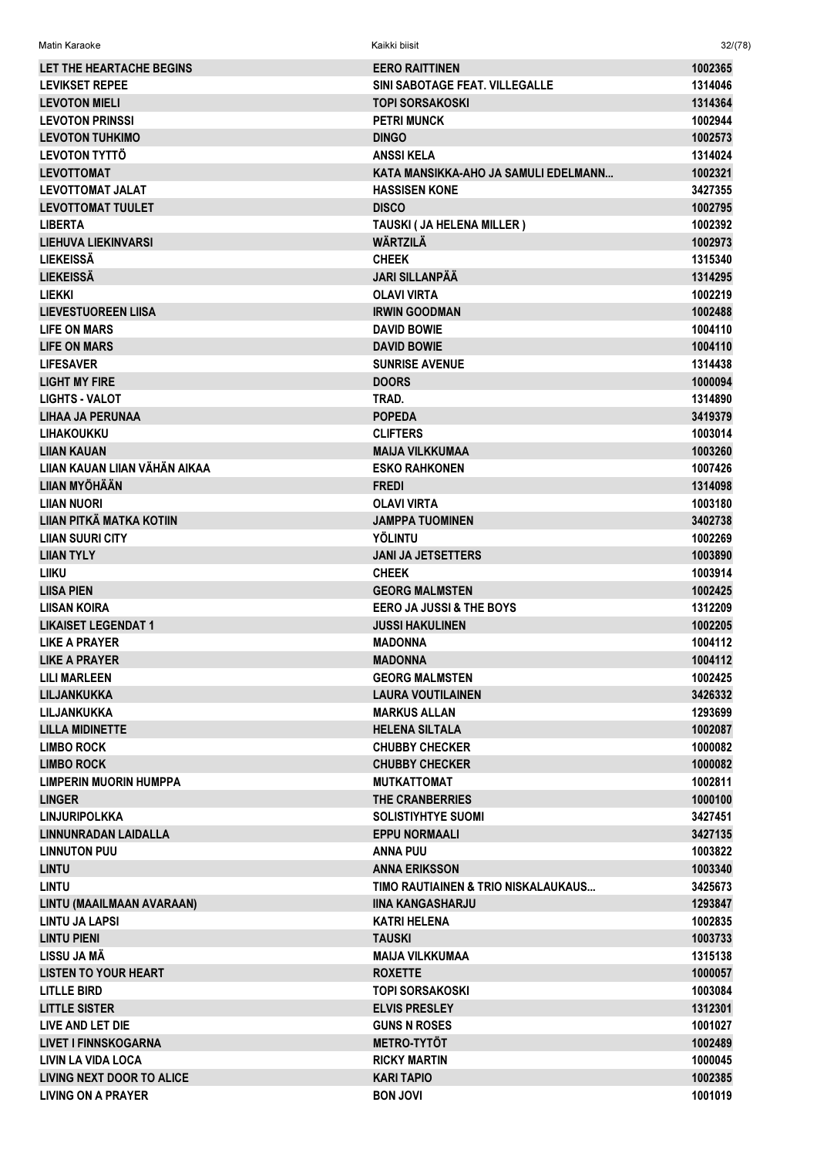| LET THE HEARTACHE BEGINS         | <b>EERO RAITTINEN</b>                | 1002365 |
|----------------------------------|--------------------------------------|---------|
| <b>LEVIKSET REPEE</b>            | SINI SABOTAGE FEAT. VILLEGALLE       | 1314046 |
| <b>LEVOTON MIELI</b>             | <b>TOPI SORSAKOSKI</b>               | 1314364 |
| <b>LEVOTON PRINSSI</b>           | <b>PETRI MUNCK</b>                   | 1002944 |
| <b>LEVOTON TUHKIMO</b>           | <b>DINGO</b>                         | 1002573 |
| <b>LEVOTON TYTTÖ</b>             | <b>ANSSIKELA</b>                     | 1314024 |
| <b>LEVOTTOMAT</b>                | KATA MANSIKKA-AHO JA SAMULI EDELMANN | 1002321 |
| <b>LEVOTTOMAT JALAT</b>          | <b>HASSISEN KONE</b>                 | 3427355 |
| <b>LEVOTTOMAT TUULET</b>         | <b>DISCO</b>                         | 1002795 |
| <b>LIBERTA</b>                   | TAUSKI (JA HELENA MILLER)            | 1002392 |
| <b>LIEHUVA LIEKINVARSI</b>       | <b>WÄRTZILÄ</b>                      | 1002973 |
| <b>LIEKEISSÄ</b>                 | <b>CHEEK</b>                         | 1315340 |
| <b>LIEKEISSÄ</b>                 | <b>JARI SILLANPÄÄ</b>                | 1314295 |
|                                  |                                      |         |
| <b>LIEKKI</b>                    | <b>OLAVI VIRTA</b>                   | 1002219 |
| <b>LIEVESTUOREEN LIISA</b>       | <b>IRWIN GOODMAN</b>                 | 1002488 |
| <b>LIFE ON MARS</b>              | <b>DAVID BOWIE</b>                   | 1004110 |
| LIFE ON MARS                     | <b>DAVID BOWIE</b>                   | 1004110 |
| <b>LIFESAVER</b>                 | <b>SUNRISE AVENUE</b>                | 1314438 |
| <b>LIGHT MY FIRE</b>             | <b>DOORS</b>                         | 1000094 |
| <b>LIGHTS - VALOT</b>            | TRAD.                                | 1314890 |
| <b>LIHAA JA PERUNAA</b>          | <b>POPEDA</b>                        | 3419379 |
| <b>LIHAKOUKKU</b>                | <b>CLIFTERS</b>                      | 1003014 |
| LIIAN KAUAN                      | <b>MAIJA VILKKUMAA</b>               | 1003260 |
| LIIAN KAUAN LIIAN VÄHÄN AIKAA    | <b>ESKO RAHKONEN</b>                 | 1007426 |
| LIIAN MYÖHÄÄN                    | <b>FREDI</b>                         | 1314098 |
| <b>LIIAN NUORI</b>               | <b>OLAVI VIRTA</b>                   | 1003180 |
| LIIAN PITKÄ MATKA KOTIIN         | <b>JAMPPA TUOMINEN</b>               | 3402738 |
| <b>LIIAN SUURI CITY</b>          | <b>YÖLINTU</b>                       | 1002269 |
| <b>LIIAN TYLY</b>                | <b>JANI JA JETSETTERS</b>            | 1003890 |
| LIIKU                            | <b>CHEEK</b>                         | 1003914 |
| <b>LIISA PIEN</b>                | <b>GEORG MALMSTEN</b>                | 1002425 |
| <b>LIISAN KOIRA</b>              | <b>EERO JA JUSSI &amp; THE BOYS</b>  | 1312209 |
| <b>LIKAISET LEGENDAT 1</b>       | <b>JUSSI HAKULINEN</b>               | 1002205 |
| <b>LIKE A PRAYER</b>             | <b>MADONNA</b>                       | 1004112 |
| <b>LIKE A PRAYER</b>             | <b>MADONNA</b>                       | 1004112 |
| <b>LILI MARLEEN</b>              | <b>GEORG MALMSTEN</b>                | 1002425 |
| LILJANKUKKA                      | <b>LAURA VOUTILAINEN</b>             | 3426332 |
| LILJANKUKKA                      | <b>MARKUS ALLAN</b>                  | 1293699 |
| <b>LILLA MIDINETTE</b>           | <b>HELENA SILTALA</b>                | 1002087 |
| <b>LIMBO ROCK</b>                | <b>CHUBBY CHECKER</b>                | 1000082 |
| <b>LIMBO ROCK</b>                | <b>CHUBBY CHECKER</b>                | 1000082 |
| <b>LIMPERIN MUORIN HUMPPA</b>    | <b>MUTKATTOMAT</b>                   | 1002811 |
| <b>LINGER</b>                    | THE CRANBERRIES                      | 1000100 |
|                                  |                                      |         |
| <b>LINJURIPOLKKA</b>             | <b>SOLISTIYHTYE SUOMI</b>            | 3427451 |
| <b>LINNUNRADAN LAIDALLA</b>      | <b>EPPU NORMAALI</b>                 | 3427135 |
| <b>LINNUTON PUU</b>              | <b>ANNA PUU</b>                      | 1003822 |
| <b>LINTU</b>                     | <b>ANNA ERIKSSON</b>                 | 1003340 |
| <b>LINTU</b>                     | TIMO RAUTIAINEN & TRIO NISKALAUKAUS  | 3425673 |
| LINTU (MAAILMAAN AVARAAN)        | IINA KANGASHARJU                     | 1293847 |
| <b>LINTU JA LAPSI</b>            | <b>KATRI HELENA</b>                  | 1002835 |
| <b>LINTU PIENI</b>               | <b>TAUSKI</b>                        | 1003733 |
| LISSU JA MÄ                      | <b>MAIJA VILKKUMAA</b>               | 1315138 |
| <b>LISTEN TO YOUR HEART</b>      | <b>ROXETTE</b>                       | 1000057 |
| <b>LITLLE BIRD</b>               | TOPI SORSAKOSKI                      | 1003084 |
| <b>LITTLE SISTER</b>             | <b>ELVIS PRESLEY</b>                 | 1312301 |
| LIVE AND LET DIE                 | <b>GUNS N ROSES</b>                  | 1001027 |
| <b>LIVET I FINNSKOGARNA</b>      | <b>METRO-TYTÖT</b>                   | 1002489 |
| <b>LIVIN LA VIDA LOCA</b>        | <b>RICKY MARTIN</b>                  | 1000045 |
| <b>LIVING NEXT DOOR TO ALICE</b> | <b>KARI TAPIO</b>                    | 1002385 |
| <b>LIVING ON A PRAYER</b>        | <b>BON JOVI</b>                      | 1001019 |

 $32/(78)$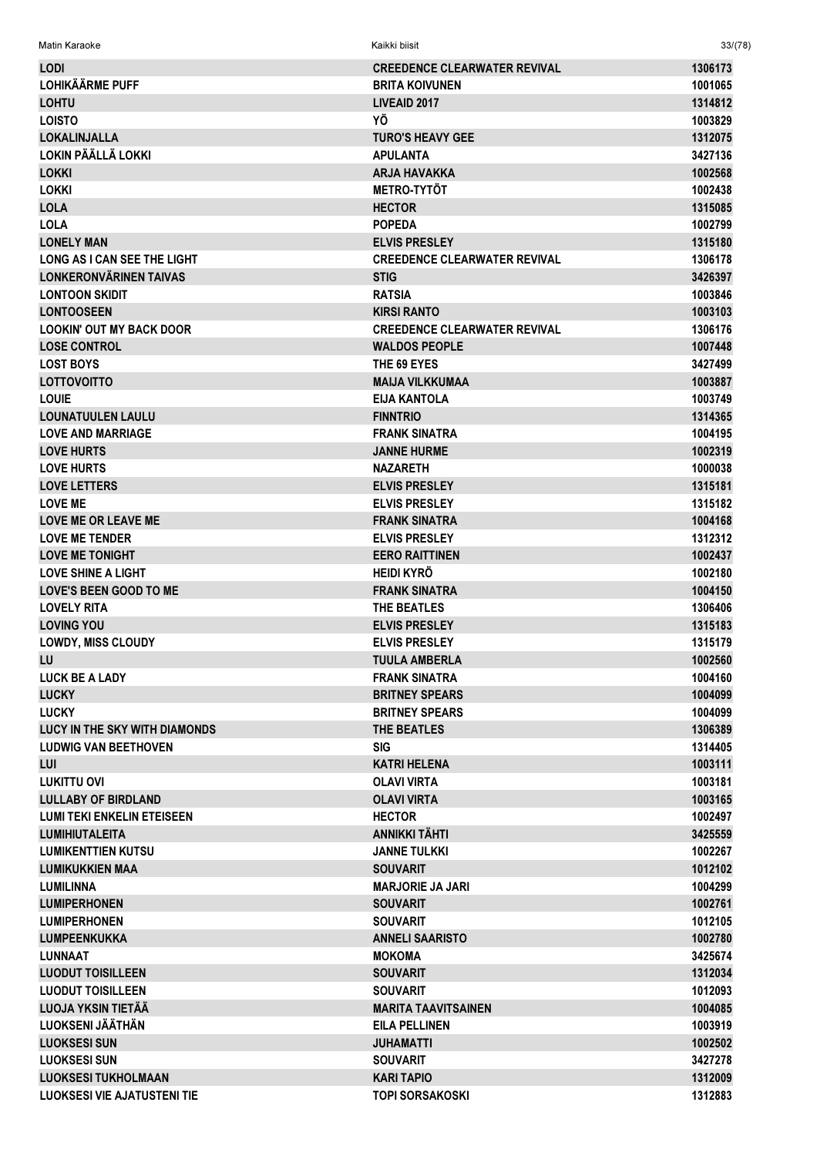| Matin Karaoke                                  | Kaikki biisit                       | 33/(78)            |
|------------------------------------------------|-------------------------------------|--------------------|
| <b>LODI</b>                                    | <b>CREEDENCE CLEARWATER REVIVAL</b> | 1306173            |
| <b>LOHIKÄÄRME PUFF</b>                         | <b>BRITA KOIVUNEN</b>               | 1001065            |
| <b>LOHTU</b>                                   | LIVEAID 2017                        | 1314812            |
| <b>LOISTO</b>                                  | ΥÖ                                  | 1003829            |
| <b>LOKALINJALLA</b>                            | <b>TURO'S HEAVY GEE</b>             | 1312075            |
| LOKIN PÄÄLLÄ LOKKI                             | <b>APULANTA</b>                     | 3427136            |
| <b>LOKKI</b>                                   | <b>ARJA HAVAKKA</b>                 | 1002568            |
| <b>LOKKI</b>                                   | <b>METRO-TYTÖT</b>                  | 1002438            |
| <b>LOLA</b>                                    | <b>HECTOR</b>                       | 1315085            |
| <b>LOLA</b>                                    | <b>POPEDA</b>                       | 1002799            |
| <b>LONELY MAN</b>                              | <b>ELVIS PRESLEY</b>                | 1315180            |
| <b>LONG AS I CAN SEE THE LIGHT</b>             | <b>CREEDENCE CLEARWATER REVIVAL</b> | 1306178            |
| LONKERONVÄRINEN TAIVAS                         | <b>STIG</b>                         | 3426397            |
| <b>LONTOON SKIDIT</b>                          | <b>RATSIA</b>                       | 1003846            |
| <b>LONTOOSEEN</b>                              | <b>KIRSI RANTO</b>                  | 1003103            |
| <b>LOOKIN' OUT MY BACK DOOR</b>                | <b>CREEDENCE CLEARWATER REVIVAL</b> | 1306176            |
| <b>LOSE CONTROL</b>                            | <b>WALDOS PEOPLE</b>                | 1007448            |
| <b>LOST BOYS</b>                               | THE 69 EYES                         | 3427499            |
| <b>LOTTOVOITTO</b>                             | <b>MAIJA VILKKUMAA</b>              | 1003887            |
| <b>LOUIE</b>                                   | <b>EIJA KANTOLA</b>                 | 1003749            |
| <b>LOUNATUULEN LAULU</b>                       | <b>FINNTRIO</b>                     | 1314365            |
| <b>LOVE AND MARRIAGE</b>                       | <b>FRANK SINATRA</b>                | 1004195            |
| <b>LOVE HURTS</b>                              | <b>JANNE HURME</b>                  | 1002319            |
| <b>LOVE HURTS</b>                              | <b>NAZARETH</b>                     | 1000038            |
| <b>LOVE LETTERS</b>                            | <b>ELVIS PRESLEY</b>                | 1315181            |
| <b>LOVE ME</b>                                 | <b>ELVIS PRESLEY</b>                | 1315182            |
| <b>LOVE ME OR LEAVE ME</b>                     | <b>FRANK SINATRA</b>                | 1004168            |
| <b>LOVE ME TENDER</b>                          | <b>ELVIS PRESLEY</b>                | 1312312            |
| <b>LOVE ME TONIGHT</b>                         | <b>EERO RAITTINEN</b>               | 1002437            |
| <b>LOVE SHINE A LIGHT</b>                      | <b>HEIDI KYRÖ</b>                   | 1002180            |
| <b>LOVE'S BEEN GOOD TO ME</b>                  | <b>FRANK SINATRA</b>                | 1004150            |
| <b>LOVELY RITA</b>                             | THE BEATLES                         | 1306406            |
| <b>LOVING YOU</b>                              | <b>ELVIS PRESLEY</b>                | 1315183            |
| <b>LOWDY, MISS CLOUDY</b>                      | <b>ELVIS PRESLEY</b>                | 1315179            |
| <b>LU</b>                                      | <b>TUULA AMBERLA</b>                | 1002560            |
| <b>LUCK BE A LADY</b>                          | <b>FRANK SINATRA</b>                | 1004160            |
| <b>LUCKY</b>                                   | <b>BRITNEY SPEARS</b>               | 1004099            |
| <b>LUCKY</b>                                   | <b>BRITNEY SPEARS</b>               | 1004099            |
| LUCY IN THE SKY WITH DIAMONDS                  | THE BEATLES                         | 1306389            |
| <b>LUDWIG VAN BEETHOVEN</b>                    | <b>SIG</b>                          | 1314405            |
| LUI                                            | <b>KATRI HELENA</b>                 | 1003111            |
| <b>LUKITTU OVI</b>                             | <b>OLAVI VIRTA</b>                  | 1003181            |
| <b>LULLABY OF BIRDLAND</b>                     | <b>OLAVI VIRTA</b>                  | 1003165            |
| <b>LUMI TEKI ENKELIN ETEISEEN</b>              | <b>HECTOR</b>                       | 1002497            |
| <b>LUMIHIUTALEITA</b>                          | ANNIKKI TÄHTI                       | 3425559            |
| <b>LUMIKENTTIEN KUTSU</b>                      | <b>JANNE TULKKI</b>                 | 1002267            |
| LUMIKUKKIEN MAA                                | <b>SOUVARIT</b>                     | 1012102            |
| <b>LUMILINNA</b>                               | <b>MARJORIE JA JARI</b>             | 1004299            |
| <b>LUMIPERHONEN</b>                            | <b>SOUVARIT</b>                     | 1002761            |
| <b>LUMIPERHONEN</b>                            | <b>SOUVARIT</b>                     | 1012105            |
| <b>LUMPEENKUKKA</b>                            | <b>ANNELI SAARISTO</b>              | 1002780            |
| <b>LUNNAAT</b>                                 | <b>MOKOMA</b>                       | 3425674            |
| <b>LUODUT TOISILLEEN</b>                       | <b>SOUVARIT</b>                     | 1312034            |
| <b>LUODUT TOISILLEEN</b><br>LUOJA YKSIN TIETÄÄ | <b>SOUVARIT</b>                     | 1012093            |
| LUOKSENI JÄÄTHÄN                               | <b>MARITA TAAVITSAINEN</b>          | 1004085            |
| <b>LUOKSESI SUN</b>                            | <b>EILA PELLINEN</b>                | 1003919            |
| <b>LUOKSESI SUN</b>                            | <b>JUHAMATTI</b><br><b>SOUVARIT</b> | 1002502<br>3427278 |
| <b>LUOKSESI TUKHOLMAAN</b>                     | <b>KARI TAPIO</b>                   | 1312009            |
| <b>LUOKSESI VIE AJATUSTENI TIE</b>             | <b>TOPI SORSAKOSKI</b>              | 1312883            |
|                                                |                                     |                    |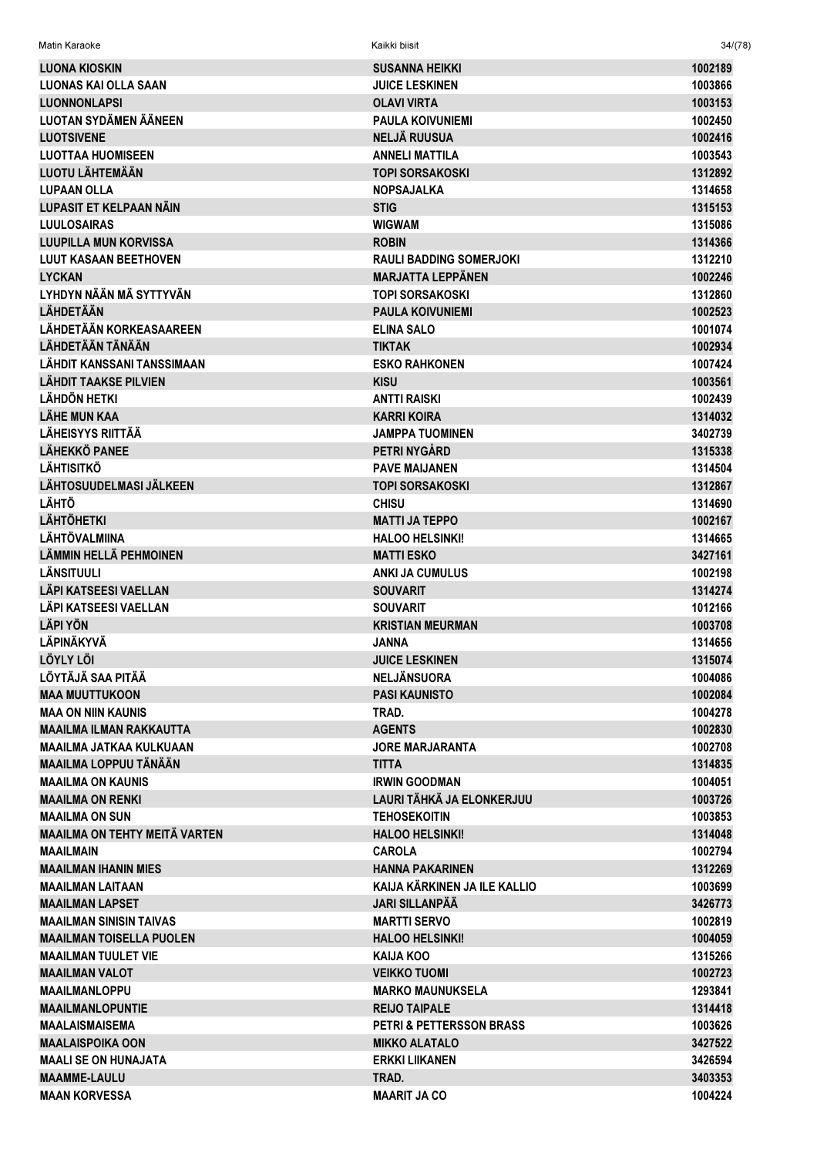| Matin Karaoke                                         | Kaikki biisit                              | 34/(78)            |
|-------------------------------------------------------|--------------------------------------------|--------------------|
| LUONA KIOSKIN                                         | <b>SUSANNA HEIKKI</b>                      | 1002189            |
| <b>LUONAS KAI OLLA SAAN</b>                           | <b>JUICE LESKINEN</b>                      | 1003866            |
| <b>LUONNONLAPSI</b>                                   | <b>OLAVI VIRTA</b>                         | 1003153            |
| <b>LUOTAN SYDÄMEN ÄÄNEEN</b>                          | <b>PAULA KOIVUNIEMI</b>                    | 1002450            |
| <b>LUOTSIVENE</b>                                     | <b>NELJÄ RUUSUA</b>                        | 1002416            |
| <b>LUOTTAA HUOMISEEN</b>                              | <b>ANNELI MATTILA</b>                      | 1003543            |
| <b>LUOTU LÄHTEMÄÄN</b>                                | <b>TOPI SORSAKOSKI</b>                     | 1312892            |
| <b>LUPAAN OLLA</b>                                    | <b>NOPSAJALKA</b>                          | 1314658            |
| <b>LUPASIT ET KELPAAN NÄIN</b>                        | <b>STIG</b>                                | 1315153            |
| <b>LUULOSAIRAS</b>                                    | <b>WIGWAM</b>                              | 1315086            |
| LUUPILLA MUN KORVISSA                                 | <b>ROBIN</b>                               | 1314366            |
| <b>LUUT KASAAN BEETHOVEN</b>                          | <b>RAULI BADDING SOMERJOKI</b>             | 1312210            |
| <b>LYCKAN</b>                                         | <b>MARJATTA LEPPÄNEN</b>                   | 1002246            |
| LYHDYN NÄÄN MÄ SYTTYVÄN                               | <b>TOPI SORSAKOSKI</b>                     | 1312860            |
| <b>LÄHDETÄÄN</b>                                      | <b>PAULA KOIVUNIEMI</b>                    | 1002523            |
| LÄHDETÄÄN KORKEASAAREEN                               | <b>ELINA SALO</b>                          | 1001074            |
| LÄHDETÄÄN TÄNÄÄN                                      | <b>TIKTAK</b>                              | 1002934            |
| <b>LÄHDIT KANSSANI TANSSIMAAN</b>                     | <b>ESKO RAHKONEN</b>                       | 1007424            |
| <b>LÄHDIT TAAKSE PILVIEN</b>                          | <b>KISU</b>                                | 1003561            |
| <b>LÄHDÖN HETKI</b>                                   | ANTTI RAISKI                               | 1002439            |
| <b>LÄHE MUN KAA</b>                                   | <b>KARRI KOIRA</b>                         | 1314032            |
| <b>LÄHEISYYS RIITTÄÄ</b>                              | <b>JAMPPA TUOMINEN</b>                     | 3402739            |
| <b>LÄHEKKÖ PANEE</b>                                  | PETRI NYGÅRD                               | 1315338            |
| <b>LÄHTISITKÖ</b>                                     | <b>PAVE MAIJANEN</b>                       | 1314504            |
| LÄHTOSUUDELMASI JÄLKEEN                               | <b>TOPI SORSAKOSKI</b>                     | 1312867            |
| <b>LÄHTÖ</b>                                          | <b>CHISU</b>                               | 1314690            |
| <b>LÄHTÖHETKI</b>                                     | <b>MATTI JA TEPPO</b>                      | 1002167            |
| LÄHTÖVALMIINA                                         | <b>HALOO HELSINKI!</b>                     | 1314665            |
| <b>LÄMMIN HELLÄ PEHMOINEN</b>                         | <b>MATTI ESKO</b>                          | 3427161            |
| LÄNSITUULI                                            | <b>ANKI JA CUMULUS</b>                     | 1002198            |
| LÄPI KATSEESI VAELLAN<br><b>LÄPI KATSEESI VAELLAN</b> | <b>SOUVARIT</b>                            | 1314274            |
| <b>LÄPI YÖN</b>                                       | <b>SOUVARIT</b><br><b>KRISTIAN MEURMAN</b> | 1012166<br>1003708 |
| <b>LÄPINÄKYVÄ</b>                                     | JANNA                                      | 1314656            |
| <b>LÖYLY LÖI</b>                                      | <b>JUICE LESKINEN</b>                      | 1315074            |
| LÖYTÄJÄ SAA PITÄÄ                                     | <b>NELJÄNSUORA</b>                         | 1004086            |
| <b>MAA MUUTTUKOON</b>                                 | <b>PASI KAUNISTO</b>                       | 1002084            |
| <b>MAA ON NIIN KAUNIS</b>                             | TRAD.                                      | 1004278            |
| <b>MAAILMA ILMAN RAKKAUTTA</b>                        | <b>AGENTS</b>                              | 1002830            |
| <b>MAAILMA JATKAA KULKUAAN</b>                        | <b>JORE MARJARANTA</b>                     | 1002708            |
| MAAILMA LOPPUU TÄNÄÄN                                 | <b>TITTA</b>                               | 1314835            |
| <b>MAAILMA ON KAUNIS</b>                              | <b>IRWIN GOODMAN</b>                       | 1004051            |
| <b>MAAILMA ON RENKI</b>                               | LAURI TÄHKÄ JA ELONKERJUU                  | 1003726            |
| <b>MAAILMA ON SUN</b>                                 | <b>TEHOSEKOITIN</b>                        | 1003853            |
| <b>MAAILMA ON TEHTY MEITÄ VARTEN</b>                  | <b>HALOO HELSINKI!</b>                     | 1314048            |
| MAAILMAIN                                             | <b>CAROLA</b>                              | 1002794            |
| <b>MAAILMAN IHANIN MIES</b>                           | <b>HANNA PAKARINEN</b>                     | 1312269            |
| <b>MAAILMAN LAITAAN</b>                               | KAIJA KÄRKINEN JA ILE KALLIO               | 1003699            |
| <b>MAAILMAN LAPSET</b>                                | <b>JARI SILLANPÄÄ</b>                      | 3426773            |
| <b>MAAILMAN SINISIN TAIVAS</b>                        | <b>MARTTI SERVO</b>                        | 1002819            |
| <b>MAAILMAN TOISELLA PUOLEN</b>                       | <b>HALOO HELSINKI!</b>                     | 1004059            |
| <b>MAAILMAN TUULET VIE</b>                            | KAIJA KOO                                  | 1315266            |
| <b>MAAILMAN VALOT</b>                                 | <b>VEIKKO TUOMI</b>                        | 1002723            |
| <b>MAAILMANLOPPU</b>                                  | <b>MARKO MAUNUKSELA</b>                    | 1293841            |
| <b>MAAILMANLOPUNTIE</b>                               | <b>REIJO TAIPALE</b>                       | 1314418            |
| <b>MAALAISMAISEMA</b>                                 | <b>PETRI &amp; PETTERSSON BRASS</b>        | 1003626            |
| <b>MAALAISPOIKA OON</b>                               | <b>MIKKO ALATALO</b>                       | 3427522            |
| <b>MAALI SE ON HUNAJATA</b>                           | <b>ERKKI LIIKANEN</b>                      | 3426594            |
| <b>MAAMME-LAULU</b>                                   | TRAD.                                      | 3403353            |
| <b>MAAN KORVESSA</b>                                  | <b>MAARIT JA CO</b>                        | 1004224            |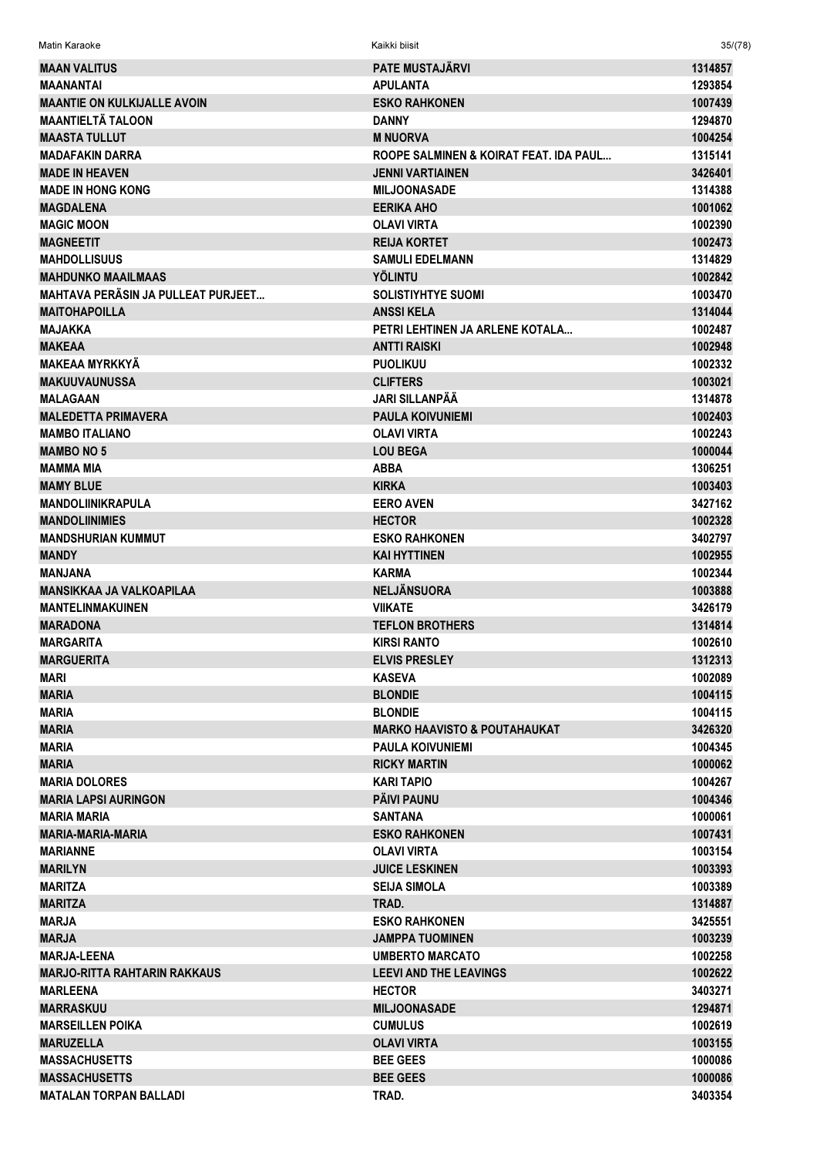**MAAN VALITUS 1314857** 1314857 MAANANTAI APULANTA 1293854 MAANTIE ON KULKIJALLE AVOIN EEN EEN EEN ESKO RAHKONEN 10007439 EESKO RAHKONEN 1007439 EESKO RAHKONEN 1007439 MAANTIELTÄ TALOON DANNY 1294870 MAASTA TULLUT AASTA TULLUT AASTA EESTI SAARI KA MINDORVA AASTA EESTI SAARI KA MINDORVA MAASTA TULLUT AASTA EESTI SAA MADAFAKIN DARRA ROOPE SALMINEN & KOIRAT FEAT. IDA PAUL... 1315141 MADE IN HEAVEN JENNI VARTIAINEN 3426401 MADE IN HONG KONG NASA DE SAN MILJOONAS ADE NASA DE SAN MILJOONAS ADE NASA DE SAN MADE NASA DE SAN MAAR AS 1314388 MAGDALENA EERIKA AHO 1001062 MAGIC MOON OLAVI VIRTA 1002390 MAGNEETIT REIJA KORTET 1002473 MAHDOLLISUUS SAMULI EDELMANN 1314829 MAHDUNKO MAAILMAAS YÖLINTU 1002842 MAHTAVA PERÄSIN JA PULLEAT PURJEET... SOLISTIYHTYE SUOMI 1003470 MAITOHAPOILLA 1314044 POINT ANSSI KELA 1314044 POINT ANSSI KELA 1314044 POINT ANSSI KELA 1314044 POINT ANSSI KELA MAJAKKA PETRI LEHTINEN JA ARLENE KOTALA... 1002487 MAKEAA ANTTI RAISKI 1002948 MAKEAA MYRKKYÄ PUOLIKUU 1002332 MAKUUVAUNUSSA CLIFTERS 1003021 MALAGAAN JARI SILLANPÄÄ 1314878 MALEDETTA PRIMAVERA PAULA KOIVUNIEMI PAULA KOIVUNIEMI PAULA KOIVUNIEMI PAULA PAULA PAULA PAULA PAULA PAULA PAU MAMBO ITALIANO 1002243 MAMBO NO 5 LOU BEGA 1000044 MAMMA MIA ABBA 1306251  $\blacksquare$ MAMY BLUE  $\blacksquare$  1003403 MANDOLIINIKRAPULA EERO AVEN 3427162 MANDOLIINIMIES 1002328 MANDSHURIAN KUMMUT ESKO RAHKONEN 3402797 MANDY KAI HYTTINEN 1002955 MANJANA KARMA 1002344 MANSIKKAA JA VALKOAPILAA NELIJÄNSUORA NELJÄNSUORA NELJÄNSUORA 10038888 MANTELINMAKUINEN VIIKATE 3426179 MARADONA TEFLON BROTHERS 1314814 MARGARITA KIRSI RANTO 1002610 **MARGUERITA** 1312313 MARI KASEVA 1002089 e and the set of the set of the set of the set of the set of the set of the set of the set of the set of the s<br>The set of the set of the set of the set of the set of the set of the set of the set of the set of the set of waria and the settlement of the settlement of the BLONDIE to the settlement of the settlement of the settlement of the settlement of the settlement of the settlement of the settlement of the settlement of the settlement of MARIA MARKO HAAVISTO & POUTAHAUKAT 3426320 MARIA PAULA KOIVUNIEMI 1004345 MARIA RICKY MARTIN 1000062 MARIA DOLORES KARI TAPIO 1004267 MARIA LAPSI AURINGON PÄIVI PAUNU 1004346 MARIA MARIA SANTANA 1000061 MARIA-MARIA-MARIA ESKO RAHKONEN 1007431 MARIANNE OLAVI VIRTA 1003154 MARILYN JUICE LESKINEN 1003393 MARITZA SEIJA SIMOLA 1003389 MARITZA TRAD. 1314887 MARJA ESKO RAHKONEN 3425551 MARJA JAMPPA TUOMINEN 1003239 MARJA-LEENA UMBERTO MARCATO 1002258 MARJO-RITTA RAHTARIN RAKKAUS **LEEVI AND THE LEAVINGS** 1002622 MARLEENA HECTOR 3403271 MARRASKUU MILJOONASADE 1294871 MARSEILLEN POIKA CUMULUS 1002619 MARUZELLA OLAVI VIRTA 1003155 MASSACHUSETTS BEE GEES 1000086 MASSACHUSETTS BEE GEES 1000086 MATALAN TORPAN BALLADI TRAD. 3403354

Matin Karaoke Kaikki biisit 35/(78)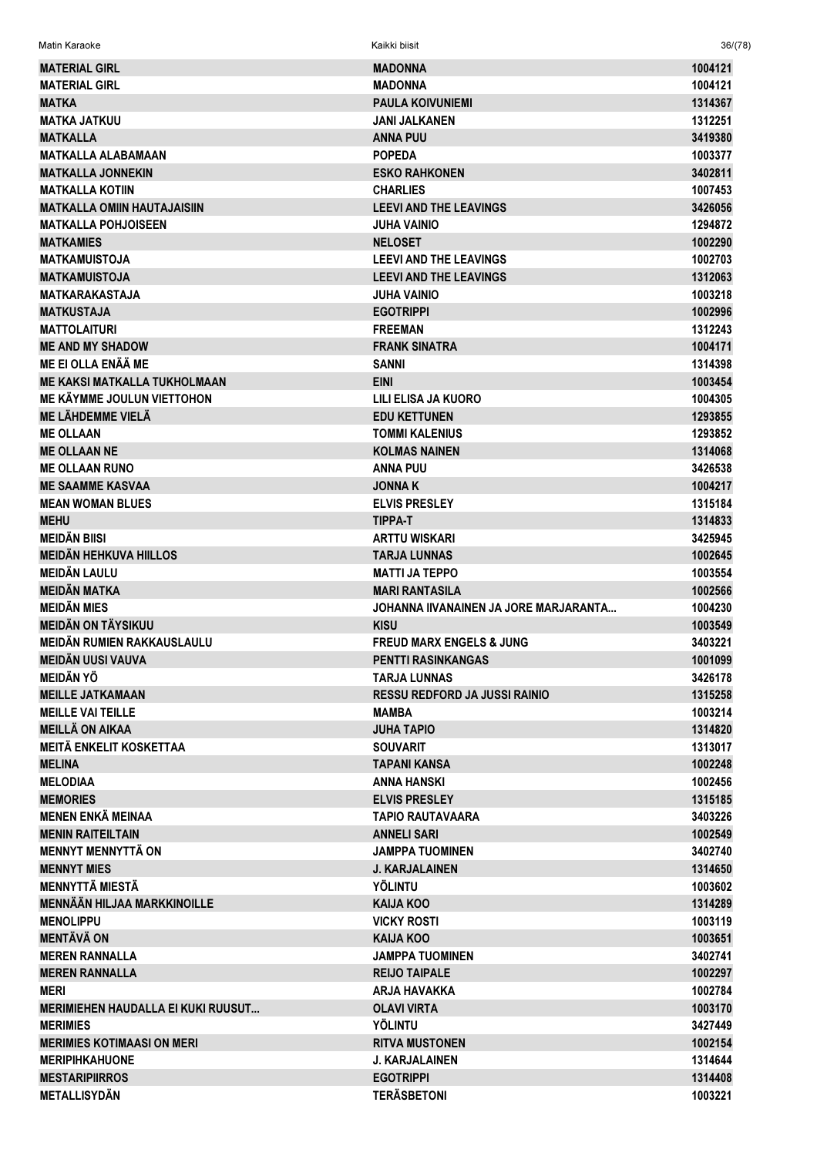| <b>MATERIAL GIRL</b>                         | <b>MADONNA</b>                         | 1004121            |
|----------------------------------------------|----------------------------------------|--------------------|
| <b>MATERIAL GIRL</b>                         | <b>MADONNA</b>                         | 1004121            |
| <b>MATKA</b>                                 | <b>PAULA KOIVUNIEMI</b>                | 1314367            |
| <b>MATKA JATKUU</b>                          | <b>JANI JALKANEN</b>                   | 1312251            |
| <b>MATKALLA</b>                              | <b>ANNA PUU</b>                        | 3419380            |
| <b>MATKALLA ALABAMAAN</b>                    | <b>POPEDA</b>                          | 1003377            |
| <b>MATKALLA JONNEKIN</b>                     | <b>ESKO RAHKONEN</b>                   | 3402811            |
| <b>MATKALLA KOTIIN</b>                       | <b>CHARLIES</b>                        | 1007453            |
| <b>MATKALLA OMIIN HAUTAJAISIIN</b>           | <b>LEEVI AND THE LEAVINGS</b>          | 3426056            |
| <b>MATKALLA POHJOISEEN</b>                   | <b>JUHA VAINIO</b>                     | 1294872            |
| <b>MATKAMIES</b>                             | <b>NELOSET</b>                         | 1002290            |
| <b>MATKAMUISTOJA</b>                         | <b>LEEVI AND THE LEAVINGS</b>          | 1002703            |
| <b>MATKAMUISTOJA</b>                         | <b>LEEVI AND THE LEAVINGS</b>          | 1312063            |
| <b>MATKARAKASTAJA</b>                        | <b>JUHA VAINIO</b>                     | 1003218            |
| <b>MATKUSTAJA</b>                            | <b>EGOTRIPPI</b>                       | 1002996            |
| <b>MATTOLAITURI</b>                          | <b>FREEMAN</b>                         | 1312243            |
| <b>ME AND MY SHADOW</b>                      | <b>FRANK SINATRA</b>                   | 1004171            |
| <b>ME EI OLLA ENÄÄ ME</b>                    | <b>SANNI</b>                           | 1314398            |
| <b>ME KAKSI MATKALLA TUKHOLMAAN</b>          | <b>EINI</b>                            | 1003454            |
| ME KÄYMME JOULUN VIETTOHON                   | LILI ELISA JA KUORO                    | 1004305            |
| ME LÄHDEMME VIELÄ                            | <b>EDU KETTUNEN</b>                    | 1293855            |
| <b>ME OLLAAN</b>                             | <b>TOMMI KALENIUS</b>                  | 1293852            |
| <b>ME OLLAAN NE</b>                          | <b>KOLMAS NAINEN</b>                   | 1314068            |
| <b>ME OLLAAN RUNO</b>                        | <b>ANNA PUU</b>                        | 3426538            |
| <b>ME SAAMME KASVAA</b>                      | <b>JONNAK</b>                          | 1004217            |
|                                              |                                        |                    |
| <b>MEAN WOMAN BLUES</b>                      | <b>ELVIS PRESLEY</b>                   | 1315184            |
| <b>MEHU</b>                                  | <b>TIPPA-T</b>                         | 1314833            |
| <b>MEIDÄN BIISI</b>                          | <b>ARTTU WISKARI</b>                   | 3425945            |
| <b>MEIDÄN HEHKUVA HIILLOS</b>                | <b>TARJA LUNNAS</b>                    | 1002645            |
| <b>MEIDÄN LAULU</b>                          | <b>MATTI JA TEPPO</b>                  | 1003554            |
| <b>MEIDÄN MATKA</b>                          | <b>MARI RANTASILA</b>                  | 1002566            |
| <b>MEIDÄN MIES</b>                           | JOHANNA IIVANAINEN JA JORE MARJARANTA  | 1004230            |
| <b>MEIDÄN ON TÄYSIKUU</b>                    | <b>KISU</b>                            | 1003549            |
| MEIDÄN RUMIEN RAKKAUSLAULU                   | <b>FREUD MARX ENGELS &amp; JUNG</b>    | 3403221            |
| <b>MEIDÄN UUSI VAUVA</b>                     | <b>PENTTI RASINKANGAS</b>              | 1001099            |
| <b>MEIDÄN YÖ</b>                             | <b>TARJA LUNNAS</b>                    | 3426178            |
| <b>MEILLE JATKAMAAN</b>                      | <b>RESSU REDFORD JA JUSSI RAINIO</b>   | 1315258            |
| <b>MEILLE VAI TEILLE</b>                     | <b>MAMBA</b>                           | 1003214            |
| <b>MEILLÄ ON AIKAA</b>                       | <b>JUHA TAPIO</b>                      | 1314820            |
| <b>MEITÄ ENKELIT KOSKETTAA</b>               | <b>SOUVARIT</b>                        | 1313017            |
| <b>MELINA</b>                                | <b>TAPANI KANSA</b>                    | 1002248            |
| <b>MELODIAA</b>                              | <b>ANNA HANSKI</b>                     | 1002456            |
| <b>MEMORIES</b>                              | <b>ELVIS PRESLEY</b>                   | 1315185            |
| <b>MENEN ENKÄ MEINAA</b>                     | <b>TAPIO RAUTAVAARA</b>                | 3403226            |
| <b>MENIN RAITEILTAIN</b>                     | <b>ANNELI SARI</b>                     | 1002549            |
| <b>MENNYT MENNYTTÄ ON</b>                    | <b>JAMPPA TUOMINEN</b>                 | 3402740            |
| <b>MENNYT MIES</b>                           | <b>J. KARJALAINEN</b>                  | 1314650            |
| <b>MENNYTTÄ MIESTÄ</b>                       | YÖLINTU                                | 1003602            |
| <b>MENNÄÄN HILJAA MARKKINOILLE</b>           | <b>KAIJA KOO</b>                       | 1314289            |
| <b>MENOLIPPU</b>                             | <b>VICKY ROSTI</b>                     | 1003119            |
| <b>MENTÄVÄ ON</b>                            | <b>KAIJA KOO</b>                       | 1003651            |
| <b>MEREN RANNALLA</b>                        | <b>JAMPPA TUOMINEN</b>                 | 3402741            |
| <b>MEREN RANNALLA</b>                        | <b>REIJO TAIPALE</b>                   | 1002297            |
| <b>MERI</b>                                  | <b>ARJA HAVAKKA</b>                    | 1002784            |
| <b>MERIMIEHEN HAUDALLA EI KUKI RUUSUT</b>    | <b>OLAVI VIRTA</b>                     | 1003170            |
| <b>MERIMIES</b>                              | <b>YÖLINTU</b>                         | 3427449            |
| <b>MERIMIES KOTIMAASI ON MERI</b>            | <b>RITVA MUSTONEN</b>                  | 1002154            |
| <b>MERIPIHKAHUONE</b>                        |                                        |                    |
|                                              |                                        |                    |
|                                              | <b>J. KARJALAINEN</b>                  | 1314644            |
| <b>MESTARIPIIRROS</b><br><b>METALLISYDÄN</b> | <b>EGOTRIPPI</b><br><b>TERÄSBETONI</b> | 1314408<br>1003221 |

 $36/(78)$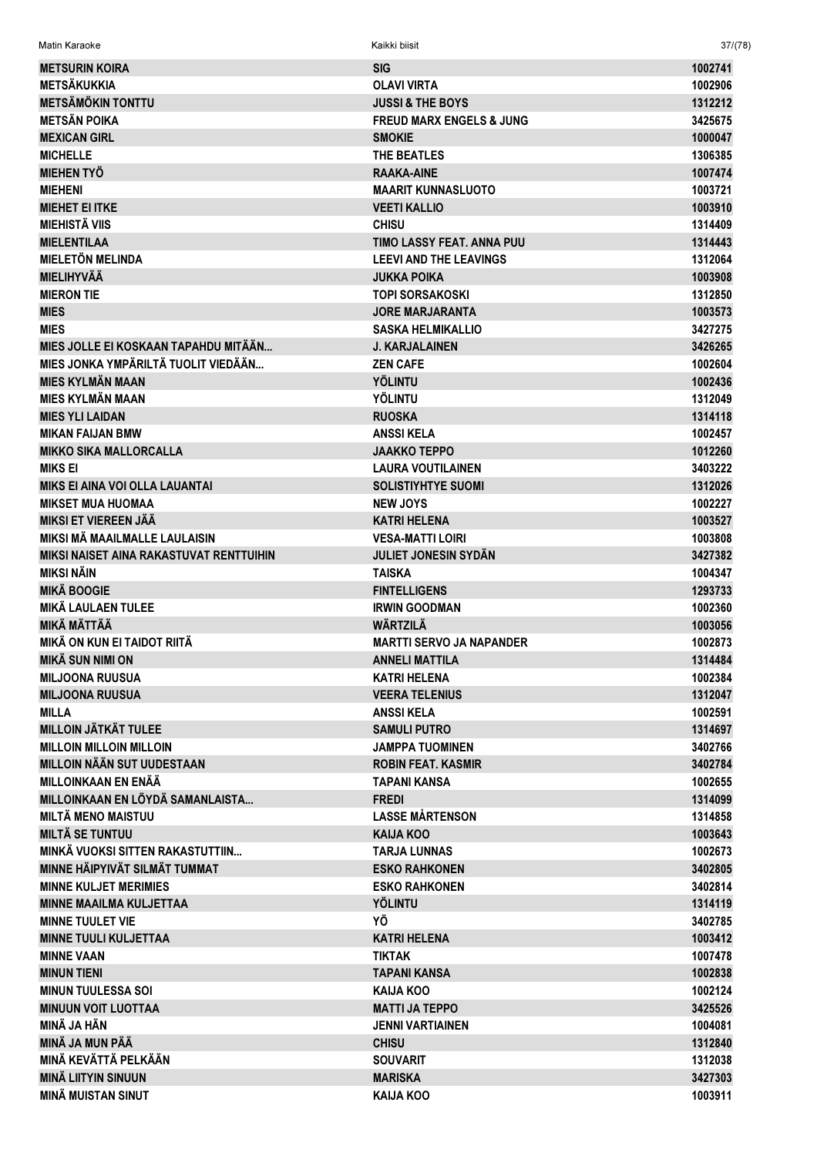| <b>METSURIN KOIRA</b>                   | <b>SIG</b>                          | 1002741 |
|-----------------------------------------|-------------------------------------|---------|
| <b>METSÄKUKKIA</b>                      | <b>OLAVI VIRTA</b>                  | 1002906 |
| <b>METSÄMÖKIN TONTTU</b>                | <b>JUSSI &amp; THE BOYS</b>         | 1312212 |
| <b>METSÄN POIKA</b>                     | <b>FREUD MARX ENGELS &amp; JUNG</b> | 3425675 |
| <b>MEXICAN GIRL</b>                     | <b>SMOKIE</b>                       | 1000047 |
| <b>MICHELLE</b>                         | THE BEATLES                         | 1306385 |
| <b>MIEHEN TYÖ</b>                       | <b>RAAKA-AINE</b>                   | 1007474 |
| <b>MIEHENI</b>                          | <b>MAARIT KUNNASLUOTO</b>           | 1003721 |
| <b>MIEHET EI ITKE</b>                   | <b>VEETI KALLIO</b>                 | 1003910 |
| <b>MIEHISTÄ VIIS</b>                    | <b>CHISU</b>                        | 1314409 |
| <b>MIELENTILAA</b>                      | <b>TIMO LASSY FEAT, ANNA PUU</b>    | 1314443 |
| <b>MIELETÖN MELINDA</b>                 | <b>LEEVI AND THE LEAVINGS</b>       | 1312064 |
| <b>MIELIHYVÄÄ</b>                       | <b>JUKKA POIKA</b>                  | 1003908 |
| <b>MIERON TIE</b>                       | TOPI SORSAKOSKI                     | 1312850 |
| <b>MIES</b>                             | <b>JORE MARJARANTA</b>              | 1003573 |
|                                         |                                     |         |
| <b>MIES</b>                             | <b>SASKA HELMIKALLIO</b>            | 3427275 |
| MIES JOLLE EI KOSKAAN TAPAHDU MITÄÄN    | <b>J. KARJALAINEN</b>               | 3426265 |
| MIES JONKA YMPÄRILTÄ TUOLIT VIEDÄÄN     | <b>ZEN CAFE</b>                     | 1002604 |
| <b>MIES KYLMÄN MAAN</b>                 | <b>YÖLINTU</b>                      | 1002436 |
| <b>MIES KYLMÄN MAAN</b>                 | YÖLINTU                             | 1312049 |
| <b>MIES YLI LAIDAN</b>                  | <b>RUOSKA</b>                       | 1314118 |
| <b>MIKAN FAIJAN BMW</b>                 | <b>ANSSI KELA</b>                   | 1002457 |
| <b>MIKKO SIKA MALLORCALLA</b>           | <b>JAAKKO TEPPO</b>                 | 1012260 |
| <b>MIKS EI</b>                          | <b>LAURA VOUTILAINEN</b>            | 3403222 |
| <b>MIKS EI AINA VOI OLLA LAUANTAI</b>   | <b>SOLISTIYHTYE SUOMI</b>           | 1312026 |
| <b>MIKSET MUA HUOMAA</b>                | <b>NEW JOYS</b>                     | 1002227 |
| <b>MIKSI ET VIEREEN JÄÄ</b>             | <b>KATRI HELENA</b>                 | 1003527 |
| MIKSI MÄ MAAILMALLE LAULAISIN           | <b>VESA-MATTI LOIRI</b>             | 1003808 |
| MIKSI NAISET AINA RAKASTUVAT RENTTUIHIN | <b>JULIET JONESIN SYDÄN</b>         | 3427382 |
| <b>MIKSI NÄIN</b>                       | <b>TAISKA</b>                       | 1004347 |
| <b>MIKÄ BOOGIE</b>                      | <b>FINTELLIGENS</b>                 | 1293733 |
| <b>MIKÄ LAULAEN TULEE</b>               | <b>IRWIN GOODMAN</b>                | 1002360 |
| <b>MIKÄ MÄTTÄÄ</b>                      | WÄRTZILÄ                            | 1003056 |
| MIKÄ ON KUN EI TAIDOT RIITÄ             | <b>MARTTI SERVO JA NAPANDER</b>     | 1002873 |
| <b>MIKÄ SUN NIMI ON</b>                 | <b>ANNELI MATTILA</b>               | 1314484 |
| <b>MILJOONA RUUSUA</b>                  | <b>KATRI HELENA</b>                 | 1002384 |
| <b>MILJOONA RUUSUA</b>                  | <b>VEERA TELENIUS</b>               | 1312047 |
| <b>MILLA</b>                            | <b>ANSSIKELA</b>                    | 1002591 |
| <b>MILLOIN JÄTKÄT TULEE</b>             | <b>SAMULI PUTRO</b>                 | 1314697 |
| <b>MILLOIN MILLOIN MILLOIN</b>          | <b>JAMPPA TUOMINEN</b>              | 3402766 |
| <b>MILLOIN NÄÄN SUT UUDESTAAN</b>       | <b>ROBIN FEAT. KASMIR</b>           | 3402784 |
| <b>MILLOINKAAN EN ENÄÄ</b>              | TAPANI KANSA                        | 1002655 |
| MILLOINKAAN EN LÖYDÄ SAMANLAISTA        | <b>FREDI</b>                        | 1314099 |
| <b>MILTÄ MENO MAISTUU</b>               | <b>LASSE MÅRTENSON</b>              | 1314858 |
| <b>MILTÄ SE TUNTUU</b>                  | <b>KAIJA KOO</b>                    | 1003643 |
| MINKÄ VUOKSI SITTEN RAKASTUTTIIN        | <b>TARJA LUNNAS</b>                 | 1002673 |
| MINNE HÄIPYIVÄT SILMÄT TUMMAT           | <b>ESKO RAHKONEN</b>                | 3402805 |
| <b>MINNE KULJET MERIMIES</b>            | <b>ESKO RAHKONEN</b>                | 3402814 |
| <b>MINNE MAAILMA KULJETTAA</b>          | <b>YÖLINTU</b>                      | 1314119 |
| <b>MINNE TUULET VIE</b>                 | ΥÖ                                  | 3402785 |
|                                         |                                     |         |
| <b>MINNE TUULI KULJETTAA</b>            | <b>KATRI HELENA</b>                 | 1003412 |
| <b>MINNE VAAN</b>                       | <b>TIKTAK</b>                       | 1007478 |
| <b>MINUN TIENI</b>                      | <b>TAPANI KANSA</b>                 | 1002838 |
| <b>MINUN TUULESSA SOI</b>               | <b>KAIJA KOO</b>                    | 1002124 |
| <b>MINUUN VOIT LUOTTAA</b>              | <b>MATTI JA TEPPO</b>               | 3425526 |
| <b>MINÄ JA HÄN</b>                      | JENNI VARTIAINEN                    | 1004081 |
| MINÄ JA MUN PÄÄ                         | <b>CHISU</b>                        | 1312840 |
| MINÄ KEVÄTTÄ PELKÄÄN                    | <b>SOUVARIT</b>                     | 1312038 |
| <b>MINÄ LIITYIN SINUUN</b>              | <b>MARISKA</b>                      | 3427303 |
| <b>MINÄ MUISTAN SINUT</b>               | <b>KAIJA KOO</b>                    | 1003911 |

 $37/(78)$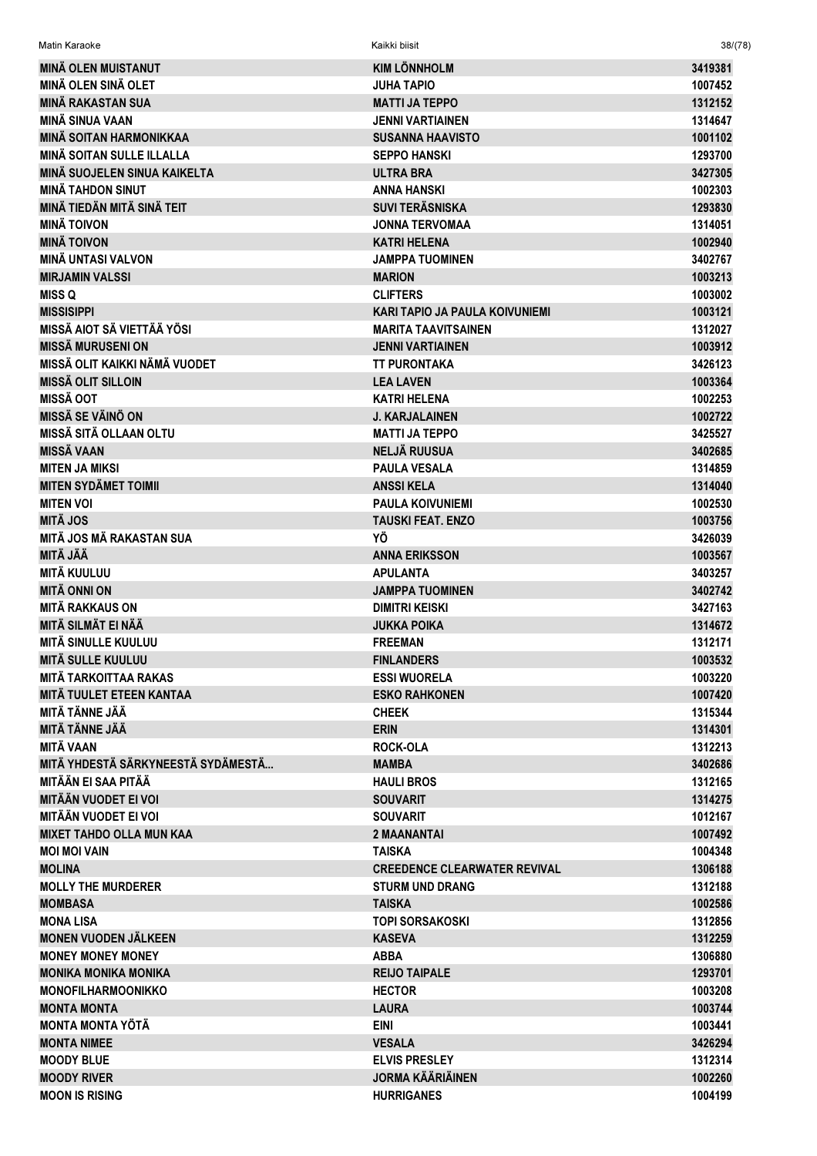| <b>Matin Karaoke</b>               | Kaikki biisit                       | 38/(78) |
|------------------------------------|-------------------------------------|---------|
| <b>MINÄ OLEN MUISTANUT</b>         | <b>KIM LÖNNHOLM</b>                 | 3419381 |
| <b>MINÄ OLEN SINÄ OLET</b>         | <b>JUHA TAPIO</b>                   | 1007452 |
| <b>MINÄ RAKASTAN SUA</b>           | <b>MATTI JA TEPPO</b>               | 1312152 |
| <b>MINÄ SINUA VAAN</b>             | <b>JENNI VARTIAINEN</b>             | 1314647 |
| <b>MINÄ SOITAN HARMONIKKAA</b>     | <b>SUSANNA HAAVISTO</b>             | 1001102 |
| <b>MINÄ SOITAN SULLE ILLALLA</b>   | <b>SEPPO HANSKI</b>                 | 1293700 |
| MINÄ SUOJELEN SINUA KAIKELTA       | <b>ULTRA BRA</b>                    | 3427305 |
| <b>MINÄ TAHDON SINUT</b>           | <b>ANNA HANSKI</b>                  | 1002303 |
| MINÄ TIEDÄN MITÄ SINÄ TEIT         | <b>SUVI TERÄSNISKA</b>              | 1293830 |
| <b>MINÄ TOIVON</b>                 | JONNA TERVOMAA                      | 1314051 |
| <b>MINÄ TOIVON</b>                 | <b>KATRI HELENA</b>                 | 1002940 |
| <b>MINÄ UNTASI VALVON</b>          | JAMPPA TUOMINEN                     | 3402767 |
| <b>MIRJAMIN VALSSI</b>             | <b>MARION</b>                       | 1003213 |
| <b>MISS Q</b>                      | <b>CLIFTERS</b>                     | 1003002 |
| <b>MISSISIPPI</b>                  | KARI TAPIO JA PAULA KOIVUNIEMI      | 1003121 |
| MISSÄ AIOT SÄ VIETTÄÄ YÖSI         | <b>MARITA TAAVITSAINEN</b>          | 1312027 |
| <b>MISSÄ MURUSENI ON</b>           | <b>JENNI VARTIAINEN</b>             | 1003912 |
| MISSÄ OLIT KAIKKI NÄMÄ VUODET      | <b>TT PURONTAKA</b>                 | 3426123 |
| <b>MISSÄ OLIT SILLOIN</b>          | <b>LEA LAVEN</b>                    | 1003364 |
| <b>MISSÄ OOT</b>                   | KATRI HELENA                        | 1002253 |
| <b>MISSÄ SE VÄINÖ ON</b>           | <b>J. KARJALAINEN</b>               | 1002722 |
| <b>MISSÄ SITÄ OLLAAN OLTU</b>      | <b>MATTI JA TEPPO</b>               | 3425527 |
| <b>MISSÄ VAAN</b>                  | <b>NELJÄ RUUSUA</b>                 | 3402685 |
| <b>MITEN JA MIKSI</b>              | <b>PAULA VESALA</b>                 | 1314859 |
| <b>MITEN SYDÄMET TOIMII</b>        | <b>ANSSIKELA</b>                    | 1314040 |
| <b>MITEN VOI</b>                   | <b>PAULA KOIVUNIEMI</b>             | 1002530 |
| <b>MITÄ JOS</b>                    | <b>TAUSKI FEAT. ENZO</b>            | 1003756 |
| <b>MITÄ JOS MÄ RAKASTAN SUA</b>    | YÖ                                  | 3426039 |
| <b>MITÄ JÄÄ</b>                    | <b>ANNA ERIKSSON</b>                | 1003567 |
| <b>MITÄ KUULUU</b>                 | <b>APULANTA</b>                     | 3403257 |
| <b>MITÄ ONNI ON</b>                | <b>JAMPPA TUOMINEN</b>              | 3402742 |
| <b>MITÄ RAKKAUS ON</b>             | <b>DIMITRI KEISKI</b>               | 3427163 |
| MITÄ SILMÄT EI NÄÄ                 | <b>JUKKA POIKA</b>                  | 1314672 |
| MITÄ SINULLE KUULUU                | <b>FREEMAN</b>                      | 1312171 |
| <b>MITÄ SULLE KUULUU</b>           | <b>FINLANDERS</b>                   | 1003532 |
| <b>MITÄ TARKOITTAA RAKAS</b>       | <b>ESSI WUORELA</b>                 | 1003220 |
| MITÄ TUULET ETEEN KANTAA           | <b>ESKO RAHKONEN</b>                | 1007420 |
| <b>MITÄ TÄNNE JÄÄ</b>              | <b>CHEEK</b>                        | 1315344 |
| <b>MITÄ TÄNNE JÄÄ</b>              | <b>ERIN</b>                         | 1314301 |
| <b>MITÄ VAAN</b>                   | <b>ROCK-OLA</b>                     | 1312213 |
| MITÄ YHDESTÄ SÄRKYNEESTÄ SYDÄMESTÄ | <b>MAMBA</b>                        | 3402686 |
| MITÄÄN EI SAA PITÄÄ                | <b>HAULI BROS</b>                   | 1312165 |
| <b>MITÄÄN VUODET EI VOI</b>        | <b>SOUVARIT</b>                     | 1314275 |
| <b>MITÄÄN VUODET EI VOI</b>        | <b>SOUVARIT</b>                     | 1012167 |
| <b>MIXET TAHDO OLLA MUN KAA</b>    | 2 MAANANTAI                         | 1007492 |
| <b>MOI MOI VAIN</b>                | <b>TAISKA</b>                       | 1004348 |
| <b>MOLINA</b>                      | <b>CREEDENCE CLEARWATER REVIVAL</b> | 1306188 |
| <b>MOLLY THE MURDERER</b>          | <b>STURM UND DRANG</b>              | 1312188 |
| <b>MOMBASA</b>                     | <b>TAISKA</b>                       | 1002586 |
| <b>MONA LISA</b>                   | <b>TOPI SORSAKOSKI</b>              | 1312856 |
| <b>MONEN VUODEN JÄLKEEN</b>        | <b>KASEVA</b>                       | 1312259 |
| <b>MONEY MONEY MONEY</b>           | <b>ABBA</b>                         | 1306880 |
| <b>MONIKA MONIKA MONIKA</b>        | <b>REIJO TAIPALE</b>                | 1293701 |
| <b>MONOFILHARMOONIKKO</b>          | <b>HECTOR</b>                       | 1003208 |
| <b>MONTA MONTA</b>                 | <b>LAURA</b>                        | 1003744 |
| <b>MONTA MONTA YÖTÄ</b>            | <b>EINI</b>                         | 1003441 |
| <b>MONTA NIMEE</b>                 | <b>VESALA</b>                       | 3426294 |
| <b>MOODY BLUE</b>                  | <b>ELVIS PRESLEY</b>                | 1312314 |
| <b>MOODY RIVER</b>                 | <b>JORMA KÄÄRIÄINEN</b>             | 1002260 |
| <b>MOON IS RISING</b>              | <b>HURRIGANES</b>                   | 1004199 |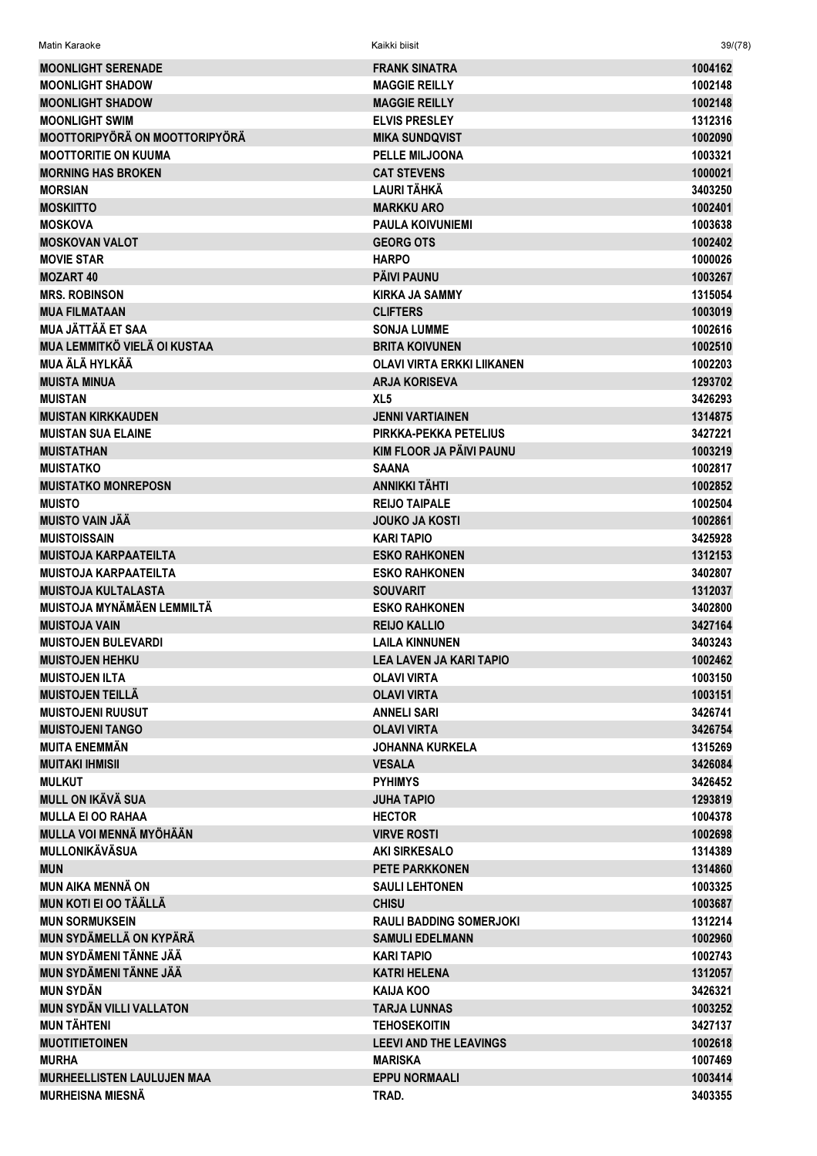| Matin Karaoke |  |
|---------------|--|
|               |  |

Kaikki biisit

| <b>MOONLIGHT SERENADE</b>                                       | <b>FRANK SINATRA</b>           | 1004162            |
|-----------------------------------------------------------------|--------------------------------|--------------------|
| <b>MOONLIGHT SHADOW</b>                                         | <b>MAGGIE REILLY</b>           | 1002148            |
| <b>MOONLIGHT SHADOW</b>                                         | <b>MAGGIE REILLY</b>           | 1002148            |
| <b>MOONLIGHT SWIM</b>                                           | <b>ELVIS PRESLEY</b>           | 1312316            |
| <b>MOOTTORIPYÖRÄ ON MOOTTORIPYÖRÄ</b>                           | <b>MIKA SUNDQVIST</b>          | 1002090            |
| <b>MOOTTORITIE ON KUUMA</b>                                     | <b>PELLE MILJOONA</b>          | 1003321            |
| <b>MORNING HAS BROKEN</b>                                       | <b>CAT STEVENS</b>             | 1000021            |
| <b>MORSIAN</b>                                                  | <b>LAURI TÄHKÄ</b>             | 3403250            |
| <b>MOSKIITTO</b>                                                | <b>MARKKU ARO</b>              | 1002401            |
| <b>MOSKOVA</b>                                                  | <b>PAULA KOIVUNIEMI</b>        | 1003638            |
| <b>MOSKOVAN VALOT</b>                                           | <b>GEORG OTS</b>               | 1002402            |
| <b>MOVIE STAR</b>                                               | <b>HARPO</b>                   | 1000026            |
| <b>MOZART 40</b>                                                | <b>PÄIVI PAUNU</b>             | 1003267            |
| <b>MRS. ROBINSON</b>                                            | <b>KIRKA JA SAMMY</b>          | 1315054            |
| <b>MUA FILMATAAN</b>                                            | <b>CLIFTERS</b>                | 1003019            |
| <b>MUA JÄTTÄÄ ET SAA</b>                                        | <b>SONJA LUMME</b>             | 1002616            |
| MUA LEMMITKÖ VIELÄ OI KUSTAA                                    | <b>BRITA KOIVUNEN</b>          | 1002510            |
| MUA ÄLÄ HYLKÄÄ                                                  | OLAVI VIRTA ERKKI LIIKANEN     | 1002203            |
| <b>MUISTA MINUA</b>                                             | <b>ARJA KORISEVA</b>           | 1293702            |
| <b>MUISTAN</b>                                                  | XL <sub>5</sub>                | 3426293            |
| <b>MUISTAN KIRKKAUDEN</b>                                       | <b>JENNI VARTIAINEN</b>        | 1314875            |
| <b>MUISTAN SUA ELAINE</b>                                       | PIRKKA-PEKKA PETELIUS          | 3427221            |
| <b>MUISTATHAN</b>                                               | KIM FLOOR JA PÄIVI PAUNU       | 1003219            |
| <b>MUISTATKO</b>                                                | <b>SAANA</b>                   | 1002817            |
| <b>MUISTATKO MONREPOSN</b>                                      | <b>ANNIKKI TÄHTI</b>           | 1002852            |
| <b>MUISTO</b>                                                   | <b>REIJO TAIPALE</b>           | 1002504            |
| <b>MUISTO VAIN JÄÄ</b>                                          | <b>JOUKO JA KOSTI</b>          | 1002861            |
| <b>MUISTOISSAIN</b>                                             | <b>KARI TAPIO</b>              | 3425928            |
| <b>MUISTOJA KARPAATEILTA</b>                                    | <b>ESKO RAHKONEN</b>           | 1312153            |
| <b>MUISTOJA KARPAATEILTA</b>                                    | <b>ESKO RAHKONEN</b>           | 3402807            |
|                                                                 |                                |                    |
| <b>MUISTOJA KULTALASTA</b><br><b>MUISTOJA MYNÄMÄEN LEMMILTÄ</b> | <b>SOUVARIT</b>                | 1312037<br>3402800 |
|                                                                 | <b>ESKO RAHKONEN</b>           |                    |
| <b>MUISTOJA VAIN</b>                                            | <b>REIJO KALLIO</b>            | 3427164            |
| <b>MUISTOJEN BULEVARDI</b>                                      | <b>LAILA KINNUNEN</b>          | 3403243            |
| <b>MUISTOJEN HEHKU</b>                                          | <b>LEA LAVEN JA KARI TAPIO</b> | 1002462            |
| <b>MUISTOJEN ILTA</b>                                           | <b>OLAVI VIRTA</b>             | 1003150            |
| <b>MUISTOJEN TEILLÄ</b>                                         | <b>OLAVI VIRTA</b>             | 1003151            |
| <b>MUISTOJENI RUUSUT</b>                                        | <b>ANNELI SARI</b>             | 3426741            |
| <b>MUISTOJENI TANGO</b>                                         | <b>OLAVI VIRTA</b>             | 3426754            |
| <b>MUITA ENEMMÄN</b>                                            | <b>JOHANNA KURKELA</b>         | 1315269            |
| <b>MUITAKI IHMISII</b>                                          | <b>VESALA</b>                  | 3426084            |
| <b>MULKUT</b>                                                   | <b>PYHIMYS</b>                 | 3426452            |
| <b>MULL ON IKÄVÄ SUA</b>                                        | <b>JUHA TAPIO</b>              | 1293819            |
| <b>MULLA EI OO RAHAA</b>                                        | <b>HECTOR</b>                  | 1004378            |
| <b>MULLA VOI MENNÄ MYÖHÄÄN</b>                                  | <b>VIRVE ROSTI</b>             | 1002698            |
| <b>MULLONIKÄVÄSUA</b>                                           | <b>AKI SIRKESALO</b>           | 1314389            |
| <b>MUN</b>                                                      | <b>PETE PARKKONEN</b>          | 1314860            |
| <b>MUN AIKA MENNÄ ON</b>                                        | <b>SAULI LEHTONEN</b>          | 1003325            |
| <b>MUN KOTI EI OO TÄÄLLÄ</b>                                    | <b>CHISU</b>                   | 1003687            |
| <b>MUN SORMUKSEIN</b>                                           | <b>RAULI BADDING SOMERJOKI</b> | 1312214            |
| MUN SYDÄMELLÄ ON KYPÄRÄ                                         | <b>SAMULI EDELMANN</b>         | 1002960            |
| MUN SYDÄMENI TÄNNE JÄÄ                                          | <b>KARI TAPIO</b>              | 1002743            |
| <b>MUN SYDÄMENI TÄNNE JÄÄ</b>                                   | <b>KATRI HELENA</b>            | 1312057            |
| <b>MUN SYDÄN</b>                                                | <b>KAIJA KOO</b>               | 3426321            |
| <b>MUN SYDÄN VILLI VALLATON</b>                                 | <b>TARJA LUNNAS</b>            | 1003252            |
| <b>MUN TÄHTENI</b>                                              | <b>TEHOSEKOITIN</b>            | 3427137            |
| <b>MUOTITIETOINEN</b>                                           | <b>LEEVI AND THE LEAVINGS</b>  | 1002618            |
| <b>MURHA</b>                                                    | <b>MARISKA</b>                 | 1007469            |
| <b>MURHEELLISTEN LAULUJEN MAA</b>                               | <b>EPPU NORMAALI</b>           | 1003414            |
| <b>MURHEISNA MIESNÄ</b>                                         | TRAD.                          | 3403355            |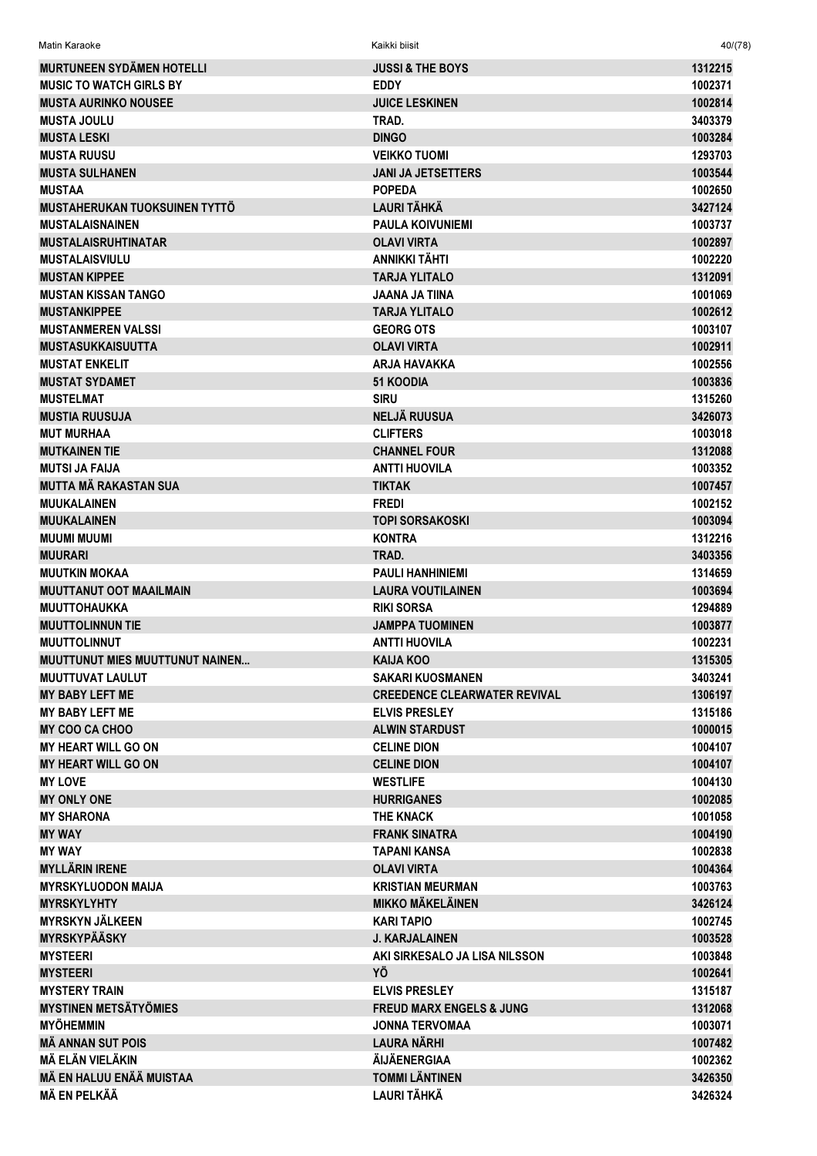| <b>MURTUNEEN SYDÄMEN HOTELLI</b>                    | <b>JUSSI &amp; THE BOYS</b>               | 1312215            |
|-----------------------------------------------------|-------------------------------------------|--------------------|
| <b>MUSIC TO WATCH GIRLS BY</b>                      | <b>EDDY</b>                               | 1002371            |
| <b>MUSTA AURINKO NOUSEE</b>                         | <b>JUICE LESKINEN</b>                     | 1002814            |
| <b>MUSTA JOULU</b>                                  | TRAD.                                     | 3403379            |
| <b>MUSTA LESKI</b>                                  | <b>DINGO</b>                              | 1003284            |
| <b>MUSTA RUUSU</b>                                  | <b>VEIKKO TUOMI</b>                       | 1293703            |
| <b>MUSTA SULHANEN</b>                               | <b>JANI JA JETSETTERS</b>                 | 1003544            |
| <b>MUSTAA</b>                                       | <b>POPEDA</b>                             | 1002650            |
| MUSTAHERUKAN TUOKSUINEN TYTTÖ                       | <b>LAURI TÄHKÄ</b>                        | 3427124            |
| <b>MUSTALAISNAINEN</b>                              | <b>PAULA KOIVUNIEMI</b>                   | 1003737            |
| <b>MUSTALAISRUHTINATAR</b>                          | <b>OLAVI VIRTA</b>                        | 1002897            |
| <b>MUSTALAISVIULU</b>                               | ANNIKKI TÄHTI                             | 1002220            |
| <b>MUSTAN KIPPEE</b>                                | <b>TARJA YLITALO</b>                      | 1312091            |
| <b>MUSTAN KISSAN TANGO</b>                          | <b>JAANA JA TIINA</b>                     | 1001069            |
| <b>MUSTANKIPPEE</b>                                 | <b>TARJA YLITALO</b>                      | 1002612            |
| <b>MUSTANMEREN VALSSI</b>                           | <b>GEORG OTS</b>                          | 1003107            |
| <b>MUSTASUKKAISUUTTA</b>                            | <b>OLAVI VIRTA</b>                        | 1002911            |
| <b>MUSTAT ENKELIT</b>                               | <b>ARJA HAVAKKA</b>                       | 1002556            |
| <b>MUSTAT SYDAMET</b>                               | <b>51 KOODIA</b>                          | 1003836            |
| <b>MUSTELMAT</b>                                    | <b>SIRU</b>                               | 1315260            |
| <b>MUSTIA RUUSUJA</b>                               | <b>NELJÄ RUUSUA</b>                       | 3426073            |
| <b>MUT MURHAA</b>                                   | <b>CLIFTERS</b>                           | 1003018            |
| <b>MUTKAINEN TIE</b>                                | <b>CHANNEL FOUR</b>                       | 1312088            |
| <b>MUTSI JA FAIJA</b>                               | <b>ANTTI HUOVILA</b>                      | 1003352            |
| <b>MUTTA MÄ RAKASTAN SUA</b>                        | <b>TIKTAK</b>                             | 1007457            |
| <b>MUUKALAINEN</b>                                  | <b>FREDI</b>                              | 1002152            |
| <b>MUUKALAINEN</b>                                  | <b>TOPI SORSAKOSKI</b>                    | 1003094            |
| <b>MUUMI MUUMI</b>                                  | <b>KONTRA</b>                             | 1312216            |
| <b>MUURARI</b>                                      | TRAD.                                     | 3403356            |
| <b>MUUTKIN MOKAA</b>                                | <b>PAULI HANHINIEMI</b>                   | 1314659            |
| <b>MUUTTANUT OOT MAAILMAIN</b>                      | <b>LAURA VOUTILAINEN</b>                  | 1003694            |
| <b>MUUTTOHAUKKA</b>                                 | <b>RIKI SORSA</b>                         | 1294889            |
| <b>MUUTTOLINNUN TIE</b>                             | <b>JAMPPA TUOMINEN</b>                    | 1003877            |
| <b>MUUTTOLINNUT</b>                                 | <b>ANTTI HUOVILA</b>                      | 1002231            |
| <b>MUUTTUNUT MIES MUUTTUNUT NAINEN</b>              | <b>KAIJA KOO</b>                          | 1315305            |
| <b>MUUTTUVAT LAULUT</b>                             | <b>SAKARI KUOSMANEN</b>                   | 3403241            |
| <b>MY BABY LEFT ME</b>                              | <b>CREEDENCE CLEARWATER REVIVAL</b>       | 1306197            |
| <b>MY BABY LEFT ME</b>                              | <b>ELVIS PRESLEY</b>                      | 1315186            |
| <b>MY COO CA CHOO</b>                               | <b>ALWIN STARDUST</b>                     | 1000015            |
| <b>MY HEART WILL GO ON</b>                          | <b>CELINE DION</b>                        | 1004107            |
| <b>MY HEART WILL GO ON</b>                          | <b>CELINE DION</b>                        | 1004107            |
| <b>MY LOVE</b>                                      | <b>WESTLIFE</b>                           | 1004130            |
| <b>MY ONLY ONE</b>                                  | <b>HURRIGANES</b>                         | 1002085            |
| <b>MY SHARONA</b>                                   | <b>THE KNACK</b>                          | 1001058            |
| <b>MY WAY</b>                                       | <b>FRANK SINATRA</b>                      | 1004190            |
| <b>MY WAY</b>                                       | <b>TAPANI KANSA</b>                       | 1002838            |
| <b>MYLLÄRIN IRENE</b>                               | <b>OLAVI VIRTA</b>                        | 1004364            |
| <b>MYRSKYLUODON MAIJA</b>                           | <b>KRISTIAN MEURMAN</b>                   | 1003763            |
| <b>MYRSKYLYHTY</b>                                  | <b>MIKKO MÄKELÄINEN</b>                   | 3426124            |
| <b>MYRSKYN JÄLKEEN</b>                              | <b>KARI TAPIO</b>                         | 1002745            |
| <b>MYRSKYPÄÄSKY</b>                                 | <b>J. KARJALAINEN</b>                     | 1003528            |
| <b>MYSTEERI</b>                                     | AKI SIRKESALO JA LISA NILSSON             | 1003848            |
| <b>MYSTEERI</b>                                     | ΥÖ                                        | 1002641            |
| <b>MYSTERY TRAIN</b>                                | <b>ELVIS PRESLEY</b>                      | 1315187            |
| <b>MYSTINEN METSÄTYÖMIES</b>                        | <b>FREUD MARX ENGELS &amp; JUNG</b>       | 1312068            |
| <b>MYÖHEMMIN</b>                                    |                                           | 1003071            |
|                                                     |                                           |                    |
|                                                     | <b>JONNA TERVOMAA</b>                     |                    |
| <b>MÄ ANNAN SUT POIS</b>                            | <b>LAURA NÄRHI</b><br><b>ÄIJÄENERGIAA</b> | 1007482            |
| MÄ ELÄN VIELÄKIN<br><b>MÄ EN HALUU ENÄÄ MUISTAA</b> | <b>TOMMI LÄNTINEN</b>                     | 1002362<br>3426350 |

Matin Karaoke Kaikki biisit 40/(78)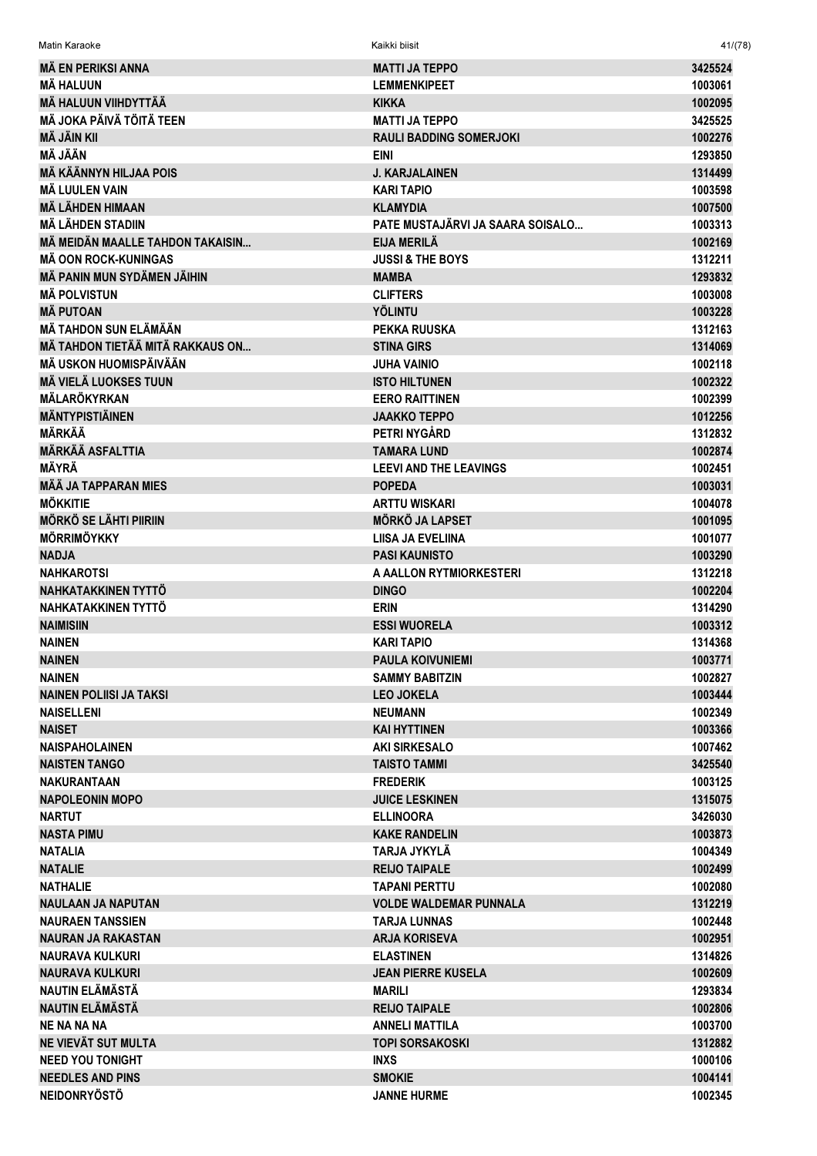| <b>MÄ EN PERIKSI ANNA</b>        | <b>MATTI JA TEPPO</b>            | 3425524 |
|----------------------------------|----------------------------------|---------|
| <b>MÄ HALUUN</b>                 | <b>LEMMENKIPEET</b>              | 1003061 |
| <b>MÄ HALUUN VIIHDYTTÄÄ</b>      | <b>KIKKA</b>                     | 1002095 |
| <b>MÄ JOKA PÄIVÄ TÖITÄ TEEN</b>  | <b>MATTI JA TEPPO</b>            | 3425525 |
| <b>MÄ JÄIN KII</b>               | <b>RAULI BADDING SOMERJOKI</b>   | 1002276 |
| MÄ JÄÄN                          | <b>EINI</b>                      | 1293850 |
| <b>MÄ KÄÄNNYN HILJAA POIS</b>    | <b>J. KARJALAINEN</b>            | 1314499 |
| <b>MÄ LUULEN VAIN</b>            | <b>KARI TAPIO</b>                | 1003598 |
| <b>MÄ LÄHDEN HIMAAN</b>          | <b>KLAMYDIA</b>                  | 1007500 |
| <b>MÄ LÄHDEN STADIIN</b>         | PATE MUSTAJÄRVI JA SAARA SOISALO | 1003313 |
| MÄ MEIDÄN MAALLE TAHDON TAKAISIN | <b>EIJA MERILÄ</b>               | 1002169 |
| <b>MÄ OON ROCK-KUNINGAS</b>      | <b>JUSSI &amp; THE BOYS</b>      | 1312211 |
| MÄ PANIN MUN SYDÄMEN JÄIHIN      | <b>MAMBA</b>                     | 1293832 |
| <b>MÄ POLVISTUN</b>              | <b>CLIFTERS</b>                  | 1003008 |
| <b>MÄ PUTOAN</b>                 | <b>YÖLINTU</b>                   | 1003228 |
| <b>MÄ TAHDON SUN ELÄMÄÄN</b>     | <b>PEKKA RUUSKA</b>              | 1312163 |
| MÄ TAHDON TIETÄÄ MITÄ RAKKAUS ON | <b>STINA GIRS</b>                | 1314069 |
| MÄ USKON HUOMISPÄIVÄÄN           | JUHA VAINIO                      | 1002118 |
| <b>MÄ VIELÄ LUOKSES TUUN</b>     | <b>ISTO HILTUNEN</b>             | 1002322 |
| <b>MÄLARÖKYRKAN</b>              | <b>EERO RAITTINEN</b>            | 1002399 |
| <b>MÄNTYPISTIÄINEN</b>           | <b>JAAKKO TEPPO</b>              | 1012256 |
| <b>MÄRKÄÄ</b>                    | PETRI NYGÅRD                     | 1312832 |
| <b>MÄRKÄÄ ASFALTTIA</b>          | <b>TAMARA LUND</b>               | 1002874 |
| MÄYRÄ                            | <b>LEEVI AND THE LEAVINGS</b>    | 1002451 |
| <b>MÄÄ JA TAPPARAN MIES</b>      | <b>POPEDA</b>                    | 1003031 |
| <b>MÖKKITIE</b>                  | <b>ARTTU WISKARI</b>             | 1004078 |
| <b>MÖRKÖ SE LÄHTI PIIRIIN</b>    | <b>MÖRKÖ JA LAPSET</b>           | 1001095 |
| <b>MÖRRIMÖYKKY</b>               | <b>LIISA JA EVELIINA</b>         | 1001077 |
| <b>NADJA</b>                     | <b>PASI KAUNISTO</b>             | 1003290 |
| <b>NAHKAROTSI</b>                | A AALLON RYTMIORKESTERI          | 1312218 |
| NAHKATAKKINEN TYTTÖ              | <b>DINGO</b>                     | 1002204 |
| NAHKATAKKINEN TYTTÖ              | <b>ERIN</b>                      | 1314290 |
| <b>NAIMISIIN</b>                 | <b>ESSI WUORELA</b>              | 1003312 |
| <b>NAINEN</b>                    | <b>KARI TAPIO</b>                | 1314368 |
| <b>NAINEN</b>                    | <b>PAULA KOIVUNIEMI</b>          | 1003771 |
| <b>NAINEN</b>                    | <b>SAMMY BABITZIN</b>            | 1002827 |
| NAINEN POLIISI JA TAKSI          | <b>LEO JOKELA</b>                | 1003444 |
| <b>NAISELLENI</b>                | <b>NEUMANN</b>                   | 1002349 |
| <b>NAISET</b>                    | <b>KAI HYTTINEN</b>              | 1003366 |
| <b>NAISPAHOLAINEN</b>            | <b>AKI SIRKESALO</b>             | 1007462 |
| <b>NAISTEN TANGO</b>             | <b>TAISTO TAMMI</b>              | 3425540 |
| <b>NAKURANTAAN</b>               | <b>FREDERIK</b>                  | 1003125 |
| <b>NAPOLEONIN MOPO</b>           | <b>JUICE LESKINEN</b>            | 1315075 |
| <b>NARTUT</b>                    | <b>ELLINOORA</b>                 | 3426030 |
| <b>NASTA PIMU</b>                | <b>KAKE RANDELIN</b>             | 1003873 |
| <b>NATALIA</b>                   | TARJA JYKYLÄ                     | 1004349 |
| <b>NATALIE</b>                   | <b>REIJO TAIPALE</b>             | 1002499 |
| <b>NATHALIE</b>                  | <b>TAPANI PERTTU</b>             | 1002080 |
| <b>NAULAAN JA NAPUTAN</b>        | <b>VOLDE WALDEMAR PUNNALA</b>    | 1312219 |
| <b>NAURAEN TANSSIEN</b>          | <b>TARJA LUNNAS</b>              | 1002448 |
| <b>NAURAN JA RAKASTAN</b>        | <b>ARJA KORISEVA</b>             | 1002951 |
| <b>NAURAVA KULKURI</b>           | <b>ELASTINEN</b>                 | 1314826 |
| <b>NAURAVA KULKURI</b>           | <b>JEAN PIERRE KUSELA</b>        | 1002609 |
| NAUTIN ELÄMÄSTÄ                  | <b>MARILI</b>                    | 1293834 |
| NAUTIN ELÄMÄSTÄ                  | <b>REIJO TAIPALE</b>             | 1002806 |
| <b>NE NA NA NA</b>               | <b>ANNELI MATTILA</b>            | 1003700 |
| NE VIEVÄT SUT MULTA              | <b>TOPI SORSAKOSKI</b>           | 1312882 |
| <b>NEED YOU TONIGHT</b>          | <b>INXS</b>                      | 1000106 |
| <b>NEEDLES AND PINS</b>          | <b>SMOKIE</b>                    | 1004141 |
| <b>NEIDONRYÖSTÖ</b>              | <b>JANNE HURME</b>               | 1002345 |

Matin Karaoke Kaikki biisit 41/(78)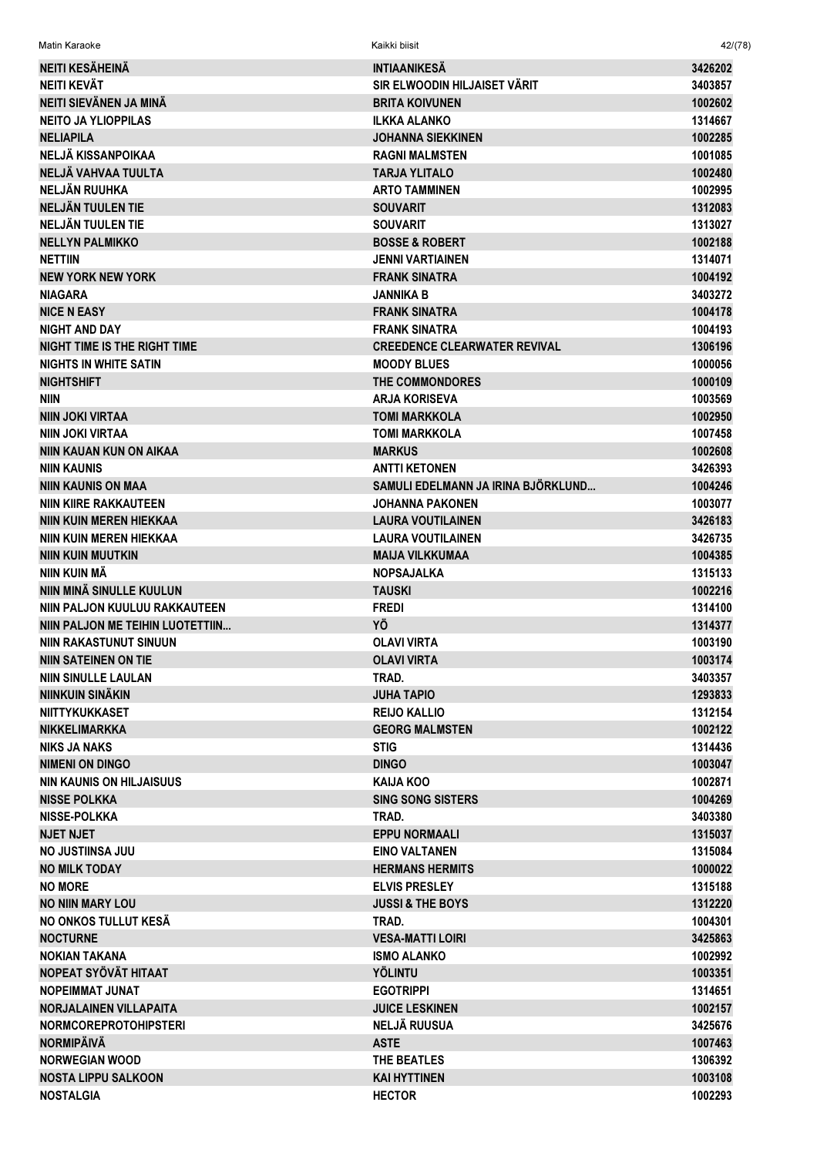| Matin Karaoke                       | Kaikki biisit                       | 42/(78) |
|-------------------------------------|-------------------------------------|---------|
| <b>NEITI KESÄHEINÄ</b>              | <b>INTIAANIKESÄ</b>                 | 3426202 |
| NEITI KEVÄT                         | SIR ELWOODIN HILJAISET VÄRIT        | 3403857 |
| NEITI SIEVÄNEN JA MINÄ              | <b>BRITA KOIVUNEN</b>               | 1002602 |
| <b>NEITO JA YLIOPPILAS</b>          | <b>ILKKA ALANKO</b>                 | 1314667 |
| <b>NELIAPILA</b>                    | <b>JOHANNA SIEKKINEN</b>            | 1002285 |
| NELJÄ KISSANPOIKAA                  | <b>RAGNI MALMSTEN</b>               | 1001085 |
| NELJÄ VAHVAA TUULTA                 | TARJA YLITALO                       | 1002480 |
| NELJÄN RUUHKA                       | <b>ARTO TAMMINEN</b>                | 1002995 |
| NELJÄN TUULEN TIE                   | <b>SOUVARIT</b>                     | 1312083 |
| NELJÄN TUULEN TIE                   | <b>SOUVARIT</b>                     | 1313027 |
| <b>NELLYN PALMIKKO</b>              | <b>BOSSE &amp; ROBERT</b>           | 1002188 |
| <b>NETTIIN</b>                      | JENNI VARTIAINEN                    | 1314071 |
| <b>NEW YORK NEW YORK</b>            | <b>FRANK SINATRA</b>                | 1004192 |
| <b>NIAGARA</b>                      | JANNIKA B                           | 3403272 |
| <b>NICE N EASY</b>                  | <b>FRANK SINATRA</b>                | 1004178 |
| <b>NIGHT AND DAY</b>                | <b>FRANK SINATRA</b>                | 1004193 |
| <b>NIGHT TIME IS THE RIGHT TIME</b> | <b>CREEDENCE CLEARWATER REVIVAL</b> | 1306196 |
| <b>NIGHTS IN WHITE SATIN</b>        | <b>MOODY BLUES</b>                  | 1000056 |
| <b>NIGHTSHIFT</b>                   | <b>THE COMMONDORES</b>              | 1000109 |
| <b>NIIN</b>                         | <b>ARJA KORISEVA</b>                | 1003569 |
| <b>NIIN JOKI VIRTAA</b>             | <b>TOMI MARKKOLA</b>                | 1002950 |
| NIIN JOKI VIRTAA                    | <b>TOMI MARKKOLA</b>                | 1007458 |
| NIIN KAUAN KUN ON AIKAA             | <b>MARKUS</b>                       | 1002608 |
| <b>NIIN KAUNIS</b>                  | <b>ANTTI KETONEN</b>                | 3426393 |
| <b>NIIN KAUNIS ON MAA</b>           | SAMULI EDELMANN JA IRINA BJÖRKLUND  | 1004246 |
| <b>NIIN KIIRE RAKKAUTEEN</b>        | <b>JOHANNA PAKONEN</b>              | 1003077 |
| <b>NIIN KUIN MEREN HIEKKAA</b>      | <b>LAURA VOUTILAINEN</b>            | 3426183 |
| <b>NIIN KUIN MEREN HIEKKAA</b>      | <b>LAURA VOUTILAINEN</b>            | 3426735 |
| <b>NIIN KUIN MUUTKIN</b>            | <b>MAIJA VILKKUMAA</b>              | 1004385 |
| NIIN KUIN MÄ                        | <b>NOPSAJALKA</b>                   | 1315133 |
| NIIN MINÄ SINULLE KUULUN            | <b>TAUSKI</b>                       | 1002216 |
| NIIN PALJON KUULUU RAKKAUTEEN       | <b>FREDI</b>                        | 1314100 |
| NIIN PALJON ME TEIHIN LUOTETTIIN    | YÖ                                  | 1314377 |
| <b>NIIN RAKASTUNUT SINUUN</b>       | <b>OLAVI VIRTA</b>                  | 1003190 |
| <b>NIIN SATEINEN ON TIE</b>         | <b>OLAVI VIRTA</b>                  | 1003174 |
| NIIN SINULLE LAULAN                 | TRAD.                               | 3403357 |
| NIINKUIN SINÄKIN                    | <b>JUHA TAPIO</b>                   | 1293833 |
| <b>NIITTYKUKKASET</b>               | <b>REIJO KALLIO</b>                 | 1312154 |
| <b>NIKKELIMARKKA</b>                | <b>GEORG MALMSTEN</b>               | 1002122 |
| <b>NIKS JA NAKS</b>                 | <b>STIG</b>                         | 1314436 |
| <b>NIMENI ON DINGO</b>              | <b>DINGO</b>                        | 1003047 |
| <b>NIN KAUNIS ON HILJAISUUS</b>     | <b>KAIJA KOO</b>                    | 1002871 |
| <b>NISSE POLKKA</b>                 | <b>SING SONG SISTERS</b>            | 1004269 |
| <b>NISSE-POLKKA</b>                 | TRAD.                               | 3403380 |
| <b>NJET NJET</b>                    | <b>EPPU NORMAALI</b>                | 1315037 |
| <b>NO JUSTIINSA JUU</b>             | <b>EINO VALTANEN</b>                | 1315084 |
| <b>NO MILK TODAY</b>                | <b>HERMANS HERMITS</b>              | 1000022 |
| <b>NO MORE</b>                      | <b>ELVIS PRESLEY</b>                | 1315188 |
| <b>NO NIIN MARY LOU</b>             | <b>JUSSI &amp; THE BOYS</b>         | 1312220 |
| NO ONKOS TULLUT KESÄ                | TRAD.                               | 1004301 |
| <b>NOCTURNE</b>                     | <b>VESA-MATTI LOIRI</b>             | 3425863 |
| <b>NOKIAN TAKANA</b>                | <b>ISMO ALANKO</b>                  | 1002992 |
| NOPEAT SYÖVÄT HITAAT                | <b>YÖLINTU</b>                      | 1003351 |
| <b>NOPEIMMAT JUNAT</b>              | <b>EGOTRIPPI</b>                    | 1314651 |
| <b>NORJALAINEN VILLAPAITA</b>       | <b>JUICE LESKINEN</b>               | 1002157 |
| <b>NORMCOREPROTOHIPSTERI</b>        | <b>NELJÄ RUUSUA</b>                 | 3425676 |
| <b>NORMIPÄIVÄ</b>                   | <b>ASTE</b>                         | 1007463 |
| <b>NORWEGIAN WOOD</b>               | THE BEATLES                         | 1306392 |
| <b>NOSTA LIPPU SALKOON</b>          | <b>KAI HYTTINEN</b>                 | 1003108 |
|                                     |                                     |         |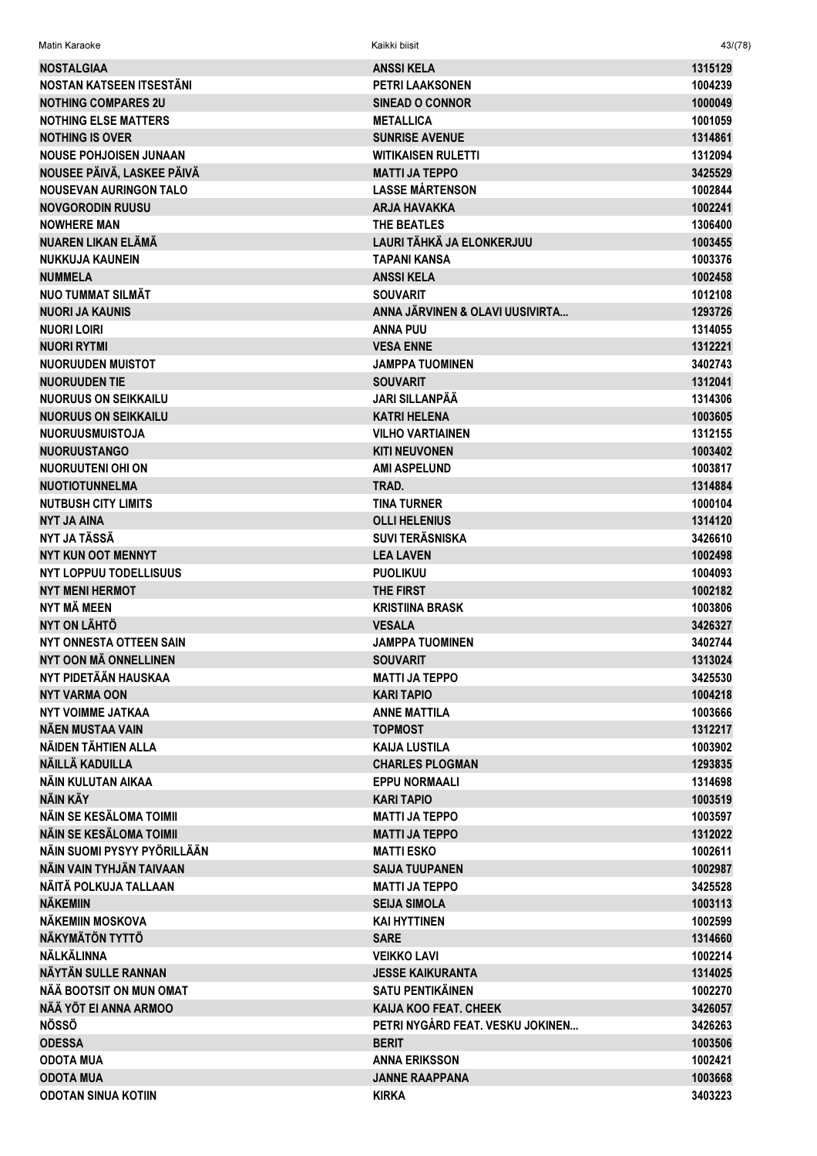| Matin Karaoke                                  | Kaikki biisit                           | 43/(78)            |
|------------------------------------------------|-----------------------------------------|--------------------|
| <b>NOSTALGIAA</b>                              | <b>ANSSIKELA</b>                        | 1315129            |
| NOSTAN KATSEEN ITSESTÄNI                       | PETRI LAAKSONEN                         | 1004239            |
| <b>NOTHING COMPARES 2U</b>                     | <b>SINEAD O CONNOR</b>                  | 1000049            |
| <b>NOTHING ELSE MATTERS</b>                    | <b>METALLICA</b>                        | 1001059            |
| <b>NOTHING IS OVER</b>                         | <b>SUNRISE AVENUE</b>                   | 1314861            |
| <b>NOUSE POHJOISEN JUNAAN</b>                  | <b>WITIKAISEN RULETTI</b>               | 1312094            |
| NOUSEE PÄIVÄ, LASKEE PÄIVÄ                     | <b>MATTI JA TEPPO</b>                   | 3425529            |
| <b>NOUSEVAN AURINGON TALO</b>                  | <b>LASSE MÅRTENSON</b>                  | 1002844            |
| <b>NOVGORODIN RUUSU</b>                        | <b>ARJA HAVAKKA</b>                     | 1002241            |
| <b>NOWHERE MAN</b>                             | THE BEATLES                             | 1306400            |
| NUAREN LIKAN ELÄMÄ                             | LAURI TÄHKÄ JA ELONKERJUU               | 1003455            |
| <b>NUKKUJA KAUNEIN</b>                         | TAPANI KANSA                            | 1003376            |
| <b>NUMMELA</b>                                 | <b>ANSSIKELA</b>                        | 1002458            |
| <b>NUO TUMMAT SILMÄT</b>                       | <b>SOUVARIT</b>                         | 1012108            |
| <b>NUORI JA KAUNIS</b>                         | ANNA JÄRVINEN & OLAVI UUSIVIRTA         | 1293726            |
| <b>NUORI LOIRI</b>                             | <b>ANNA PUU</b>                         | 1314055            |
| <b>NUORI RYTMI</b>                             | <b>VESA ENNE</b>                        | 1312221            |
| <b>NUORUUDEN MUISTOT</b>                       | <b>JAMPPA TUOMINEN</b>                  | 3402743            |
| <b>NUORUUDEN TIE</b>                           | <b>SOUVARIT</b>                         | 1312041            |
| <b>NUORUUS ON SEIKKAILU</b>                    | JARI SII I ANPÄÄ                        | 1314306            |
| <b>NUORUUS ON SEIKKAILU</b>                    | <b>KATRI HELENA</b>                     | 1003605            |
| <b>NUORUUSMUISTOJA</b>                         | <b>VILHO VARTIAINEN</b>                 | 1312155            |
| <b>NUORUUSTANGO</b>                            | <b>KITI NEUVONEN</b>                    | 1003402            |
| NUORUUTENI OHI ON                              | <b>AMI ASPELUND</b>                     | 1003817            |
| <b>NUOTIOTUNNELMA</b>                          | TRAD.                                   | 1314884            |
| <b>NUTBUSH CITY LIMITS</b>                     | <b>TINA TURNER</b>                      | 1000104            |
| <b>NYT JA AINA</b>                             | <b>OLLI HELENIUS</b>                    | 1314120            |
| NYT JA TÄSSÄ                                   | <b>SUVI TERÄSNISKA</b>                  | 3426610            |
| <b>NYT KUN OOT MENNYT</b>                      | <b>LEA LAVEN</b>                        | 1002498            |
| <b>NYT LOPPUU TODELLISUUS</b>                  | <b>PUOLIKUU</b>                         | 1004093            |
| <b>NYT MENI HERMOT</b><br>NYT MÄ MEEN          | THE FIRST                               | 1002182            |
| <b>NYT ON LÄHTÖ</b>                            | <b>KRISTIINA BRASK</b><br><b>VESALA</b> | 1003806<br>3426327 |
| NYT ONNESTA OTTEEN SAIN                        | <b>JAMPPA TUOMINEN</b>                  | 3402744            |
| NYT OON MÄ ONNELLINEN                          | <b>SOUVARIT</b>                         | 1313024            |
| NYT PIDETÄÄN HAUSKAA                           | <b>MATTI JA TEPPO</b>                   | 3425530            |
| <b>NYT VARMA OON</b>                           | <b>KARI TAPIO</b>                       | 1004218            |
| <b>NYT VOIMME JATKAA</b>                       | <b>ANNE MATTILA</b>                     | 1003666            |
| NÄEN MUSTAA VAIN                               | <b>TOPMOST</b>                          | 1312217            |
| NÄIDEN TÄHTIEN ALLA                            | <b>KAIJA LUSTILA</b>                    | 1003902            |
| NÄILLÄ KADUILLA                                | <b>CHARLES PLOGMAN</b>                  | 1293835            |
| NÄIN KULUTAN AIKAA                             | <b>EPPU NORMAALI</b>                    | 1314698            |
| NÄIN KÄY                                       | <b>KARI TAPIO</b>                       | 1003519            |
| NÄIN SE KESÄLOMA TOIMII                        | <b>MATTI JA TEPPO</b>                   | 1003597            |
| NÄIN SE KESÄLOMA TOIMII                        | <b>MATTI JA TEPPO</b>                   | 1312022            |
| NÄIN SUOMI PYSYY PYÖRILLÄÄN                    | <b>MATTI ESKO</b>                       | 1002611            |
| NÄIN VAIN TYHJÄN TAIVAAN                       | <b>SAIJA TUUPANEN</b>                   | 1002987            |
| NÄITÄ POLKUJA TALLAAN                          | <b>MATTI JA TEPPO</b>                   | 3425528            |
| <b>NÄKEMIIN</b>                                | <b>SEIJA SIMOLA</b>                     | 1003113            |
| NÄKEMIIN MOSKOVA                               | <b>KAI HYTTINEN</b>                     | 1002599            |
| <b>NÄKYMÄTÖN TYTTÖ</b>                         | <b>SARE</b>                             | 1314660            |
| NÄLKÄLINNA                                     | <b>VEIKKO LAVI</b>                      | 1002214            |
| NÄYTÄN SULLE RANNAN                            | <b>JESSE KAIKURANTA</b>                 | 1314025            |
| NÄÄ BOOTSIT ON MUN OMAT                        | <b>SATU PENTIKÄINEN</b>                 | 1002270            |
| NÄÄ YÖT EI ANNA ARMOO                          | <b>KAIJA KOO FEAT. CHEEK</b>            | 3426057            |
| <b>NÖSSÖ</b>                                   | PETRI NYGÅRD FEAT. VESKU JOKINEN        | 3426263            |
| <b>ODESSA</b>                                  | <b>BERIT</b>                            | 1003506            |
| <b>ODOTA MUA</b>                               | <b>ANNA ERIKSSON</b>                    | 1002421            |
| <b>ODOTA MUA</b><br><b>ODOTAN SINUA KOTIIN</b> | <b>JANNE RAAPPANA</b><br><b>KIRKA</b>   | 1003668<br>3403223 |
|                                                |                                         |                    |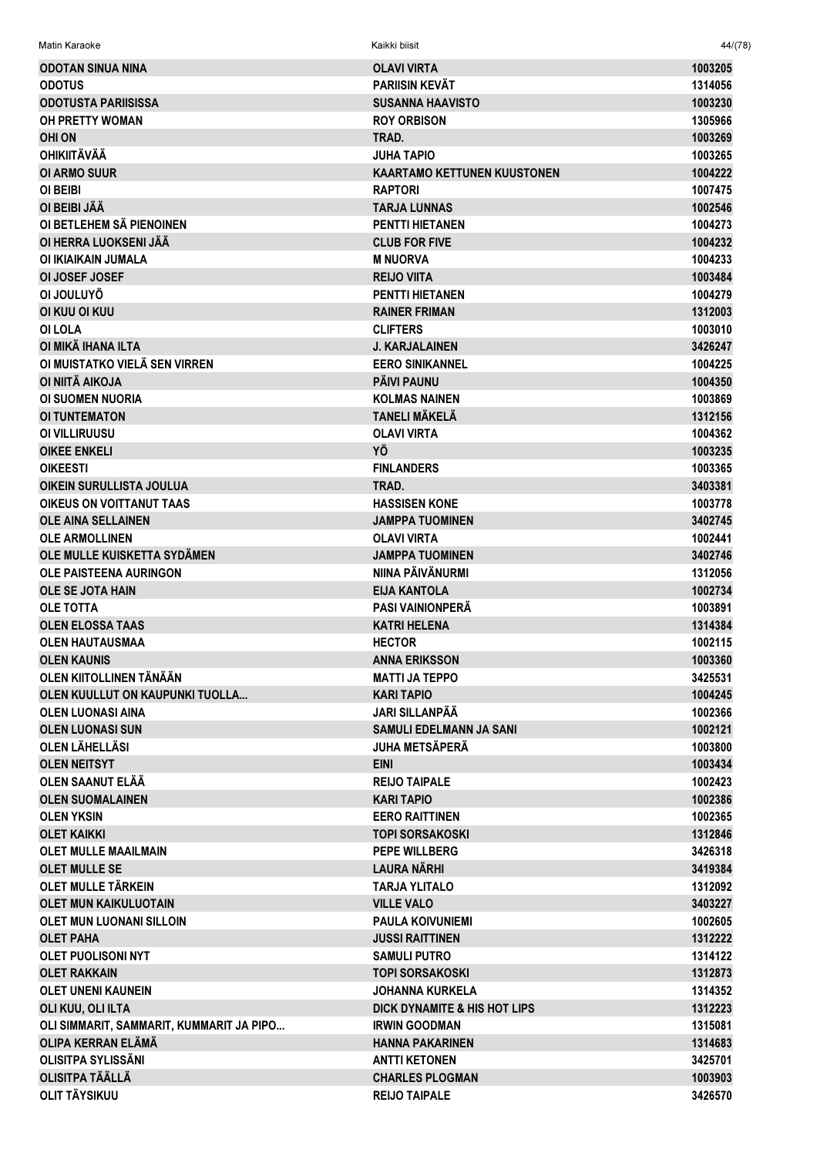| Matin Karaoke                            | Kaikki biisit                           | 44/(78) |
|------------------------------------------|-----------------------------------------|---------|
| <b>ODOTAN SINUA NINA</b>                 | <b>OLAVI VIRTA</b>                      | 1003205 |
| <b>ODOTUS</b>                            | <b>PARIISIN KEVÄT</b>                   | 1314056 |
| <b>ODOTUSTA PARIISISSA</b>               | <b>SUSANNA HAAVISTO</b>                 | 1003230 |
| <b>OH PRETTY WOMAN</b>                   | <b>ROY ORBISON</b>                      | 1305966 |
| <b>OHI ON</b>                            | TRAD.                                   | 1003269 |
| <b>OHIKIITÄVÄÄ</b>                       | JUHA TAPIO                              | 1003265 |
| <b>OI ARMO SUUR</b>                      | <b>KAARTAMO KETTUNEN KUUSTONEN</b>      | 1004222 |
| OI BEIBI                                 | <b>RAPTORI</b>                          | 1007475 |
| OI BEIBI JÄÄ                             | <b>TARJA LUNNAS</b>                     | 1002546 |
| OI BETLEHEM SÄ PIENOINEN                 | <b>PENTTI HIETANEN</b>                  | 1004273 |
| OI HERRA LUOKSENI JÄÄ                    | <b>CLUB FOR FIVE</b>                    | 1004232 |
| OI IKIAIKAIN JUMALA                      | <b>M NUORVA</b>                         | 1004233 |
| <b>OI JOSEF JOSEF</b>                    | <b>REIJO VIITA</b>                      | 1003484 |
| OI JOULUYO                               | <b>PENTTI HIETANEN</b>                  | 1004279 |
| OI KUU OI KUU                            | <b>RAINER FRIMAN</b>                    | 1312003 |
| OI LOLA                                  | <b>CLIFTERS</b>                         | 1003010 |
| OI MIKÂ IHANA ILTA                       | <b>J. KARJALAINEN</b>                   | 3426247 |
| OI MUISTATKO VIELÄ SEN VIRREN            | <b>EERO SINIKANNEL</b>                  | 1004225 |
| OI NIITÄ AIKOJA                          | PÄIVI PAUNU                             | 1004350 |
| <b>OI SUOMEN NUORIA</b>                  | <b>KOLMAS NAINEN</b>                    | 1003869 |
| <b>OI TUNTEMATON</b>                     | <b>TANELI MÄKELÄ</b>                    | 1312156 |
| OI VILLIRUUSU                            | <b>OLAVI VIRTA</b>                      | 1004362 |
| <b>OIKEE ENKELI</b>                      | ΥÖ                                      | 1003235 |
| <b>OIKEESTI</b>                          | <b>FINLANDERS</b>                       | 1003365 |
| OIKEIN SURULLISTA JOULUA                 | TRAD.                                   | 3403381 |
| <b>OIKEUS ON VOITTANUT TAAS</b>          | <b>HASSISEN KONE</b>                    | 1003778 |
| <b>OLE AINA SELLAINEN</b>                | <b>JAMPPA TUOMINEN</b>                  | 3402745 |
| <b>OLE ARMOLLINEN</b>                    | <b>OLAVI VIRTA</b>                      | 1002441 |
| OLE MULLE KUISKETTA SYDÄMEN              | <b>JAMPPA TUOMINEN</b>                  | 3402746 |
| <b>OLE PAISTEENA AURINGON</b>            | NIINA PÄIVÄNURMI                        | 1312056 |
| <b>OLE SE JOTA HAIN</b>                  | <b>EIJA KANTOLA</b>                     | 1002734 |
| <b>OLE TOTTA</b>                         | <b>PASI VAINIONPERÄ</b>                 | 1003891 |
| <b>OLEN ELOSSA TAAS</b>                  | <b>KATRI HELENA</b>                     | 1314384 |
| <b>OLEN HAUTAUSMAA</b>                   | <b>HECTOR</b>                           | 1002115 |
| <b>OLEN KAUNIS</b>                       | <b>ANNA ERIKSSON</b>                    | 1003360 |
| OLEN KIITOLLINEN TÄNÄÄN                  | <b>MATTI JA TEPPO</b>                   | 3425531 |
| OLEN KUULLUT ON KAUPUNKI TUOLLA          | <b>KARI TAPIO</b>                       | 1004245 |
| <b>OLEN LUONASI AINA</b>                 | <b>JARI SILLANPÄÄ</b>                   | 1002366 |
| <b>OLEN LUONASI SUN</b>                  | SAMULI EDELMANN JA SANI                 | 1002121 |
| OLEN LÄHELLÄSI                           | JUHA METSÄPERÄ                          | 1003800 |
| <b>OLEN NEITSYT</b>                      | <b>EINI</b>                             | 1003434 |
| <b>OLEN SAANUT ELÄÄ</b>                  | <b>REIJO TAIPALE</b>                    | 1002423 |
| <b>OLEN SUOMALAINEN</b>                  | <b>KARI TAPIO</b>                       | 1002386 |
| <b>OLEN YKSIN</b>                        | <b>EERO RAITTINEN</b>                   | 1002365 |
| <b>OLET KAIKKI</b>                       | <b>TOPI SORSAKOSKI</b>                  | 1312846 |
| <b>OLET MULLE MAAILMAIN</b>              | <b>PEPE WILLBERG</b>                    | 3426318 |
| <b>OLET MULLE SE</b>                     | <b>LAURA NÄRHI</b>                      | 3419384 |
| OLET MULLE TÄRKEIN                       | <b>TARJA YLITALO</b>                    | 1312092 |
| <b>OLET MUN KAIKULUOTAIN</b>             | <b>VILLE VALO</b>                       | 3403227 |
| <b>OLET MUN LUONANI SILLOIN</b>          | <b>PAULA KOIVUNIEMI</b>                 | 1002605 |
| <b>OLET PAHA</b>                         | <b>JUSSI RAITTINEN</b>                  | 1312222 |
| <b>OLET PUOLISONI NYT</b>                | <b>SAMULI PUTRO</b>                     | 1314122 |
| <b>OLET RAKKAIN</b>                      | <b>TOPI SORSAKOSKI</b>                  | 1312873 |
| <b>OLET UNENI KAUNEIN</b>                | <b>JOHANNA KURKELA</b>                  | 1314352 |
| OLI KUU, OLI ILTA                        | <b>DICK DYNAMITE &amp; HIS HOT LIPS</b> | 1312223 |
| OLI SIMMARIT, SAMMARIT, KUMMARIT JA PIPO | <b>IRWIN GOODMAN</b>                    | 1315081 |
| OLIPA KERRAN ELÄMÄ                       | <b>HANNA PAKARINEN</b>                  | 1314683 |
| <b>OLISITPA SYLISSÄNI</b>                | <b>ANTTI KETONEN</b>                    | 3425701 |
| <b>OLISITPA TÄÄLLÄ</b>                   | <b>CHARLES PLOGMAN</b>                  | 1003903 |
| OLIT TÄYSIKUU                            | <b>REIJO TAIPALE</b>                    | 3426570 |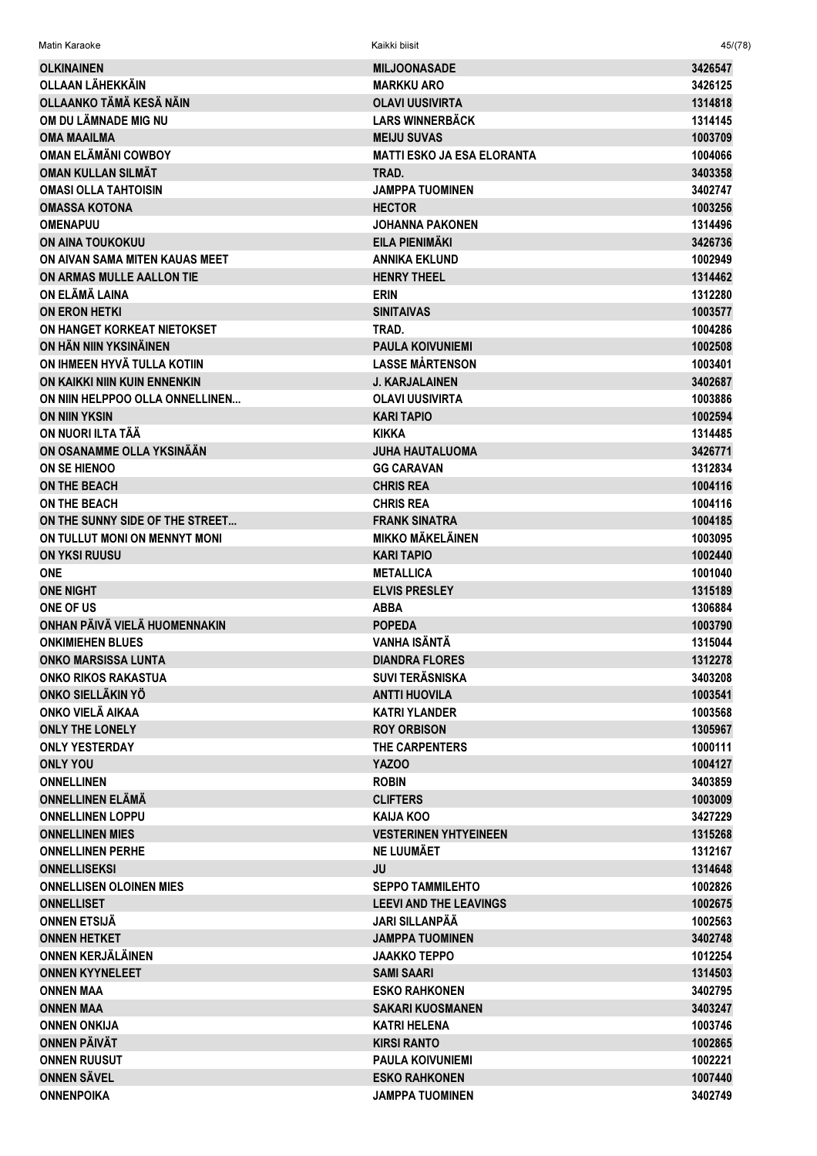| Matin Karaoke                              | Kaikki biisit                             | 45/(78)            |
|--------------------------------------------|-------------------------------------------|--------------------|
| <b>OLKINAINEN</b>                          | <b>MILJOONASADE</b>                       | 3426547            |
| <b>OLLAAN LÄHEKKÄIN</b>                    | <b>MARKKU ARO</b>                         | 3426125            |
| OLLAANKO TÄMÄ KESÄ NÄIN                    | <b>OLAVI UUSIVIRTA</b>                    | 1314818            |
| OM DU LÄMNADE MIG NU                       | <b>LARS WINNERBÄCK</b>                    | 1314145            |
| <b>OMA MAAILMA</b>                         | <b>MEIJU SUVAS</b>                        | 1003709            |
| <b>OMAN ELÄMÄNI COWBOY</b>                 | <b>MATTI ESKO JA ESA ELORANTA</b>         | 1004066            |
| <b>OMAN KULLAN SILMÄT</b>                  | TRAD.                                     | 3403358            |
| <b>OMASI OLLA TAHTOISIN</b>                | <b>JAMPPA TUOMINEN</b>                    | 3402747            |
| <b>OMASSA KOTONA</b>                       | <b>HECTOR</b>                             | 1003256            |
| <b>OMENAPUU</b>                            | <b>JOHANNA PAKONEN</b>                    | 1314496            |
| <b>ON AINA TOUKOKUU</b>                    | EILA PIENIMÄKI                            | 3426736            |
| ON AIVAN SAMA MITEN KAUAS MEET             | <b>ANNIKA EKLUND</b>                      | 1002949            |
| ON ARMAS MULLE AALLON TIE                  | <b>HENRY THEEL</b>                        | 1314462            |
| ON ELÄMÄ LAINA                             | <b>ERIN</b>                               | 1312280            |
| <b>ON ERON HETKI</b>                       | <b>SINITAIVAS</b>                         | 1003577            |
| ON HANGET KORKEAT NIETOKSET                | TRAD.                                     | 1004286            |
| ON HÄN NIIN YKSINÄINEN                     | <b>PAULA KOIVUNIEMI</b>                   | 1002508            |
| ON IHMEEN HYVÄ TULLA KOTIIN                | <b>LASSE MÅRTENSON</b>                    | 1003401            |
| ON KAIKKI NIIN KUIN ENNENKIN               | <b>J. KARJALAINEN</b>                     | 3402687            |
| ON NIIN HELPPOO OLLA ONNELLINEN            | <b>OLAVI UUSIVIRTA</b>                    | 1003886            |
| <b>ON NIIN YKSIN</b>                       | <b>KARI TAPIO</b>                         | 1002594            |
| ON NUORI ILTA TÄÄ                          | <b>KIKKA</b>                              | 1314485            |
| ON OSANAMME OLLA YKSINÄÄN                  | <b>JUHA HAUTALUOMA</b>                    | 3426771            |
| ON SE HIENOO                               | <b>GG CARAVAN</b>                         | 1312834            |
| <b>ON THE BEACH</b>                        | <b>CHRIS REA</b>                          | 1004116            |
| <b>ON THE BEACH</b>                        | <b>CHRIS REA</b>                          | 1004116            |
| ON THE SUNNY SIDE OF THE STREET            | <b>FRANK SINATRA</b>                      | 1004185            |
| ON TULLUT MONI ON MENNYT MONI              | <b>MIKKO MÄKELÄINEN</b>                   | 1003095            |
| <b>ON YKSI RUUSU</b>                       | <b>KARI TAPIO</b>                         | 1002440            |
| <b>ONE</b><br><b>ONE NIGHT</b>             | <b>METALLICA</b><br><b>ELVIS PRESLEY</b>  | 1001040<br>1315189 |
| ONE OF US                                  | <b>ABBA</b>                               | 1306884            |
| ONHAN PÄIVÄ VIELÄ HUOMENNAKIN              | <b>POPEDA</b>                             | 1003790            |
| <b>ONKIMIEHEN BLUES</b>                    | VANHA ISÄNTÄ                              | 1315044            |
| <b>ONKO MARSISSA LUNTA</b>                 | <b>DIANDRA FLORES</b>                     | 1312278            |
| <b>ONKO RIKOS RAKASTUA</b>                 | <b>SUVI TERÄSNISKA</b>                    | 3403208            |
| ONKO SIELLÄKIN YÖ                          | <b>ANTTI HUOVILA</b>                      | 1003541            |
| ONKO VIELÄ AIKAA                           | <b>KATRI YLANDER</b>                      | 1003568            |
| <b>ONLY THE LONELY</b>                     | <b>ROY ORBISON</b>                        | 1305967            |
| <b>ONLY YESTERDAY</b>                      | THE CARPENTERS                            | 1000111            |
| <b>ONLY YOU</b>                            | YAZOO                                     | 1004127            |
| <b>ONNELLINEN</b>                          | <b>ROBIN</b>                              | 3403859            |
| <b>ONNELLINEN ELÄMÄ</b>                    | <b>CLIFTERS</b>                           | 1003009            |
| <b>ONNELLINEN LOPPU</b>                    | <b>KAIJA KOO</b>                          | 3427229            |
| <b>ONNELLINEN MIES</b>                     | <b>VESTERINEN YHTYEINEEN</b>              | 1315268            |
| <b>ONNELLINEN PERHE</b>                    | <b>NE LUUMÄET</b>                         | 1312167            |
| <b>ONNELLISEKSI</b>                        | JU                                        | 1314648            |
| <b>ONNELLISEN OLOINEN MIES</b>             | <b>SEPPO TAMMILEHTO</b>                   | 1002826            |
| <b>ONNELLISET</b>                          | <b>LEEVI AND THE LEAVINGS</b>             | 1002675            |
| <b>ONNEN ETSIJÄ</b>                        | <b>JARI SILLANPÄÄ</b>                     | 1002563            |
| <b>ONNEN HETKET</b>                        | <b>JAMPPA TUOMINEN</b>                    | 3402748            |
| <b>ONNEN KERJÄLÄINEN</b>                   | <b>JAAKKO TEPPO</b>                       | 1012254            |
| <b>ONNEN KYYNELEET</b>                     | <b>SAMI SAARI</b>                         | 1314503            |
| <b>ONNEN MAA</b>                           | <b>ESKO RAHKONEN</b>                      | 3402795            |
| <b>ONNEN MAA</b>                           | <b>SAKARI KUOSMANEN</b>                   | 3403247            |
| <b>ONNEN ONKIJA</b><br><b>ONNEN PÄIVÄT</b> | <b>KATRI HELENA</b><br><b>KIRSI RANTO</b> | 1003746            |
| <b>ONNEN RUUSUT</b>                        | <b>PAULA KOIVUNIEMI</b>                   | 1002865<br>1002221 |
| <b>ONNEN SÄVEL</b>                         | <b>ESKO RAHKONEN</b>                      | 1007440            |
| <b>ONNENPOIKA</b>                          | <b>JAMPPA TUOMINEN</b>                    | 3402749            |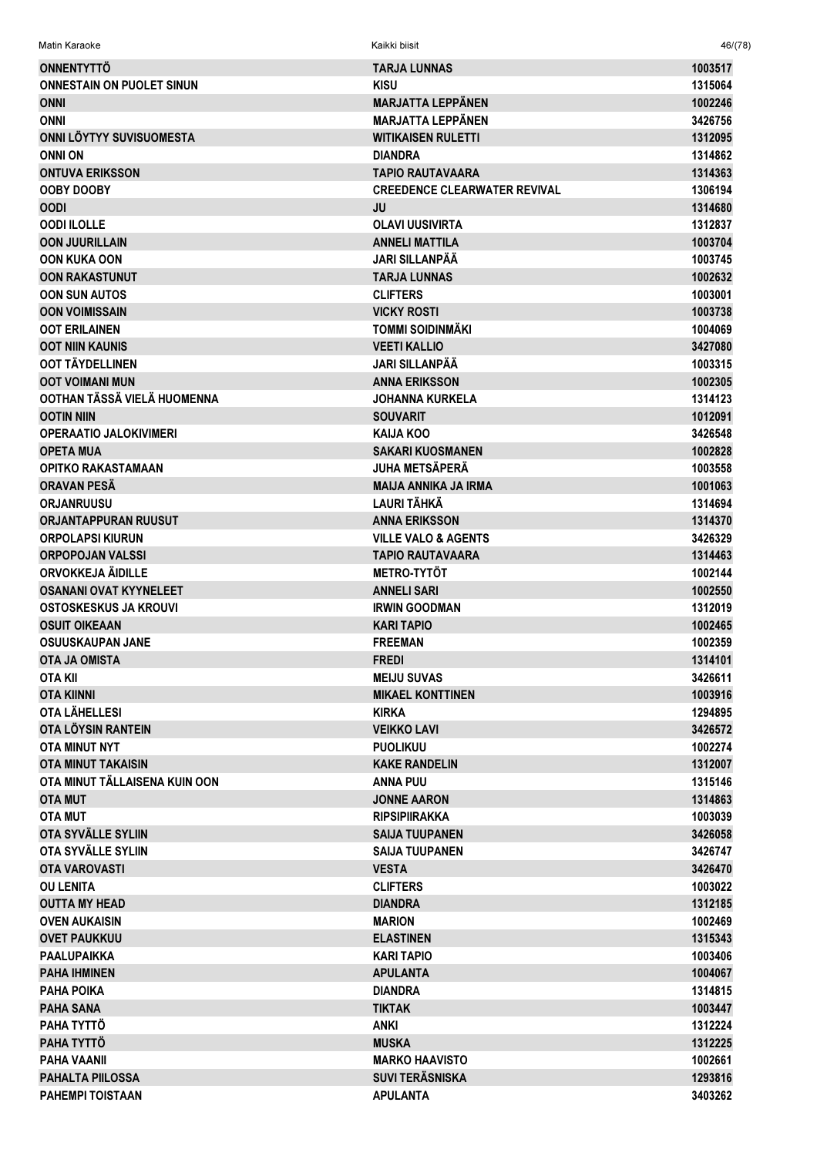| <b>ONNENTYTTÖ</b>                | <b>TARJA LUNNAS</b>                 | 1003517 |
|----------------------------------|-------------------------------------|---------|
| <b>ONNESTAIN ON PUOLET SINUN</b> | <b>KISU</b>                         | 1315064 |
| <b>ONNI</b>                      | <b>MARJATTA LEPPÄNEN</b>            | 1002246 |
| <b>ONNI</b>                      | <b>MARJATTA LEPPÄNEN</b>            | 3426756 |
| ONNI LÖYTYY SUVISUOMESTA         | <b>WITIKAISEN RULETTI</b>           | 1312095 |
| <b>ONNI ON</b>                   | <b>DIANDRA</b>                      | 1314862 |
| <b>ONTUVA ERIKSSON</b>           | <b>TAPIO RAUTAVAARA</b>             | 1314363 |
| <b>OOBY DOOBY</b>                | <b>CREEDENCE CLEARWATER REVIVAL</b> | 1306194 |
| <b>OODI</b>                      | JU                                  | 1314680 |
| <b>OODI ILOLLE</b>               | <b>OLAVI UUSIVIRTA</b>              | 1312837 |
| <b>OON JUURILLAIN</b>            | <b>ANNELI MATTILA</b>               | 1003704 |
| <b>OON KUKA OON</b>              | JARI SILLANPÄÄ                      | 1003745 |
| <b>OON RAKASTUNUT</b>            | <b>TARJA LUNNAS</b>                 | 1002632 |
| <b>OON SUN AUTOS</b>             | <b>CLIFTERS</b>                     | 1003001 |
| <b>OON VOIMISSAIN</b>            | <b>VICKY ROSTI</b>                  | 1003738 |
| <b>OOT ERILAINEN</b>             | <b>TOMMI SOIDINMÄKI</b>             | 1004069 |
| <b>OOT NIIN KAUNIS</b>           | <b>VEETI KALLIO</b>                 | 3427080 |
| OOT TÄYDELLINEN                  | JARI SILLANPÄÄ                      | 1003315 |
| <b>OOT VOIMANI MUN</b>           | <b>ANNA ERIKSSON</b>                | 1002305 |
| OOTHAN TÄSSÄ VIELÄ HUOMENNA      | <b>JOHANNA KURKELA</b>              | 1314123 |
| <b>OOTIN NIIN</b>                | <b>SOUVARIT</b>                     | 1012091 |
| <b>OPERAATIO JALOKIVIMERI</b>    | <b>KAIJA KOO</b>                    | 3426548 |
| <b>OPETA MUA</b>                 | <b>SAKARI KUOSMANEN</b>             | 1002828 |
| <b>OPITKO RAKASTAMAAN</b>        | <b>JUHA METSÄPERÄ</b>               | 1003558 |
| ORAVAN PESA                      | <b>MAIJA ANNIKA JA IRMA</b>         | 1001063 |
| <b>ORJANRUUSU</b>                | <b>LAURI TÄHKÄ</b>                  | 1314694 |
| <b>ORJANTAPPURAN RUUSUT</b>      | <b>ANNA ERIKSSON</b>                | 1314370 |
| <b>ORPOLAPSI KIURUN</b>          | <b>VILLE VALO &amp; AGENTS</b>      | 3426329 |
| <b>ORPOPOJAN VALSSI</b>          | <b>TAPIO RAUTAVAARA</b>             | 1314463 |
| ORVOKKEJA ÄIDILLE                | <b>METRO-TYTÖT</b>                  | 1002144 |
| <b>OSANANI OVAT KYYNELEET</b>    | <b>ANNELI SARI</b>                  | 1002550 |
| <b>OSTOSKESKUS JA KROUVI</b>     | <b>IRWIN GOODMAN</b>                | 1312019 |
| <b>OSUIT OIKEAAN</b>             | <b>KARI TAPIO</b>                   | 1002465 |
| <b>OSUUSKAUPAN JANE</b>          | <b>FREEMAN</b>                      | 1002359 |
| <b>OTA JA OMISTA</b>             | <b>FREDI</b>                        | 1314101 |
| <b>OTA KII</b>                   | <b>MEIJU SUVAS</b>                  | 3426611 |
| <b>OTA KIINNI</b>                | <b>MIKAEL KONTTINEN</b>             | 1003916 |
| <b>OTA LÄHELLESI</b>             | <b>KIRKA</b>                        | 1294895 |
| OTA LÖYSIN RANTEIN               | <b>VEIKKO LAVI</b>                  | 3426572 |
| <b>OTA MINUT NYT</b>             | <b>PUOLIKUU</b>                     | 1002274 |
| <b>OTA MINUT TAKAISIN</b>        | <b>KAKE RANDELIN</b>                | 1312007 |
| OTA MINUT TÄLLAISENA KUIN OON    | <b>ANNA PUU</b>                     | 1315146 |
| <b>OTA MUT</b>                   | <b>JONNE AARON</b>                  | 1314863 |
| <b>OTA MUT</b>                   | <b>RIPSIPIIRAKKA</b>                | 1003039 |
| OTA SYVÄLLE SYLIIN               | <b>SAIJA TUUPANEN</b>               | 3426058 |
| OTA SYVÄLLE SYLIIN               | <b>SAIJA TUUPANEN</b>               | 3426747 |
| <b>OTA VAROVASTI</b>             | <b>VESTA</b>                        | 3426470 |
| <b>OU LENITA</b>                 | <b>CLIFTERS</b>                     | 1003022 |
| <b>OUTTA MY HEAD</b>             | <b>DIANDRA</b>                      | 1312185 |
| <b>OVEN AUKAISIN</b>             | <b>MARION</b>                       | 1002469 |
| <b>OVET PAUKKUU</b>              | <b>ELASTINEN</b>                    | 1315343 |
| PAALUPAIKKA                      | KARI TAPIO                          | 1003406 |
| <b>PAHA IHMINEN</b>              | <b>APULANTA</b>                     | 1004067 |
| <b>PAHA POIKA</b>                | <b>DIANDRA</b>                      | 1314815 |
| <b>PAHA SANA</b>                 | <b>TIKTAK</b>                       | 1003447 |
| PAHA TYTTÖ                       | <b>ANKI</b>                         | 1312224 |
| PAHA TYTTÖ                       | <b>MUSKA</b>                        | 1312225 |
| <b>PAHA VAANII</b>               | <b>MARKO HAAVISTO</b>               | 1002661 |
| <b>PAHALTA PIILOSSA</b>          | <b>SUVI TERÄSNISKA</b>              | 1293816 |
| <b>PAHEMPI TOISTAAN</b>          | <b>APULANTA</b>                     | 3403262 |

 $46/(78)$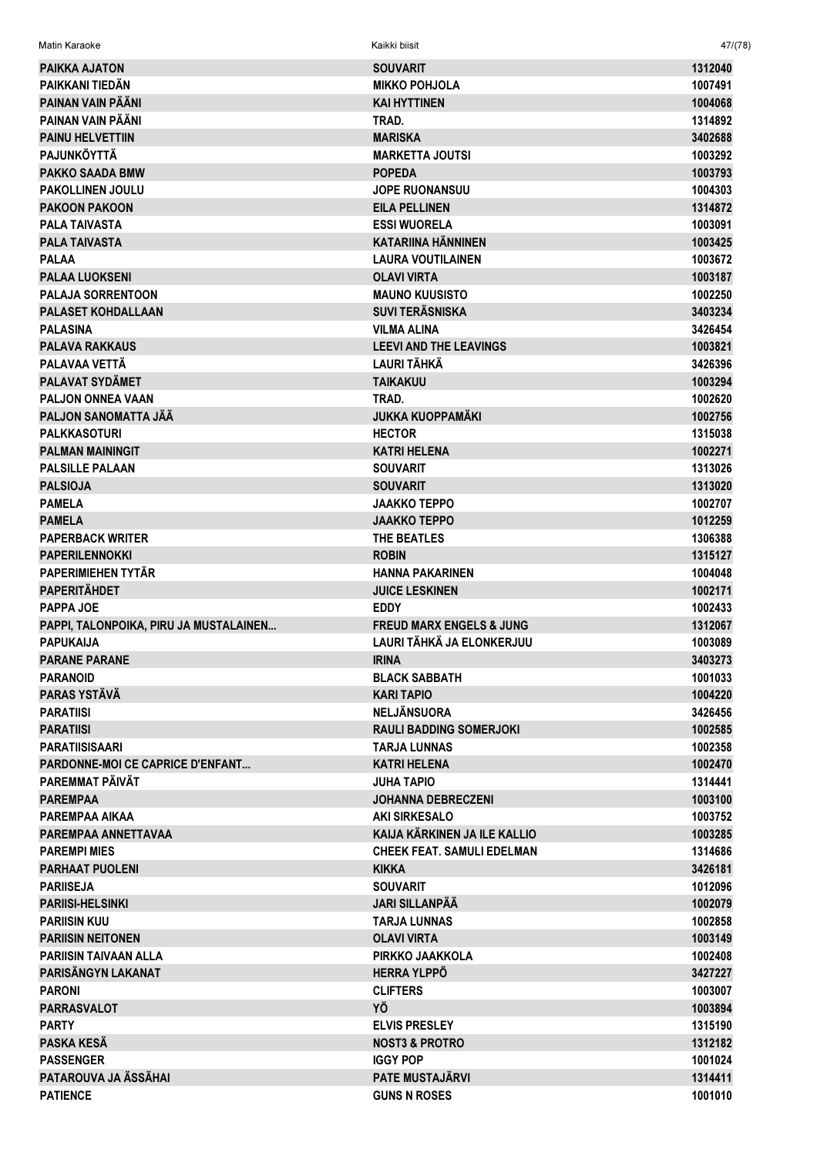| Matin Karaoke                                              | Kaikki biisit                                      | 47/(78)            |
|------------------------------------------------------------|----------------------------------------------------|--------------------|
| <b>PAIKKA AJATON</b>                                       | <b>SOUVARIT</b>                                    | 1312040            |
| PAIKKANI TIEDÄN                                            | <b>MIKKO POHJOLA</b>                               | 1007491            |
| PAINAN VAIN PÄÄNI                                          | <b>KAI HYTTINEN</b>                                | 1004068            |
| PAINAN VAIN PÄÄNI                                          | TRAD.                                              | 1314892            |
| <b>PAINU HELVETTIIN</b>                                    | <b>MARISKA</b>                                     | 3402688            |
| <b>PAJUNKÖYTTÄ</b>                                         | <b>MARKETTA JOUTSI</b>                             | 1003292            |
| <b>PAKKO SAADA BMW</b>                                     | <b>POPEDA</b>                                      | 1003793            |
| <b>PAKOLLINEN JOULU</b>                                    | <b>JOPE RUONANSUU</b>                              | 1004303            |
| <b>PAKOON PAKOON</b>                                       | <b>EILA PELLINEN</b>                               | 1314872            |
| <b>PALA TAIVASTA</b>                                       | <b>ESSI WUORELA</b>                                | 1003091            |
| <b>PALA TAIVASTA</b>                                       | <b>KATARIINA HÄNNINEN</b>                          | 1003425            |
| <b>PALAA</b>                                               | <b>LAURA VOUTILAINEN</b>                           | 1003672            |
| <b>PALAA LUOKSENI</b>                                      | <b>OLAVI VIRTA</b>                                 | 1003187            |
| <b>PALAJA SORRENTOON</b>                                   | <b>MAUNO KUUSISTO</b>                              | 1002250            |
| <b>PALASET KOHDALLAAN</b>                                  | <b>SUVI TERÄSNISKA</b>                             | 3403234            |
| <b>PALASINA</b>                                            | <b>VILMA ALINA</b>                                 | 3426454            |
| <b>PALAVA RAKKAUS</b>                                      | <b>LEEVI AND THE LEAVINGS</b>                      | 1003821            |
| PALAVAA VETTÄ                                              | I AURI TÄHKÄ                                       | 3426396            |
| PALAVAT SYDÄMET                                            | <b>TAIKAKUU</b>                                    | 1003294            |
| <b>PALJON ONNEA VAAN</b>                                   | TRAD.                                              | 1002620            |
| PALJON SANOMATTA JÄÄ                                       | <b>JUKKA KUOPPAMÄKI</b>                            | 1002756            |
| <b>PALKKASOTURI</b>                                        | <b>HECTOR</b>                                      | 1315038            |
| <b>PALMAN MAININGIT</b>                                    | <b>KATRI HELENA</b>                                | 1002271            |
| <b>PALSILLE PALAAN</b>                                     | <b>SOUVARIT</b>                                    | 1313026            |
| <b>PALSIOJA</b>                                            | <b>SOUVARIT</b>                                    | 1313020            |
| <b>PAMELA</b>                                              | <b>JAAKKO TEPPO</b>                                | 1002707            |
| <b>PAMELA</b>                                              | <b>JAAKKO TEPPO</b>                                | 1012259            |
| <b>PAPERBACK WRITER</b>                                    | THE BEATLES                                        | 1306388            |
| <b>PAPERILENNOKKI</b>                                      | <b>ROBIN</b>                                       | 1315127            |
| PAPERIMIEHEN TYTÄR                                         | <b>HANNA PAKARINEN</b>                             | 1004048            |
| <b>PAPERITÄHDET</b>                                        | <b>JUICE LESKINEN</b>                              | 1002171            |
| PAPPA JOE                                                  | <b>EDDY</b><br><b>FREUD MARX ENGELS &amp; JUNG</b> | 1002433            |
| PAPPI, TALONPOIKA, PIRU JA MUSTALAINEN<br><b>PAPUKAIJA</b> | LAURI TÄHKÄ JA ELONKERJUU                          | 1312067<br>1003089 |
| <b>PARANE PARANE</b>                                       | <b>IRINA</b>                                       | 3403273            |
| <b>PARANOID</b>                                            | <b>BLACK SABBATH</b>                               | 1001033            |
| <b>PARAS YSTÄVÄ</b>                                        | <b>KARI TAPIO</b>                                  | 1004220            |
| <b>PARATIISI</b>                                           | <b>NELJÄNSUORA</b>                                 | 3426456            |
| <b>PARATIISI</b>                                           | <b>RAULI BADDING SOMERJOKI</b>                     | 1002585            |
| <b>PARATIISISAARI</b>                                      | <b>TARJA LUNNAS</b>                                | 1002358            |
| <b>PARDONNE-MOI CE CAPRICE D'ENFANT</b>                    | <b>KATRI HELENA</b>                                | 1002470            |
| PAREMMAT PÄIVÄT                                            | <b>JUHA TAPIO</b>                                  | 1314441            |
| <b>PAREMPAA</b>                                            | <b>JOHANNA DEBRECZENI</b>                          | 1003100            |
| PAREMPAA AIKAA                                             | <b>AKI SIRKESALO</b>                               | 1003752            |
| PAREMPAA ANNETTAVAA                                        | KAIJA KÄRKINEN JA ILE KALLIO                       | 1003285            |
| <b>PAREMPI MIES</b>                                        | <b>CHEEK FEAT. SAMULI EDELMAN</b>                  | 1314686            |
| <b>PARHAAT PUOLENI</b>                                     | <b>KIKKA</b>                                       | 3426181            |
| <b>PARIISEJA</b>                                           | <b>SOUVARIT</b>                                    | 1012096            |
| <b>PARIISI-HELSINKI</b>                                    | <b>JARI SILLANPÄÄ</b>                              | 1002079            |
| <b>PARIISIN KUU</b>                                        | <b>TARJA LUNNAS</b>                                | 1002858            |
| <b>PARIISIN NEITONEN</b>                                   | <b>OLAVI VIRTA</b>                                 | 1003149            |
| <b>PARIISIN TAIVAAN ALLA</b>                               | PIRKKO JAAKKOLA                                    | 1002408            |
| PARISÄNGYN LAKANAT                                         | <b>HERRA YLPPO</b>                                 | 3427227            |
| <b>PARONI</b>                                              | <b>CLIFTERS</b>                                    | 1003007            |
| <b>PARRASVALOT</b>                                         | ΥÖ                                                 | 1003894            |
| <b>PARTY</b>                                               | <b>ELVIS PRESLEY</b>                               | 1315190            |
| PASKA KESÄ<br><b>PASSENGER</b>                             | <b>NOST3 &amp; PROTRO</b><br><b>IGGY POP</b>       | 1312182<br>1001024 |
| PATAROUVA JA ÄSSÄHAI                                       | <b>PATE MUSTAJÄRVI</b>                             | 1314411            |
| <b>PATIENCE</b>                                            | <b>GUNS N ROSES</b>                                | 1001010            |
|                                                            |                                                    |                    |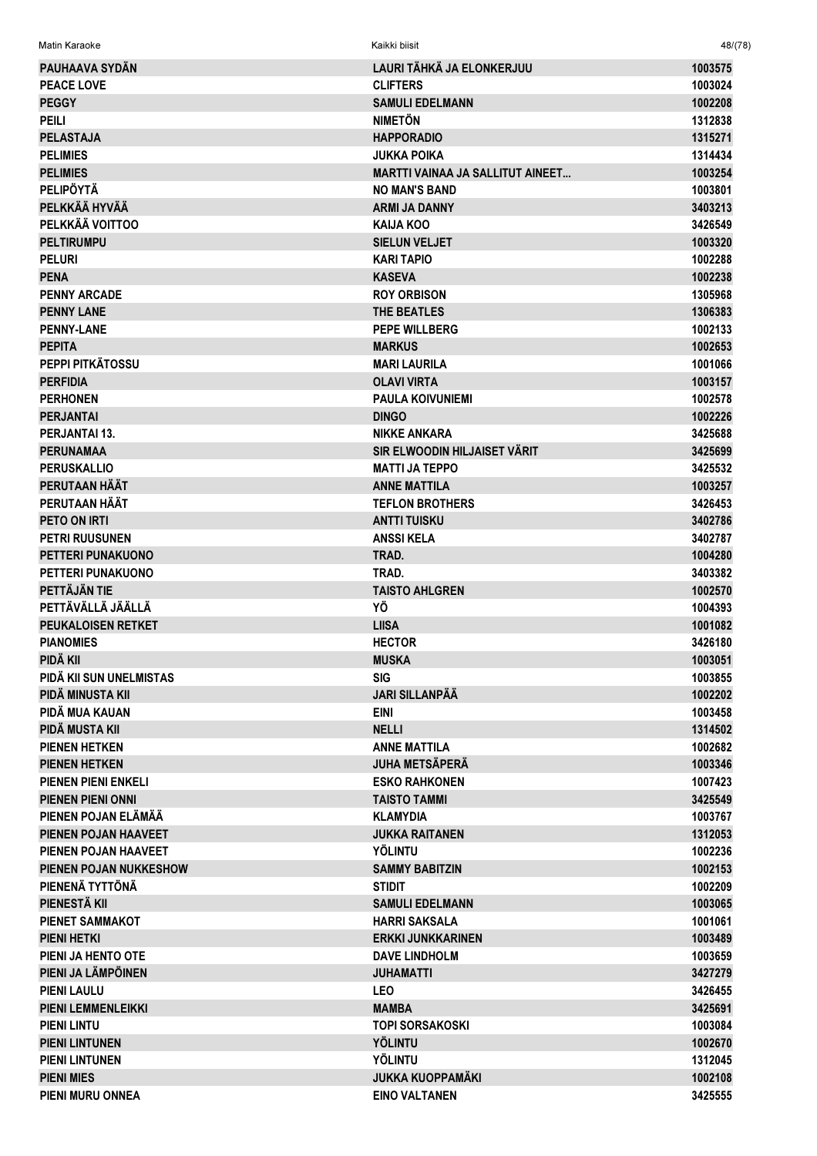| PAUHAAVA SYDÄN                | LAURI TÄHKÄ JA ELONKERJUU               | 1003575 |
|-------------------------------|-----------------------------------------|---------|
| <b>PEACE LOVE</b>             | <b>CLIFTERS</b>                         | 1003024 |
| <b>PEGGY</b>                  | <b>SAMULI EDELMANN</b>                  | 1002208 |
| <b>PEILI</b>                  | <b>NIMETÖN</b>                          | 1312838 |
| <b>PELASTAJA</b>              | <b>HAPPORADIO</b>                       | 1315271 |
| <b>PELIMIES</b>               | <b>JUKKA POIKA</b>                      | 1314434 |
| <b>PELIMIES</b>               | <b>MARTTI VAINAA JA SALLITUT AINEET</b> | 1003254 |
| <b>PELIPÖYTÄ</b>              | <b>NO MAN'S BAND</b>                    | 1003801 |
| PELKKÄÄ HYVÄÄ                 | <b>ARMI JA DANNY</b>                    | 3403213 |
| PELKKÄÄ VOITTOO               | <b>KAIJA KOO</b>                        | 3426549 |
| <b>PELTIRUMPU</b>             | <b>SIELUN VELJET</b>                    | 1003320 |
| <b>PELURI</b>                 | <b>KARI TAPIO</b>                       | 1002288 |
| <b>PENA</b>                   | <b>KASEVA</b>                           | 1002238 |
| <b>PENNY ARCADE</b>           | <b>ROY ORBISON</b>                      | 1305968 |
| <b>PENNY LANE</b>             | <b>THE BEATLES</b>                      | 1306383 |
| <b>PENNY-LANE</b>             | <b>PEPE WILLBERG</b>                    | 1002133 |
| <b>PEPITA</b>                 | <b>MARKUS</b>                           | 1002653 |
| PEPPI PITKÄTOSSU              | <b>MARI LAURILA</b>                     | 1001066 |
| <b>PERFIDIA</b>               | <b>OLAVI VIRTA</b>                      | 1003157 |
| <b>PERHONEN</b>               | <b>PAULA KOIVUNIEMI</b>                 | 1002578 |
| <b>PERJANTAI</b>              | <b>DINGO</b>                            | 1002226 |
| <b>PERJANTAI 13.</b>          | <b>NIKKE ANKARA</b>                     | 3425688 |
| <b>PERUNAMAA</b>              | SIR ELWOODIN HILJAISET VÄRIT            | 3425699 |
| <b>PERUSKALLIO</b>            | <b>MATTI JA TEPPO</b>                   | 3425532 |
| PERUTAAN HÄÄT                 | <b>ANNE MATTILA</b>                     | 1003257 |
| PERUTAAN HÄÄT                 | <b>TEFLON BROTHERS</b>                  | 3426453 |
| PETO ON IRTI                  | <b>ANTTI TUISKU</b>                     | 3402786 |
| <b>PETRI RUUSUNEN</b>         | <b>ANSSIKELA</b>                        | 3402787 |
| PETTERI PUNAKUONO             | TRAD.                                   | 1004280 |
| PETTERI PUNAKUONO             | TRAD.                                   | 3403382 |
| PETTÄJÄN TIE                  |                                         |         |
| PETTÄVÄLLÄ JÄÄLLÄ             | <b>TAISTO AHLGREN</b><br>ΥÖ             | 1002570 |
|                               |                                         | 1004393 |
| PEUKALOISEN RETKET            | <b>LIISA</b>                            | 1001082 |
| <b>PIANOMIES</b>              | <b>HECTOR</b>                           | 3426180 |
| PIDÄ KII                      | <b>MUSKA</b>                            | 1003051 |
| PIDÄ KII SUN UNELMISTAS       | SIG                                     | 1003855 |
| PIDÂ MINUSTA KII              | <b>JARI SILLANPÄÄ</b>                   | 1002202 |
| PIDÄ MUA KAUAN                | <b>EINI</b>                             | 1003458 |
| PIDÄ MUSTA KII                | <b>NELLI</b>                            | 1314502 |
| <b>PIENEN HETKEN</b>          | <b>ANNE MATTILA</b>                     | 1002682 |
| <b>PIENEN HETKEN</b>          | <b>JUHA METSÄPERÄ</b>                   | 1003346 |
| <b>PIENEN PIENI ENKELI</b>    | <b>ESKO RAHKONEN</b>                    | 1007423 |
| <b>PIENEN PIENI ONNI</b>      | <b>TAISTO TAMMI</b>                     | 3425549 |
| PIENEN POJAN ELÄMÄÄ           | <b>KLAMYDIA</b>                         | 1003767 |
| PIENEN POJAN HAAVEET          | <b>JUKKA RAITANEN</b>                   | 1312053 |
| PIENEN POJAN HAAVEET          | <b>YÖLINTU</b>                          | 1002236 |
| <b>PIENEN POJAN NUKKESHOW</b> | <b>SAMMY BABITZIN</b>                   | 1002153 |
| PIENENÄ TYTTÖNÄ               | <b>STIDIT</b>                           | 1002209 |
| PIENESTÄ KII                  | <b>SAMULI EDELMANN</b>                  | 1003065 |
| <b>PIENET SAMMAKOT</b>        | <b>HARRI SAKSALA</b>                    | 1001061 |
| <b>PIENI HETKI</b>            | <b>ERKKI JUNKKARINEN</b>                | 1003489 |
| PIENI JA HENTO OTE            | <b>DAVE LINDHOLM</b>                    | 1003659 |
| PIENI JA LÄMPÖINEN            | <b>JUHAMATTI</b>                        | 3427279 |
| <b>PIENI LAULU</b>            | <b>LEO</b>                              | 3426455 |
| <b>PIENI LEMMENLEIKKI</b>     | <b>MAMBA</b>                            | 3425691 |
| <b>PIENI LINTU</b>            | <b>TOPI SORSAKOSKI</b>                  | 1003084 |
| <b>PIENI LINTUNEN</b>         | <b>YÖLINTU</b>                          | 1002670 |
| <b>PIENI LINTUNEN</b>         | YÖLINTU                                 | 1312045 |
| <b>PIENI MIES</b>             | <b>JUKKA KUOPPAMÄKI</b>                 | 1002108 |
| <b>PIENI MURU ONNEA</b>       | <b>EINO VALTANEN</b>                    | 3425555 |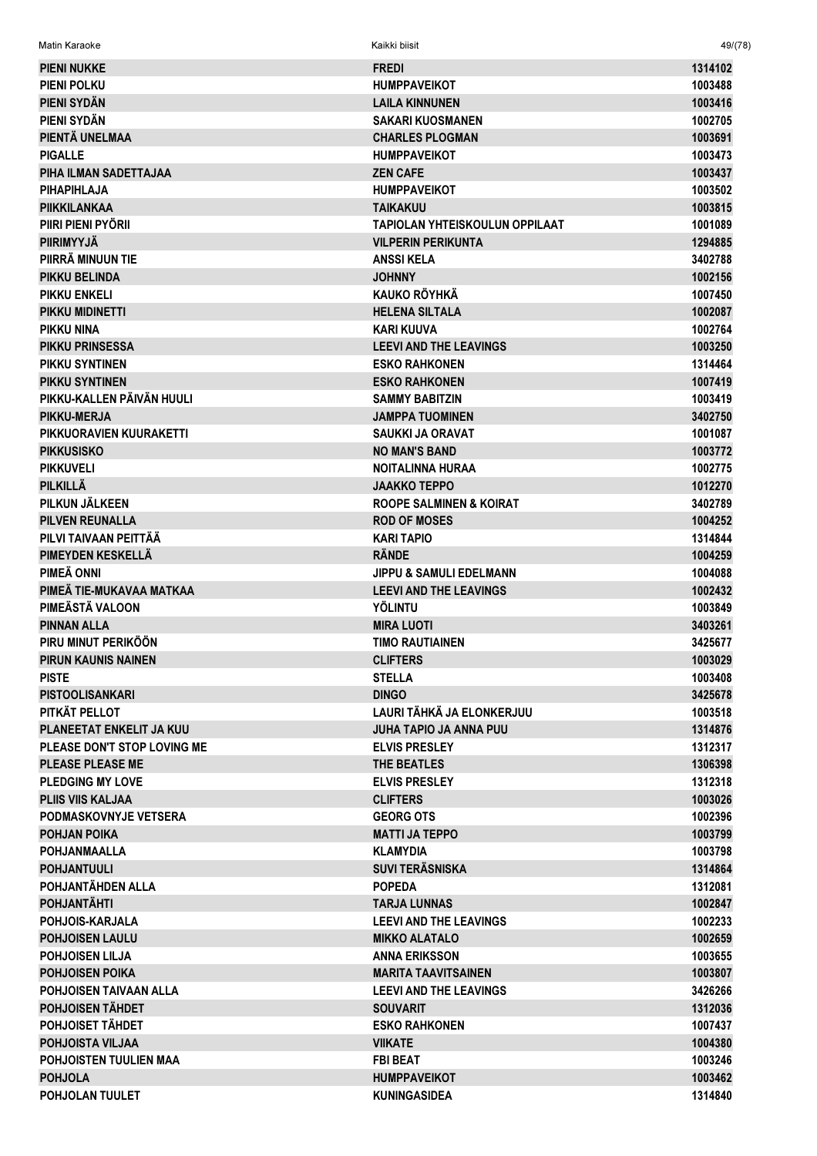| <b>PIENI NUKKE</b>          | <b>FREDI</b>                          | 1314102 |
|-----------------------------|---------------------------------------|---------|
| <b>PIENI POLKU</b>          | <b>HUMPPAVEIKOT</b>                   | 1003488 |
| PIENI SYDÄN                 | <b>LAILA KINNUNEN</b>                 | 1003416 |
| PIENI SYDÄN                 | <b>SAKARI KUOSMANEN</b>               | 1002705 |
| PIENTÄ UNELMAA              | <b>CHARLES PLOGMAN</b>                | 1003691 |
| <b>PIGALLE</b>              | <b>HUMPPAVEIKOT</b>                   | 1003473 |
| PIHA ILMAN SADETTAJAA       | <b>ZEN CAFE</b>                       | 1003437 |
| <b>PIHAPIHLAJA</b>          | <b>HUMPPAVEIKOT</b>                   | 1003502 |
| <b>PIIKKILANKAA</b>         | <b>TAIKAKUU</b>                       | 1003815 |
| PIIRI PIENI PYÖRII          | <b>TAPIOLAN YHTEISKOULUN OPPILAAT</b> | 1001089 |
| <b>PIIRIMYYJÄ</b>           | <b>VILPERIN PERIKUNTA</b>             | 1294885 |
| PIIRRÄ MINUUN TIE           | <b>ANSSIKELA</b>                      | 3402788 |
| <b>PIKKU BELINDA</b>        | <b>JOHNNY</b>                         | 1002156 |
| <b>PIKKU ENKELI</b>         | <b>KAUKO RÖYHKÄ</b>                   | 1007450 |
| PIKKU MIDINETTI             | <b>HELENA SILTALA</b>                 | 1002087 |
| <b>PIKKU NINA</b>           | <b>KARI KUUVA</b>                     | 1002764 |
| <b>PIKKU PRINSESSA</b>      | <b>LEEVI AND THE LEAVINGS</b>         | 1003250 |
| PIKKU SYNTINEN              | <b>ESKO RAHKONEN</b>                  | 1314464 |
| <b>PIKKU SYNTINEN</b>       | <b>ESKO RAHKONEN</b>                  | 1007419 |
| PIKKU-KALLEN PÄIVÄN HUULI   |                                       |         |
|                             | <b>SAMMY BABITZIN</b>                 | 1003419 |
| <b>PIKKU-MERJA</b>          | <b>JAMPPA TUOMINEN</b>                | 3402750 |
| PIKKUORAVIEN KUURAKETTI     | SAUKKI JA ORAVAT                      | 1001087 |
| <b>PIKKUSISKO</b>           | <b>NO MAN'S BAND</b>                  | 1003772 |
| <b>PIKKUVELI</b>            | <b>NOITALINNA HURAA</b>               | 1002775 |
| <b>PILKILLÄ</b>             | <b>JAAKKO TEPPO</b>                   | 1012270 |
| PILKUN JÄLKEEN              | <b>ROOPE SALMINEN &amp; KOIRAT</b>    | 3402789 |
| <b>PILVEN REUNALLA</b>      | <b>ROD OF MOSES</b>                   | 1004252 |
| PILVI TAIVAAN PEITTÄÄ       | <b>KARI TAPIO</b>                     | 1314844 |
| PIMEYDEN KESKELLÄ           | <b>RÄNDE</b>                          | 1004259 |
| PIMEÄ ONNI                  | <b>JIPPU &amp; SAMULI EDELMANN</b>    | 1004088 |
| PIMEÄ TIE-MUKAVAA MATKAA    | <b>LEEVI AND THE LEAVINGS</b>         | 1002432 |
| PIMEÄSTÄ VALOON             | <b>YÖLINTU</b>                        | 1003849 |
| <b>PINNAN ALLA</b>          | <b>MIRA LUOTI</b>                     | 3403261 |
| PIRU MINUT PERIKÖÖN         | <b>TIMO RAUTIAINEN</b>                | 3425677 |
| <b>PIRUN KAUNIS NAINEN</b>  | <b>CLIFTERS</b>                       | 1003029 |
| <b>PISTE</b>                | <b>STELLA</b>                         | 1003408 |
| <b>PISTOOLISANKARI</b>      | <b>DINGO</b>                          | 3425678 |
| PITKÄT PELLOT               | LAURI TÄHKÄ JA ELONKERJUU             | 1003518 |
| PLANEETAT ENKELIT JA KUU    | <b>JUHA TAPIO JA ANNA PUU</b>         | 1314876 |
| PLEASE DON'T STOP LOVING ME | <b>ELVIS PRESLEY</b>                  | 1312317 |
| <b>PLEASE PLEASE ME</b>     | THE BEATLES                           | 1306398 |
| <b>PLEDGING MY LOVE</b>     | <b>ELVIS PRESLEY</b>                  | 1312318 |
| <b>PLIIS VIIS KALJAA</b>    | <b>CLIFTERS</b>                       | 1003026 |
| PODMASKOVNYJE VETSERA       | <b>GEORG OTS</b>                      | 1002396 |
| <b>POHJAN POIKA</b>         | <b>MATTI JA TEPPO</b>                 | 1003799 |
| <b>POHJANMAALLA</b>         | <b>KLAMYDIA</b>                       | 1003798 |
| <b>POHJANTUULI</b>          | <b>SUVI TERÄSNISKA</b>                | 1314864 |
| POHJANTÄHDEN ALLA           | <b>POPEDA</b>                         | 1312081 |
| <b>POHJANTÄHTI</b>          | <b>TARJA LUNNAS</b>                   | 1002847 |
| POHJOIS-KARJALA             | <b>LEEVI AND THE LEAVINGS</b>         | 1002233 |
| <b>POHJOISEN LAULU</b>      | <b>MIKKO ALATALO</b>                  | 1002659 |
| <b>POHJOISEN LILJA</b>      | <b>ANNA ERIKSSON</b>                  | 1003655 |
| <b>POHJOISEN POIKA</b>      | <b>MARITA TAAVITSAINEN</b>            | 1003807 |
| POHJOISEN TAIVAAN ALLA      | <b>LEEVI AND THE LEAVINGS</b>         | 3426266 |
| POHJOISEN TÄHDET            |                                       |         |
| POHJOISET TÄHDET            | <b>SOUVARIT</b>                       | 1312036 |
|                             | <b>ESKO RAHKONEN</b>                  | 1007437 |
| <b>POHJOISTA VILJAA</b>     | <b>VIIKATE</b>                        | 1004380 |
| POHJOISTEN TUULIEN MAA      | <b>FBI BEAT</b>                       | 1003246 |
| <b>POHJOLA</b>              | <b>HUMPPAVEIKOT</b>                   | 1003462 |
| POHJOLAN TUULET             | <b>KUNINGASIDEA</b>                   | 1314840 |

Matin Karaoke Kaikki biisit 49/(78)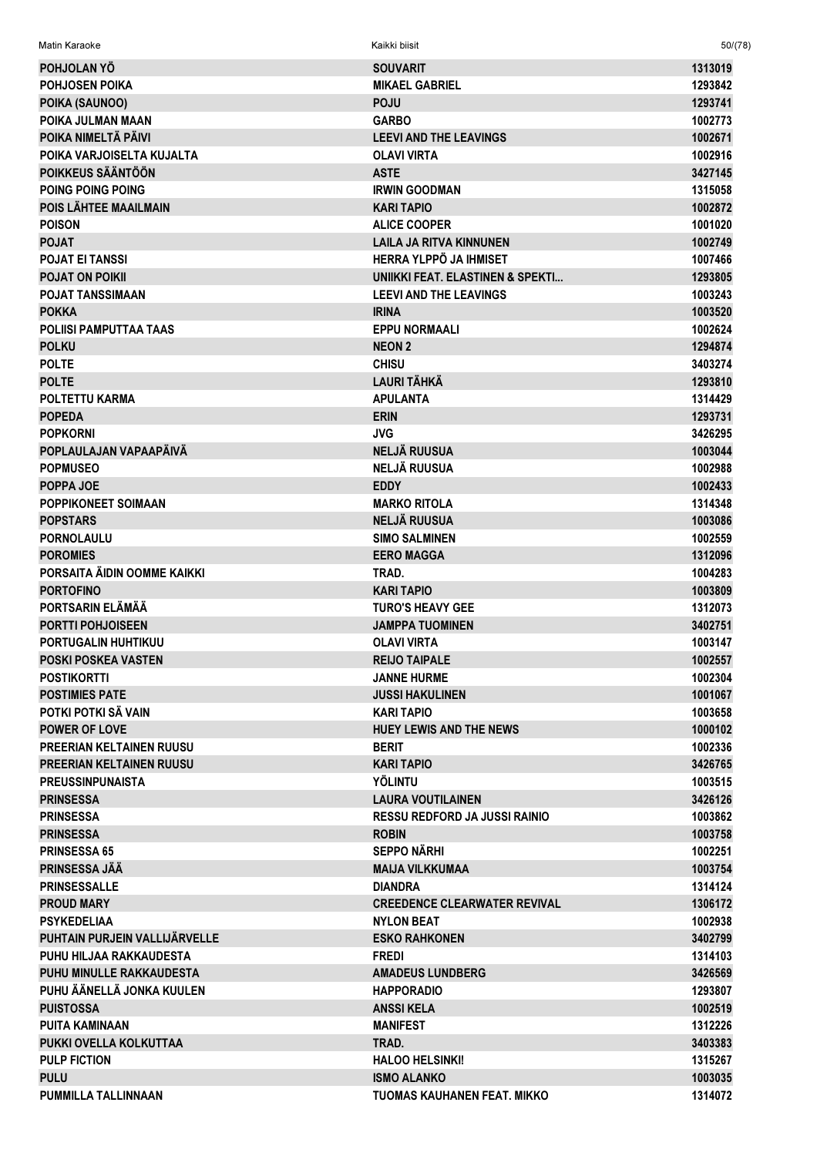| Matin Karaoke                   | Kaikki biisit                              | 50/(78) |
|---------------------------------|--------------------------------------------|---------|
| <b>POHJOLAN YO</b>              | <b>SOUVARIT</b>                            | 1313019 |
| <b>POHJOSEN POIKA</b>           | <b>MIKAEL GABRIEL</b>                      | 1293842 |
| POIKA (SAUNOO)                  | <b>POJU</b>                                | 1293741 |
| POIKA JULMAN MAAN               | <b>GARBO</b>                               | 1002773 |
| POIKA NIMELTÄ PÄIVI             | <b>LEEVI AND THE LEAVINGS</b>              | 1002671 |
| POIKA VARJOISELTA KUJALTA       | <b>OLAVI VIRTA</b>                         | 1002916 |
| POIKKEUS SÄÄNTÖÖN               | <b>ASTE</b>                                | 3427145 |
| POING POING POING               | <b>IRWIN GOODMAN</b>                       | 1315058 |
| POIS LÄHTEE MAAILMAIN           | <b>KARI TAPIO</b>                          | 1002872 |
| <b>POISON</b>                   | <b>ALICE COOPER</b>                        | 1001020 |
| <b>POJAT</b>                    | <b>LAILA JA RITVA KINNUNEN</b>             | 1002749 |
| <b>POJAT EI TANSSI</b>          | HERRA YLPPÖ JA IHMISET                     | 1007466 |
| <b>POJAT ON POIKII</b>          | <b>UNIKKI FEAT. ELASTINEN &amp; SPEKTI</b> | 1293805 |
| <b>POJAT TANSSIMAAN</b>         | <b>LEEVI AND THE LEAVINGS</b>              | 1003243 |
| <b>POKKA</b>                    | <b>IRINA</b>                               | 1003520 |
| <b>POLIISI PAMPUTTAA TAAS</b>   | <b>EPPU NORMAALI</b>                       | 1002624 |
| <b>POLKU</b>                    | <b>NEON 2</b>                              | 1294874 |
| <b>POLTE</b>                    | <b>CHISU</b>                               | 3403274 |
| <b>POLTE</b>                    | LAURI TÄHKÄ                                | 1293810 |
| POLTETTU KARMA                  | <b>APULANTA</b>                            | 1314429 |
| <b>POPEDA</b>                   | <b>ERIN</b>                                | 1293731 |
| <b>POPKORNI</b>                 | <b>JVG</b>                                 | 3426295 |
| POPLAULAJAN VAPAAPÄIVÄ          | <b>NELJÄ RUUSUA</b>                        | 1003044 |
| <b>POPMUSEO</b>                 | <b>NELJÄ RUUSUA</b>                        | 1002988 |
| POPPA JOE                       | <b>EDDY</b>                                | 1002433 |
| POPPIKONEET SOIMAAN             | <b>MARKO RITOLA</b>                        | 1314348 |
| <b>POPSTARS</b>                 | <b>NELJÄ RUUSUA</b>                        | 1003086 |
| <b>PORNOLAULU</b>               | <b>SIMO SALMINEN</b>                       | 1002559 |
| <b>POROMIES</b>                 | <b>EERO MAGGA</b>                          | 1312096 |
| PORSAITA ÄIDIN OOMME KAIKKI     | TRAD.                                      | 1004283 |
| <b>PORTOFINO</b>                | <b>KARI TAPIO</b>                          | 1003809 |
| PORTSARIN ELÄMÄÄ                | <b>TURO'S HEAVY GEE</b>                    | 1312073 |
| <b>PORTTI POHJOISEEN</b>        | <b>JAMPPA TUOMINEN</b>                     | 3402751 |
| PORTUGALIN HUHTIKUU             | <b>OLAVI VIRTA</b>                         | 1003147 |
| <b>POSKI POSKEA VASTEN</b>      | <b>REIJO TAIPALE</b>                       | 1002557 |
| <b>POSTIKORTTI</b>              | <b>JANNE HURME</b>                         | 1002304 |
| <b>POSTIMIES PATE</b>           | <b>JUSSI HAKULINEN</b>                     | 1001067 |
| POTKI POTKI SÄ VAIN             | <b>KARI TAPIO</b>                          | 1003658 |
| <b>POWER OF LOVE</b>            | <b>HUEY LEWIS AND THE NEWS</b>             | 1000102 |
| <b>PREERIAN KELTAINEN RUUSU</b> | <b>BERIT</b>                               | 1002336 |
| <b>PREERIAN KELTAINEN RUUSU</b> | <b>KARI TAPIO</b>                          | 3426765 |
| <b>PREUSSINPUNAISTA</b>         | <b>YÖLINTU</b>                             | 1003515 |
| <b>PRINSESSA</b>                | <b>LAURA VOUTILAINEN</b>                   | 3426126 |
| <b>PRINSESSA</b>                | <b>RESSU REDFORD JA JUSSI RAINIO</b>       | 1003862 |
| <b>PRINSESSA</b>                | <b>ROBIN</b>                               | 1003758 |
| <b>PRINSESSA 65</b>             | <b>SEPPO NÄRHI</b>                         | 1002251 |
| <b>PRINSESSA JÄÄ</b>            | <b>MAIJA VILKKUMAA</b>                     | 1003754 |
| <b>PRINSESSALLE</b>             | <b>DIANDRA</b>                             | 1314124 |
| <b>PROUD MARY</b>               | <b>CREEDENCE CLEARWATER REVIVAL</b>        | 1306172 |
| <b>PSYKEDELIAA</b>              | <b>NYLON BEAT</b>                          | 1002938 |
| PUHTAIN PURJEIN VALLIJÄRVELLE   | <b>ESKO RAHKONEN</b>                       | 3402799 |
| PUHU HILJAA RAKKAUDESTA         | <b>FREDI</b>                               | 1314103 |
| PUHU MINULLE RAKKAUDESTA        | <b>AMADEUS LUNDBERG</b>                    | 3426569 |
| PUHU ÄÄNELLÄ JONKA KUULEN       | <b>HAPPORADIO</b>                          | 1293807 |
| <b>PUISTOSSA</b>                | <b>ANSSIKELA</b>                           | 1002519 |
| <b>PUITA KAMINAAN</b>           | <b>MANIFEST</b>                            | 1312226 |
| PUKKI OVELLA KOLKUTTAA          | TRAD.                                      | 3403383 |
| <b>PULP FICTION</b>             | <b>HALOO HELSINKI!</b>                     | 1315267 |
| <b>PULU</b>                     | <b>ISMO ALANKO</b>                         | 1003035 |
| <b>PUMMILLA TALLINNAAN</b>      | TUOMAS KAUHANEN FEAT. MIKKO                | 1314072 |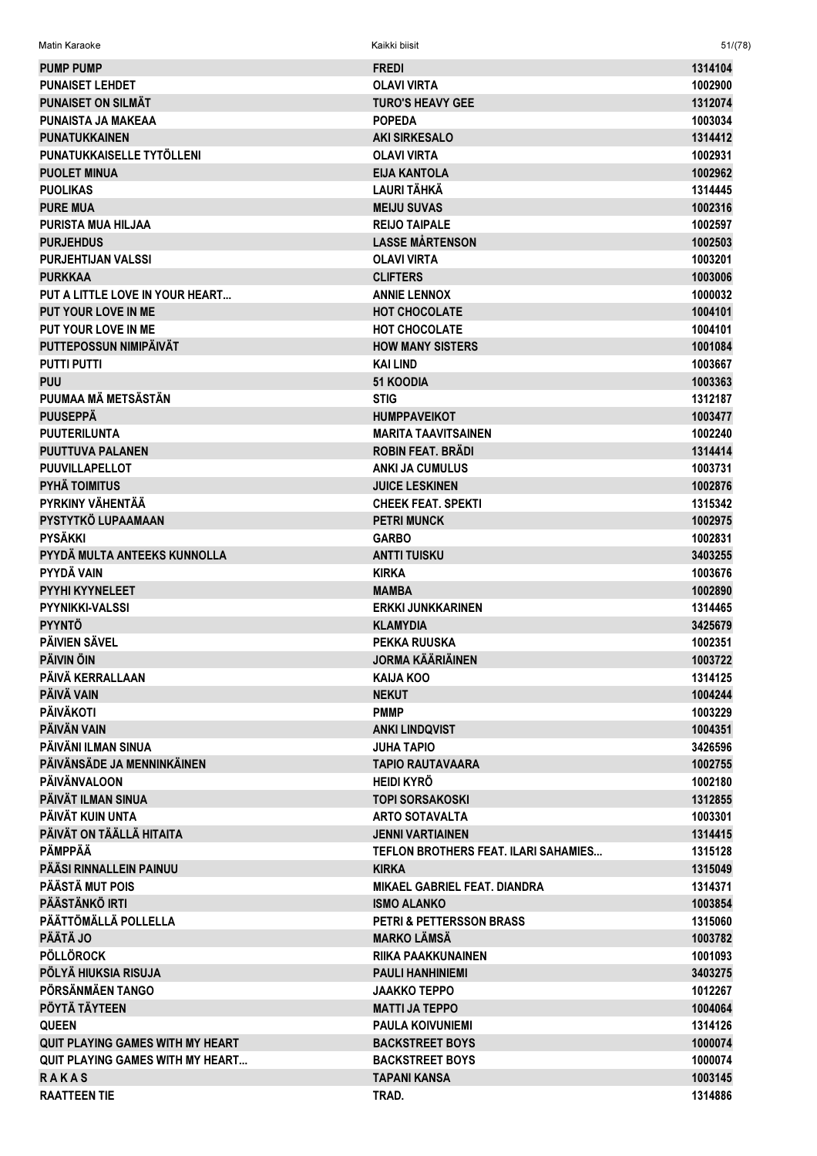| <b>PUMP PUMP</b>                        | <b>FREDI</b>                            | 1314104            |
|-----------------------------------------|-----------------------------------------|--------------------|
| <b>PUNAISET LEHDET</b>                  | <b>OLAVI VIRTA</b>                      | 1002900            |
| <b>PUNAISET ON SILMÄT</b>               | <b>TURO'S HEAVY GEE</b>                 | 1312074            |
| PUNAISTA JA MAKEAA                      | <b>POPEDA</b>                           | 1003034            |
| <b>PUNATUKKAINEN</b>                    | <b>AKI SIRKESALO</b>                    | 1314412            |
| PUNATUKKAISELLE TYTÖLLENI               | <b>OLAVI VIRTA</b>                      | 1002931            |
| <b>PUOLET MINUA</b>                     | <b>EIJA KANTOLA</b>                     | 1002962            |
| <b>PUOLIKAS</b>                         | <b>LAURI TÄHKÄ</b>                      | 1314445            |
| <b>PURE MUA</b>                         | <b>MEIJU SUVAS</b>                      | 1002316            |
| <b>PURISTA MUA HILJAA</b>               | <b>REIJO TAIPALE</b>                    | 1002597            |
| <b>PURJEHDUS</b>                        | <b>LASSE MÅRTENSON</b>                  | 1002503            |
| <b>PURJEHTIJAN VALSSI</b>               | <b>OLAVI VIRTA</b>                      | 1003201            |
| <b>PURKKAA</b>                          | <b>CLIFTERS</b>                         | 1003006            |
| PUT A LITTLE LOVE IN YOUR HEART         | <b>ANNIE LENNOX</b>                     | 1000032            |
| <b>PUT YOUR LOVE IN ME</b>              | <b>HOT CHOCOLATE</b>                    | 1004101            |
| PUT YOUR LOVE IN ME                     | HOT CHOCOLATE                           | 1004101            |
| PUTTEPOSSUN NIMIPÄIVÄT                  | <b>HOW MANY SISTERS</b>                 | 1001084            |
| <b>PUTTI PUTTI</b>                      | <b>KAI LIND</b>                         | 1003667            |
| <b>PUU</b>                              | <b>51 KOODIA</b>                        | 1003363            |
| PUUMAA MÄ METSÄSTÄN                     | <b>STIG</b>                             | 1312187            |
| <b>PUUSEPPÄ</b>                         | <b>HUMPPAVEIKOT</b>                     | 1003477            |
| <b>PUUTERILUNTA</b>                     | <b>MARITA TAAVITSAINEN</b>              | 1002240            |
| <b>PUUTTUVA PALANEN</b>                 | <b>ROBIN FEAT. BRÄDI</b>                | 1314414            |
| <b>PUUVILLAPELLOT</b>                   | <b>ANKI JA CUMULUS</b>                  | 1003731            |
| <b>PYHÄ TOIMITUS</b>                    | <b>JUICE LESKINEN</b>                   | 1002876            |
| PYRKINY VÄHENTÄÄ                        | <b>CHEEK FEAT, SPEKTI</b>               | 1315342            |
| PYSTYTKÖ LUPAAMAAN                      | <b>PETRI MUNCK</b>                      | 1002975            |
| <b>PYSÄKKI</b>                          | <b>GARBO</b>                            | 1002831            |
| PYYDÄ MULTA ANTEEKS KUNNOLLA            | <b>ANTTI TUISKU</b>                     | 3403255            |
| PYYDÄ VAIN                              | <b>KIRKA</b>                            | 1003676            |
| PYYHI KYYNELEET                         | <b>MAMBA</b>                            | 1002890            |
| <b>PYYNIKKI-VALSSI</b>                  | <b>ERKKI JUNKKARINEN</b>                | 1314465            |
| <b>PYYNTÖ</b><br><b>PÄIVIEN SÄVEL</b>   | <b>KLAMYDIA</b>                         | 3425679            |
| <b>PÄIVIN ÖIN</b>                       | PEKKA RUUSKA<br><b>JORMA KÄÄRIÄINEN</b> | 1002351<br>1003722 |
| PÄIVÄ KERRALLAAN                        | <b>KAIJA KOO</b>                        | 1314125            |
| PÄIVÄ VAIN                              | <b>NEKUT</b>                            | 1004244            |
| <b>PÄIVÄKOTI</b>                        | <b>PMMP</b>                             | 1003229            |
| PÄIVÄN VAIN                             | <b>ANKI LINDQVIST</b>                   | 1004351            |
| PÄIVÄNI ILMAN SINUA                     | <b>JUHA TAPIO</b>                       | 3426596            |
| PÄIVÄNSÄDE JA MENNINKÄINEN              | <b>TAPIO RAUTAVAARA</b>                 | 1002755            |
| <b>PÄIVÄNVALOON</b>                     | <b>HEIDI KYRÖ</b>                       | 1002180            |
| PÄIVÄT ILMAN SINUA                      | <b>TOPI SORSAKOSKI</b>                  | 1312855            |
| PÄIVÄT KUIN UNTA                        | <b>ARTO SOTAVALTA</b>                   | 1003301            |
| PÄIVÄT ON TÄÄLLÄ HITAITA                | <b>JENNI VARTIAINEN</b>                 | 1314415            |
| PÄMPPÄÄ                                 | TEFLON BROTHERS FEAT. ILARI SAHAMIES    | 1315128            |
| PÄÄSI RINNALLEIN PAINUU                 | <b>KIRKA</b>                            | 1315049            |
| PÄÄSTÄ MUT POIS                         | MIKAEL GABRIEL FEAT. DIANDRA            | 1314371            |
| PÄÄSTÄNKÖ IRTI                          | <b>ISMO ALANKO</b>                      | 1003854            |
| PÄÄTTÖMÄLLÄ POLLELLA                    | <b>PETRI &amp; PETTERSSON BRASS</b>     | 1315060            |
| <b>PÄÄTÄ JO</b>                         | <b>MARKO LÄMSÄ</b>                      | 1003782            |
| <b>PÖLLÖROCK</b>                        | <b>RIIKA PAAKKUNAINEN</b>               | 1001093            |
| PÖLYÄ HIUKSIA RISUJA                    | <b>PAULI HANHINIEMI</b>                 | 3403275            |
| PÖRSÄNMÄEN TANGO                        | <b>JAAKKO TEPPO</b>                     | 1012267            |
| PÖYTÄ TÄYTEEN                           | <b>MATTI JA TEPPO</b>                   | 1004064            |
| <b>QUEEN</b>                            | <b>PAULA KOIVUNIEMI</b>                 | 1314126            |
| <b>QUIT PLAYING GAMES WITH MY HEART</b> | <b>BACKSTREET BOYS</b>                  | 1000074            |
| <b>QUIT PLAYING GAMES WITH MY HEART</b> | <b>BACKSTREET BOYS</b>                  | 1000074            |
| <b>RAKAS</b>                            | <b>TAPANI KANSA</b>                     | 1003145            |
| <b>RAATTEEN TIE</b>                     | TRAD.                                   | 1314886            |

Matin Karaoke Kaikki biisit 51/(78)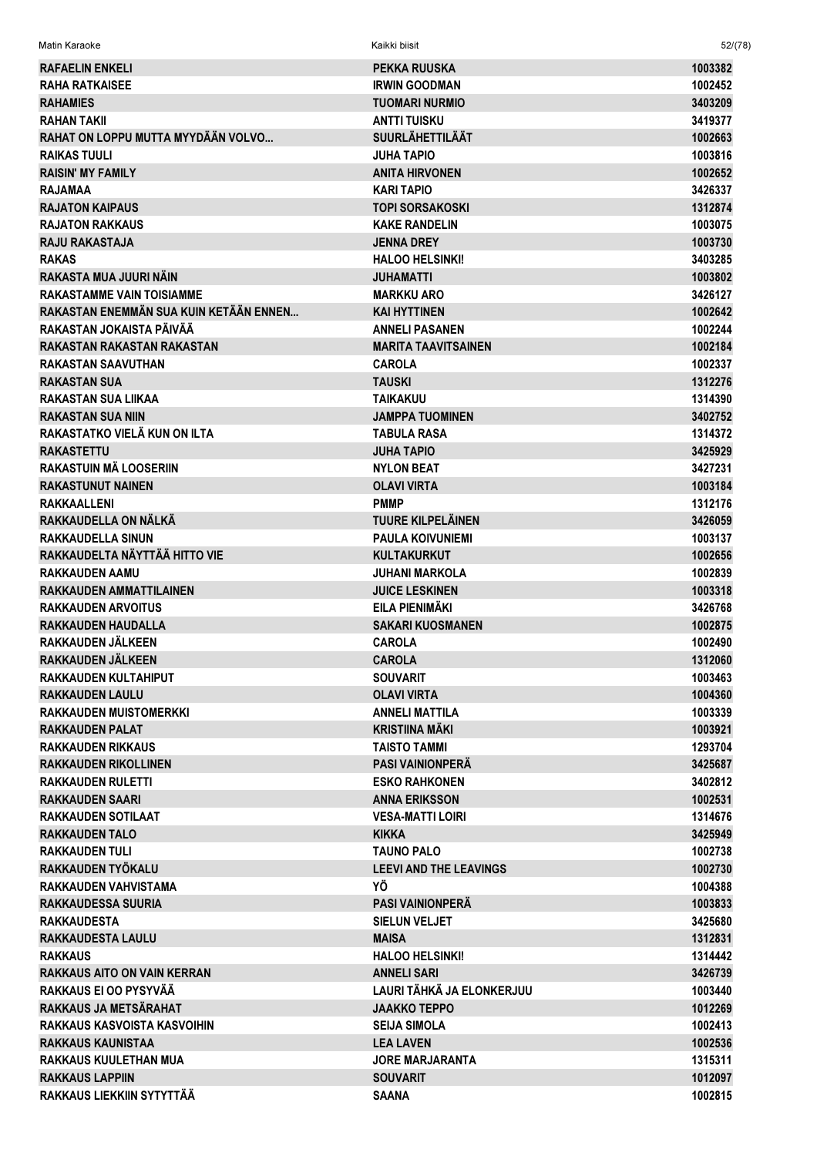| <b>RAFAELIN ENKELI</b>                         | <b>PEKKA RUUSKA</b>           | 1003382            |
|------------------------------------------------|-------------------------------|--------------------|
| <b>RAHA RATKAISEE</b>                          | <b>IRWIN GOODMAN</b>          | 1002452            |
| <b>RAHAMIES</b>                                | <b>TUOMARI NURMIO</b>         | 3403209            |
| <b>RAHAN TAKII</b>                             | <b>ANTTI TUISKU</b>           | 3419377            |
| RAHAT ON LOPPU MUTTA MYYDÄÄN VOLVO             | <b>SUURLÄHETTILÄÄT</b>        | 1002663            |
| <b>RAIKAS TUULI</b>                            | <b>JUHA TAPIO</b>             | 1003816            |
| <b>RAISIN' MY FAMILY</b>                       | <b>ANITA HIRVONEN</b>         | 1002652            |
| <b>RAJAMAA</b>                                 | <b>KARI TAPIO</b>             | 3426337            |
| <b>RAJATON KAIPAUS</b>                         | <b>TOPI SORSAKOSKI</b>        | 1312874            |
| <b>RAJATON RAKKAUS</b>                         | <b>KAKE RANDELIN</b>          | 1003075            |
| <b>RAJU RAKASTAJA</b>                          | <b>JENNA DREY</b>             | 1003730            |
| <b>RAKAS</b>                                   | <b>HALOO HELSINKI!</b>        | 3403285            |
| RAKASTA MUA JUURI NÄIN                         | <b>JUHAMATTI</b>              | 1003802            |
| <b>RAKASTAMME VAIN TOISIAMME</b>               | <b>MARKKU ARO</b>             | 3426127            |
| RAKASTAN ENEMMÄN SUA KUIN KETÄÄN ENNEN         | <b>KAI HYTTINEN</b>           | 1002642            |
| RAKASTAN JOKAISTA PÄIVÄÄ                       | <b>ANNELI PASANEN</b>         | 1002244            |
| RAKASTAN RAKASTAN RAKASTAN                     | <b>MARITA TAAVITSAINEN</b>    | 1002184            |
| <b>RAKASTAN SAAVUTHAN</b>                      | <b>CAROLA</b>                 | 1002337            |
| <b>RAKASTAN SUA</b>                            | <b>TAUSKI</b>                 | 1312276            |
| <b>RAKASTAN SUA LIIKAA</b>                     | <b>TAIKAKUU</b>               | 1314390            |
| <b>RAKASTAN SUA NIIN</b>                       | <b>JAMPPA TUOMINEN</b>        | 3402752            |
| RAKASTATKO VIELÄ KUN ON ILTA                   | <b>TABULA RASA</b>            | 1314372            |
| <b>RAKASTETTU</b>                              | <b>JUHA TAPIO</b>             | 3425929            |
| RAKASTUIN MÄ LOOSERIIN                         | <b>NYLON BEAT</b>             | 3427231            |
| <b>RAKASTUNUT NAINEN</b>                       | <b>OLAVI VIRTA</b>            | 1003184            |
| <b>RAKKAALLENI</b>                             | <b>PMMP</b>                   | 1312176            |
| RAKKAUDELLA ON NÄLKÄ                           | <b>TUURE KILPELÄINEN</b>      | 3426059            |
| <b>RAKKAUDELLA SINUN</b>                       | <b>PAULA KOIVUNIEMI</b>       | 1003137            |
| RAKKAUDELTA NÄYTTÄÄ HITTO VIE                  | <b>KULTAKURKUT</b>            | 1002656            |
| <b>RAKKAUDEN AAMU</b>                          | <b>JUHANI MARKOLA</b>         | 1002839            |
| <b>RAKKAUDEN AMMATTILAINEN</b>                 | <b>JUICE LESKINEN</b>         | 1003318            |
| <b>RAKKAUDEN ARVOITUS</b>                      | EILA PIENIMÄKI                | 3426768            |
| <b>RAKKAUDEN HAUDALLA</b>                      | <b>SAKARI KUOSMANEN</b>       | 1002875            |
| RAKKAUDEN JÄLKEEN                              | <b>CAROLA</b>                 | 1002490            |
| RAKKAUDEN JÄLKEEN                              | <b>CAROLA</b>                 | 1312060            |
| RAKKAUDEN KULTAHIPUT                           | <b>SOUVARIT</b>               | 1003463            |
| <b>RAKKAUDEN LAULU</b>                         | <b>OLAVI VIRTA</b>            | 1004360            |
| <b>RAKKAUDEN MUISTOMERKKI</b>                  | <b>ANNELI MATTILA</b>         | 1003339            |
| <b>RAKKAUDEN PALAT</b>                         | <b>KRISTIINA MÄKI</b>         | 1003921            |
| <b>RAKKAUDEN RIKKAUS</b>                       | <b>TAISTO TAMMI</b>           | 1293704            |
| <b>RAKKAUDEN RIKOLLINEN</b>                    | <b>PASI VAINIONPERÄ</b>       | 3425687            |
| <b>RAKKAUDEN RULETTI</b>                       | <b>ESKO RAHKONEN</b>          | 3402812            |
| <b>RAKKAUDEN SAARI</b>                         | <b>ANNA ERIKSSON</b>          | 1002531            |
| <b>RAKKAUDEN SOTILAAT</b>                      | <b>VESA-MATTI LOIRI</b>       | 1314676            |
| <b>RAKKAUDEN TALO</b>                          | <b>KIKKA</b>                  | 3425949            |
| <b>RAKKAUDEN TULI</b>                          | <b>TAUNO PALO</b>             | 1002738            |
| RAKKAUDEN TYÖKALU                              | <b>LEEVI AND THE LEAVINGS</b> | 1002730            |
| <b>RAKKAUDEN VAHVISTAMA</b>                    | ΥÖ                            | 1004388            |
| <b>RAKKAUDESSA SUURIA</b>                      | <b>PASI VAINIONPERA</b>       | 1003833            |
|                                                | <b>SIELUN VELJET</b>          |                    |
| <b>RAKKAUDESTA</b><br><b>RAKKAUDESTA LAULU</b> | <b>MAISA</b>                  | 3425680<br>1312831 |
| <b>RAKKAUS</b>                                 | <b>HALOO HELSINKI!</b>        | 1314442            |
| <b>RAKKAUS AITO ON VAIN KERRAN</b>             | <b>ANNELI SARI</b>            | 3426739            |
| RAKKAUS EI OO PYSYVÄÄ                          | LAURI TÄHKÄ JA ELONKERJUU     |                    |
|                                                |                               | 1003440            |
| RAKKAUS JA METSÄRAHAT                          | <b>JAAKKO TEPPO</b>           | 1012269            |
| RAKKAUS KASVOISTA KASVOIHIN                    | <b>SEIJA SIMOLA</b>           | 1002413            |
| <b>RAKKAUS KAUNISTAA</b>                       | <b>LEA LAVEN</b>              | 1002536            |
| <b>RAKKAUS KUULETHAN MUA</b>                   | <b>JORE MARJARANTA</b>        | 1315311            |
| <b>RAKKAUS LAPPIIN</b>                         | <b>SOUVARIT</b>               | 1012097            |
| RAKKAUS LIEKKIIN SYTYTTÄÄ                      | <b>SAANA</b>                  | 1002815            |

 $52/(78)$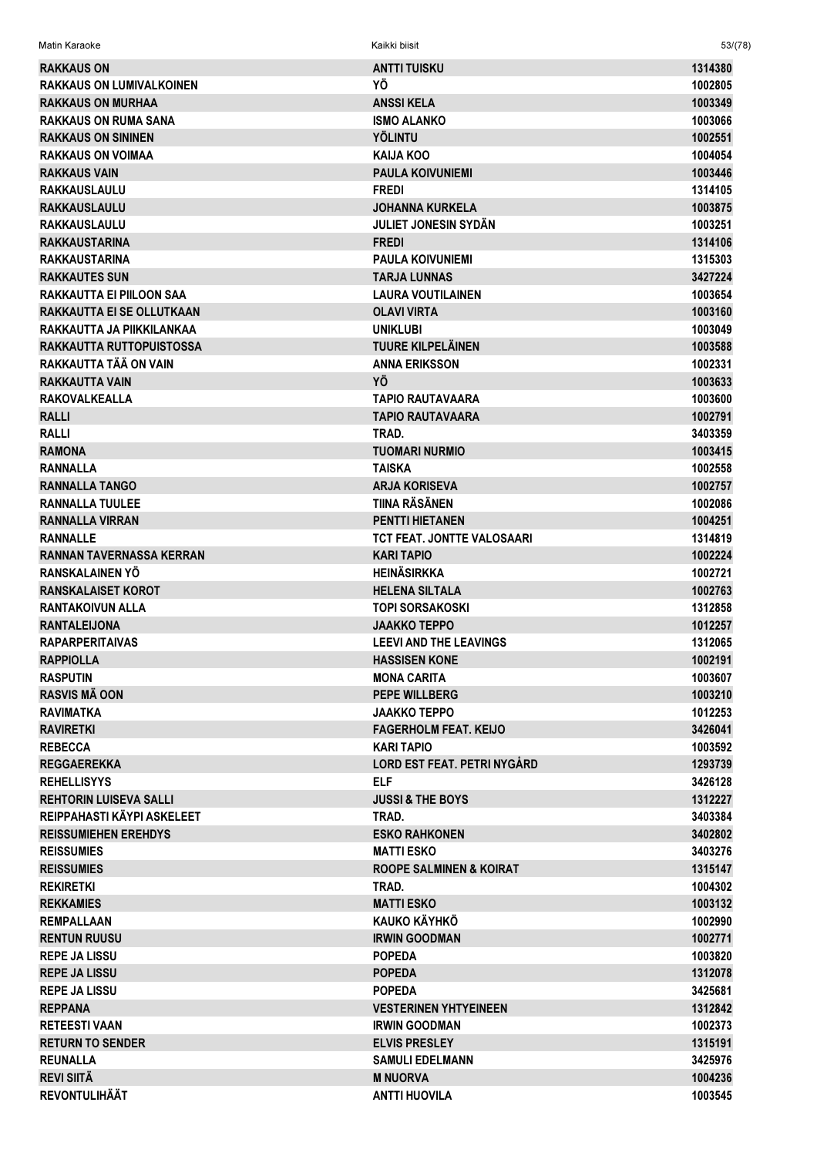| <b>RAKKAUS ON</b>               | <b>ANTTI TUISKU</b>                | 1314380 |
|---------------------------------|------------------------------------|---------|
| <b>RAKKAUS ON LUMIVALKOINEN</b> | ΥÖ                                 | 1002805 |
| <b>RAKKAUS ON MURHAA</b>        | <b>ANSSIKELA</b>                   | 1003349 |
| <b>RAKKAUS ON RUMA SANA</b>     | <b>ISMO ALANKO</b>                 | 1003066 |
| <b>RAKKAUS ON SININEN</b>       | <b>YÖLINTU</b>                     | 1002551 |
| <b>RAKKAUS ON VOIMAA</b>        | <b>KAIJA KOO</b>                   | 1004054 |
| <b>RAKKAUS VAIN</b>             | <b>PAULA KOIVUNIEMI</b>            | 1003446 |
| <b>RAKKAUSLAULU</b>             | <b>FREDI</b>                       | 1314105 |
| <b>RAKKAUSLAULU</b>             | <b>JOHANNA KURKELA</b>             | 1003875 |
| <b>RAKKAUSLAULU</b>             | <b>JULIET JONESIN SYDÄN</b>        | 1003251 |
| <b>RAKKAUSTARINA</b>            | <b>FREDI</b>                       | 1314106 |
| <b>RAKKAUSTARINA</b>            | <b>PAULA KOIVUNIEMI</b>            | 1315303 |
| <b>RAKKAUTES SUN</b>            | <b>TARJA LUNNAS</b>                | 3427224 |
| <b>RAKKAUTTA EI PIILOON SAA</b> | <b>LAURA VOUTILAINEN</b>           | 1003654 |
|                                 | <b>OLAVI VIRTA</b>                 | 1003160 |
| RAKKAUTTA EI SE OLLUTKAAN       |                                    |         |
| RAKKAUTTA JA PIIKKILANKAA       | <b>UNIKLUBI</b>                    | 1003049 |
| RAKKAUTTA RUTTOPUISTOSSA        | <b>TUURE KILPELÄINEN</b>           | 1003588 |
| RAKKAUTTA TÄÄ ON VAIN           | <b>ANNA ERIKSSON</b>               | 1002331 |
| <b>RAKKAUTTA VAIN</b>           | YÖ                                 | 1003633 |
| <b>RAKOVALKEALLA</b>            | <b>TAPIO RAUTAVAARA</b>            | 1003600 |
| <b>RALLI</b>                    | <b>TAPIO RAUTAVAARA</b>            | 1002791 |
| <b>RALLI</b>                    | TRAD.                              | 3403359 |
| <b>RAMONA</b>                   | <b>TUOMARI NURMIO</b>              | 1003415 |
| <b>RANNALLA</b>                 | <b>TAISKA</b>                      | 1002558 |
| <b>RANNALLA TANGO</b>           | <b>ARJA KORISEVA</b>               | 1002757 |
| <b>RANNALLA TUULEE</b>          | <b>TIINA RÄSÄNEN</b>               | 1002086 |
| <b>RANNALLA VIRRAN</b>          | <b>PENTTI HIETANEN</b>             | 1004251 |
| <b>RANNALLE</b>                 | <b>TCT FEAT. JONTTE VALOSAARI</b>  | 1314819 |
| <b>RANNAN TAVERNASSA KERRAN</b> | <b>KARI TAPIO</b>                  | 1002224 |
| RANSKALAINEN YÖ                 | <b>HEINÄSIRKKA</b>                 | 1002721 |
| <b>RANSKALAISET KOROT</b>       | <b>HELENA SILTALA</b>              | 1002763 |
| <b>RANTAKOIVUN ALLA</b>         | <b>TOPI SORSAKOSKI</b>             | 1312858 |
| <b>RANTALEIJONA</b>             | <b>JAAKKO TEPPO</b>                | 1012257 |
| <b>RAPARPERITAIVAS</b>          | <b>LEEVI AND THE LEAVINGS</b>      | 1312065 |
| <b>RAPPIOLLA</b>                | <b>HASSISEN KONE</b>               | 1002191 |
| <b>RASPUTIN</b>                 | <b>MONA CARITA</b>                 | 1003607 |
| <b>RASVIS MÃ OON</b>            | <b>PEPE WILLBERG</b>               | 1003210 |
| <b>RAVIMATKA</b>                | <b>JAAKKO TEPPO</b>                | 1012253 |
| <b>RAVIRETKI</b>                | <b>FAGERHOLM FEAT, KEIJO</b>       | 3426041 |
| <b>REBECCA</b>                  | <b>KARI TAPIO</b>                  | 1003592 |
| <b>REGGAEREKKA</b>              | LORD EST FEAT. PETRI NYGÅRD        | 1293739 |
| <b>REHELLISYYS</b>              | <b>ELF</b>                         | 3426128 |
| <b>REHTORIN LUISEVA SALLI</b>   | <b>JUSSI &amp; THE BOYS</b>        | 1312227 |
| REIPPAHASTI KÄYPI ASKELEET      | TRAD.                              | 3403384 |
| <b>REISSUMIEHEN EREHDYS</b>     | <b>ESKO RAHKONEN</b>               | 3402802 |
| <b>REISSUMIES</b>               | <b>MATTI ESKO</b>                  | 3403276 |
|                                 |                                    |         |
| <b>REISSUMIES</b>               | <b>ROOPE SALMINEN &amp; KOIRAT</b> | 1315147 |
| <b>REKIRETKI</b>                | TRAD.                              | 1004302 |
| <b>REKKAMIES</b>                | <b>MATTI ESKO</b>                  | 1003132 |
| <b>REMPALLAAN</b>               | KAUKO KÄYHKÖ                       | 1002990 |
| <b>RENTUN RUUSU</b>             | <b>IRWIN GOODMAN</b>               | 1002771 |
| <b>REPE JA LISSU</b>            | <b>POPEDA</b>                      | 1003820 |
| <b>REPE JA LISSU</b>            | <b>POPEDA</b>                      | 1312078 |
| <b>REPE JA LISSU</b>            | <b>POPEDA</b>                      | 3425681 |
| <b>REPPANA</b>                  | <b>VESTERINEN YHTYEINEEN</b>       | 1312842 |
| <b>RETEESTI VAAN</b>            | <b>IRWIN GOODMAN</b>               | 1002373 |
| <b>RETURN TO SENDER</b>         | <b>ELVIS PRESLEY</b>               | 1315191 |
| <b>REUNALLA</b>                 | <b>SAMULI EDELMANN</b>             | 3425976 |
| <b>REVI SIITÄ</b>               | <b>M NUORVA</b>                    | 1004236 |
| <b>REVONTULIHÄÄT</b>            | <b>ANTTI HUOVILA</b>               | 1003545 |

 $53/(78)$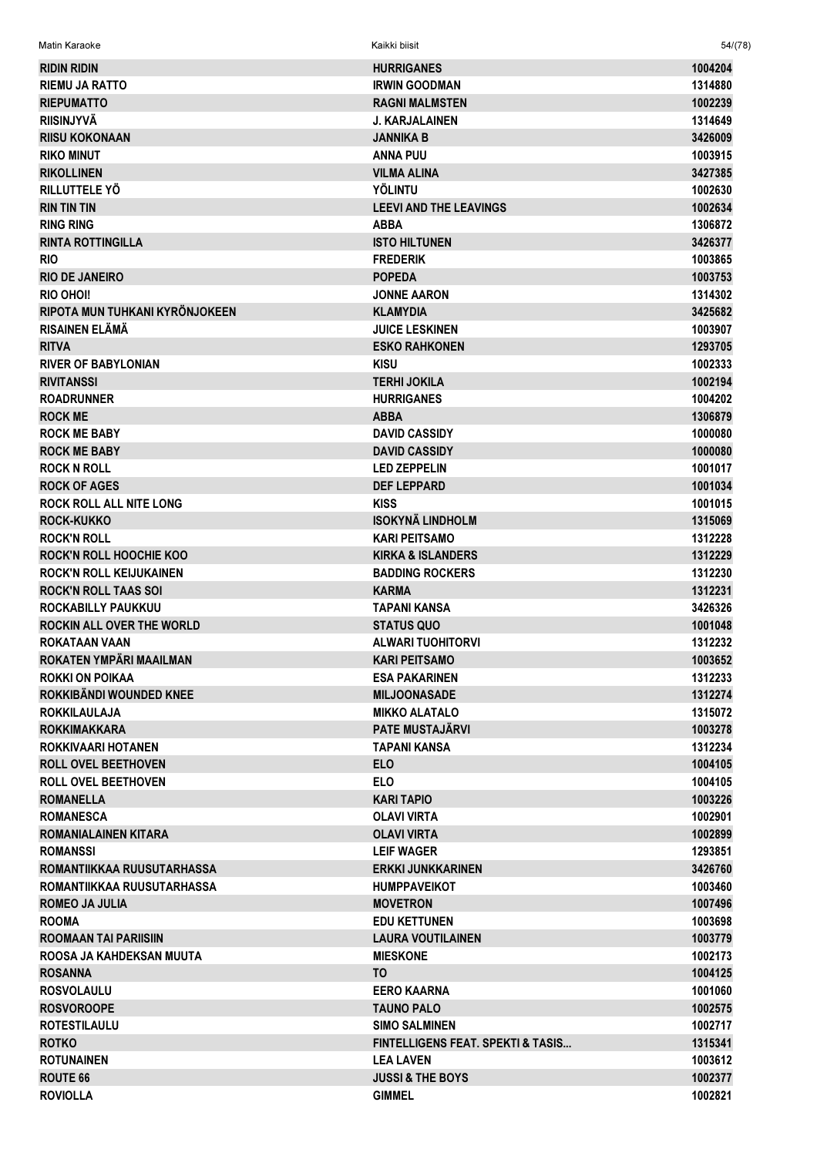| Matin Karaoke                  | Kaikki biisit                                | 54/(78) |
|--------------------------------|----------------------------------------------|---------|
| <b>RIDIN RIDIN</b>             | <b>HURRIGANES</b>                            | 1004204 |
| <b>RIEMU JA RATTO</b>          | <b>IRWIN GOODMAN</b>                         | 1314880 |
| <b>RIEPUMATTO</b>              | <b>RAGNI MALMSTEN</b>                        | 1002239 |
| <b>RIISINJYVÄ</b>              | <b>J. KARJALAINEN</b>                        | 1314649 |
| <b>RIISU KOKONAAN</b>          | JANNIKA B                                    | 3426009 |
| <b>RIKO MINUT</b>              | <b>ANNA PUU</b>                              | 1003915 |
| <b>RIKOLLINEN</b>              | <b>VILMA ALINA</b>                           | 3427385 |
| RILLUTTELE YÖ                  | <b>YÖLINTU</b>                               | 1002630 |
| <b>RIN TIN TIN</b>             | <b>LEEVI AND THE LEAVINGS</b>                | 1002634 |
| <b>RING RING</b>               | <b>ABBA</b>                                  | 1306872 |
| <b>RINTA ROTTINGILLA</b>       | <b>ISTO HILTUNEN</b>                         | 3426377 |
| <b>RIO</b>                     | <b>FREDERIK</b>                              | 1003865 |
| <b>RIO DE JANEIRO</b>          | <b>POPEDA</b>                                | 1003753 |
| RIO OHOI!                      | <b>JONNE AARON</b>                           | 1314302 |
| RIPOTA MUN TUHKANI KYRÖNJOKEEN | <b>KLAMYDIA</b>                              | 3425682 |
| <b>RISAINEN ELÄMÄ</b>          | <b>JUICE LESKINEN</b>                        | 1003907 |
| <b>RITVA</b>                   | <b>ESKO RAHKONEN</b>                         | 1293705 |
| <b>RIVER OF BABYLONIAN</b>     | <b>KISU</b>                                  | 1002333 |
| <b>RIVITANSSI</b>              | <b>TERHI JOKILA</b>                          | 1002194 |
| <b>ROADRUNNER</b>              | <b>HURRIGANES</b>                            | 1004202 |
| <b>ROCK ME</b>                 | <b>ABBA</b>                                  | 1306879 |
| <b>ROCK ME BABY</b>            | <b>DAVID CASSIDY</b>                         | 1000080 |
| <b>ROCK ME BABY</b>            | <b>DAVID CASSIDY</b>                         | 1000080 |
| <b>ROCK N ROLL</b>             | <b>LED ZEPPELIN</b>                          | 1001017 |
| <b>ROCK OF AGES</b>            | <b>DEF LEPPARD</b>                           | 1001034 |
| <b>ROCK ROLL ALL NITE LONG</b> | <b>KISS</b>                                  | 1001015 |
| <b>ROCK-KUKKO</b>              | <b>ISOKYNÄ LINDHOLM</b>                      | 1315069 |
| <b>ROCK'N ROLL</b>             | <b>KARI PEITSAMO</b>                         | 1312228 |
| <b>ROCK'N ROLL HOOCHIE KOO</b> | <b>KIRKA &amp; ISLANDERS</b>                 | 1312229 |
| <b>ROCK'N ROLL KEIJUKAINEN</b> | <b>BADDING ROCKERS</b>                       | 1312230 |
| <b>ROCK'N ROLL TAAS SOI</b>    | <b>KARMA</b>                                 | 1312231 |
| ROCKABILLY PAUKKUU             | TAPANI KANSA                                 | 3426326 |
| ROCKIN ALL OVER THE WORLD      | <b>STATUS QUO</b>                            | 1001048 |
| ROKATAAN VAAN                  | <b>ALWARI TUOHITORVI</b>                     | 1312232 |
| ROKATEN YMPÄRI MAAILMAN        | <b>KARI PEITSAMO</b>                         | 1003652 |
| <b>ROKKI ON POIKAA</b>         | <b>ESA PAKARINEN</b>                         | 1312233 |
| ROKKIBÄNDI WOUNDED KNEE        | <b>MILJOONASADE</b>                          | 1312274 |
| <b>ROKKILAULAJA</b>            | <b>MIKKO ALATALO</b>                         | 1315072 |
| <b>ROKKIMAKKARA</b>            | <b>PATE MUSTAJÄRVI</b>                       | 1003278 |
| ROKKIVAARI HOTANEN             | <b>TAPANI KANSA</b>                          | 1312234 |
| <b>ROLL OVEL BEETHOVEN</b>     | <b>ELO</b>                                   | 1004105 |
| <b>ROLL OVEL BEETHOVEN</b>     | <b>ELO</b>                                   | 1004105 |
| <b>ROMANELLA</b>               | <b>KARI TAPIO</b>                            | 1003226 |
| <b>ROMANESCA</b>               | <b>OLAVI VIRTA</b>                           | 1002901 |
| <b>ROMANIALAINEN KITARA</b>    | <b>OLAVI VIRTA</b>                           | 1002899 |
| <b>ROMANSSI</b>                | <b>LEIF WAGER</b>                            | 1293851 |
| ROMANTIIKKAA RUUSUTARHASSA     | <b>ERKKI JUNKKARINEN</b>                     | 3426760 |
| ROMANTIIKKAA RUUSUTARHASSA     | <b>HUMPPAVEIKOT</b>                          | 1003460 |
| <b>ROMEO JA JULIA</b>          | <b>MOVETRON</b>                              | 1007496 |
| <b>ROOMA</b>                   | <b>EDU KETTUNEN</b>                          | 1003698 |
| ROOMAAN TAI PARIISIIN          | <b>LAURA VOUTILAINEN</b>                     | 1003779 |
| ROOSA JA KAHDEKSAN MUUTA       | <b>MIESKONE</b>                              | 1002173 |
| <b>ROSANNA</b>                 | ΤO                                           | 1004125 |
| <b>ROSVOLAULU</b>              | <b>EERO KAARNA</b>                           | 1001060 |
| <b>ROSVOROOPE</b>              | <b>TAUNO PALO</b>                            | 1002575 |
| <b>ROTESTILAULU</b>            | <b>SIMO SALMINEN</b>                         | 1002717 |
| <b>ROTKO</b>                   | <b>FINTELLIGENS FEAT. SPEKTI &amp; TASIS</b> | 1315341 |
| <b>ROTUNAINEN</b>              | <b>LEA LAVEN</b>                             | 1003612 |
| <b>ROUTE 66</b>                | <b>JUSSI &amp; THE BOYS</b>                  | 1002377 |
| <b>ROVIOLLA</b>                | <b>GIMMEL</b>                                | 1002821 |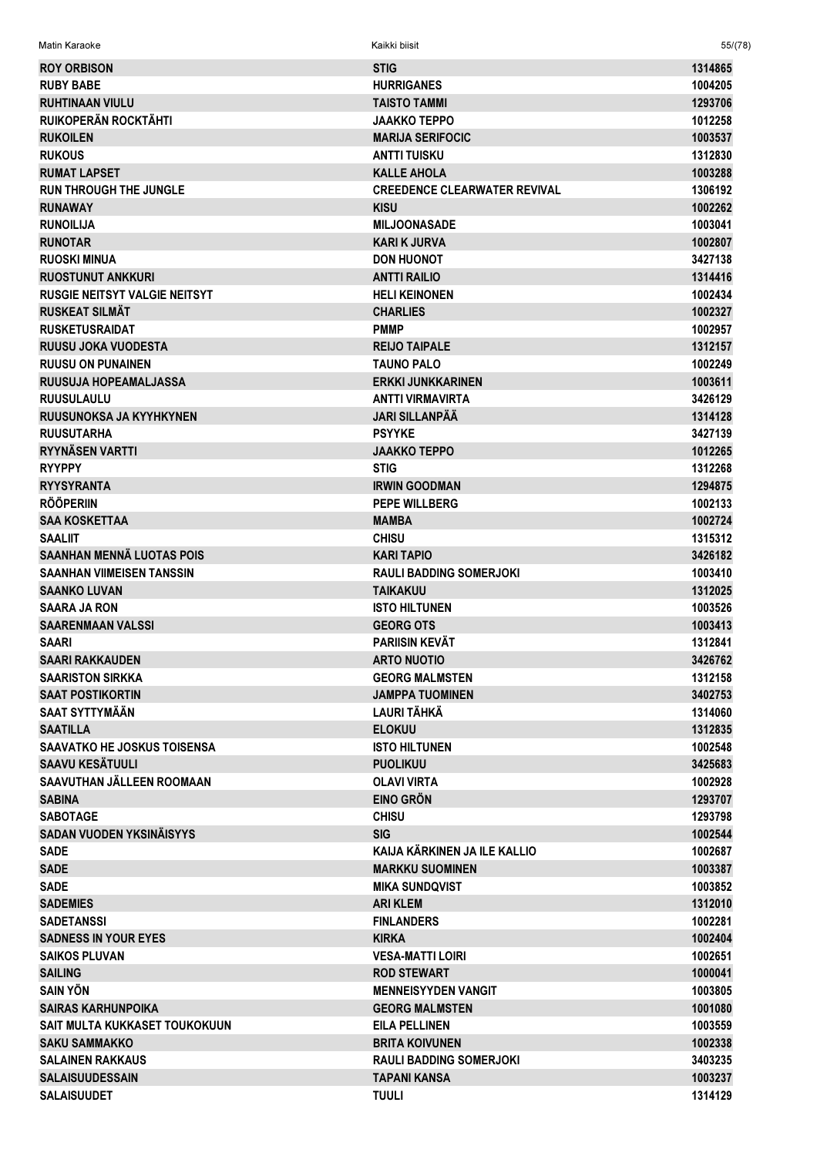| <b>Matin Karaoke</b><br><br>Kaikki biisit | 55/(78) |
|-------------------------------------------|---------|
|                                           |         |

| <b>ROY ORBISON</b>                   | <b>STIG</b>                         | 1314865 |
|--------------------------------------|-------------------------------------|---------|
| <b>RUBY BABE</b>                     | <b>HURRIGANES</b>                   | 1004205 |
| <b>RUHTINAAN VIULU</b>               | <b>TAISTO TAMMI</b>                 | 1293706 |
| <b>RUIKOPERÄN ROCKTÄHTI</b>          | <b>JAAKKO TEPPO</b>                 | 1012258 |
| <b>RUKOILEN</b>                      | <b>MARIJA SERIFOCIC</b>             | 1003537 |
| <b>RUKOUS</b>                        | <b>ANTTI TUISKU</b>                 | 1312830 |
| <b>RUMAT LAPSET</b>                  | <b>KALLE AHOLA</b>                  | 1003288 |
| <b>RUN THROUGH THE JUNGLE</b>        | <b>CREEDENCE CLEARWATER REVIVAL</b> | 1306192 |
| <b>RUNAWAY</b>                       | <b>KISU</b>                         | 1002262 |
|                                      |                                     |         |
| <b>RUNOILIJA</b>                     | <b>MILJOONASADE</b>                 | 1003041 |
| <b>RUNOTAR</b>                       | <b>KARI K JURVA</b>                 | 1002807 |
| <b>RUOSKI MINUA</b>                  | <b>DON HUONOT</b>                   | 3427138 |
| <b>RUOSTUNUT ANKKURI</b>             | <b>ANTTI RAILIO</b>                 | 1314416 |
| <b>RUSGIE NEITSYT VALGIE NEITSYT</b> | <b>HELI KEINONEN</b>                | 1002434 |
| <b>RUSKEAT SILMÄT</b>                | <b>CHARLIES</b>                     | 1002327 |
| <b>RUSKETUSRAIDAT</b>                | <b>PMMP</b>                         | 1002957 |
| <b>RUUSU JOKA VUODESTA</b>           | <b>REIJO TAIPALE</b>                | 1312157 |
| <b>RUUSU ON PUNAINEN</b>             | <b>TAUNO PALO</b>                   | 1002249 |
| <b>RUUSUJA HOPEAMALJASSA</b>         | <b>ERKKI JUNKKARINEN</b>            | 1003611 |
| <b>RUUSULAULU</b>                    | <b>ANTTI VIRMAVIRTA</b>             | 3426129 |
| RUUSUNOKSA JA KYYHKYNEN              | <b>JARI SILLANPÄÄ</b>               | 1314128 |
| <b>RUUSUTARHA</b>                    | <b>PSYYKE</b>                       | 3427139 |
| <b>RYYNÄSEN VARTTI</b>               | <b>JAAKKO TEPPO</b>                 | 1012265 |
| <b>RYYPPY</b>                        | <b>STIG</b>                         | 1312268 |
| <b>RYYSYRANTA</b>                    | <b>IRWIN GOODMAN</b>                | 1294875 |
| <b>RÖÖPERIIN</b>                     | <b>PEPE WILLBERG</b>                | 1002133 |
| <b>SAA KOSKETTAA</b>                 | <b>MAMBA</b>                        | 1002724 |
| <b>SAALIIT</b>                       | <b>CHISU</b>                        | 1315312 |
| <b>SAANHAN MENNÄ LUOTAS POIS</b>     | <b>KARI TAPIO</b>                   | 3426182 |
| <b>SAANHAN VIIMEISEN TANSSIN</b>     | <b>RAULI BADDING SOMERJOKI</b>      | 1003410 |
| <b>SAANKO LUVAN</b>                  | <b>TAIKAKUU</b>                     | 1312025 |
| <b>SAARA JA RON</b>                  | <b>ISTO HILTUNEN</b>                | 1003526 |
| <b>SAARENMAAN VALSSI</b>             | <b>GEORG OTS</b>                    | 1003413 |
| <b>SAARI</b>                         | <b>PARIISIN KEVÄT</b>               | 1312841 |
| <b>SAARI RAKKAUDEN</b>               | <b>ARTO NUOTIO</b>                  | 3426762 |
| <b>SAARISTON SIRKKA</b>              | <b>GEORG MALMSTEN</b>               | 1312158 |
| <b>SAAT POSTIKORTIN</b>              | <b>JAMPPA TUOMINEN</b>              | 3402753 |
| <b>SAAT SYTTYMÄÄN</b>                | <b>LAURI TÄHKÄ</b>                  | 1314060 |
| <b>SAATILLA</b>                      | <b>ELOKUU</b>                       | 1312835 |
| <b>SAAVATKO HE JOSKUS TOISENSA</b>   | <b>ISTO HILTUNEN</b>                | 1002548 |
| <b>SAAVU KESÄTUULI</b>               | <b>PUOLIKUU</b>                     |         |
|                                      |                                     | 3425683 |
| SAAVUTHAN JÄLLEEN ROOMAAN            | <b>OLAVI VIRTA</b>                  | 1002928 |
| <b>SABINA</b>                        | <b>EINO GRÖN</b>                    | 1293707 |
| <b>SABOTAGE</b>                      | <b>CHISU</b>                        | 1293798 |
| <b>SADAN VUODEN YKSINÄISYYS</b>      | <b>SIG</b>                          | 1002544 |
| <b>SADE</b>                          | KAIJA KÄRKINEN JA ILE KALLIO        | 1002687 |
| <b>SADE</b>                          | <b>MARKKU SUOMINEN</b>              | 1003387 |
| <b>SADE</b>                          | <b>MIKA SUNDQVIST</b>               | 1003852 |
| <b>SADEMIES</b>                      | <b>ARI KLEM</b>                     | 1312010 |
| <b>SADETANSSI</b>                    | <b>FINLANDERS</b>                   | 1002281 |
| <b>SADNESS IN YOUR EYES</b>          | <b>KIRKA</b>                        | 1002404 |
| <b>SAIKOS PLUVAN</b>                 | <b>VESA-MATTI LOIRI</b>             | 1002651 |
| <b>SAILING</b>                       | <b>ROD STEWART</b>                  | 1000041 |
| <b>SAIN YÖN</b>                      | <b>MENNEISYYDEN VANGIT</b>          | 1003805 |
| <b>SAIRAS KARHUNPOIKA</b>            | <b>GEORG MALMSTEN</b>               | 1001080 |
| SAIT MULTA KUKKASET TOUKOKUUN        | <b>EILA PELLINEN</b>                | 1003559 |
| <b>SAKU SAMMAKKO</b>                 | <b>BRITA KOIVUNEN</b>               | 1002338 |
| <b>SALAINEN RAKKAUS</b>              | <b>RAULI BADDING SOMERJOKI</b>      | 3403235 |
| <b>SALAISUUDESSAIN</b>               | <b>TAPANI KANSA</b>                 | 1003237 |
| <b>SALAISUUDET</b>                   | <b>TUULI</b>                        | 1314129 |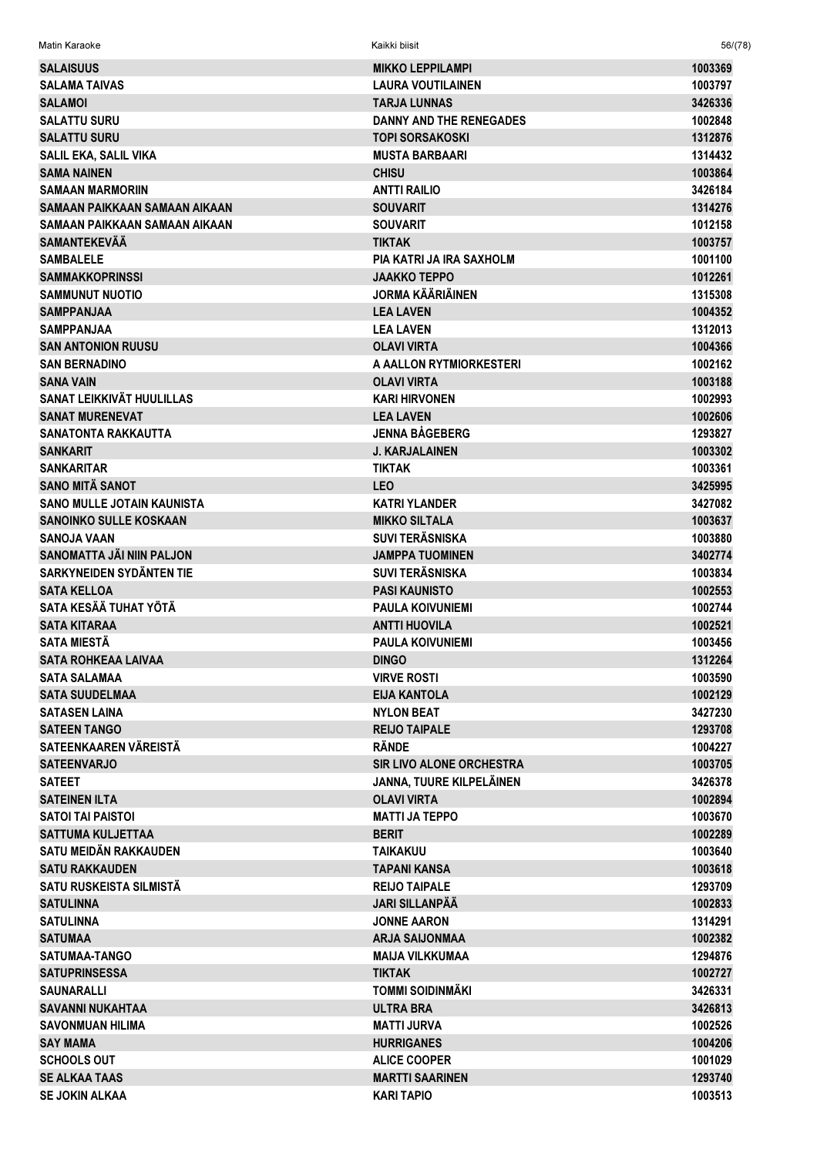| <b>SALAISUUS</b>                  | <b>MIKKO LEPPILAMPI</b>         | 1003369 |
|-----------------------------------|---------------------------------|---------|
| <b>SALAMA TAIVAS</b>              | LAURA VOUTILAINEN               | 1003797 |
| <b>SALAMOI</b>                    | <b>TARJA LUNNAS</b>             | 3426336 |
| <b>SALATTU SURU</b>               | <b>DANNY AND THE RENEGADES</b>  | 1002848 |
| <b>SALATTU SURU</b>               | <b>TOPI SORSAKOSKI</b>          | 1312876 |
| SALIL EKA, SALIL VIKA             | <b>MUSTA BARBAARI</b>           | 1314432 |
| <b>SAMA NAINEN</b>                | <b>CHISU</b>                    | 1003864 |
| <b>SAMAAN MARMORIIN</b>           | <b>ANTTI RAILIO</b>             | 3426184 |
| SAMAAN PAIKKAAN SAMAAN AIKAAN     | <b>SOUVARIT</b>                 | 1314276 |
| SAMAAN PAIKKAAN SAMAAN AIKAAN     | <b>SOUVARIT</b>                 | 1012158 |
| <b>SAMANTEKEVÄÄ</b>               | <b>TIKTAK</b>                   | 1003757 |
| <b>SAMBALELE</b>                  | <b>PIA KATRI JA IRA SAXHOLM</b> | 1001100 |
| <b>SAMMAKKOPRINSSI</b>            | <b>JAAKKO TEPPO</b>             | 1012261 |
| <b>SAMMUNUT NUOTIO</b>            | <b>JORMA KÄÄRIÄINEN</b>         | 1315308 |
| <b>SAMPPANJAA</b>                 | <b>LEA LAVEN</b>                | 1004352 |
| <b>SAMPPANJAA</b>                 | <b>LEA LAVEN</b>                | 1312013 |
| <b>SAN ANTONION RUUSU</b>         | <b>OLAVI VIRTA</b>              | 1004366 |
| <b>SAN BERNADINO</b>              | A AALLON RYTMIORKESTERI         | 1002162 |
| <b>SANA VAIN</b>                  | <b>OLAVI VIRTA</b>              | 1003188 |
| SANAT LEIKKIVÄT HUULILLAS         | <b>KARI HIRVONEN</b>            | 1002993 |
| <b>SANAT MURENEVAT</b>            | <b>LEA LAVEN</b>                | 1002606 |
| <b>SANATONTA RAKKAUTTA</b>        | <b>JENNA BÅGEBERG</b>           | 1293827 |
| <b>SANKARIT</b>                   | <b>J. KARJALAINEN</b>           | 1003302 |
| <b>SANKARITAR</b>                 | <b>TIKTAK</b>                   | 1003361 |
| <b>SANO MITÄ SANOT</b>            | <b>LEO</b>                      | 3425995 |
| <b>SANO MULLE JOTAIN KAUNISTA</b> | <b>KATRI YLANDER</b>            | 3427082 |
| <b>SANOINKO SULLE KOSKAAN</b>     | <b>MIKKO SILTALA</b>            | 1003637 |
| <b>SANOJA VAAN</b>                | <b>SUVI TERÄSNISKA</b>          | 1003880 |
| SANOMATTA JÄI NIIN PALJON         | <b>JAMPPA TUOMINEN</b>          | 3402774 |
| SARKYNEIDEN SYDÄNTEN TIE          | <b>SUVI TERÄSNISKA</b>          | 1003834 |
| <b>SATA KELLOA</b>                | <b>PASI KAUNISTO</b>            | 1002553 |
| SATA KESÄÄ TUHAT YÖTÄ             | <b>PAULA KOIVUNIEMI</b>         | 1002744 |
| <b>SATA KITARAA</b>               | <b>ANTTI HUOVILA</b>            | 1002521 |
| <b>SATA MIESTÀ</b>                | <b>PAULA KOIVUNIEMI</b>         | 1003456 |
| <b>SATA ROHKEAA LAIVAA</b>        | <b>DINGO</b>                    | 1312264 |
| <b>SATA SALAMAA</b>               | <b>VIRVE ROSTI</b>              | 1003590 |
| <b>SATA SUUDELMAA</b>             | EIJA KANTOLA                    | 1002129 |
| <b>SATASEN LAINA</b>              | <b>NYLON BEAT</b>               | 3427230 |
| <b>SATEEN TANGO</b>               | <b>REIJO TAIPALE</b>            | 1293708 |
| SATEENKAAREN VÄREISTÄ             | <b>RÄNDE</b>                    | 1004227 |
| <b>SATEENVARJO</b>                | SIR LIVO ALONE ORCHESTRA        | 1003705 |
| <b>SATEET</b>                     | JANNA, TUURE KILPELÄINEN        | 3426378 |
| <b>SATEINEN ILTA</b>              | <b>OLAVI VIRTA</b>              | 1002894 |
| <b>SATOI TAI PAISTOI</b>          | <b>MATTI JA TEPPO</b>           | 1003670 |
| <b>SATTUMA KULJETTAA</b>          | <b>BERIT</b>                    | 1002289 |
| SATU MEIDÄN RAKKAUDEN             | <b>TAIKAKUU</b>                 | 1003640 |
| <b>SATU RAKKAUDEN</b>             | <b>TAPANI KANSA</b>             | 1003618 |
| SATU RUSKEISTA SILMISTÄ           | <b>REIJO TAIPALE</b>            | 1293709 |
| <b>SATULINNA</b>                  | <b>JARI SILLANPÄÄ</b>           | 1002833 |
|                                   |                                 |         |
| <b>SATULINNA</b>                  | <b>JONNE AARON</b>              | 1314291 |
| <b>SATUMAA</b>                    | <b>ARJA SAIJONMAA</b>           | 1002382 |
| <b>SATUMAA-TANGO</b>              | <b>MAIJA VILKKUMAA</b>          | 1294876 |
| <b>SATUPRINSESSA</b>              | <b>TIKTAK</b>                   | 1002727 |
| <b>SAUNARALLI</b>                 | <b>TOMMI SOIDINMÄKI</b>         | 3426331 |
| <b>SAVANNI NUKAHTAA</b>           | <b>ULTRA BRA</b>                | 3426813 |
| <b>SAVONMUAN HILIMA</b>           | <b>MATTI JURVA</b>              | 1002526 |
| <b>SAY MAMA</b>                   | <b>HURRIGANES</b>               | 1004206 |
| <b>SCHOOLS OUT</b>                | <b>ALICE COOPER</b>             | 1001029 |
| <b>SE ALKAA TAAS</b>              | <b>MARTTI SAARINEN</b>          | 1293740 |
| <b>SE JOKIN ALKAA</b>             | <b>KARI TAPIO</b>               | 1003513 |

 $56/(78)$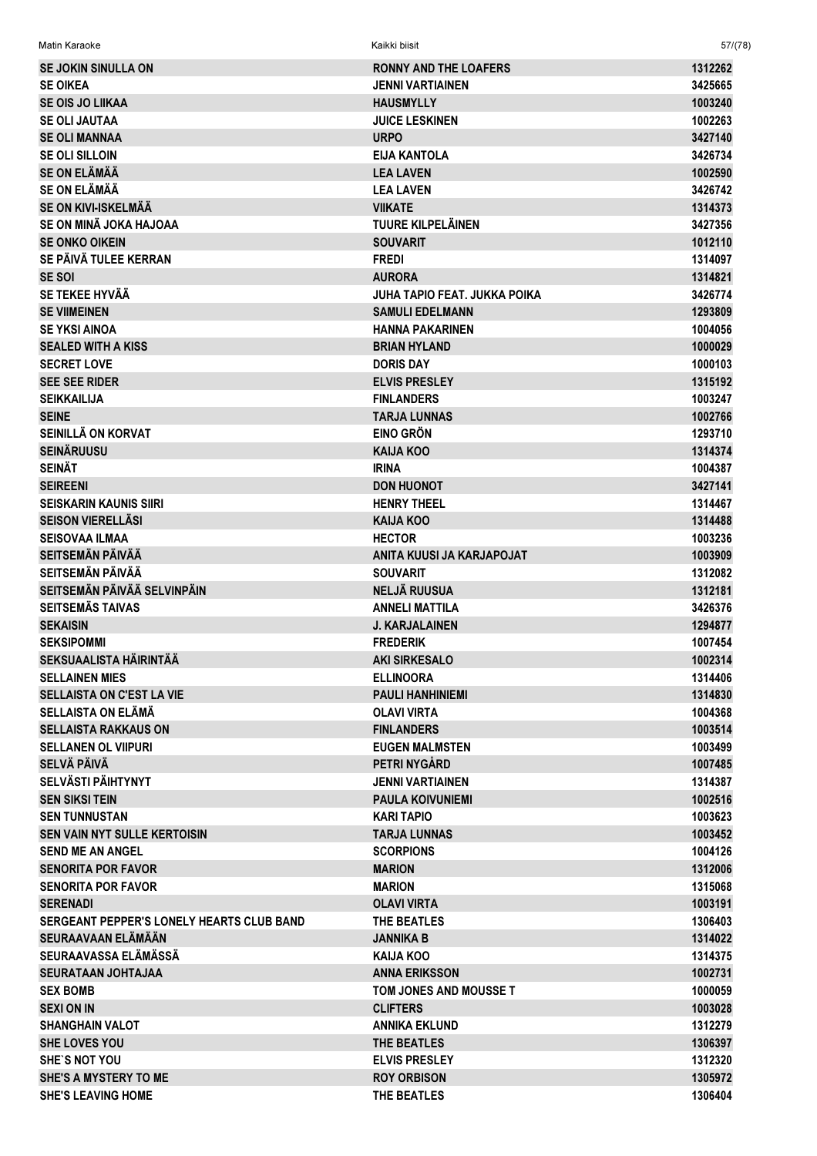| <b>SE JOKIN SINULLA ON</b>                       | <b>RONNY AND THE LOAFERS</b> | 1312262 |
|--------------------------------------------------|------------------------------|---------|
| <b>SE OIKEA</b>                                  | <b>JENNI VARTIAINEN</b>      | 3425665 |
| <b>SE OIS JO LIIKAA</b>                          | <b>HAUSMYLLY</b>             | 1003240 |
| <b>SE OLI JAUTAA</b>                             | <b>JUICE LESKINEN</b>        | 1002263 |
| <b>SE OLI MANNAA</b>                             | <b>URPO</b>                  | 3427140 |
| <b>SE OLI SILLOIN</b>                            | <b>EIJA KANTOLA</b>          | 3426734 |
| <b>SE ON ELÄMÄÄ</b>                              | <b>LEA LAVEN</b>             | 1002590 |
| <b>SE ON ELÄMÄÄ</b>                              | <b>LEA LAVEN</b>             | 3426742 |
| SE ON KIVI-ISKELMÄÄ                              | <b>VIIKATE</b>               | 1314373 |
| SE ON MINÄ JOKA HAJOAA                           | <b>TUURE KILPELÄINEN</b>     | 3427356 |
| <b>SE ONKO OIKEIN</b>                            | <b>SOUVARIT</b>              | 1012110 |
| SE PÄIVÄ TULEE KERRAN                            | <b>FREDI</b>                 | 1314097 |
| <b>SE SOI</b>                                    | <b>AURORA</b>                | 1314821 |
| SE TEKEE HYVÄÄ                                   | JUHA TAPIO FEAT. JUKKA POIKA | 3426774 |
| <b>SE VIIMEINEN</b>                              | <b>SAMULI EDELMANN</b>       | 1293809 |
| <b>SE YKSI AINOA</b>                             | <b>HANNA PAKARINEN</b>       | 1004056 |
| <b>SEALED WITH A KISS</b>                        | <b>BRIAN HYLAND</b>          | 1000029 |
| <b>SECRET LOVE</b>                               | <b>DORIS DAY</b>             | 1000103 |
| <b>SEE SEE RIDER</b>                             | <b>ELVIS PRESLEY</b>         | 1315192 |
| <b>SEIKKAILIJA</b>                               | <b>FINLANDERS</b>            | 1003247 |
| <b>SEINE</b>                                     | <b>TARJA LUNNAS</b>          | 1002766 |
| SEINILLÄ ON KORVAT                               | <b>EINO GRÖN</b>             | 1293710 |
| <b>SEINÄRUUSU</b>                                | <b>KAIJA KOO</b>             | 1314374 |
| <b>SEINÄT</b>                                    | <b>IRINA</b>                 | 1004387 |
| <b>SEIREENI</b>                                  | <b>DON HUONOT</b>            | 3427141 |
| <b>SEISKARIN KAUNIS SIIRI</b>                    | <b>HENRY THEEL</b>           | 1314467 |
| <b>SEISON VIERELLÄSI</b>                         | <b>KAIJA KOO</b>             | 1314488 |
| <b>SEISOVAA ILMAA</b>                            | <b>HECTOR</b>                | 1003236 |
| <b>SEITSEMÄN PÄIVÄÄ</b>                          | ANITA KUUSI JA KARJAPOJAT    | 1003909 |
| <b>SEITSEMÄN PÄIVÄÄ</b>                          | <b>SOUVARIT</b>              | 1312082 |
| SEITSEMÄN PÄIVÄÄ SELVINPÄIN                      | <b>NELJÄ RUUSUA</b>          | 1312181 |
| <b>SEITSEMÄS TAIVAS</b>                          | <b>ANNELI MATTILA</b>        | 3426376 |
| <b>SEKAISIN</b>                                  | <b>J. KARJALAINEN</b>        | 1294877 |
| <b>SEKSIPOMMI</b>                                | <b>FREDERIK</b>              | 1007454 |
| SEKSUAALISTA HÄIRINTÄÄ                           | <b>AKI SIRKESALO</b>         | 1002314 |
| <b>SELLAINEN MIES</b>                            | <b>ELLINOORA</b>             | 1314406 |
| <b>SELLAISTA ON C'EST LA VIE</b>                 | <b>PAULI HANHINIEMI</b>      | 1314830 |
| <b>SELLAISTA ON ELÄMÄ</b>                        | <b>OLAVI VIRTA</b>           | 1004368 |
| <b>SELLAISTA RAKKAUS ON</b>                      | <b>FINLANDERS</b>            | 1003514 |
| <b>SELLANEN OL VIIPURI</b>                       | <b>EUGEN MALMSTEN</b>        | 1003499 |
| SELVÄ PÄIVÄ                                      | PETRI NYGÅRD                 | 1007485 |
| <b>SELVÄSTI PÄIHTYNYT</b>                        | <b>JENNI VARTIAINEN</b>      | 1314387 |
| <b>SEN SIKSI TEIN</b>                            | <b>PAULA KOIVUNIEMI</b>      | 1002516 |
| <b>SEN TUNNUSTAN</b>                             | <b>KARI TAPIO</b>            | 1003623 |
| <b>SEN VAIN NYT SULLE KERTOISIN</b>              | <b>TARJA LUNNAS</b>          | 1003452 |
| <b>SEND ME AN ANGEL</b>                          | <b>SCORPIONS</b>             | 1004126 |
| <b>SENORITA POR FAVOR</b>                        | <b>MARION</b>                | 1312006 |
| <b>SENORITA POR FAVOR</b>                        | <b>MARION</b>                | 1315068 |
| <b>SERENADI</b>                                  | <b>OLAVI VIRTA</b>           | 1003191 |
| <b>SERGEANT PEPPER'S LONELY HEARTS CLUB BAND</b> | THE BEATLES                  | 1306403 |
| SEURAAVAAN ELÄMÄÄN                               | <b>JANNIKA B</b>             | 1314022 |
| SEURAAVASSA ELÄMÄSSÄ                             | KAIJA KOO                    | 1314375 |
| <b>SEURATAAN JOHTAJAA</b>                        | <b>ANNA ERIKSSON</b>         | 1002731 |
| <b>SEX BOMB</b>                                  | TOM JONES AND MOUSSE T       | 1000059 |
| <b>SEXI ON IN</b>                                | <b>CLIFTERS</b>              | 1003028 |
| <b>SHANGHAIN VALOT</b>                           | <b>ANNIKA EKLUND</b>         | 1312279 |
| <b>SHE LOVES YOU</b>                             | <b>THE BEATLES</b>           | 1306397 |
| <b>SHE'S NOT YOU</b>                             | <b>ELVIS PRESLEY</b>         | 1312320 |
| SHE'S A MYSTERY TO ME                            | <b>ROY ORBISON</b>           | 1305972 |
| <b>SHE'S LEAVING HOME</b>                        | THE BEATLES                  | 1306404 |

 $57/(78)$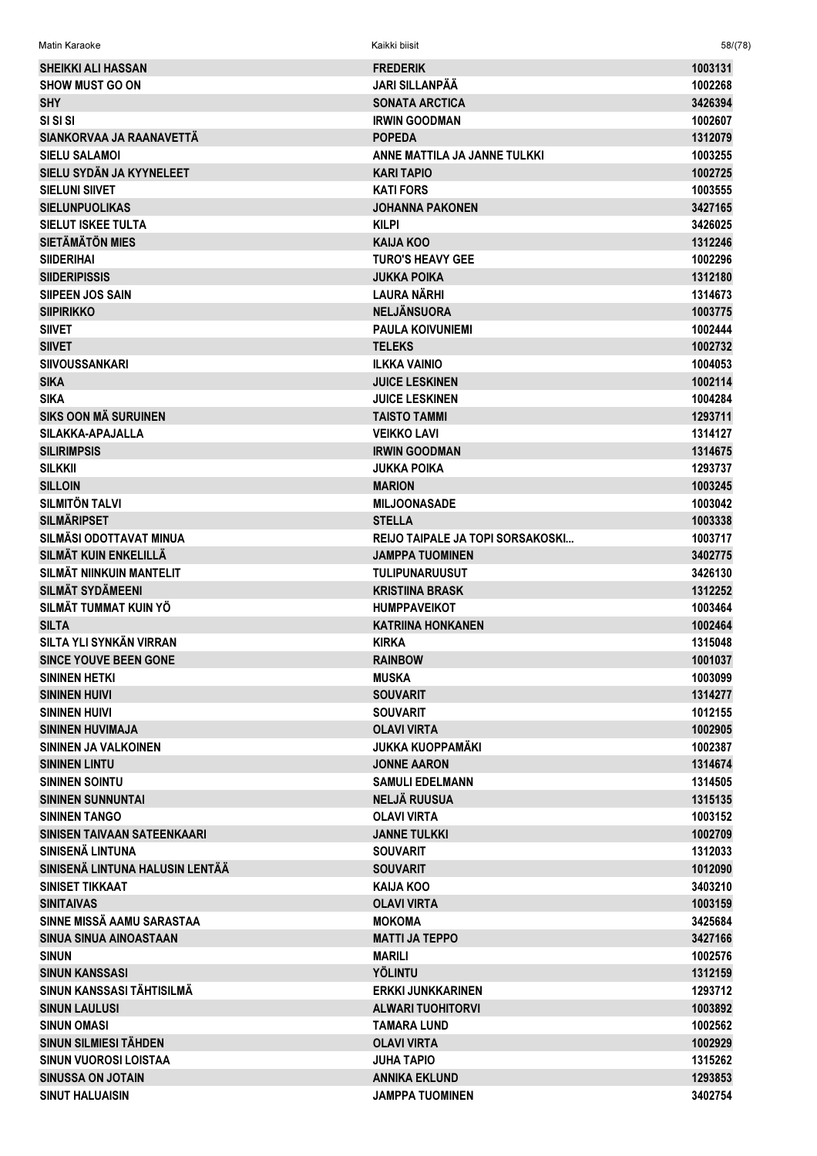| <b>SHEIKKI ALI HASSAN</b>       | <b>FREDERIK</b>                  | 1003131 |
|---------------------------------|----------------------------------|---------|
| <b>SHOW MUST GO ON</b>          | JARI SILLANPÄÄ                   | 1002268 |
| <b>SHY</b>                      | <b>SONATA ARCTICA</b>            | 3426394 |
| SI SI SI                        | <b>IRWIN GOODMAN</b>             | 1002607 |
| SIANKORVAA JA RAANAVETTÄ        | <b>POPEDA</b>                    | 1312079 |
| <b>SIELU SALAMOI</b>            | ANNE MATTILA JA JANNE TULKKI     | 1003255 |
| SIELU SYDÄN JA KYYNELEET        | <b>KARI TAPIO</b>                | 1002725 |
| <b>SIELUNI SIIVET</b>           | <b>KATI FORS</b>                 | 1003555 |
| <b>SIELUNPUOLIKAS</b>           | <b>JOHANNA PAKONEN</b>           | 3427165 |
| <b>SIELUT ISKEE TULTA</b>       | <b>KILPI</b>                     | 3426025 |
| <b>SIETÄMÄTÖN MIES</b>          | <b>KAIJA KOO</b>                 | 1312246 |
| <b>SIIDERIHAI</b>               | <b>TURO'S HEAVY GEE</b>          | 1002296 |
| <b>SIIDERIPISSIS</b>            | <b>JUKKA POIKA</b>               | 1312180 |
| <b>SIIPEEN JOS SAIN</b>         | <b>LAURA NÄRHI</b>               | 1314673 |
| <b>SIIPIRIKKO</b>               | <b>NELJÄNSUORA</b>               | 1003775 |
| <b>SIIVET</b>                   | <b>PAULA KOIVUNIEMI</b>          | 1002444 |
| <b>SIIVET</b>                   | <b>TELEKS</b>                    | 1002732 |
| <b>SIIVOUSSANKARI</b>           | <b>ILKKA VAINIO</b>              | 1004053 |
| <b>SIKA</b>                     | <b>JUICE LESKINEN</b>            | 1002114 |
|                                 |                                  | 1004284 |
| <b>SIKA</b>                     | <b>JUICE LESKINEN</b>            |         |
| <b>SIKS OON MÄ SURUINEN</b>     | <b>TAISTO TAMMI</b>              | 1293711 |
| SILAKKA-APAJALLA                | <b>VEIKKO LAVI</b>               | 1314127 |
| <b>SILIRIMPSIS</b>              | <b>IRWIN GOODMAN</b>             | 1314675 |
| <b>SILKKII</b>                  | <b>JUKKA POIKA</b>               | 1293737 |
| <b>SILLOIN</b>                  | <b>MARION</b>                    | 1003245 |
| <b>SILMITÖN TALVI</b>           | <b>MILJOONASADE</b>              | 1003042 |
| <b>SILMÄRIPSET</b>              | <b>STELLA</b>                    | 1003338 |
| SILMÄSI ODOTTAVAT MINUA         | REIJO TAIPALE JA TOPI SORSAKOSKI | 1003717 |
| SILMÄT KUIN ENKELILLÄ           | <b>JAMPPA TUOMINEN</b>           | 3402775 |
| SILMÄT NIINKUIN MANTELIT        | <b>TULIPUNARUUSUT</b>            | 3426130 |
| <b>SILMÄT SYDÄMEENI</b>         | <b>KRISTIINA BRASK</b>           | 1312252 |
| SILMÄT TUMMAT KUIN YÖ           | <b>HUMPPAVEIKOT</b>              | 1003464 |
| <b>SILTA</b>                    | <b>KATRIINA HONKANEN</b>         | 1002464 |
| <b>SILTA YLI SYNKÄN VIRRAN</b>  | <b>KIRKA</b>                     | 1315048 |
| <b>SINCE YOUVE BEEN GONE</b>    | <b>RAINBOW</b>                   | 1001037 |
| <b>SININEN HETKI</b>            | <b>MUSKA</b>                     | 1003099 |
| <b>SININEN HUIVI</b>            | <b>SOUVARIT</b>                  | 1314277 |
| <b>SININEN HUIVI</b>            | <b>SOUVARIT</b>                  | 1012155 |
| <b>SININEN HUVIMAJA</b>         | <b>OLAVI VIRTA</b>               | 1002905 |
| SININEN JA VALKOINEN            | <b>JUKKA KUOPPAMÄKI</b>          | 1002387 |
| <b>SININEN LINTU</b>            | <b>JONNE AARON</b>               | 1314674 |
| <b>SININEN SOINTU</b>           | <b>SAMULI EDELMANN</b>           | 1314505 |
| <b>SININEN SUNNUNTAI</b>        | <b>NELJÄ RUUSUA</b>              | 1315135 |
| <b>SININEN TANGO</b>            | <b>OLAVI VIRTA</b>               | 1003152 |
| SINISEN TAIVAAN SATEENKAARI     | <b>JANNE TULKKI</b>              | 1002709 |
| SINISENÄ LINTUNA                | <b>SOUVARIT</b>                  | 1312033 |
| SINISENÄ LINTUNA HALUSIN LENTÄÄ | <b>SOUVARIT</b>                  | 1012090 |
| SINISET TIKKAAT                 | <b>KAIJA KOO</b>                 | 3403210 |
| <b>SINITAIVAS</b>               | OLAVI VIRTA                      | 1003159 |
| SINNE MISSÄ AAMU SARASTAA       | <b>MOKOMA</b>                    | 3425684 |
| SINUA SINUA AINOASTAAN          | <b>MATTI JA TEPPO</b>            | 3427166 |
| <b>SINUN</b>                    | <b>MARILI</b>                    | 1002576 |
| <b>SINUN KANSSASI</b>           | <b>YÖLINTU</b>                   | 1312159 |
| SINUN KANSSASI TÄHTISILMÄ       | <b>ERKKI JUNKKARINEN</b>         | 1293712 |
| <b>SINUN LAULUSI</b>            | <b>ALWARI TUOHITORVI</b>         | 1003892 |
| <b>SINUN OMASI</b>              | <b>TAMARA LUND</b>               | 1002562 |
| SINUN SILMIESI TÄHDEN           | <b>OLAVI VIRTA</b>               | 1002929 |
|                                 |                                  |         |
| SINUN VUOROSI LOISTAA           | JUHA TAPIO                       | 1315262 |
| <b>SINUSSA ON JOTAIN</b>        | <b>ANNIKA EKLUND</b>             | 1293853 |
| <b>SINUT HALUAISIN</b>          | <b>JAMPPA TUOMINEN</b>           | 3402754 |

 $58/(78)$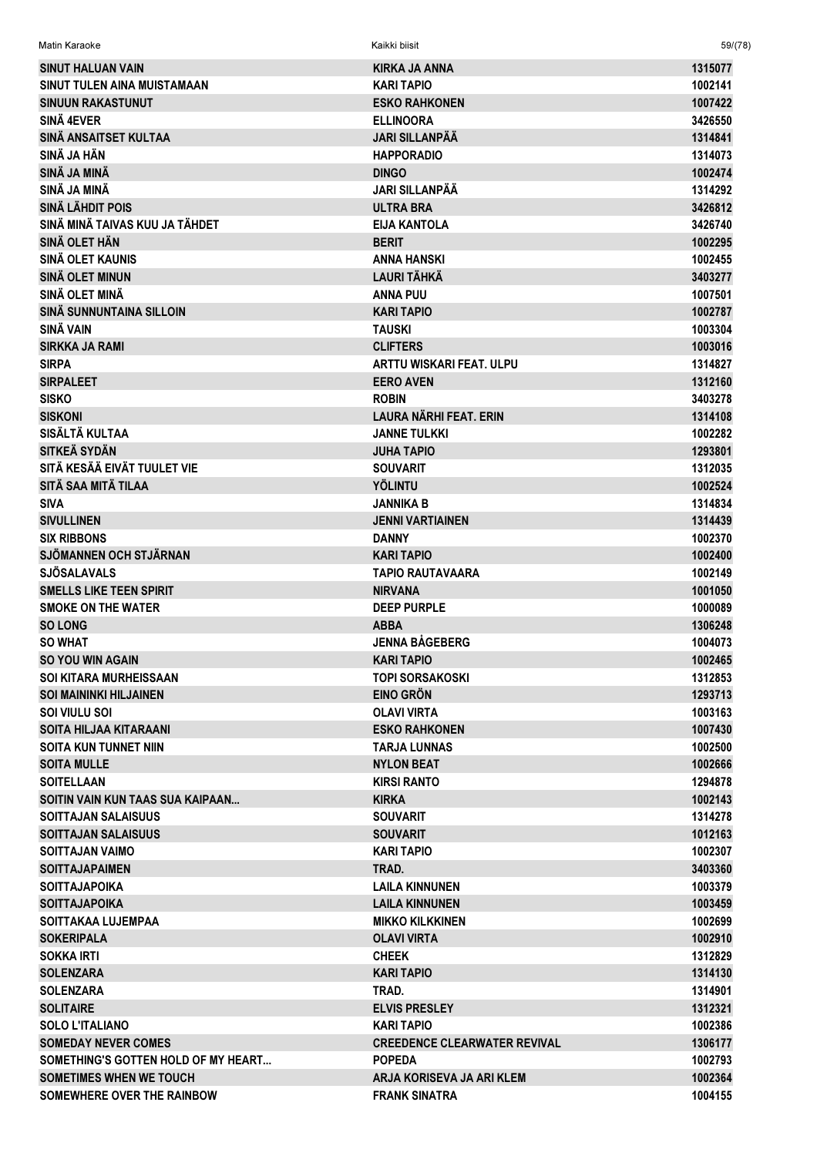| Matin Karaoke                       | Kaikki biisit                       | 59/(78) |
|-------------------------------------|-------------------------------------|---------|
| <b>SINUT HALUAN VAIN</b>            | KIRKA JA ANNA                       | 1315077 |
| SINUT TULEN AINA MUISTAMAAN         | KARI TAPIO                          | 1002141 |
| <b>SINUUN RAKASTUNUT</b>            | <b>ESKO RAHKONEN</b>                | 1007422 |
| SINÄ 4EVER                          | <b>ELLINOORA</b>                    | 3426550 |
| SINÄ ANSAITSET KULTAA               | <b>JARI SILLANPÄÄ</b>               | 1314841 |
| SINÄ JA HÄN                         | <b>HAPPORADIO</b>                   | 1314073 |
| SINÄ JA MINÄ                        | <b>DINGO</b>                        | 1002474 |
| SINÄ JA MINÄ                        | JARI SILLANPÄÄ                      | 1314292 |
| <b>SINÄ LÄHDIT POIS</b>             | <b>ULTRA BRA</b>                    | 3426812 |
| SINÄ MINÄ TAIVAS KUU JA TÄHDET      | <b>EIJA KANTOLA</b>                 | 3426740 |
| SINÄ OLET HÄN                       | <b>BERIT</b>                        | 1002295 |
| SINÄ OLET KAUNIS                    | ANNA HANSKI                         | 1002455 |
| <b>SINÄ OLET MINUN</b>              | LAURI TÄHKÄ                         | 3403277 |
| SINÄ OLET MINÄ                      | <b>ANNA PUU</b>                     | 1007501 |
| SINÄ SUNNUNTAINA SILLOIN            | <b>KARI TAPIO</b>                   | 1002787 |
| <b>SINÄ VAIN</b>                    | <b>TAUSKI</b>                       | 1003304 |
| <b>SIRKKA JA RAMI</b>               | <b>CLIFTERS</b>                     | 1003016 |
| <b>SIRPA</b>                        | ARTTU WISKARI FEAT. ULPU            | 1314827 |
| <b>SIRPALEET</b>                    | <b>EERO AVEN</b>                    | 1312160 |
| <b>SISKO</b>                        | <b>ROBIN</b>                        | 3403278 |
| <b>SISKONI</b>                      | LAURA NÄRHI FEAT. ERIN              | 1314108 |
| SISÄLTÄ KULTAA                      | <b>JANNE TULKKI</b>                 | 1002282 |
| SITKEÄ SYDÄN                        | <b>JUHA TAPIO</b>                   | 1293801 |
| SITÄ KESÄÄ EIVÄT TUULET VIE         | <b>SOUVARIT</b>                     | 1312035 |
| SITÄ SAA MITÄ TILAA                 | <b>YÖLINTU</b>                      | 1002524 |
| <b>SIVA</b>                         | JANNIKA B                           | 1314834 |
| <b>SIVULLINEN</b>                   | <b>JENNI VARTIAINEN</b>             | 1314439 |
| <b>SIX RIBBONS</b>                  | <b>DANNY</b>                        | 1002370 |
| SJÖMANNEN OCH STJÄRNAN              | <b>KARI TAPIO</b>                   | 1002400 |
| <b>SJÖSALAVALS</b>                  | TAPIO RAUTAVAARA                    | 1002149 |
| <b>SMELLS LIKE TEEN SPIRIT</b>      | <b>NIRVANA</b>                      | 1001050 |
| <b>SMOKE ON THE WATER</b>           | <b>DEEP PURPLE</b>                  | 1000089 |
| <b>SO LONG</b>                      | <b>ABBA</b>                         | 1306248 |
| <b>SO WHAT</b>                      | <b>JENNA BÅGEBERG</b>               | 1004073 |
| <b>SO YOU WIN AGAIN</b>             | <b>KARI TAPIO</b>                   | 1002465 |
| <b>SOI KITARA MURHEISSAAN</b>       | TOPI SORSAKOSKI                     | 1312853 |
| <b>SOI MAININKI HILJAINEN</b>       | <b>EINO GRÖN</b>                    | 1293713 |
| SOI VIULU SOI                       | OLAVI VIRTA                         | 1003163 |
| <b>SOITA HILJAA KITARAANI</b>       | <b>ESKO RAHKONEN</b>                | 1007430 |
| <b>SOITA KUN TUNNET NIIN</b>        | TARJA LUNNAS                        | 1002500 |
| <b>SOITA MULLE</b>                  | <b>NYLON BEAT</b>                   | 1002666 |
| <b>SOITELLAAN</b>                   | <b>KIRSI RANTO</b>                  | 1294878 |
| SOITIN VAIN KUN TAAS SUA KAIPAAN    | <b>KIRKA</b>                        | 1002143 |
| <b>SOITTAJAN SALAISUUS</b>          | <b>SOUVARIT</b>                     | 1314278 |
| <b>SOITTAJAN SALAISUUS</b>          | <b>SOUVARIT</b>                     | 1012163 |
| <b>SOITTAJAN VAIMO</b>              | <b>KARI TAPIO</b>                   | 1002307 |
| <b>SOITTAJAPAIMEN</b>               | TRAD.                               | 3403360 |
| <b>SOITTAJAPOIKA</b>                | LAILA KINNUNEN                      | 1003379 |
| <b>SOITTAJAPOIKA</b>                | LAILA KINNUNEN                      | 1003459 |
| SOITTAKAA LUJEMPAA                  | <b>MIKKO KILKKINEN</b>              | 1002699 |
| <b>SOKERIPALA</b>                   | <b>OLAVI VIRTA</b>                  | 1002910 |
| <b>SOKKA IRTI</b>                   | <b>CHEEK</b>                        | 1312829 |
| <b>SOLENZARA</b>                    | KARI TAPIO                          | 1314130 |
| <b>SOLENZARA</b>                    | TRAD.                               | 1314901 |
| <b>SOLITAIRE</b>                    | <b>ELVIS PRESLEY</b>                | 1312321 |
| <b>SOLO L'ITALIANO</b>              | KARI TAPIO                          | 1002386 |
| <b>SOMEDAY NEVER COMES</b>          | <b>CREEDENCE CLEARWATER REVIVAL</b> | 1306177 |
| SOMETHING'S GOTTEN HOLD OF MY HEART | <b>POPEDA</b>                       | 1002793 |
| <b>SOMETIMES WHEN WE TOUCH</b>      | ARJA KORISEVA JA ARI KLEM           | 1002364 |
| SOMEWHERE OVER THE RAINBOW          | <b>FRANK SINATRA</b>                | 1004155 |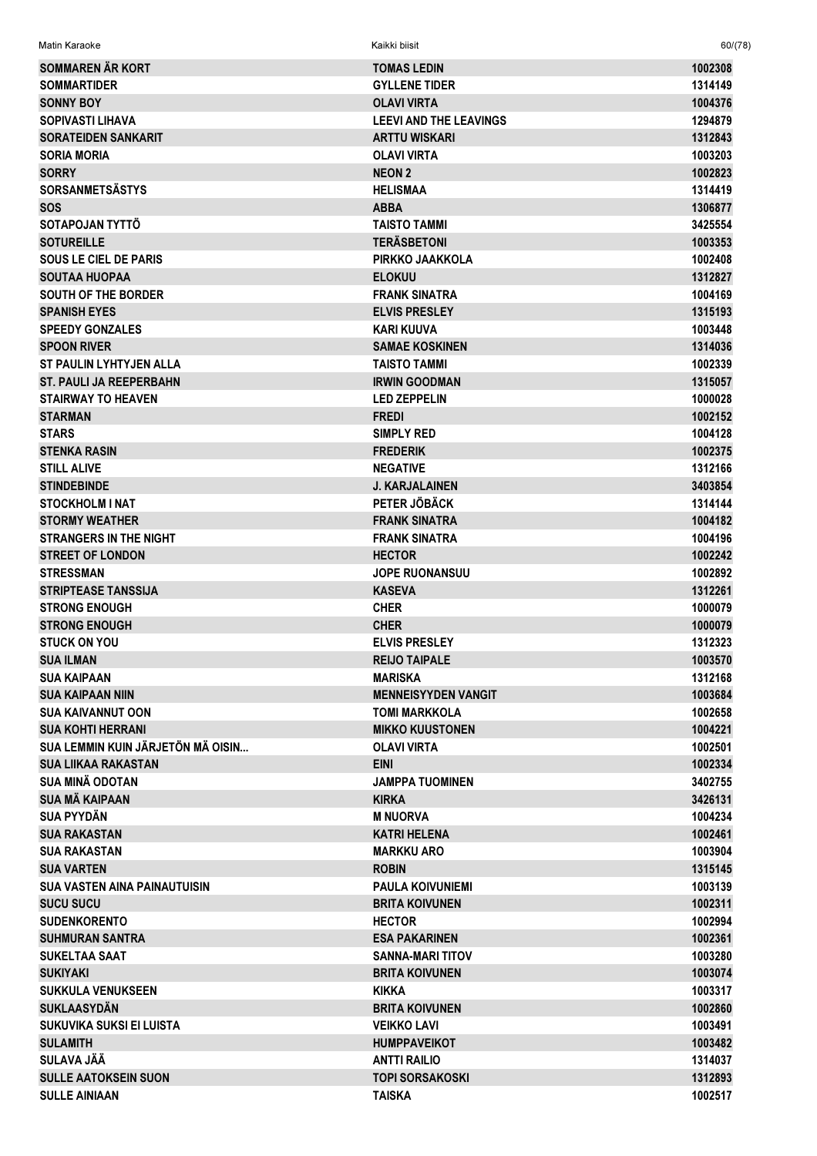| Matin Karaoke                       | Kaikki biisit                 | 60/(78) |
|-------------------------------------|-------------------------------|---------|
| <b>SOMMAREN ÄR KORT</b>             | <b>TOMAS LEDIN</b>            | 1002308 |
| <b>SOMMARTIDER</b>                  | <b>GYLLENE TIDER</b>          | 1314149 |
| <b>SONNY BOY</b>                    | <b>OLAVI VIRTA</b>            | 1004376 |
| <b>SOPIVASTI LIHAVA</b>             | <b>LEEVI AND THE LEAVINGS</b> | 1294879 |
| <b>SORATEIDEN SANKARIT</b>          | <b>ARTTU WISKARI</b>          | 1312843 |
| <b>SORIA MORIA</b>                  | <b>OLAVI VIRTA</b>            | 1003203 |
| <b>SORRY</b>                        | <b>NEON 2</b>                 | 1002823 |
| <b>SORSANMETSÄSTYS</b>              | <b>HELISMAA</b>               | 1314419 |
| <b>SOS</b>                          | <b>ABBA</b>                   | 1306877 |
| SOTAPOJAN TYTTÖ                     | <b>TAISTO TAMMI</b>           | 3425554 |
| <b>SOTUREILLE</b>                   | <b>TERÄSBETONI</b>            | 1003353 |
| <b>SOUS LE CIEL DE PARIS</b>        | PIRKKO JAAKKOLA               | 1002408 |
| <b>SOUTAA HUOPAA</b>                | <b>ELOKUU</b>                 | 1312827 |
| <b>SOUTH OF THE BORDER</b>          | <b>FRANK SINATRA</b>          | 1004169 |
| <b>SPANISH EYES</b>                 | <b>ELVIS PRESLEY</b>          | 1315193 |
| <b>SPEEDY GONZALES</b>              | KARI KUUVA                    | 1003448 |
| <b>SPOON RIVER</b>                  | <b>SAMAE KOSKINEN</b>         | 1314036 |
| <b>ST PAULIN LYHTYJEN ALLA</b>      | <b>TAISTO TAMMI</b>           | 1002339 |
| <b>ST. PAULI JA REEPERBAHN</b>      | <b>IRWIN GOODMAN</b>          | 1315057 |
| <b>STAIRWAY TO HEAVEN</b>           | <b>LED ZEPPELIN</b>           | 1000028 |
| <b>STARMAN</b>                      | <b>FREDI</b>                  | 1002152 |
| <b>STARS</b>                        | <b>SIMPLY RED</b>             | 1004128 |
| <b>STENKA RASIN</b>                 | <b>FREDERIK</b>               | 1002375 |
| <b>STILL ALIVE</b>                  | <b>NEGATIVE</b>               | 1312166 |
| <b>STINDEBINDE</b>                  | <b>J. KARJALAINEN</b>         | 3403854 |
| <b>STOCKHOLM I NAT</b>              | PETER JÖBÄCK                  | 1314144 |
| <b>STORMY WEATHER</b>               | <b>FRANK SINATRA</b>          | 1004182 |
| <b>STRANGERS IN THE NIGHT</b>       | <b>FRANK SINATRA</b>          | 1004196 |
| <b>STREET OF LONDON</b>             | <b>HECTOR</b>                 | 1002242 |
| <b>STRESSMAN</b>                    | <b>JOPE RUONANSUU</b>         | 1002892 |
| <b>STRIPTEASE TANSSIJA</b>          | <b>KASEVA</b>                 | 1312261 |
| <b>STRONG ENOUGH</b>                | <b>CHER</b>                   | 1000079 |
| <b>STRONG ENOUGH</b>                | <b>CHER</b>                   | 1000079 |
| <b>STUCK ON YOU</b>                 | <b>ELVIS PRESLEY</b>          | 1312323 |
| <b>SUA ILMAN</b>                    | <b>REIJO TAIPALE</b>          | 1003570 |
| <b>SUA KAIPAAN</b>                  | <b>MARISKA</b>                | 1312168 |
| <b>SUA KAIPAAN NIIN</b>             | <b>MENNEISYYDEN VANGIT</b>    | 1003684 |
| <b>SUA KAIVANNUT OON</b>            | <b>TOMI MARKKOLA</b>          | 1002658 |
| <b>SUA KOHTI HERRANI</b>            | <b>MIKKO KUUSTONEN</b>        | 1004221 |
| SUA LEMMIN KUIN JÄRJETÖN MÄ OISIN   | <b>OLAVI VIRTA</b>            | 1002501 |
| <b>SUA LIIKAA RAKASTAN</b>          | <b>EINI</b>                   | 1002334 |
| <b>SUA MINÄ ODOTAN</b>              | <b>JAMPPA TUOMINEN</b>        | 3402755 |
| <b>SUA MÄ KAIPAAN</b>               | <b>KIRKA</b>                  | 3426131 |
| <b>SUA PYYDÄN</b>                   | <b>M NUORVA</b>               | 1004234 |
| <b>SUA RAKASTAN</b>                 | <b>KATRI HELENA</b>           | 1002461 |
| <b>SUA RAKASTAN</b>                 | <b>MARKKU ARO</b>             | 1003904 |
| <b>SUA VARTEN</b>                   | <b>ROBIN</b>                  | 1315145 |
| <b>SUA VASTEN AINA PAINAUTUISIN</b> | <b>PAULA KOIVUNIEMI</b>       | 1003139 |
| <b>SUCU SUCU</b>                    | <b>BRITA KOIVUNEN</b>         | 1002311 |
| <b>SUDENKORENTO</b>                 | <b>HECTOR</b>                 | 1002994 |
| <b>SUHMURAN SANTRA</b>              | <b>ESA PAKARINEN</b>          | 1002361 |
| <b>SUKELTAA SAAT</b>                | SANNA-MARI TITOV              | 1003280 |
| <b>SUKIYAKI</b>                     | <b>BRITA KOIVUNEN</b>         | 1003074 |
| <b>SUKKULA VENUKSEEN</b>            | <b>KIKKA</b>                  | 1003317 |
| <b>SUKLAASYDÄN</b>                  | <b>BRITA KOIVUNEN</b>         | 1002860 |
| SUKUVIKA SUKSI EI LUISTA            | <b>VEIKKO LAVI</b>            | 1003491 |
| <b>SULAMITH</b>                     | <b>HUMPPAVEIKOT</b>           | 1003482 |
| SULAVA JÄÄ                          | <b>ANTTI RAILIO</b>           | 1314037 |
| <b>SULLE AATOKSEIN SUON</b>         | <b>TOPI SORSAKOSKI</b>        | 1312893 |
| <b>SULLE AINIAAN</b>                | <b>TAISKA</b>                 | 1002517 |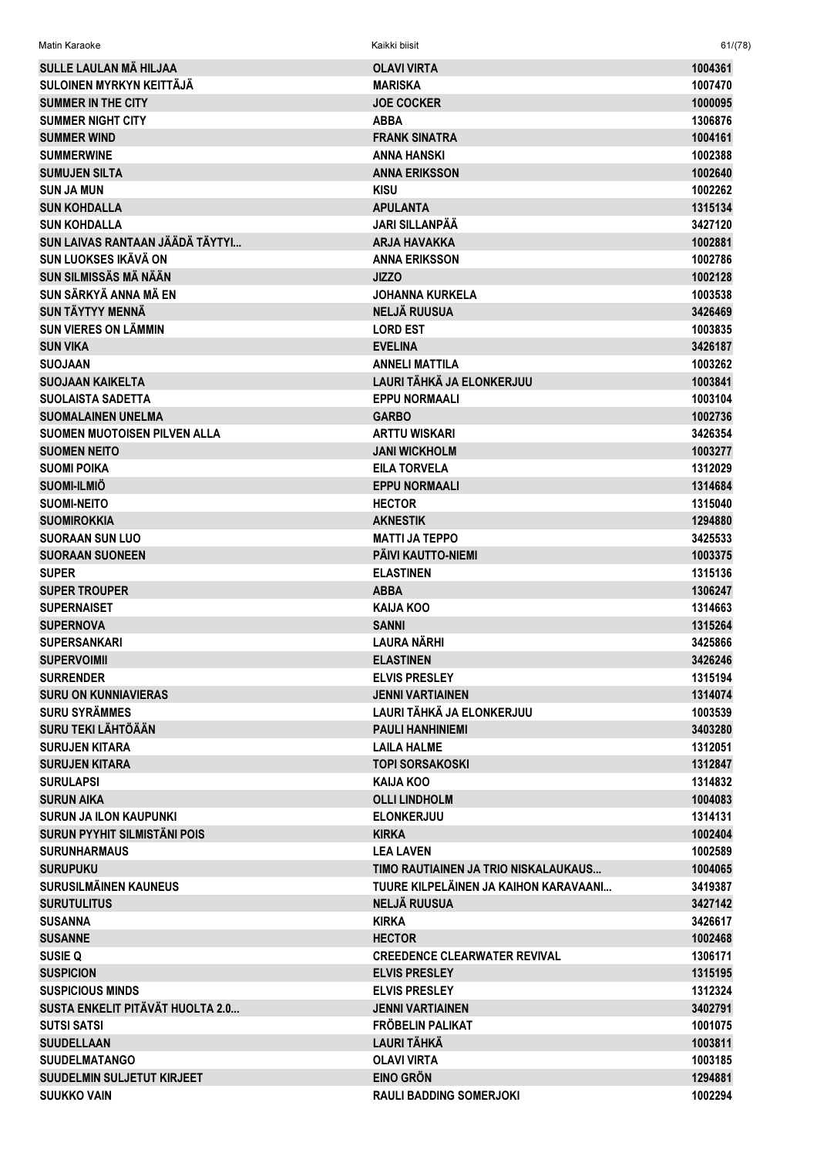| Matin Karaoke                            | Kaikki biisit                         | 61/(78)            |
|------------------------------------------|---------------------------------------|--------------------|
| SULLE LAULAN MÀ HILJAA                   | <b>OLAVI VIRTA</b>                    | 1004361            |
| SULOINEN MYRKYN KEITTÄJÄ                 | <b>MARISKA</b>                        | 1007470            |
| <b>SUMMER IN THE CITY</b>                | <b>JOE COCKER</b>                     | 1000095            |
| <b>SUMMER NIGHT CITY</b>                 | <b>ABBA</b>                           | 1306876            |
| <b>SUMMER WIND</b>                       | <b>FRANK SINATRA</b>                  | 1004161            |
| <b>SUMMERWINE</b>                        | <b>ANNA HANSKI</b>                    | 1002388            |
| <b>SUMUJEN SILTA</b>                     | <b>ANNA ERIKSSON</b>                  | 1002640            |
| <b>SUN JA MUN</b>                        | <b>KISU</b>                           | 1002262            |
| <b>SUN KOHDALLA</b>                      | <b>APULANTA</b>                       | 1315134            |
| <b>SUN KOHDALLA</b>                      | <b>JARI SILLANPÄÄ</b>                 | 3427120            |
| SUN LAIVAS RANTAAN JÄÄDÄ TÄYTYI          | <b>ARJA HAVAKKA</b>                   | 1002881            |
| SUN LUOKSES IKÄVÄ ON                     | <b>ANNA ERIKSSON</b>                  | 1002786            |
| SUN SILMISSÄS MÄ NÄÄN                    | <b>JIZZO</b>                          | 1002128            |
| SUN SÄRKYÄ ANNA MÄ EN                    | <b>JOHANNA KURKELA</b>                | 1003538            |
| <b>SUN TÄYTYY MENNÄ</b>                  | <b>NELJÄ RUUSUA</b>                   | 3426469            |
| <b>SUN VIERES ON LÄMMIN</b>              | <b>LORD EST</b>                       | 1003835            |
| <b>SUN VIKA</b>                          | <b>EVELINA</b>                        | 3426187            |
| <b>SUOJAAN</b>                           | <b>ANNELI MATTILA</b>                 | 1003262            |
| <b>SUOJAAN KAIKELTA</b>                  | LAURI TÄHKÄ JA ELONKERJUU             | 1003841            |
| <b>SUOLAISTA SADETTA</b>                 | <b>EPPU NORMAALI</b>                  | 1003104            |
| <b>SUOMALAINEN UNELMA</b>                | <b>GARBO</b>                          | 1002736            |
| <b>SUOMEN MUOTOISEN PILVEN ALLA</b>      | <b>ARTTU WISKARI</b>                  | 3426354            |
| <b>SUOMEN NEITO</b>                      | <b>JANI WICKHOLM</b>                  | 1003277            |
| <b>SUOMI POIKA</b>                       | <b>EILA TORVELA</b>                   | 1312029            |
| SUOMI-ILMIÕ                              | <b>EPPU NORMAALI</b>                  | 1314684            |
| <b>SUOMI-NEITO</b><br><b>SUOMIROKKIA</b> | <b>HECTOR</b><br><b>AKNESTIK</b>      | 1315040<br>1294880 |
| <b>SUORAAN SUN LUO</b>                   | <b>MATTI JA TEPPO</b>                 | 3425533            |
| <b>SUORAAN SUONEEN</b>                   | PÄIVI KAUTTO-NIEMI                    | 1003375            |
| <b>SUPER</b>                             | <b>ELASTINEN</b>                      | 1315136            |
| <b>SUPER TROUPER</b>                     | <b>ABBA</b>                           | 1306247            |
| <b>SUPERNAISET</b>                       | KAIJA KOO                             | 1314663            |
| <b>SUPERNOVA</b>                         | <b>SANNI</b>                          | 1315264            |
| <b>SUPERSANKARI</b>                      | LAURA NÄRHI                           | 3425866            |
| <b>SUPERVOIMII</b>                       | <b>ELASTINEN</b>                      | 3426246            |
| <b>SURRENDER</b>                         | <b>ELVIS PRESLEY</b>                  | 1315194            |
| <b>SURU ON KUNNIAVIERAS</b>              | <b>JENNI VARTIAINEN</b>               | 1314074            |
| <b>SURU SYRÄMMES</b>                     | LAURI TÄHKÄ JA ELONKERJUU             | 1003539            |
| SURU TEKI LÄHTÖÄÄN                       | <b>PAULI HANHINIEMI</b>               | 3403280            |
| <b>SURUJEN KITARA</b>                    | <b>LAILA HALME</b>                    | 1312051            |
| <b>SURUJEN KITARA</b>                    | <b>TOPI SORSAKOSKI</b>                | 1312847            |
| <b>SURULAPSI</b>                         | KAIJA KOO                             | 1314832            |
| <b>SURUN AIKA</b>                        | <b>OLLI LINDHOLM</b>                  | 1004083            |
| <b>SURUN JA ILON KAUPUNKI</b>            | <b>ELONKERJUU</b>                     | 1314131            |
| SURUN PYYHIT SILMISTÄNI POIS             | <b>KIRKA</b>                          | 1002404            |
| <b>SURUNHARMAUS</b>                      | <b>LEA LAVEN</b>                      | 1002589            |
| <b>SURUPUKU</b>                          | TIMO RAUTIAINEN JA TRIO NISKALAUKAUS  | 1004065            |
| <b>SURUSILMÄINEN KAUNEUS</b>             | TUURE KILPELÄINEN JA KAIHON KARAVAANI | 3419387            |
| <b>SURUTULITUS</b>                       | <b>NELJÄ RUUSUA</b>                   | 3427142            |
| <b>SUSANNA</b>                           | <b>KIRKA</b>                          | 3426617            |
| <b>SUSANNE</b>                           | <b>HECTOR</b>                         | 1002468            |
| <b>SUSIE Q</b>                           | <b>CREEDENCE CLEARWATER REVIVAL</b>   | 1306171            |
| <b>SUSPICION</b>                         | <b>ELVIS PRESLEY</b>                  | 1315195            |
| <b>SUSPICIOUS MINDS</b>                  | <b>ELVIS PRESLEY</b>                  | 1312324            |
| SUSTA ENKELIT PITÄVÄT HUOLTA 2.0         | <b>JENNI VARTIAINEN</b>               | 3402791            |
| <b>SUTSI SATSI</b>                       | FRÖBELIN PALIKAT                      | 1001075            |
| <b>SUUDELLAAN</b>                        | LAURI TÄHKÄ                           | 1003811            |
| <b>SUUDELMATANGO</b>                     | <b>OLAVI VIRTA</b>                    | 1003185            |
| <b>SUUDELMIN SULJETUT KIRJEET</b>        | <b>EINO GRÖN</b>                      | 1294881            |
| <b>SUUKKO VAIN</b>                       | <b>RAULI BADDING SOMERJOKI</b>        | 1002294            |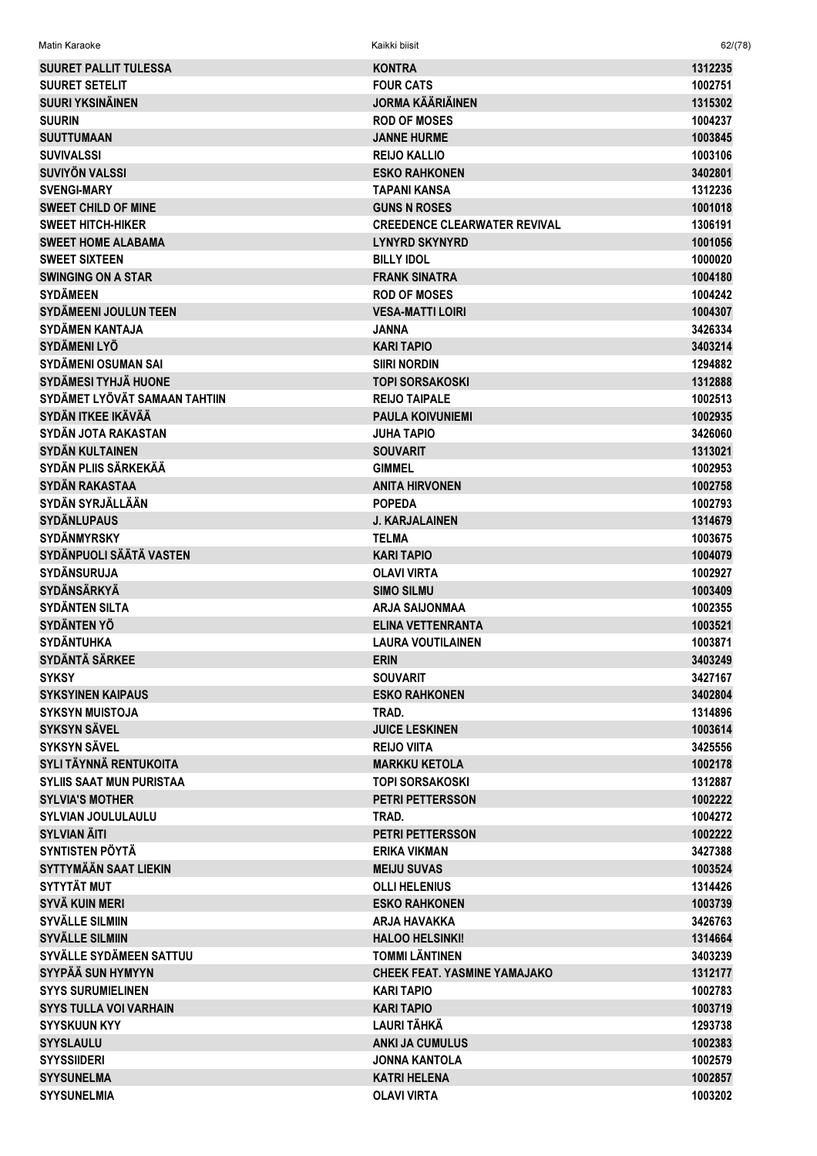| Matin Karaoke                   | Kaikki biisit                       | 62/(78) |
|---------------------------------|-------------------------------------|---------|
| <b>SUURET PALLIT TULESSA</b>    | <b>KONTRA</b>                       | 1312235 |
| <b>SUURET SETELIT</b>           | <b>FOUR CATS</b>                    | 1002751 |
| <b>SUURI YKSINÄINEN</b>         | <b>JORMA KÄÄRIÄINEN</b>             | 1315302 |
| <b>SUURIN</b>                   | <b>ROD OF MOSES</b>                 | 1004237 |
| <b>SUUTTUMAAN</b>               | <b>JANNE HURME</b>                  | 1003845 |
| <b>SUVIVALSSI</b>               | <b>REIJO KALLIO</b>                 | 1003106 |
| SUVIYÖN VALSSI                  | <b>ESKO RAHKONEN</b>                | 3402801 |
| <b>SVENGI-MARY</b>              | <b>TAPANI KANSA</b>                 | 1312236 |
| <b>SWEET CHILD OF MINE</b>      | <b>GUNS N ROSES</b>                 | 1001018 |
| <b>SWEET HITCH-HIKER</b>        | <b>CREEDENCE CLEARWATER REVIVAL</b> | 1306191 |
| <b>SWEET HOME ALABAMA</b>       | <b>LYNYRD SKYNYRD</b>               | 1001056 |
| <b>SWEET SIXTEEN</b>            | <b>BILLY IDOL</b>                   | 1000020 |
| <b>SWINGING ON A STAR</b>       | <b>FRANK SINATRA</b>                | 1004180 |
| <b>SYDÄMEEN</b>                 | <b>ROD OF MOSES</b>                 | 1004242 |
| <b>SYDÄMEENI JOULUN TEEN</b>    | <b>VESA-MATTI LOIRI</b>             | 1004307 |
| <b>SYDÄMEN KANTAJA</b>          | <b>JANNA</b>                        | 3426334 |
| SYDÄMENI LYÖ                    | <b>KARI TAPIO</b>                   | 3403214 |
| SYDÄMENI OSUMAN SAI             | <b>SIIRI NORDIN</b>                 | 1294882 |
| <b>SYDÄMESI TYHJÄ HUONE</b>     | <b>TOPI SORSAKOSKI</b>              | 1312888 |
| SYDÄMET LYÖVÄT SAMAAN TAHTIIN   | <b>REIJO TAIPALE</b>                | 1002513 |
| SYDÄN ITKEE IKÄVÄÄ              | <b>PAULA KOIVUNIEMI</b>             | 1002935 |
| SYDÄN JOTA RAKASTAN             | <b>JUHA TAPIO</b>                   | 3426060 |
| <b>SYDÄN KULTAINEN</b>          | <b>SOUVARIT</b>                     | 1313021 |
| SYDÄN PLIIS SÄRKEKÄÄ            | <b>GIMMEL</b>                       | 1002953 |
| <b>SYDÄN RAKASTAA</b>           | <b>ANITA HIRVONEN</b>               | 1002758 |
| SYDÄN SYRJÄLLÄÄN                | <b>POPEDA</b>                       | 1002793 |
| <b>SYDÄNLUPAUS</b>              | <b>J. KARJALAINEN</b>               | 1314679 |
| <b>SYDÄNMYRSKY</b>              | <b>TELMA</b>                        | 1003675 |
| SYDÄNPUOLI SÄÄTÄ VASTEN         | <b>KARI TAPIO</b>                   | 1004079 |
| <b>SYDÄNSURUJA</b>              | <b>OLAVI VIRTA</b>                  | 1002927 |
| <b>SYDÄNSÄRKYÄ</b>              | <b>SIMO SILMU</b>                   | 1003409 |
| <b>SYDÄNTEN SILTA</b>           | <b>ARJA SAIJONMAA</b>               | 1002355 |
| <b>SYDÄNTEN YÖ</b>              | ELINA VETTENRANTA                   | 1003521 |
| <b>SYDÄNTUHKA</b>               | <b>LAURA VOUTILAINEN</b>            | 1003871 |
| <b>SYDÄNTÄ SÄRKEE</b>           | <b>ERIN</b>                         | 3403249 |
| <b>SYKSY</b>                    | <b>SOUVARIT</b>                     | 3427167 |
| <b>SYKSYINEN KAIPAUS</b>        | <b>ESKO RAHKONEN</b>                | 3402804 |
| <b>SYKSYN MUISTOJA</b>          | TRAD.                               | 1314896 |
| <b>SYKSYN SÄVEL</b>             | <b>JUICE LESKINEN</b>               | 1003614 |
| <b>SYKSYN SÄVEL</b>             | <b>REIJO VIITA</b>                  | 3425556 |
| SYLI TÄYNNÄ RENTUKOITA          | <b>MARKKU KETOLA</b>                | 1002178 |
| <b>SYLIIS SAAT MUN PURISTAA</b> | <b>TOPI SORSAKOSKI</b>              | 1312887 |
| <b>SYLVIA'S MOTHER</b>          | <b>PETRI PETTERSSON</b>             | 1002222 |
| <b>SYLVIAN JOULULAULU</b>       | TRAD.                               | 1004272 |
| <b>SYLVIAN ÄITI</b>             | <b>PETRI PETTERSSON</b>             | 1002222 |
| <b>SYNTISTEN PÖYTÄ</b>          | <b>ERIKA VIKMAN</b>                 | 3427388 |
| SYTTYMÄÄN SAAT LIEKIN           | <b>MEIJU SUVAS</b>                  | 1003524 |
| <b>SYTYTÄT MUT</b>              | <b>OLLI HELENIUS</b>                | 1314426 |
| SYVÄ KUIN MERI                  | <b>ESKO RAHKONEN</b>                | 1003739 |
| <b>SYVÄLLE SILMIIN</b>          | <b>ARJA HAVAKKA</b>                 | 3426763 |
| <b>SYVÄLLE SILMIIN</b>          | <b>HALOO HELSINKI!</b>              | 1314664 |
| SYVÄLLE SYDÄMEEN SATTUU         | <b>TOMMI LÄNTINEN</b>               | 3403239 |
| SYYPÄÄ SUN HYMYYN               | <b>CHEEK FEAT. YASMINE YAMAJAKO</b> | 1312177 |
| <b>SYYS SURUMIELINEN</b>        | <b>KARI TAPIO</b>                   | 1002783 |
| <b>SYYS TULLA VOI VARHAIN</b>   | <b>KARI TAPIO</b>                   | 1003719 |
| <b>SYYSKUUN KYY</b>             | LAURI TÄHKÄ                         | 1293738 |
| <b>SYYSLAULU</b>                | <b>ANKI JA CUMULUS</b>              | 1002383 |
| <b>SYYSSIIDERI</b>              | <b>JONNA KANTOLA</b>                | 1002579 |
| <b>SYYSUNELMA</b>               | <b>KATRI HELENA</b>                 | 1002857 |
| <b>SYYSUNELMIA</b>              | <b>OLAVI VIRTA</b>                  | 1003202 |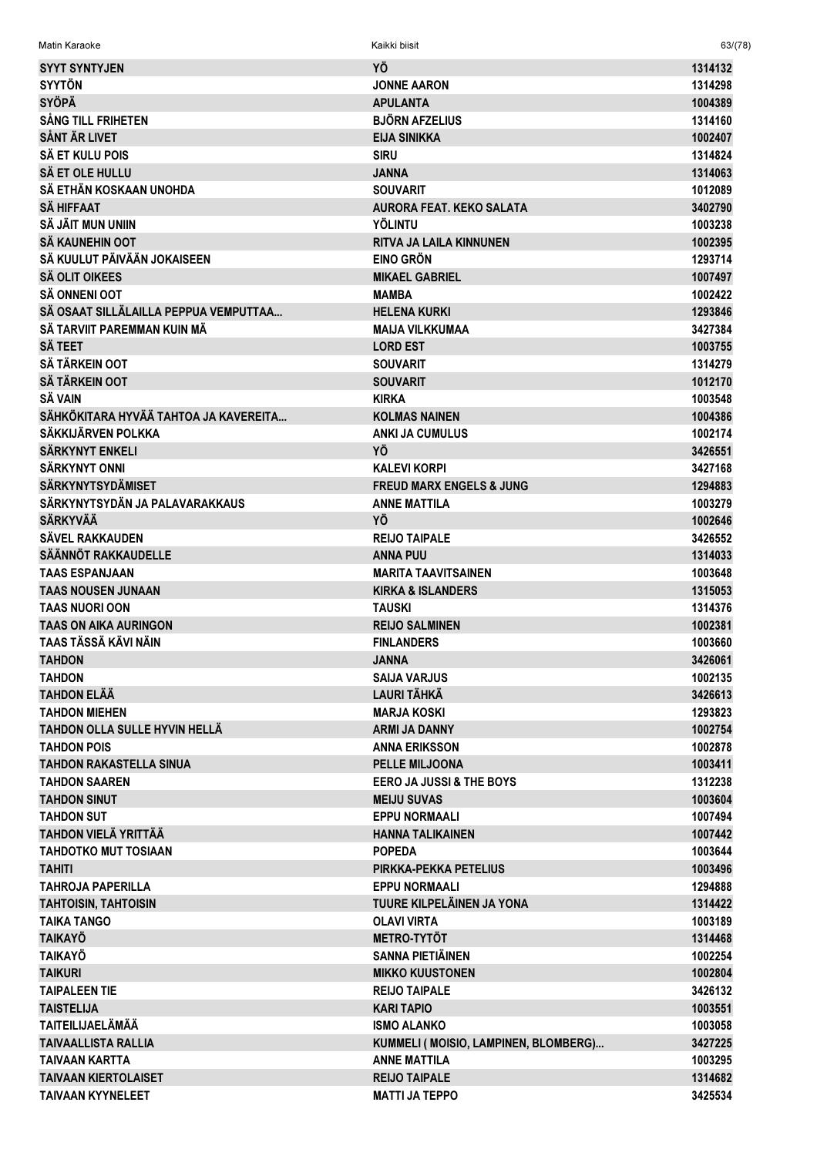| <b>SYYT SYNTYJEN</b>                  | YÖ                                    | 1314132            |
|---------------------------------------|---------------------------------------|--------------------|
| <b>SYYTÖN</b>                         | <b>JONNE AARON</b>                    | 1314298            |
| <b>SYÖPÄ</b>                          | <b>APULANTA</b>                       | 1004389            |
| <b>SÅNG TILL FRIHETEN</b>             | <b>BJÖRN AFZELIUS</b>                 | 1314160            |
| <b>SÅNT ÄR LIVET</b>                  | <b>EIJA SINIKKA</b>                   | 1002407            |
| <b>SÄ ET KULU POIS</b>                | <b>SIRU</b>                           | 1314824            |
| SÄ ET OLE HULLU                       | <b>JANNA</b>                          | 1314063            |
| SÄ ETHÄN KOSKAAN UNOHDA               | <b>SOUVARIT</b>                       | 1012089            |
| <b>SÄ HIFFAAT</b>                     | <b>AURORA FEAT. KEKO SALATA</b>       | 3402790            |
| SÄ JÄIT MUN UNIIN                     | <b>YÖLINTU</b>                        | 1003238            |
| SÄ KAUNEHIN OOT                       | <b>RITVA JA LAILA KINNUNEN</b>        | 1002395            |
| SÄ KUULUT PÄIVÄÄN JOKAISEEN           | <b>EINO GRÖN</b>                      | 1293714            |
|                                       |                                       |                    |
| <b>SÄ OLIT OIKEES</b>                 | <b>MIKAEL GABRIEL</b>                 | 1007497            |
| <b>SÄ ONNENI OOT</b>                  | <b>MAMBA</b>                          | 1002422            |
| SÄ OSAAT SILLÄLAILLA PEPPUA VEMPUTTAA | <b>HELENA KURKI</b>                   | 1293846            |
| SÄ TARVIIT PAREMMAN KUIN MÄ           | <b>MAIJA VILKKUMAA</b>                | 3427384            |
| <b>SÄ TEET</b>                        | <b>LORD EST</b>                       | 1003755            |
| <b>SÄ TÄRKEIN OOT</b>                 | <b>SOUVARIT</b>                       | 1314279            |
| <b>SÄ TÄRKEIN OOT</b>                 | <b>SOUVARIT</b>                       | 1012170            |
| SÄ VAIN                               | <b>KIRKA</b>                          | 1003548            |
| SÄHKÖKITARA HYVÄÄ TAHTOA JA KAVEREITA | <b>KOLMAS NAINEN</b>                  | 1004386            |
| SÄKKIJÄRVEN POLKKA                    | <b>ANKI JA CUMULUS</b>                | 1002174            |
| SÄRKYNYT ENKELI                       | YÖ                                    | 3426551            |
| <b>SÄRKYNYT ONNI</b>                  | <b>KALEVI KORPI</b>                   | 3427168            |
| <b>SÄRKYNYTSYDÄMISET</b>              | <b>FREUD MARX ENGELS &amp; JUNG</b>   | 1294883            |
| SÄRKYNYTSYDÄN JA PALAVARAKKAUS        | <b>ANNE MATTILA</b>                   | 1003279            |
| <b>SÄRKYVÄÄ</b>                       | YÖ                                    | 1002646            |
| SÄVEL RAKKAUDEN                       | <b>REIJO TAIPALE</b>                  | 3426552            |
| <b>SÄÄNNÖT RAKKAUDELLE</b>            | <b>ANNA PUU</b>                       | 1314033            |
| <b>TAAS ESPANJAAN</b>                 | <b>MARITA TAAVITSAINEN</b>            | 1003648            |
| <b>TAAS NOUSEN JUNAAN</b>             | <b>KIRKA &amp; ISLANDERS</b>          | 1315053            |
| <b>TAAS NUORI OON</b>                 | <b>TAUSKI</b>                         | 1314376            |
| <b>TAAS ON AIKA AURINGON</b>          | <b>REIJO SALMINEN</b>                 | 1002381            |
| TAAS TÄSSÄ KÄVI NÄIN                  | <b>FINLANDERS</b>                     | 1003660            |
| <b>TAHDON</b>                         | <b>JANNA</b>                          | 3426061            |
| <b>TAHDON</b>                         |                                       |                    |
| <b>TAHDON ELÄÄ</b>                    | SAIJA VARJUS<br><b>LAURI TÄHKÄ</b>    | 1002135<br>3426613 |
|                                       |                                       | 1293823            |
| <b>TAHDON MIEHEN</b>                  | <b>MARJA KOSKI</b>                    |                    |
| TAHDON OLLA SULLE HYVIN HELLÄ         | <b>ARMI JA DANNY</b>                  | 1002754            |
| <b>TAHDON POIS</b>                    | <b>ANNA ERIKSSON</b>                  | 1002878            |
| <b>TAHDON RAKASTELLA SINUA</b>        | <b>PELLE MILJOONA</b>                 | 1003411            |
| <b>TAHDON SAAREN</b>                  | <b>EERO JA JUSSI &amp; THE BOYS</b>   | 1312238            |
| <b>TAHDON SINUT</b>                   | <b>MEIJU SUVAS</b>                    | 1003604            |
| <b>TAHDON SUT</b>                     | <b>EPPU NORMAALI</b>                  | 1007494            |
| TAHDON VIELÄ YRITTÄÄ                  | <b>HANNA TALIKAINEN</b>               | 1007442            |
| <b>TAHDOTKO MUT TOSIAAN</b>           | <b>POPEDA</b>                         | 1003644            |
| <b>TAHITI</b>                         | PIRKKA-PEKKA PETELIUS                 | 1003496            |
| <b>TAHROJA PAPERILLA</b>              | <b>EPPU NORMAALI</b>                  | 1294888            |
| <b>TAHTOISIN, TAHTOISIN</b>           | TUURE KILPELÄINEN JA YONA             | 1314422            |
| <b>TAIKA TANGO</b>                    | <b>OLAVI VIRTA</b>                    | 1003189            |
| <b>TAIKAYÖ</b>                        | <b>METRO-TYTÖT</b>                    | 1314468            |
| <b>TAIKAYÖ</b>                        | <b>SANNA PIETIÄINEN</b>               | 1002254            |
| <b>TAIKURI</b>                        | <b>MIKKO KUUSTONEN</b>                | 1002804            |
| <b>TAIPALEEN TIE</b>                  | <b>REIJO TAIPALE</b>                  | 3426132            |
| <b>TAISTELIJA</b>                     | <b>KARI TAPIO</b>                     | 1003551            |
| <b>TAITEILIJAELÄMÄÄ</b>               | <b>ISMO ALANKO</b>                    | 1003058            |
| <b>TAIVAALLISTA RALLIA</b>            | KUMMELI ( MOISIO, LAMPINEN, BLOMBERG) | 3427225            |
| <b>TAIVAAN KARTTA</b>                 | <b>ANNE MATTILA</b>                   | 1003295            |
| <b>TAIVAAN KIERTOLAISET</b>           | <b>REIJO TAIPALE</b>                  | 1314682            |
| <b>TAIVAAN KYYNELEET</b>              | <b>MATTI JA TEPPO</b>                 | 3425534            |

 $63/(78)$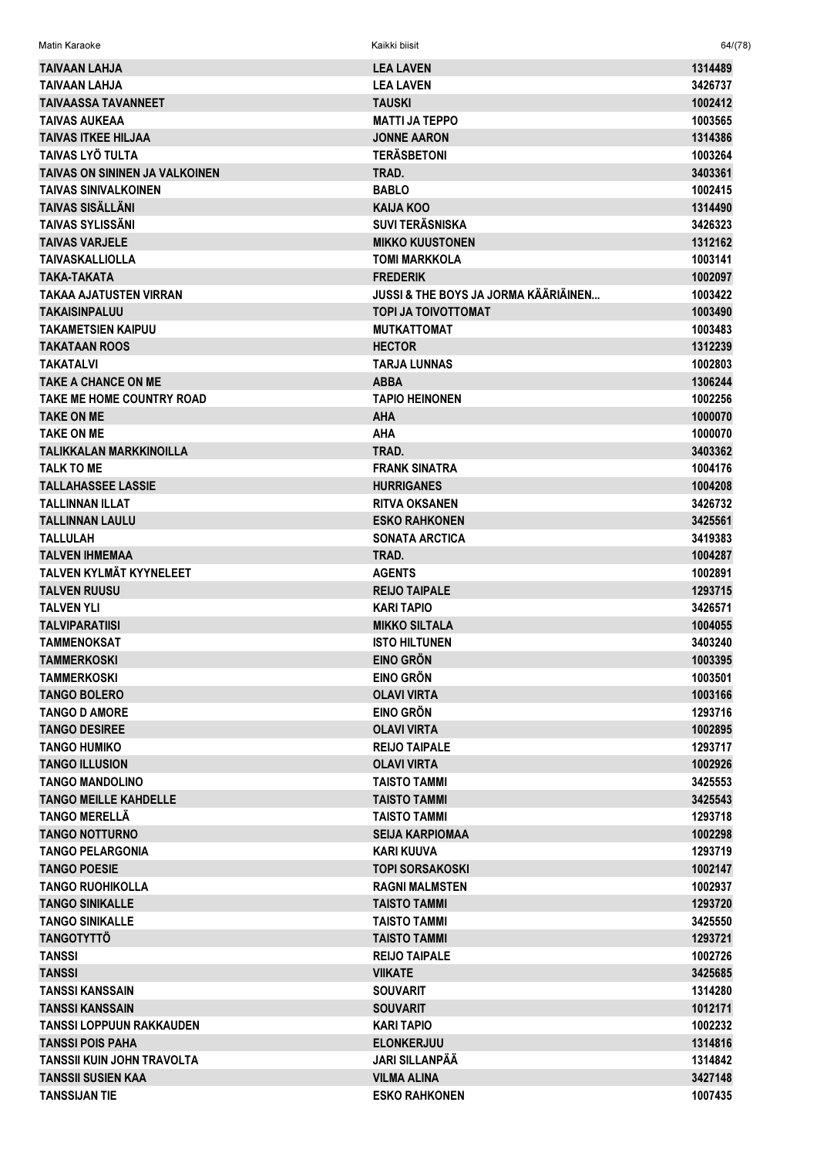| <b>TAIVAAN LAHJA</b>              | <b>LEA LAVEN</b>                     | 1314489            |
|-----------------------------------|--------------------------------------|--------------------|
| <b>TAIVAAN LAHJA</b>              | <b>LEA LAVEN</b>                     | 3426737            |
| <b>TAIVAASSA TAVANNEET</b>        | <b>TAUSKI</b>                        | 1002412            |
| <b>TAIVAS AUKEAA</b>              | <b>MATTI JA TEPPO</b>                | 1003565            |
| <b>TAIVAS ITKEE HILJAA</b>        | <b>JONNE AARON</b>                   | 1314386            |
| <b>TAIVAS LYÖ TULTA</b>           | <b>TERÄSBETONI</b>                   | 1003264            |
| TAIVAS ON SININEN JA VALKOINEN    | TRAD.                                | 3403361            |
| <b>TAIVAS SINIVALKOINEN</b>       | <b>BABLO</b>                         | 1002415            |
| <b>TAIVAS SISÄLLÄNI</b>           | <b>KAIJA KOO</b>                     | 1314490            |
| <b>TAIVAS SYLISSÄNI</b>           | <b>SUVI TERÄSNISKA</b>               | 3426323            |
| <b>TAIVAS VARJELE</b>             |                                      |                    |
|                                   | <b>MIKKO KUUSTONEN</b>               | 1312162            |
| <b>TAIVASKALLIOLLA</b>            | <b>TOMI MARKKOLA</b>                 | 1003141            |
| TAKA-TAKATA                       | <b>FREDERIK</b>                      | 1002097            |
| TAKAA AJATUSTEN VIRRAN            | JUSSI & THE BOYS JA JORMA KÄÄRIÄINEN | 1003422            |
| <b>TAKAISINPALUU</b>              | <b>TOPI JA TOIVOTTOMAT</b>           | 1003490            |
| <b>TAKAMETSIEN KAIPUU</b>         | <b>MUTKATTOMAT</b>                   | 1003483            |
| <b>TAKATAAN ROOS</b>              | <b>HECTOR</b>                        | 1312239            |
| <b>TAKATALVI</b>                  | <b>TARJA LUNNAS</b>                  | 1002803            |
| <b>TAKE A CHANCE ON ME</b>        | <b>ABBA</b>                          | 1306244            |
| <b>TAKE ME HOME COUNTRY ROAD</b>  | <b>TAPIO HEINONEN</b>                | 1002256            |
| <b>TAKE ON ME</b>                 | <b>AHA</b>                           | 1000070            |
| <b>TAKE ON ME</b>                 | <b>AHA</b>                           | 1000070            |
| <b>TALIKKALAN MARKKINOILLA</b>    | TRAD.                                | 3403362            |
| <b>TALK TO ME</b>                 | <b>FRANK SINATRA</b>                 | 1004176            |
| <b>TALLAHASSEE LASSIE</b>         | <b>HURRIGANES</b>                    | 1004208            |
| <b>TALLINNAN ILLAT</b>            | <b>RITVA OKSANEN</b>                 | 3426732            |
| <b>TALLINNAN LAULU</b>            | <b>ESKO RAHKONEN</b>                 | 3425561            |
| <b>TALLULAH</b>                   | <b>SONATA ARCTICA</b>                | 3419383            |
| <b>TALVEN IHMEMAA</b>             | TRAD.                                | 1004287            |
| <b>TALVEN KYLMÄT KYYNELEET</b>    | <b>AGENTS</b>                        | 1002891            |
| <b>TALVEN RUUSU</b>               | <b>REIJO TAIPALE</b>                 | 1293715            |
| <b>TALVEN YLI</b>                 | <b>KARI TAPIO</b>                    | 3426571            |
| <b>TALVIPARATIISI</b>             | <b>MIKKO SILTALA</b>                 | 1004055            |
| TAMMENOKSAT                       | <b>ISTO HILTUNEN</b>                 | 3403240            |
| <b>TAMMERKOSKI</b>                | <b>EINO GRÖN</b>                     | 1003395            |
| <b>TAMMERKOSKI</b>                | <b>EINO GRÖN</b>                     | 1003501            |
| <b>TANGO BOLERO</b>               | <b>OLAVI VIRTA</b>                   | 1003166            |
| <b>TANGO D AMORE</b>              | <b>EINO GRÖN</b>                     | 1293716            |
| <b>TANGO DESIREE</b>              | <b>OLAVI VIRTA</b>                   |                    |
|                                   | <b>REIJO TAIPALE</b>                 | 1002895<br>1293717 |
| <b>TANGO HUMIKO</b>               |                                      |                    |
| <b>TANGO ILLUSION</b>             | <b>OLAVI VIRTA</b>                   | 1002926            |
| <b>TANGO MANDOLINO</b>            | <b>TAISTO TAMMI</b>                  | 3425553            |
| <b>TANGO MEILLE KAHDELLE</b>      | <b>TAISTO TAMMI</b>                  | 3425543            |
| <b>TANGO MERELLÄ</b>              | <b>TAISTO TAMMI</b>                  | 1293718            |
| <b>TANGO NOTTURNO</b>             | <b>SEIJA KARPIOMAA</b>               | 1002298            |
| <b>TANGO PELARGONIA</b>           | <b>KARI KUUVA</b>                    | 1293719            |
| <b>TANGO POESIE</b>               | TOPI SORSAKOSKI                      | 1002147            |
| <b>TANGO RUOHIKOLLA</b>           | <b>RAGNI MALMSTEN</b>                | 1002937            |
| <b>TANGO SINIKALLE</b>            | <b>TAISTO TAMMI</b>                  | 1293720            |
| <b>TANGO SINIKALLE</b>            | <b>TAISTO TAMMI</b>                  | 3425550            |
| <b>TANGOTYTTÖ</b>                 | <b>TAISTO TAMMI</b>                  | 1293721            |
| <b>TANSSI</b>                     | <b>REIJO TAIPALE</b>                 | 1002726            |
| <b>TANSSI</b>                     | <b>VIIKATE</b>                       | 3425685            |
| <b>TANSSI KANSSAIN</b>            | <b>SOUVARIT</b>                      | 1314280            |
| <b>TANSSI KANSSAIN</b>            | <b>SOUVARIT</b>                      | 1012171            |
| <b>TANSSI LOPPUUN RAKKAUDEN</b>   | <b>KARI TAPIO</b>                    | 1002232            |
| <b>TANSSI POIS PAHA</b>           | <b>ELONKERJUU</b>                    | 1314816            |
| <b>TANSSII KUIN JOHN TRAVOLTA</b> | <b>JARI SILLANPÄÄ</b>                | 1314842            |
| <b>TANSSII SUSIEN KAA</b>         | <b>VILMA ALINA</b>                   | 3427148            |
| <b>TANSSIJAN TIE</b>              | <b>ESKO RAHKONEN</b>                 | 1007435            |
|                                   |                                      |                    |

Matin Karaoke Kaikki biisit 64/(78)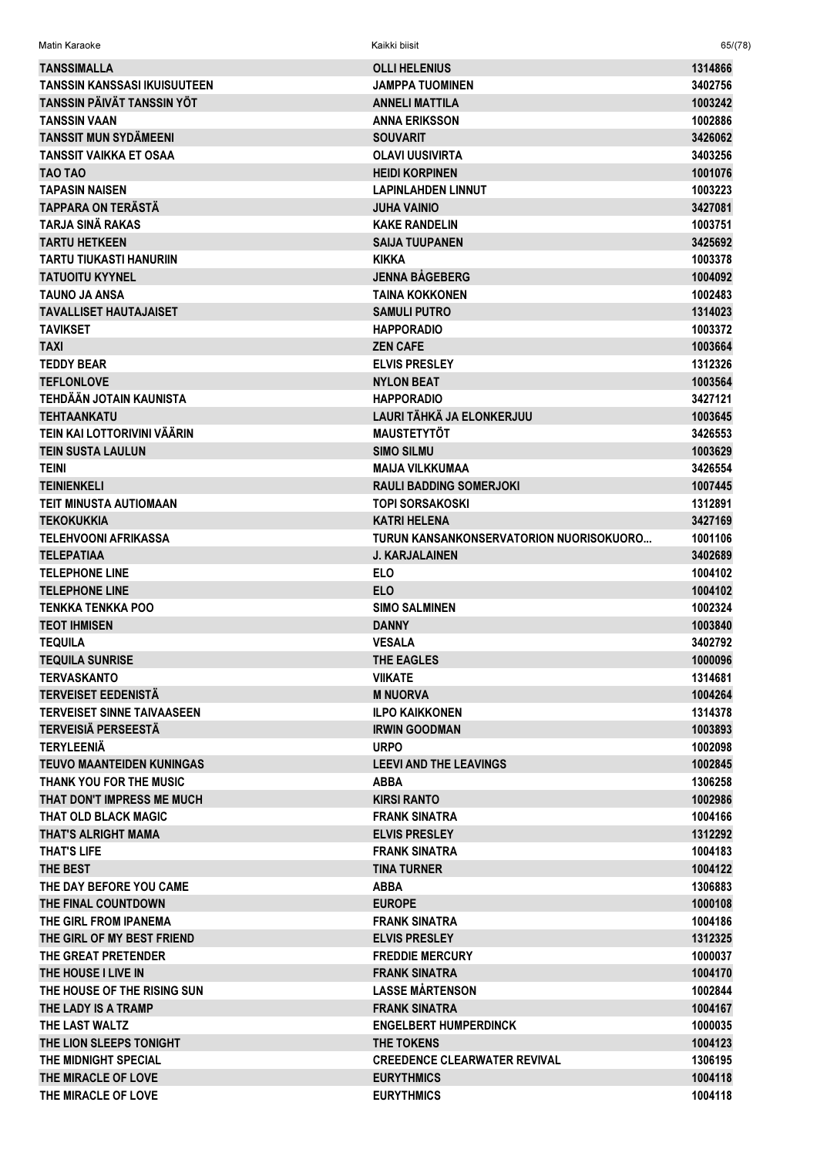| Matin Karaoke                                     | Kaikki biisit                                  | 65/(78)            |
|---------------------------------------------------|------------------------------------------------|--------------------|
| <b>TANSSIMALLA</b>                                | <b>OLLI HELENIUS</b>                           | 1314866            |
| <b>TANSSIN KANSSASI IKUISUUTEEN</b>               | <b>JAMPPA TUOMINEN</b>                         | 3402756            |
| TANSSIN PÄIVÄT TANSSIN YÖT                        | <b>ANNELI MATTILA</b>                          | 1003242            |
| <b>TANSSIN VAAN</b>                               | <b>ANNA ERIKSSON</b>                           | 1002886            |
| <b>TANSSIT MUN SYDÄMEENI</b>                      | <b>SOUVARIT</b>                                | 3426062            |
| <b>TANSSIT VAIKKA ET OSAA</b>                     | <b>OLAVI UUSIVIRTA</b>                         | 3403256            |
| TAO TAO                                           | <b>HEIDI KORPINEN</b>                          | 1001076            |
| <b>TAPASIN NAISEN</b>                             | <b>LAPINLAHDEN LINNUT</b>                      | 1003223            |
| <b>TAPPARA ON TERÄSTÄ</b>                         | <b>JUHA VAINIO</b>                             | 3427081            |
| <b>TARJA SINÄ RAKAS</b>                           | <b>KAKE RANDELIN</b>                           | 1003751            |
| <b>TARTU HETKEEN</b>                              | <b>SAIJA TUUPANEN</b>                          | 3425692            |
| TARTU TIUKASTI HANURIIN                           | <b>KIKKA</b>                                   | 1003378            |
| <b>TATUOITU KYYNEL</b>                            | <b>JENNA BÅGEBERG</b>                          | 1004092            |
| <b>TAUNO JA ANSA</b>                              | <b>TAINA KOKKONEN</b>                          | 1002483            |
| <b>TAVALLISET HAUTAJAISET</b>                     | <b>SAMULI PUTRO</b>                            | 1314023            |
| <b>TAVIKSET</b>                                   | <b>HAPPORADIO</b>                              | 1003372            |
| <b>TAXI</b>                                       | <b>ZEN CAFE</b>                                | 1003664            |
| <b>TEDDY BEAR</b>                                 | <b>ELVIS PRESLEY</b>                           | 1312326            |
| <b>TEFLONLOVE</b>                                 | <b>NYLON BEAT</b>                              | 1003564            |
| <b>TEHDÄÄN JOTAIN KAUNISTA</b>                    | <b>HAPPORADIO</b>                              | 3427121            |
| <b>TEHTAANKATU</b>                                | LAURI TÄHKÄ JA ELONKERJUU                      | 1003645            |
| TEIN KAI LOTTORIVINI VÄÄRIN                       | <b>MAUSTETYTÖT</b>                             | 3426553            |
| <b>TEIN SUSTA LAULUN</b>                          | <b>SIMO SILMU</b>                              | 1003629            |
| <b>TEINI</b>                                      | <b>MAIJA VILKKUMAA</b>                         | 3426554            |
| <b>TEINIENKELI</b>                                | <b>RAULI BADDING SOMERJOKI</b>                 | 1007445            |
| <b>TEIT MINUSTA AUTIOMAAN</b>                     | <b>TOPI SORSAKOSKI</b>                         | 1312891            |
| <b>TEKOKUKKIA</b>                                 | <b>KATRI HELENA</b>                            | 3427169            |
| <b>TELEHVOONI AFRIKASSA</b>                       | TURUN KANSANKONSERVATORION NUORISOKUORO        | 1001106            |
| <b>TELEPATIAA</b>                                 | <b>J. KARJALAINEN</b>                          | 3402689            |
| <b>TELEPHONE LINE</b>                             | <b>ELO</b>                                     | 1004102            |
| <b>TELEPHONE LINE</b>                             | <b>ELO</b>                                     | 1004102            |
| <b>TENKKA TENKKA POO</b>                          | <b>SIMO SALMINEN</b>                           | 1002324            |
| <b>TEOT IHMISEN</b>                               | <b>DANNY</b>                                   | 1003840            |
| <b>TEQUILA</b>                                    | <b>VESALA</b>                                  | 3402792            |
| <b>TEQUILA SUNRISE</b>                            | THE EAGLES                                     | 1000096            |
| <b>TERVASKANTO</b>                                | <b>VIIKATE</b>                                 | 1314681            |
| <b>TERVEISET EEDENISTÄ</b>                        | <b>M NUORVA</b>                                | 1004264            |
| <b>TERVEISET SINNE TAIVAASEEN</b>                 | <b>ILPO KAIKKONEN</b>                          | 1314378            |
| <b>TERVEISIÄ PERSEESTÄ</b>                        | <b>IRWIN GOODMAN</b>                           | 1003893            |
| <b>TERYLEENIÄ</b>                                 | <b>URPO</b>                                    | 1002098            |
| <b>TEUVO MAANTEIDEN KUNINGAS</b>                  | <b>LEEVI AND THE LEAVINGS</b>                  | 1002845            |
| THANK YOU FOR THE MUSIC                           | <b>ABBA</b>                                    | 1306258            |
| THAT DON'T IMPRESS ME MUCH                        | <b>KIRSI RANTO</b>                             | 1002986            |
| <b>THAT OLD BLACK MAGIC</b>                       | <b>FRANK SINATRA</b>                           | 1004166            |
| THAT'S ALRIGHT MAMA                               | <b>ELVIS PRESLEY</b>                           | 1312292            |
| <b>THAT'S LIFE</b>                                | <b>FRANK SINATRA</b>                           | 1004183            |
| <b>THE BEST</b>                                   | <b>TINA TURNER</b>                             | 1004122            |
| THE DAY BEFORE YOU CAME                           | <b>ABBA</b>                                    | 1306883            |
| THE FINAL COUNTDOWN                               | <b>EUROPE</b>                                  | 1000108            |
| THE GIRL FROM IPANEMA                             | <b>FRANK SINATRA</b>                           | 1004186            |
| THE GIRL OF MY BEST FRIEND<br>THE GREAT PRETENDER | <b>ELVIS PRESLEY</b><br><b>FREDDIE MERCURY</b> | 1312325<br>1000037 |
| THE HOUSE I LIVE IN                               | <b>FRANK SINATRA</b>                           | 1004170            |
| THE HOUSE OF THE RISING SUN                       | <b>LASSE MÅRTENSON</b>                         | 1002844            |
| THE LADY IS A TRAMP                               | <b>FRANK SINATRA</b>                           |                    |
| THE LAST WALTZ                                    | <b>ENGELBERT HUMPERDINCK</b>                   | 1004167<br>1000035 |
| THE LION SLEEPS TONIGHT                           | THE TOKENS                                     | 1004123            |
| THE MIDNIGHT SPECIAL                              | <b>CREEDENCE CLEARWATER REVIVAL</b>            | 1306195            |
| THE MIRACLE OF LOVE                               | <b>EURYTHMICS</b>                              | 1004118            |
| THE MIRACLE OF LOVE                               | <b>EURYTHMICS</b>                              | 1004118            |
|                                                   |                                                |                    |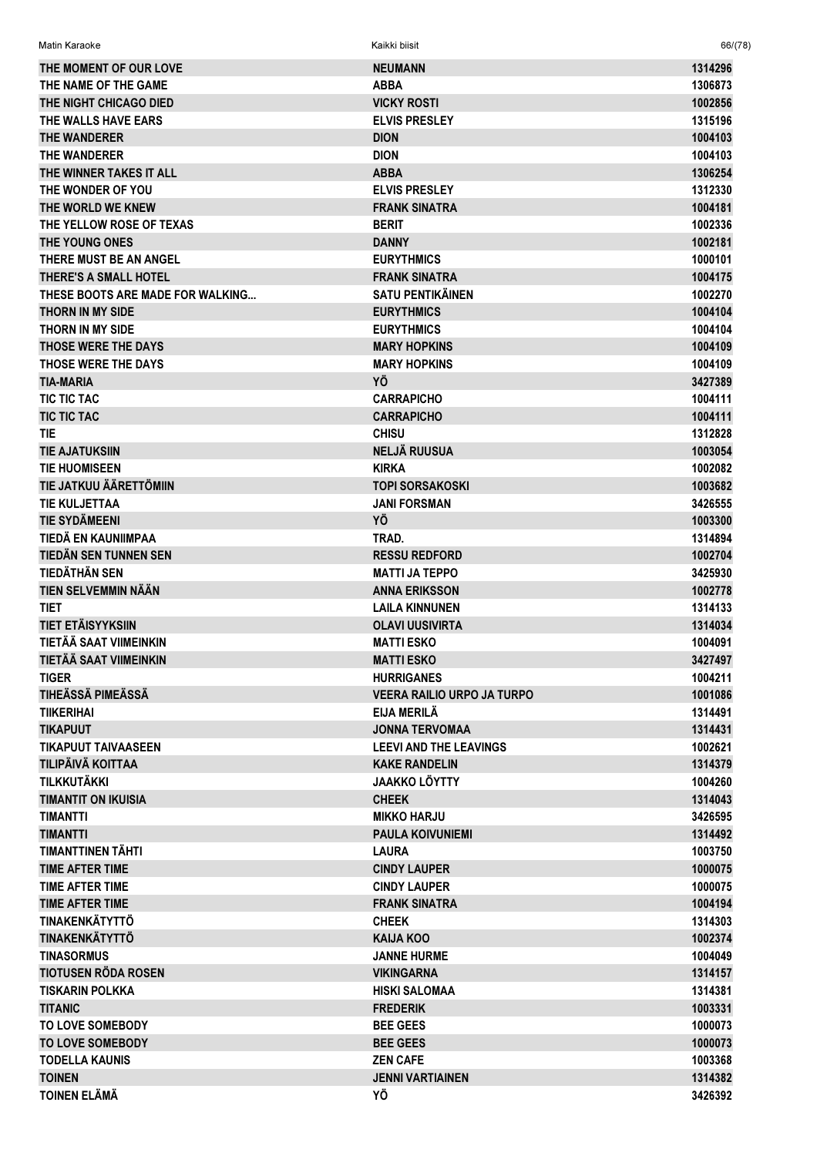| THE MOMENT OF OUR LOVE           | <b>NEUMANN</b>                    | 1314296            |
|----------------------------------|-----------------------------------|--------------------|
| THE NAME OF THE GAME             | <b>ABBA</b>                       | 1306873            |
| THE NIGHT CHICAGO DIED           | <b>VICKY ROSTI</b>                | 1002856            |
| THE WALLS HAVE EARS              | <b>ELVIS PRESLEY</b>              | 1315196            |
| <b>THE WANDERER</b>              | <b>DION</b>                       | 1004103            |
| THE WANDERER                     | <b>DION</b>                       | 1004103            |
| THE WINNER TAKES IT ALL          | <b>ABBA</b>                       | 1306254            |
| THE WONDER OF YOU                | <b>ELVIS PRESLEY</b>              | 1312330            |
| THE WORLD WE KNEW                | <b>FRANK SINATRA</b>              | 1004181            |
| THE YELLOW ROSE OF TEXAS         | <b>BERIT</b>                      | 1002336            |
| THE YOUNG ONES                   | <b>DANNY</b>                      | 1002181            |
| THERE MUST BE AN ANGEL           | <b>EURYTHMICS</b>                 | 1000101            |
| <b>THERE'S A SMALL HOTEL</b>     | <b>FRANK SINATRA</b>              | 1004175            |
| THESE BOOTS ARE MADE FOR WALKING | <b>SATU PENTIKÄINEN</b>           | 1002270            |
| <b>THORN IN MY SIDE</b>          | <b>EURYTHMICS</b>                 | 1004104            |
| THORN IN MY SIDE                 | <b>EURYTHMICS</b>                 | 1004104            |
| THOSE WERE THE DAYS              | <b>MARY HOPKINS</b>               | 1004109            |
| THOSE WERE THE DAYS              | <b>MARY HOPKINS</b>               | 1004109            |
| <b>TIA-MARIA</b>                 | ΥÖ                                | 3427389            |
| TIC TIC TAC                      | <b>CARRAPICHO</b>                 | 1004111            |
| <b>TIC TIC TAC</b>               | <b>CARRAPICHO</b>                 | 1004111            |
| <b>TIE</b>                       | <b>CHISU</b>                      | 1312828            |
| <b>TIE AJATUKSIIN</b>            | <b>NELJÄ RUUSUA</b>               | 1003054            |
| <b>TIE HUOMISEEN</b>             | <b>KIRKA</b>                      | 1002082            |
| TIE JATKUU ÄÄRETTÖMIIN           | <b>TOPI SORSAKOSKI</b>            | 1003682            |
| <b>TIE KULJETTAA</b>             | <b>JANI FORSMAN</b>               | 3426555            |
| <b>TIE SYDÄMEENI</b>             | YÖ                                | 1003300            |
| TIEDÄ EN KAUNIIMPAA              | TRAD.                             | 1314894            |
| TIEDÄN SEN TUNNEN SEN            | <b>RESSU REDFORD</b>              | 1002704            |
| <b>TIEDÄTHÄN SEN</b>             | <b>MATTI JA TEPPO</b>             | 3425930            |
| TIEN SELVEMMIN NÄÄN              | <b>ANNA ERIKSSON</b>              | 1002778            |
| <b>TIET</b>                      | <b>LAILA KINNUNEN</b>             | 1314133            |
| TIET ETÄISYYKSIIN                | <b>OLAVI UUSIVIRTA</b>            |                    |
| TIETÄÄ SAAT VIIMEINKIN           | <b>MATTI ESKO</b>                 | 1314034<br>1004091 |
| TIETÄÄ SAAT VIIMEINKIN           | <b>MATTI ESKO</b>                 |                    |
|                                  |                                   | 3427497            |
| <b>TIGER</b>                     | <b>HURRIGANES</b>                 | 1004211            |
| TIHEÄSSÄ PIMEÄSSÄ                | <b>VEERA RAILIO URPO JA TURPO</b> | 1001086            |
| <b>TIIKERIHAI</b>                | EIJA MERILÄ                       | 1314491            |
| <b>TIKAPUUT</b>                  | <b>JONNA TERVOMAA</b>             | 1314431            |
| <b>TIKAPUUT TAIVAASEEN</b>       | <b>LEEVI AND THE LEAVINGS</b>     | 1002621            |
| TILIPÄIVÄ KOITTAA                | <b>KAKE RANDELIN</b>              | 1314379            |
| <b>TILKKUTÄKKI</b>               | <b>JAAKKO LÖYTTY</b>              | 1004260            |
| <b>TIMANTIT ON IKUISIA</b>       | <b>CHEEK</b>                      | 1314043            |
| <b>TIMANTTI</b>                  | <b>MIKKO HARJU</b>                | 3426595            |
| <b>TIMANTTI</b>                  | <b>PAULA KOIVUNIEMI</b>           | 1314492            |
| TIMANTTINEN TÄHTI                | <b>LAURA</b>                      | 1003750            |
| <b>TIME AFTER TIME</b>           | <b>CINDY LAUPER</b>               | 1000075            |
| <b>TIME AFTER TIME</b>           | <b>CINDY LAUPER</b>               | 1000075            |
| <b>TIME AFTER TIME</b>           | <b>FRANK SINATRA</b>              | 1004194            |
| <b>TINAKENKÄTYTTÖ</b>            | <b>CHEEK</b>                      | 1314303            |
| <b>TINAKENKÄTYTTÖ</b>            | <b>KAIJA KOO</b>                  | 1002374            |
| <b>TINASORMUS</b>                | <b>JANNE HURME</b>                | 1004049            |
| <b>TIOTUSEN RÖDA ROSEN</b>       | <b>VIKINGARNA</b>                 | 1314157            |
| <b>TISKARIN POLKKA</b>           | <b>HISKI SALOMAA</b>              | 1314381            |
| <b>TITANIC</b>                   | <b>FREDERIK</b>                   | 1003331            |
| <b>TO LOVE SOMEBODY</b>          | <b>BEE GEES</b>                   | 1000073            |
| <b>TO LOVE SOMEBODY</b>          | <b>BEE GEES</b>                   | 1000073            |
| <b>TODELLA KAUNIS</b>            | <b>ZEN CAFE</b>                   | 1003368            |
| <b>TOINEN</b>                    | <b>JENNI VARTIAINEN</b>           | 1314382            |
| <b>TOINEN ELÄMÄ</b>              | ΥÖ                                | 3426392            |

Matin Karaoke Kaikki biisit 66/(78)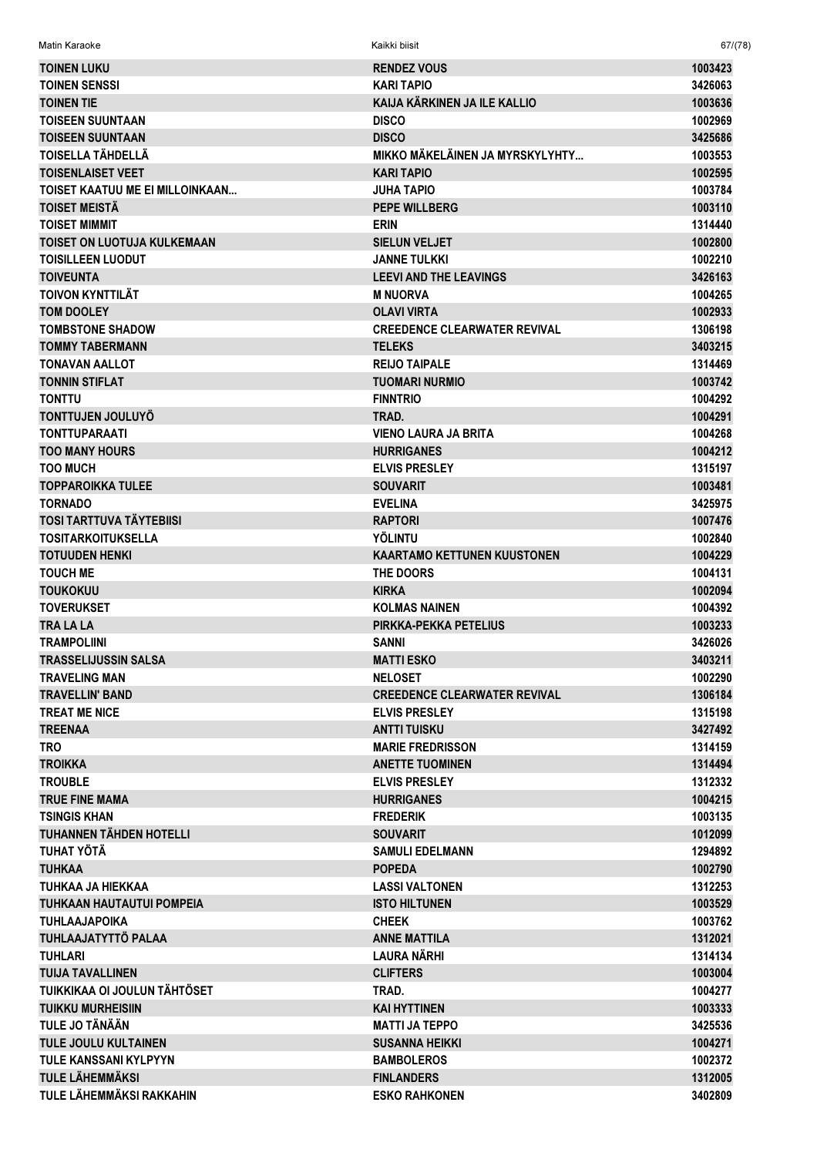Matin Karaoke Kaikki biisit 67/(78)

| <b>TOINEN LUKU</b>                 | <b>RENDEZ VOUS</b>                  | 1003423            |
|------------------------------------|-------------------------------------|--------------------|
| <b>TOINEN SENSSI</b>               | <b>KARI TAPIO</b>                   | 3426063            |
| <b>TOINEN TIE</b>                  | KAIJA KÄRKINEN JA ILE KALLIO        | 1003636            |
| <b>TOISEEN SUUNTAAN</b>            | <b>DISCO</b>                        | 1002969            |
| <b>TOISEEN SUUNTAAN</b>            | <b>DISCO</b>                        | 3425686            |
| TOISELLA TÄHDELLÄ                  | MIKKO MÄKELÄINEN JA MYRSKYLYHTY     | 1003553            |
| <b>TOISENLAISET VEET</b>           | <b>KARI TAPIO</b>                   | 1002595            |
| TOISET KAATUU ME EI MILLOINKAAN    | <b>JUHA TAPIO</b>                   | 1003784            |
| <b>TOISET MEISTÄ</b>               | <b>PEPE WILLBERG</b>                | 1003110            |
| <b>TOISET MIMMIT</b>               | <b>ERIN</b>                         | 1314440            |
| <b>TOISET ON LUOTUJA KULKEMAAN</b> | <b>SIELUN VELJET</b>                | 1002800            |
| <b>TOISILLEEN LUODUT</b>           | <b>JANNE TULKKI</b>                 | 1002210            |
| <b>TOIVEUNTA</b>                   | <b>LEEVI AND THE LEAVINGS</b>       | 3426163            |
| <b>TOIVON KYNTTILÄT</b>            | <b>M NUORVA</b>                     | 1004265            |
| <b>TOM DOOLEY</b>                  | <b>OLAVI VIRTA</b>                  | 1002933            |
| <b>TOMBSTONE SHADOW</b>            | <b>CREEDENCE CLEARWATER REVIVAL</b> | 1306198            |
| <b>TOMMY TABERMANN</b>             | <b>TELEKS</b>                       | 3403215            |
| <b>TONAVAN AALLOT</b>              | <b>REIJO TAIPALE</b>                | 1314469            |
| <b>TONNIN STIFLAT</b>              | <b>TUOMARI NURMIO</b>               | 1003742            |
| <b>TONTTU</b>                      | <b>FINNTRIO</b>                     | 1004292            |
| <b>TONTTUJEN JOULUYÖ</b>           | TRAD.                               | 1004291            |
| <b>TONTTUPARAATI</b>               | VIENO LAURA JA BRITA                | 1004268            |
| <b>TOO MANY HOURS</b>              | <b>HURRIGANES</b>                   | 1004212            |
| <b>TOO MUCH</b>                    | <b>ELVIS PRESLEY</b>                | 1315197            |
| <b>TOPPAROIKKA TULEE</b>           | <b>SOUVARIT</b>                     | 1003481            |
| <b>TORNADO</b>                     | <b>EVELINA</b>                      | 3425975            |
| <b>TOSI TARTTUVA TÄYTEBIISI</b>    | <b>RAPTORI</b>                      | 1007476            |
| <b>TOSITARKOITUKSELLA</b>          | <b>YÖLINTU</b>                      | 1002840            |
| <b>TOTUUDEN HENKI</b>              | <b>KAARTAMO KETTUNEN KUUSTONEN</b>  | 1004229            |
| <b>TOUCH ME</b>                    | THE DOORS                           | 1004131            |
| <b>TOUKOKUU</b>                    | <b>KIRKA</b>                        | 1002094            |
| <b>TOVERUKSET</b>                  | <b>KOLMAS NAINEN</b>                | 1004392            |
| <b>TRA LA LA</b>                   | PIRKKA-PEKKA PETELIUS               | 1003233            |
| <b>TRAMPOLIINI</b>                 | <b>SANNI</b>                        | 3426026            |
| <b>TRASSELIJUSSIN SALSA</b>        | <b>MATTI ESKO</b>                   | 3403211            |
| TRAVELING MAN                      | <b>NELOSET</b>                      | 1002290            |
| <b>TRAVELLIN' BAND</b>             | <b>CREEDENCE CLEARWATER REVIVAL</b> | 1306184            |
| <b>TREAT ME NICE</b>               | <b>ELVIS PRESLEY</b>                | 1315198            |
| <b>TREENAA</b>                     | <b>ANTTI TUISKU</b>                 | 3427492            |
| <b>TRO</b>                         | <b>MARIE FREDRISSON</b>             | 1314159            |
| <b>TROIKKA</b>                     | <b>ANETTE TUOMINEN</b>              | 1314494            |
| <b>TROUBLE</b>                     | <b>ELVIS PRESLEY</b>                | 1312332            |
| <b>TRUE FINE MAMA</b>              | <b>HURRIGANES</b>                   | 1004215            |
| <b>TSINGIS KHAN</b>                | <b>FREDERIK</b>                     | 1003135            |
| <b>TUHANNEN TÄHDEN HOTELLI</b>     | <b>SOUVARIT</b>                     | 1012099            |
| TUHAT YÖTÄ                         | <b>SAMULI EDELMANN</b>              | 1294892            |
| <b>TUHKAA</b>                      | <b>POPEDA</b>                       | 1002790            |
| TUHKAA JA HIEKKAA                  | <b>LASSI VALTONEN</b>               | 1312253            |
| <b>TUHKAAN HAUTAUTUI POMPEIA</b>   | <b>ISTO HILTUNEN</b>                | 1003529            |
| <b>TUHLAAJAPOIKA</b>               | <b>CHEEK</b>                        | 1003762            |
| TUHLAAJATYTTÖ PALAA                |                                     |                    |
| <b>TUHLARI</b>                     | <b>ANNE MATTILA</b><br>LAURA NÄRHI  | 1312021<br>1314134 |
| <b>TUIJA TAVALLINEN</b>            | <b>CLIFTERS</b>                     | 1003004            |
| TUIKKIKAA OI JOULUN TÄHTÖSET       |                                     |                    |
|                                    | TRAD.                               | 1004277            |
| <b>TUIKKU MURHEISIIN</b>           | <b>KAI HYTTINEN</b>                 | 1003333            |
| <b>TULE JO TÄNÄÄN</b>              | <b>MATTI JA TEPPO</b>               | 3425536            |
| <b>TULE JOULU KULTAINEN</b>        | <b>SUSANNA HEIKKI</b>               | 1004271            |
| <b>TULE KANSSANI KYLPYYN</b>       | <b>BAMBOLEROS</b>                   | 1002372            |
| <b>TULE LÄHEMMÄKSI</b>             | <b>FINLANDERS</b>                   | 1312005            |
| TULE LÄHEMMÄKSI RAKKAHIN           | <b>ESKO RAHKONEN</b>                | 3402809            |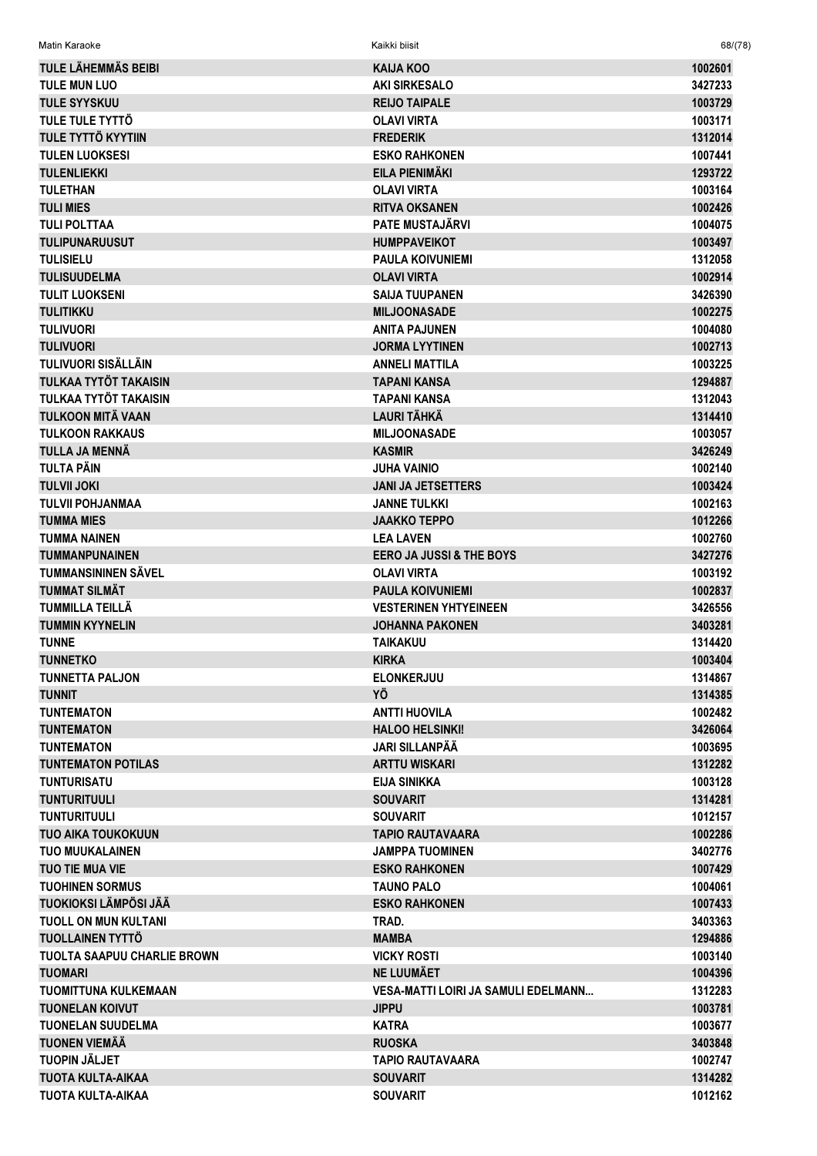| TULE LÄHEMMÄS BEIBI                | KAIJA KOO                                  | 1002601 |
|------------------------------------|--------------------------------------------|---------|
| <b>TULE MUN LUO</b>                | <b>AKI SIRKESALO</b>                       | 3427233 |
| <b>TULE SYYSKUU</b>                | <b>REIJO TAIPALE</b>                       | 1003729 |
| TULE TULE TYTTÖ                    | <b>OLAVI VIRTA</b>                         | 1003171 |
| <b>TULE TYTTÖ KYYTIIN</b>          | <b>FREDERIK</b>                            | 1312014 |
| <b>TULEN LUOKSESI</b>              | <b>ESKO RAHKONEN</b>                       | 1007441 |
| <b>TULENLIEKKI</b>                 | EILA PIENIMÄKI                             | 1293722 |
| <b>TULETHAN</b>                    | <b>OLAVI VIRTA</b>                         | 1003164 |
| <b>TULI MIES</b>                   | <b>RITVA OKSANEN</b>                       | 1002426 |
| <b>TULI POLTTAA</b>                | <b>PATE MUSTAJÄRVI</b>                     | 1004075 |
| <b>TULIPUNARUUSUT</b>              | <b>HUMPPAVEIKOT</b>                        | 1003497 |
| <b>TULISIELU</b>                   | <b>PAULA KOIVUNIEMI</b>                    | 1312058 |
| <b>TULISUUDELMA</b>                | <b>OLAVI VIRTA</b>                         | 1002914 |
| <b>TULIT LUOKSENI</b>              | <b>SAIJA TUUPANEN</b>                      | 3426390 |
| <b>TULITIKKU</b>                   | <b>MILJOONASADE</b>                        | 1002275 |
| <b>TULIVUORI</b>                   | <b>ANITA PAJUNEN</b>                       | 1004080 |
| <b>TULIVUORI</b>                   | <b>JORMA LYYTINEN</b>                      | 1002713 |
| TULIVUORI SISÄLLÄIN                | <b>ANNELI MATTILA</b>                      | 1003225 |
| TULKAA TYTÖT TAKAISIN              | <b>TAPANI KANSA</b>                        | 1294887 |
| TULKAA TYTÖT TAKAISIN              | <b>TAPANI KANSA</b>                        | 1312043 |
| <b>TULKOON MITÄ VAAN</b>           | <b>LAURI TÄHKÄ</b>                         | 1314410 |
| <b>TULKOON RAKKAUS</b>             | <b>MILJOONASADE</b>                        | 1003057 |
| TULLA JA MENNÄ                     | <b>KASMIR</b>                              | 3426249 |
| <b>TULTA PÄIN</b>                  | <b>JUHA VAINIO</b>                         | 1002140 |
| <b>TULVII JOKI</b>                 | <b>JANI JA JETSETTERS</b>                  | 1003424 |
| <b>TULVII POHJANMAA</b>            | <b>JANNE TULKKI</b>                        | 1002163 |
| <b>TUMMA MIES</b>                  | <b>JAAKKO TEPPO</b>                        | 1012266 |
| <b>TUMMA NAINEN</b>                | <b>LEA LAVEN</b>                           | 1002760 |
| <b>TUMMANPUNAINEN</b>              | <b>EERO JA JUSSI &amp; THE BOYS</b>        | 3427276 |
| <b>TUMMANSININEN SÄVEL</b>         | <b>OLAVI VIRTA</b>                         | 1003192 |
| <b>TUMMAT SILMÄT</b>               | <b>PAULA KOIVUNIEMI</b>                    | 1002837 |
| TUMMILLA TEILLÄ                    | <b>VESTERINEN YHTYEINEEN</b>               | 3426556 |
| <b>TUMMIN KYYNELIN</b>             | <b>JOHANNA PAKONEN</b>                     | 3403281 |
| <b>TUNNE</b>                       | <b>TAIKAKUU</b>                            | 1314420 |
| <b>TUNNETKO</b>                    | <b>KIRKA</b>                               | 1003404 |
| <b>TUNNETTA PALJON</b>             | <b>ELONKERJUU</b>                          | 1314867 |
| <b>TUNNIT</b>                      | YÖ                                         | 1314385 |
| <b>TUNTEMATON</b>                  | <b>ANTTI HUOVILA</b>                       | 1002482 |
| <b>TUNTEMATON</b>                  | <b>HALOO HELSINKI!</b>                     | 3426064 |
| <b>TUNTEMATON</b>                  | <b>JARI SILLANPÄÄ</b>                      | 1003695 |
| <b>TUNTEMATON POTILAS</b>          | <b>ARTTU WISKARI</b>                       | 1312282 |
| <b>TUNTURISATU</b>                 | <b>EIJA SINIKKA</b>                        | 1003128 |
| <b>TUNTURITUULI</b>                | <b>SOUVARIT</b>                            | 1314281 |
| <b>TUNTURITUULI</b>                | <b>SOUVARIT</b>                            | 1012157 |
| <b>TUO AIKA TOUKOKUUN</b>          | <b>TAPIO RAUTAVAARA</b>                    | 1002286 |
| <b>TUO MUUKALAINEN</b>             | <b>JAMPPA TUOMINEN</b>                     | 3402776 |
| <b>TUO TIE MUA VIE</b>             | <b>ESKO RAHKONEN</b>                       | 1007429 |
| <b>TUOHINEN SORMUS</b>             | <b>TAUNO PALO</b>                          | 1004061 |
| <b>TUOKIOKSI LÄMPÖSI JÄÄ</b>       | <b>ESKO RAHKONEN</b>                       | 1007433 |
| <b>TUOLL ON MUN KULTANI</b>        | TRAD.                                      | 3403363 |
| <b>TUOLLAINEN TYTTÖ</b>            | <b>MAMBA</b>                               | 1294886 |
| <b>TUOLTA SAAPUU CHARLIE BROWN</b> | <b>VICKY ROSTI</b>                         | 1003140 |
| <b>TUOMARI</b>                     | <b>NE LUUMÄET</b>                          | 1004396 |
| TUOMITTUNA KULKEMAAN               | <b>VESA-MATTI LOIRI JA SAMULI EDELMANN</b> | 1312283 |
| <b>TUONELAN KOIVUT</b>             | <b>JIPPU</b>                               | 1003781 |
| <b>TUONELAN SUUDELMA</b>           | <b>KATRA</b>                               | 1003677 |
| <b>TUONEN VIEMÄÄ</b>               | <b>RUOSKA</b>                              | 3403848 |
| <b>TUOPIN JÄLJET</b>               | <b>TAPIO RAUTAVAARA</b>                    | 1002747 |
| <b>TUOTA KULTA-AIKAA</b>           | <b>SOUVARIT</b>                            | 1314282 |
| TUOTA KULTA-AIKAA                  | <b>SOUVARIT</b>                            | 1012162 |
|                                    |                                            |         |

Matin Karaoke Kaikki biisit 68/(78)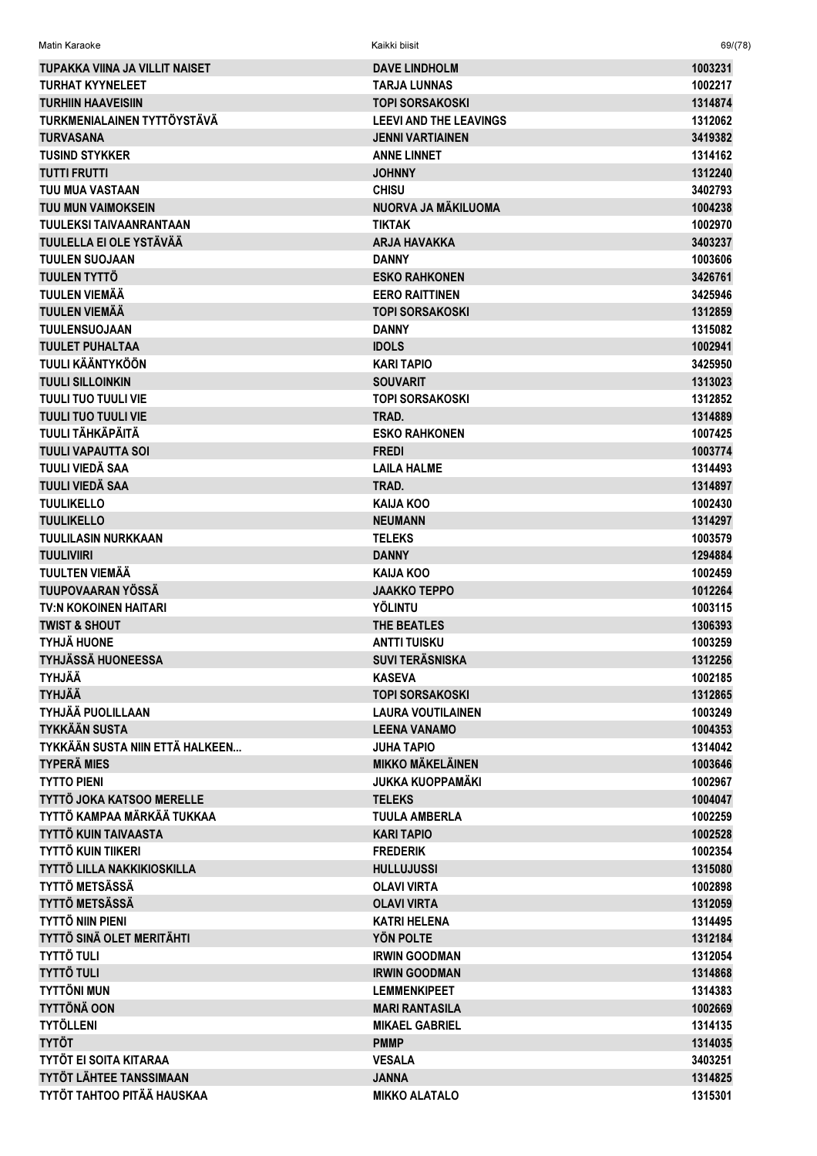| Matin Karaoke                   | Kaikki biisit                 | 69/(78) |
|---------------------------------|-------------------------------|---------|
| TUPAKKA VIINA JA VILLIT NAISET  | <b>DAVE LINDHOLM</b>          | 1003231 |
| <b>TURHAT KYYNELEET</b>         | <b>TARJA LUNNAS</b>           | 1002217 |
| <b>TURHIIN HAAVEISIIN</b>       | <b>TOPI SORSAKOSKI</b>        | 1314874 |
| TURKMENIALAINEN TYTTÖYSTÄVÄ     | <b>LEEVI AND THE LEAVINGS</b> | 1312062 |
| <b>TURVASANA</b>                | <b>JENNI VARTIAINEN</b>       | 3419382 |
| <b>TUSIND STYKKER</b>           | <b>ANNE LINNET</b>            | 1314162 |
| <b>TUTTI FRUTTI</b>             | <b>JOHNNY</b>                 | 1312240 |
| TUU MUA VASTAAN                 | <b>CHISU</b>                  | 3402793 |
| <b>TUU MUN VAIMOKSEIN</b>       | NUORVA JA MÄKILUOMA           | 1004238 |
| <b>TUULEKSI TAIVAANRANTAAN</b>  | <b>TIKTAK</b>                 | 1002970 |
| TUULELLA EI OLE YSTÄVÄÄ         | <b>ARJA HAVAKKA</b>           | 3403237 |
| <b>TUULEN SUOJAAN</b>           | <b>DANNY</b>                  | 1003606 |
| TUULEN TYTTÖ                    | <b>ESKO RAHKONEN</b>          | 3426761 |
| <b>TUULEN VIEMÄÄ</b>            | <b>EERO RAITTINEN</b>         | 3425946 |
| <b>TUULEN VIEMÄÄ</b>            | <b>TOPI SORSAKOSKI</b>        | 1312859 |
| <b>TUULENSUOJAAN</b>            | <b>DANNY</b>                  | 1315082 |
| <b>TUULET PUHALTAA</b>          | <b>IDOLS</b>                  | 1002941 |
| <b>TUULI KÄÄNTYKÖÖN</b>         | <b>KARI TAPIO</b>             | 3425950 |
| <b>TUULI SILLOINKIN</b>         | <b>SOUVARIT</b>               |         |
| <b>TUULI TUO TUULI VIE</b>      |                               | 1313023 |
|                                 | <b>TOPI SORSAKOSKI</b>        | 1312852 |
| <b>TUULI TUO TUULI VIE</b>      | TRAD.                         | 1314889 |
| <b>TUULI TÄHKÄPÄITÄ</b>         | <b>ESKO RAHKONEN</b>          | 1007425 |
| <b>TUULI VAPAUTTA SOI</b>       | <b>FREDI</b>                  | 1003774 |
| TUULI VIEDÄ SAA                 | <b>LAILA HALME</b>            | 1314493 |
| TUULI VIEDÄ SAA                 | TRAD.                         | 1314897 |
| <b>TUULIKELLO</b>               | KAIJA KOO                     | 1002430 |
| <b>TUULIKELLO</b>               | <b>NEUMANN</b>                | 1314297 |
| <b>TUULILASIN NURKKAAN</b>      | <b>TELEKS</b>                 | 1003579 |
| <b>TUULIVIIRI</b>               | <b>DANNY</b>                  | 1294884 |
| <b>TUULTEN VIEMÄÄ</b>           | KAIJA KOO                     | 1002459 |
| <b>TUUPOVAARAN YÖSSÄ</b>        | <b>JAAKKO TEPPO</b>           | 1012264 |
| <b>TV:N KOKOINEN HAITARI</b>    | <b>YÖLINTU</b>                | 1003115 |
| <b>TWIST &amp; SHOUT</b>        | THE BEATLES                   | 1306393 |
| <b>TYHJÄ HUONE</b>              | <b>ANTTI TUISKU</b>           | 1003259 |
| <b>TYHJÄSSÄ HUONEESSA</b>       | <b>SUVI TERÄSNISKA</b>        | 1312256 |
| <b>TYHJÄÄ</b>                   | <b>KASEVA</b>                 | 1002185 |
| <b>TYHJÄÄ</b>                   | <b>TOPI SORSAKOSKI</b>        | 1312865 |
| <b>TYHJÄÄ PUOLILLAAN</b>        | <b>LAURA VOUTILAINEN</b>      | 1003249 |
| <b>TYKKÄÄN SUSTA</b>            | <b>LEENA VANAMO</b>           | 1004353 |
| TYKKÄÄN SUSTA NIIN ETTÄ HALKEEN | <b>JUHA TAPIO</b>             | 1314042 |
| <b>TYPERÄ MIES</b>              | <b>MIKKO MÄKELÄINEN</b>       | 1003646 |
| <b>TYTTO PIENI</b>              | <b>JUKKA KUOPPAMÄKI</b>       | 1002967 |
| TYTTÖ JOKA KATSOO MERELLE       | <b>TELEKS</b>                 | 1004047 |
| TYTTÖ KAMPAA MÄRKÄÄ TUKKAA      | <b>TUULA AMBERLA</b>          | 1002259 |
| <b>TYTTÖ KUIN TAIVAASTA</b>     | <b>KARI TAPIO</b>             | 1002528 |
| <b>TYTTÖ KUIN TIIKERI</b>       | <b>FREDERIK</b>               | 1002354 |
| TYTTÖ LILLA NAKKIKIOSKILLA      | <b>HULLUJUSSI</b>             | 1315080 |
| <b>TYTTÖ METSÄSSÄ</b>           | <b>OLAVI VIRTA</b>            | 1002898 |
| <b>TYTTÖ METSÄSSÄ</b>           | <b>OLAVI VIRTA</b>            | 1312059 |
| <b>TYTTÖ NIIN PIENI</b>         | <b>KATRI HELENA</b>           | 1314495 |
| TYTTÖ SINÄ OLET MERITÄHTI       | YÖN POLTE                     | 1312184 |
| <b>TYTTÖ TULI</b>               | <b>IRWIN GOODMAN</b>          | 1312054 |
| <b>TYTTÖ TULI</b>               | <b>IRWIN GOODMAN</b>          | 1314868 |
| <b>TYTTÖNI MUN</b>              | <b>LEMMENKIPEET</b>           | 1314383 |
| <b>TYTTÖNÄ OON</b>              | <b>MARI RANTASILA</b>         | 1002669 |
| <b>TYTÖLLENI</b>                | <b>MIKAEL GABRIEL</b>         | 1314135 |
| <b>TYTÖT</b>                    | <b>PMMP</b>                   | 1314035 |
| <b>TYTÖT EI SOITA KITARAA</b>   | <b>VESALA</b>                 | 3403251 |
| TYTÖT LÄHTEE TANSSIMAAN         | <b>JANNA</b>                  | 1314825 |
| TYTÖT TAHTOO PITÄÄ HAUSKAA      | <b>MIKKO ALATALO</b>          | 1315301 |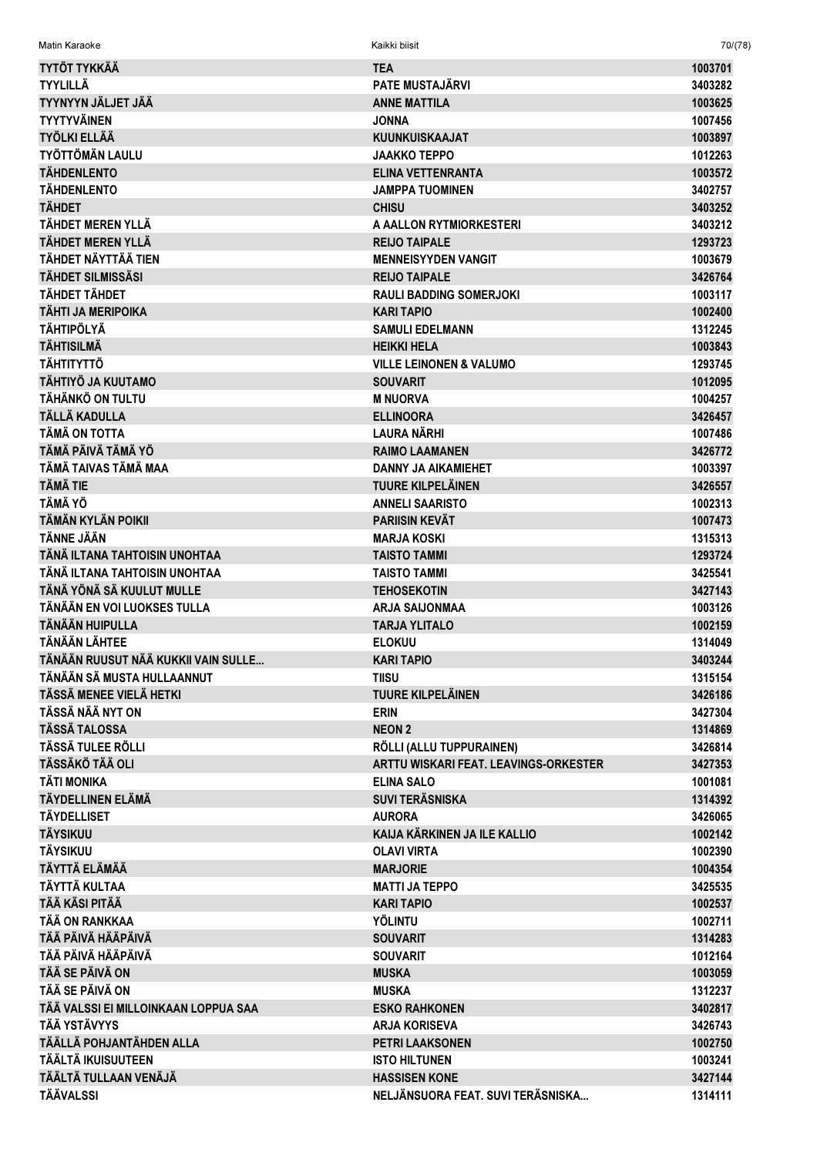| Matin Karaoke                        | Kaikki biisit                                             | 70/(78)            |
|--------------------------------------|-----------------------------------------------------------|--------------------|
| <b>TYTÖT TYKKÄÄ</b>                  | <b>TEA</b>                                                | 1003701            |
| <b>TYYLILLÄ</b>                      | <b>PATE MUSTAJÄRVI</b>                                    | 3403282            |
| TYYNYYN JÄLJET JÄÄ                   | <b>ANNE MATTILA</b>                                       | 1003625            |
| <b>TYYTYVÄINEN</b>                   | <b>JONNA</b>                                              | 1007456            |
| <b>TYÖLKI ELLÄÄ</b>                  | <b>KUUNKUISKAAJAT</b>                                     | 1003897            |
| <b>TYÖTTÖMÄN LAULU</b>               | <b>JAAKKO TEPPO</b>                                       | 1012263            |
| <b>TÄHDENLENTO</b>                   | <b>ELINA VETTENRANTA</b>                                  | 1003572            |
| <b>TÄHDENLENTO</b>                   | <b>JAMPPA TUOMINEN</b>                                    | 3402757            |
| <b>TÄHDET</b>                        | <b>CHISU</b>                                              | 3403252            |
| TÄHDET MEREN YLLÄ                    | A AALLON RYTMIORKESTERI                                   | 3403212            |
| <b>TÄHDET MEREN YLLÄ</b>             | <b>REIJO TAIPALE</b>                                      | 1293723            |
| TÄHDET NÄYTTÄÄ TIEN                  | <b>MENNEISYYDEN VANGIT</b>                                | 1003679            |
| <b>TÄHDET SILMISSÄSI</b>             | <b>REIJO TAIPALE</b>                                      | 3426764            |
| <b>TÄHDET TÄHDET</b>                 | <b>RAULI BADDING SOMERJOKI</b>                            | 1003117            |
| TÄHTI JA MERIPOIKA                   | <b>KARI TAPIO</b>                                         | 1002400            |
| <b>TÄHTIPÖLYÄ</b>                    | <b>SAMULI EDELMANN</b>                                    | 1312245            |
| <b>TÄHTISILMÄ</b>                    | <b>HEIKKI HELA</b>                                        | 1003843            |
| <b>TÄHTITYTTÖ</b>                    | <b>VILLE LEINONEN &amp; VALUMO</b>                        | 1293745            |
| TÄHTIYÖ JA KUUTAMO                   | <b>SOUVARIT</b>                                           | 1012095            |
| TÄHÄNKÖ ON TULTU                     | <b>M NUORVA</b>                                           | 1004257            |
| TÄLLÄ KADULLA                        | <b>ELLINOORA</b>                                          | 3426457            |
| TÄMÄ ON TOTTA                        | LAURA NÄRHI                                               | 1007486            |
| TÄMÄ PÄIVÄ TÄMÄ YÖ                   | <b>RAIMO LAAMANEN</b>                                     | 3426772            |
| TÄMÄ TAIVAS TÄMÄ MAA                 | <b>DANNY JA AIKAMIEHET</b>                                | 1003397            |
| TÄMÄ TIE                             | <b>TUURE KILPELÄINEN</b>                                  | 3426557            |
| <b>TÄMÄ YÖ</b>                       | <b>ANNELI SAARISTO</b>                                    | 1002313            |
| TÄMÄN KYLÄN POIKII                   | <b>PARIISIN KEVÄT</b>                                     | 1007473            |
| <b>TÄNNE JÄÄN</b>                    | <b>MARJA KOSKI</b>                                        | 1315313            |
| TÄNÄ ILTANA TAHTOISIN UNOHTAA        | <b>TAISTO TAMMI</b>                                       | 1293724            |
| TÄNÄ ILTANA TAHTOISIN UNOHTAA        | <b>TAISTO TAMMI</b>                                       | 3425541            |
| TÄNÄ YÖNÄ SÄ KUULUT MULLE            | <b>TEHOSEKOTIN</b>                                        | 3427143            |
| TÄNÄÄN EN VOI LUOKSES TULLA          | <b>ARJA SAIJONMAA</b>                                     | 1003126            |
| TÄNÄÄN HUIPULLA                      | <b>TARJA YLITALO</b>                                      | 1002159            |
| <b>TÄNÄÄN LÄHTEE</b>                 | <b>ELOKUU</b>                                             | 1314049            |
| TÄNÄÄN RUUSUT NÄÄ KUKKII VAIN SULLE  | <b>KARI TAPIO</b>                                         | 3403244            |
| TÄNÄÄN SÄ MUSTA HULLAANNUT           | <b>TIISU</b>                                              | 1315154            |
| TÄSSÄ MENEE VIELÄ HETKI              | <b>TUURE KILPELÄINEN</b>                                  | 3426186            |
| TÄSSÄ NÄÄ NYT ON                     | <b>ERIN</b>                                               | 3427304            |
| <b>TÄSSÄ TALOSSA</b>                 | <b>NEON 2</b>                                             | 1314869            |
| TÄSSÄ TULEE RÖLLI                    | RÖLLI (ALLU TUPPURAINEN)                                  | 3426814            |
| <b>TÄSSÄKÖ TÄÄ OLI</b>               | ARTTU WISKARI FEAT. LEAVINGS-ORKESTER                     | 3427353            |
| <b>TÄTI MONIKA</b>                   | <b>ELINA SALO</b>                                         | 1001081            |
| <b>TÄYDELLINEN ELÄMÄ</b>             | <b>SUVI TERÄSNISKA</b>                                    | 1314392            |
| <b>TÄYDELLISET</b>                   | <b>AURORA</b>                                             | 3426065            |
| <b>TÄYSIKUU</b>                      | KAIJA KÄRKINEN JA ILE KALLIO                              | 1002142            |
| <b>TÄYSIKUU</b>                      | <b>OLAVI VIRTA</b>                                        | 1002390            |
| <b>TÄYTTÄ ELÄMÄÄ</b>                 | <b>MARJORIE</b>                                           | 1004354            |
| TÄYTTÄ KULTAA                        | <b>MATTI JA TEPPO</b>                                     | 3425535            |
| TÄÄ KÄSI PITÄÄ                       | <b>KARI TAPIO</b>                                         | 1002537            |
| TÄÄ ON RANKKAA                       | <b>YÖLINTU</b>                                            | 1002711            |
| TÄÄ PÄIVÄ HÄÄPÄIVÄ                   | <b>SOUVARIT</b>                                           | 1314283            |
| TÄÄ PÄIVÄ HÄÄPÄIVÄ                   | <b>SOUVARIT</b>                                           | 1012164            |
| TÄÄ SE PÄIVÄ ON                      | <b>MUSKA</b>                                              | 1003059            |
| TÄÄ SE PÄIVÄ ON                      | <b>MUSKA</b>                                              | 1312237            |
| TÄÄ VALSSI EI MILLOINKAAN LOPPUA SAA | <b>ESKO RAHKONEN</b>                                      | 3402817            |
| TÄÄ YSTÄVYYS                         |                                                           |                    |
| TÄÄLLÄ POHJANTÄHDEN ALLA             | <b>ARJA KORISEVA</b><br><b>PETRI LAAKSONEN</b>            | 3426743<br>1002750 |
| TÄÄLTÄ IKUISUUTEEN                   | <b>ISTO HILTUNEN</b>                                      | 1003241            |
| TÄÄLTÄ TULLAAN VENÄJÄ                |                                                           |                    |
| <b>TÄÄVALSSI</b>                     | <b>HASSISEN KONE</b><br>NELJÄNSUORA FEAT. SUVI TERÄSNISKA | 3427144            |
|                                      |                                                           | 1314111            |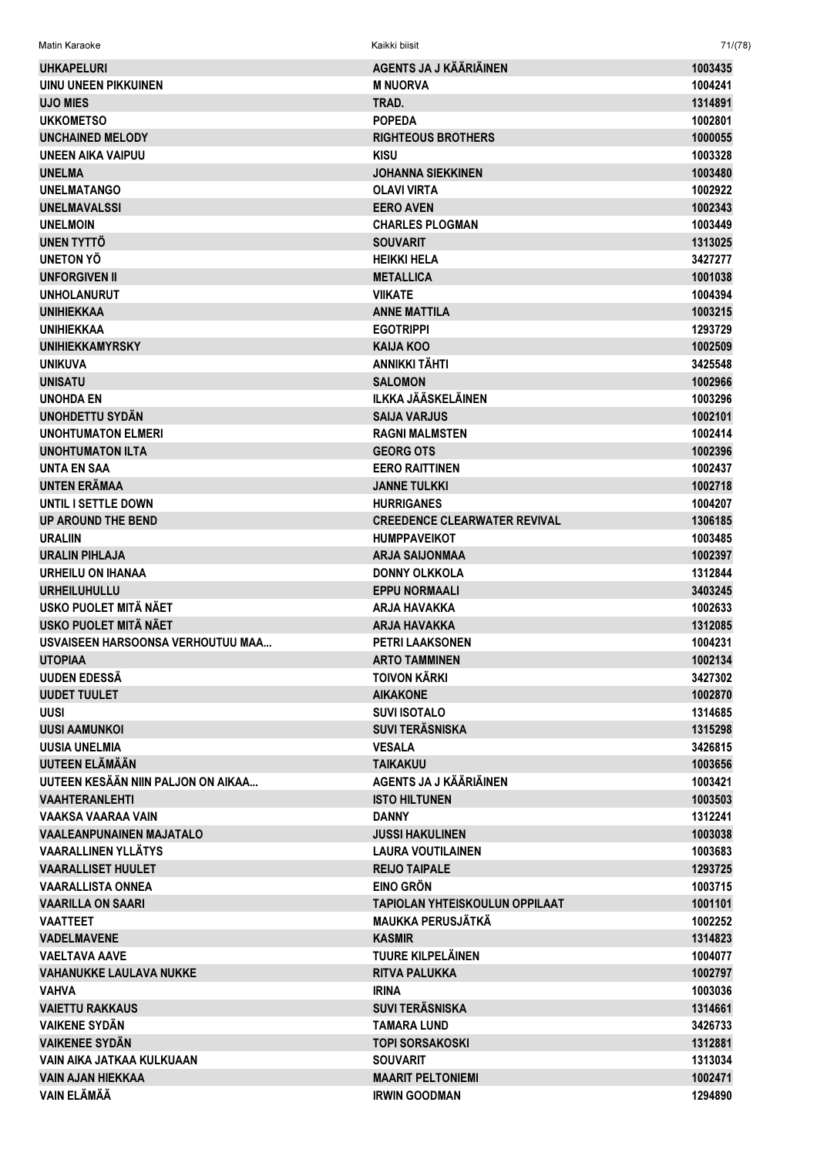| <b>UHKAPELURI</b>                                    | AGENTS JA J KÄÄRIÄINEN                             | 1003435            |
|------------------------------------------------------|----------------------------------------------------|--------------------|
| <b>UINU UNEEN PIKKUINEN</b>                          | <b>M NUORVA</b>                                    | 1004241            |
| <b>UJO MIES</b>                                      | TRAD.                                              | 1314891            |
| <b>UKKOMETSO</b>                                     | <b>POPEDA</b>                                      | 1002801            |
| <b>UNCHAINED MELODY</b>                              | <b>RIGHTEOUS BROTHERS</b>                          | 1000055            |
| <b>UNEEN AIKA VAIPUU</b>                             | <b>KISU</b>                                        | 1003328            |
| <b>UNELMA</b>                                        | <b>JOHANNA SIEKKINEN</b>                           | 1003480            |
| <b>UNELMATANGO</b>                                   | <b>OLAVI VIRTA</b>                                 | 1002922            |
| <b>UNELMAVALSSI</b>                                  | <b>EERO AVEN</b>                                   | 1002343            |
| <b>UNELMOIN</b>                                      | <b>CHARLES PLOGMAN</b>                             | 1003449            |
| UNEN TYTTÖ                                           | <b>SOUVARIT</b>                                    | 1313025            |
| UNETON YÖ                                            | <b>HEIKKI HELA</b>                                 | 3427277            |
| <b>UNFORGIVEN II</b>                                 | <b>METALLICA</b>                                   | 1001038            |
| <b>UNHOLANURUT</b>                                   | <b>VIIKATE</b>                                     | 1004394            |
| <b>UNIHIEKKAA</b>                                    | <b>ANNE MATTILA</b>                                | 1003215            |
| <b>UNIHIEKKAA</b>                                    | <b>EGOTRIPPI</b>                                   | 1293729            |
| <b>UNIHIEKKAMYRSKY</b>                               | <b>KAIJA KOO</b>                                   | 1002509            |
| <b>UNIKUVA</b>                                       | <b>ANNIKKI TÄHTI</b>                               | 3425548            |
| <b>UNISATU</b>                                       | <b>SALOMON</b>                                     | 1002966            |
| <b>UNOHDA EN</b>                                     | <b>ILKKA JÄÄSKELÄINEN</b>                          | 1003296            |
| <b>UNOHDETTU SYDÄN</b>                               | <b>SAIJA VARJUS</b>                                | 1002101            |
| <b>UNOHTUMATON ELMERI</b>                            | <b>RAGNI MALMSTEN</b>                              | 1002414            |
| <b>UNOHTUMATON ILTA</b>                              | <b>GEORG OTS</b>                                   | 1002396            |
| UNTA EN SAA                                          | <b>EERO RAITTINEN</b>                              | 1002437            |
| <b>UNTEN ERÄMAA</b>                                  | <b>JANNE TULKKI</b>                                | 1002718            |
| UNTIL I SETTLE DOWN                                  | <b>HURRIGANES</b>                                  | 1004207            |
| <b>UP AROUND THE BEND</b>                            | <b>CREEDENCE CLEARWATER REVIVAL</b>                | 1306185            |
| <b>URALIIN</b>                                       | <b>HUMPPAVEIKOT</b>                                | 1003485            |
| <b>URALIN PIHLAJA</b>                                | <b>ARJA SAIJONMAA</b>                              | 1002397            |
| <b>URHEILU ON IHANAA</b>                             | <b>DONNY OLKKOLA</b>                               | 1312844            |
| <b>URHEILUHULLU</b>                                  | <b>EPPU NORMAALI</b>                               | 3403245            |
| USKO PUOLET MITÄ NÄET                                | <b>ARJA HAVAKKA</b>                                | 1002633            |
| USKO PUOLET MITÄ NÄET                                | <b>ARJA HAVAKKA</b>                                | 1312085            |
| USVAISEEN HARSOONSA VERHOUTUU MAA                    | <b>PETRI LAAKSONEN</b>                             | 1004231            |
| <b>UTOPIAA</b>                                       | <b>ARTO TAMMINEN</b>                               | 1002134            |
| <b>UUDEN EDESSÄ</b>                                  | <b>TOIVON KÄRKI</b>                                | 3427302            |
| <b>UUDET TUULET</b>                                  | <b>AIKAKONE</b>                                    | 1002870            |
| <b>UUSI</b>                                          | <b>SUVI ISOTALO</b>                                | 1314685            |
| <b>UUSI AAMUNKOI</b>                                 | <b>SUVI TERÄSNISKA</b>                             | 1315298            |
| <b>UUSIA UNELMIA</b>                                 | <b>VESALA</b>                                      | 3426815            |
| UUTEEN ELÄMÄÄN<br>UUTEEN KESÄÄN NIIN PALJON ON AIKAA | <b>TAIKAKUU</b><br>AGENTS JA J KÄÄRIÄINEN          | 1003656            |
|                                                      |                                                    | 1003421            |
| <b>VAAHTERANLEHTI</b><br>VAAKSA VAARAA VAIN          | <b>ISTO HILTUNEN</b><br><b>DANNY</b>               | 1003503<br>1312241 |
| <b>VAALEANPUNAINEN MAJATALO</b>                      |                                                    |                    |
| <b>VAARALLINEN YLLÄTYS</b>                           | <b>JUSSI HAKULINEN</b><br><b>LAURA VOUTILAINEN</b> | 1003038<br>1003683 |
| <b>VAARALLISET HUULET</b>                            | <b>REIJO TAIPALE</b>                               | 1293725            |
| <b>VAARALLISTA ONNEA</b>                             | <b>EINO GRÖN</b>                                   | 1003715            |
| <b>VAARILLA ON SAARI</b>                             | <b>TAPIOLAN YHTEISKOULUN OPPILAAT</b>              | 1001101            |
| <b>VAATTEET</b>                                      | <b>MAUKKA PERUSJÄTKÄ</b>                           | 1002252            |
| <b>VADELMAVENE</b>                                   | <b>KASMIR</b>                                      | 1314823            |
| <b>VAELTAVA AAVE</b>                                 | TUURE KILPELÄINEN                                  | 1004077            |
| <b>VAHANUKKE LAULAVA NUKKE</b>                       | RITVA PALUKKA                                      | 1002797            |
| <b>VAHVA</b>                                         | <b>IRINA</b>                                       | 1003036            |
| <b>VAIETTU RAKKAUS</b>                               | <b>SUVI TERÄSNISKA</b>                             | 1314661            |
| <b>VAIKENE SYDÄN</b>                                 | <b>TAMARA LUND</b>                                 | 3426733            |
| <b>VAIKENEE SYDÄN</b>                                | <b>TOPI SORSAKOSKI</b>                             | 1312881            |
| VAIN AIKA JATKAA KULKUAAN                            | <b>SOUVARIT</b>                                    | 1313034            |
| <b>VAIN AJAN HIEKKAA</b>                             | <b>MAARIT PELTONIEMI</b>                           | 1002471            |
| <b>VAIN ELÄMÄÄ</b>                                   | <b>IRWIN GOODMAN</b>                               | 1294890            |
|                                                      |                                                    |                    |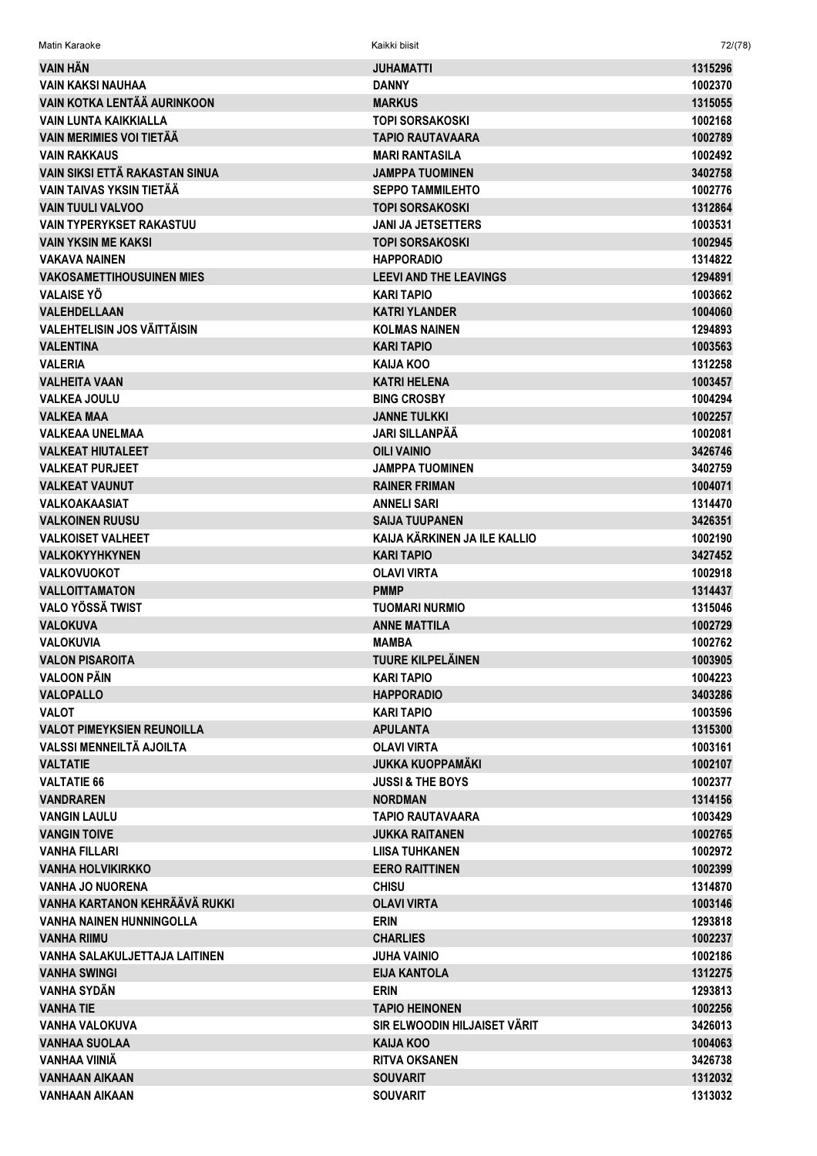| Matin Karaoke                        | Kaikki biisit                             | 72/(78)            |
|--------------------------------------|-------------------------------------------|--------------------|
| VAIN HÄN                             | JUHAMATTI                                 | 1315296            |
| <b>VAIN KAKSI NAUHAA</b>             | <b>DANNY</b>                              | 1002370            |
| VAIN KOTKA LENTÄÄ AURINKOON          | <b>MARKUS</b>                             | 1315055            |
| <b>VAIN LUNTA KAIKKIALLA</b>         | TOPI SORSAKOSKI                           | 1002168            |
| <b>VAIN MERIMIES VOI TIETÄÄ</b>      | TAPIO RAUTAVAARA                          | 1002789            |
| <b>VAIN RAKKAUS</b>                  | <b>MARI RANTASILA</b>                     | 1002492            |
| VAIN SIKSI ETTÄ RAKASTAN SINUA       | JAMPPA TUOMINEN                           | 3402758            |
| VAIN TAIVAS YKSIN TIETÄÄ             | <b>SEPPO TAMMILEHTO</b>                   | 1002776            |
| <b>VAIN TUULI VALVOO</b>             | <b>TOPI SORSAKOSKI</b>                    | 1312864            |
| <b>VAIN TYPERYKSET RAKASTUU</b>      | JANI JA JETSETTERS                        | 1003531            |
| <b>VAIN YKSIN ME KAKSI</b>           | <b>TOPI SORSAKOSKI</b>                    | 1002945            |
| <b>VAKAVA NAINEN</b>                 | <b>HAPPORADIO</b>                         | 1314822            |
| <b>VAKOSAMETTIHOUSUINEN MIES</b>     | <b>LEEVI AND THE LEAVINGS</b>             | 1294891            |
| <b>VALAISE YO</b>                    | KARI TAPIO                                | 1003662            |
| <b>VALEHDELLAAN</b>                  | <b>KATRI YLANDER</b>                      | 1004060            |
| <b>VALEHTELISIN JOS VÄITTÄISIN</b>   |                                           |                    |
| <b>VALENTINA</b>                     | <b>KOLMAS NAINEN</b><br><b>KARI TAPIO</b> | 1294893<br>1003563 |
| <b>VALERIA</b>                       |                                           |                    |
|                                      | KAIJA KOO                                 | 1312258            |
| <b>VALHEITA VAAN</b>                 | <b>KATRI HELENA</b>                       | 1003457            |
| <b>VALKEA JOULU</b>                  | <b>BING CROSBY</b>                        | 1004294            |
| <b>VALKEA MAA</b>                    | <b>JANNE TULKKI</b>                       | 1002257            |
| <b>VALKEAA UNELMAA</b>               | <b>JARI SILLANPÄÄ</b>                     | 1002081            |
| <b>VALKEAT HIUTALEET</b>             | <b>OILI VAINIO</b>                        | 3426746            |
| <b>VALKEAT PURJEET</b>               | JAMPPA TUOMINEN                           | 3402759            |
| <b>VALKEAT VAUNUT</b>                | <b>RAINER FRIMAN</b>                      | 1004071            |
| <b>VALKOAKAASIAT</b>                 | <b>ANNELI SARI</b>                        | 1314470            |
| <b>VALKOINEN RUUSU</b>               | <b>SAIJA TUUPANEN</b>                     | 3426351            |
| <b>VALKOISET VALHEET</b>             | KAIJA KÄRKINEN JA ILE KALLIO              | 1002190            |
| <b>VALKOKYYHKYNEN</b>                | <b>KARI TAPIO</b>                         | 3427452            |
| <b>VALKOVUOKOT</b>                   | <b>OLAVI VIRTA</b>                        | 1002918            |
| <b>VALLOITTAMATON</b>                | <b>PMMP</b>                               | 1314437            |
| VALO YÖSSÄ TWIST                     | TUOMARI NURMIO                            | 1315046            |
| <b>VALOKUVA</b>                      | <b>ANNE MATTILA</b>                       | 1002729            |
| <b>VALOKUVIA</b>                     | <b>MAMBA</b>                              | 1002762            |
| <b>VALON PISAROITA</b>               | <b>TUURE KILPELÄINEN</b>                  | 1003905            |
| <b>VALOON PÄIN</b>                   | KARI TAPIO                                | 1004223            |
| <b>VALOPALLO</b>                     | <b>HAPPORADIO</b>                         | 3403286            |
| <b>VALOT</b>                         | KARI TAPIO                                | 1003596            |
| <b>VALOT PIMEYKSIEN REUNOILLA</b>    | <b>APULANTA</b>                           | 1315300            |
| VALSSI MENNEILTÄ AJOILTA             | <b>OLAVI VIRTA</b>                        | 1003161            |
| <b>VALTATIE</b>                      | <b>JUKKA KUOPPAMÄKI</b>                   | 1002107            |
| <b>VALTATIE 66</b>                   | <b>JUSSI &amp; THE BOYS</b>               | 1002377            |
| <b>VANDRAREN</b>                     | <b>NORDMAN</b>                            | 1314156            |
| <b>VANGIN LAULU</b>                  | TAPIO RAUTAVAARA                          | 1003429            |
| <b>VANGIN TOIVE</b>                  | <b>JUKKA RAITANEN</b>                     | 1002765            |
| <b>VANHA FILLARI</b>                 | <b>LIISA TUHKANEN</b>                     | 1002972            |
| <b>VANHA HOLVIKIRKKO</b>             | <b>EERO RAITTINEN</b>                     | 1002399            |
| <b>VANHA JO NUORENA</b>              | <b>CHISU</b>                              | 1314870            |
| VANHA KARTANON KEHRÄÄVÄ RUKKI        | <b>OLAVI VIRTA</b>                        | 1003146            |
| <b>VANHA NAINEN HUNNINGOLLA</b>      | <b>ERIN</b>                               | 1293818            |
| <b>VANHA RIIMU</b>                   | <b>CHARLIES</b>                           | 1002237            |
| <b>VANHA SALAKULJETTAJA LAITINEN</b> | JUHA VAINIO                               | 1002186            |
| <b>VANHA SWINGI</b>                  | EIJA KANTOLA                              | 1312275            |
| VANHA SYDÄN                          | <b>ERIN</b>                               | 1293813            |
| <b>VANHA TIE</b>                     | <b>TAPIO HEINONEN</b>                     | 1002256            |
| <b>VANHA VALOKUVA</b>                | SIR ELWOODIN HILJAISET VÄRIT              | 3426013            |
| <b>VANHAA SUOLAA</b>                 | <b>KAIJA KOO</b>                          | 1004063            |
| VANHAA VIINIÄ                        | <b>RITVA OKSANEN</b>                      | 3426738            |
| <b>VANHAAN AIKAAN</b>                | <b>SOUVARIT</b>                           | 1312032            |
| VANHAAN AIKAAN                       | <b>SOUVARIT</b>                           | 1313032            |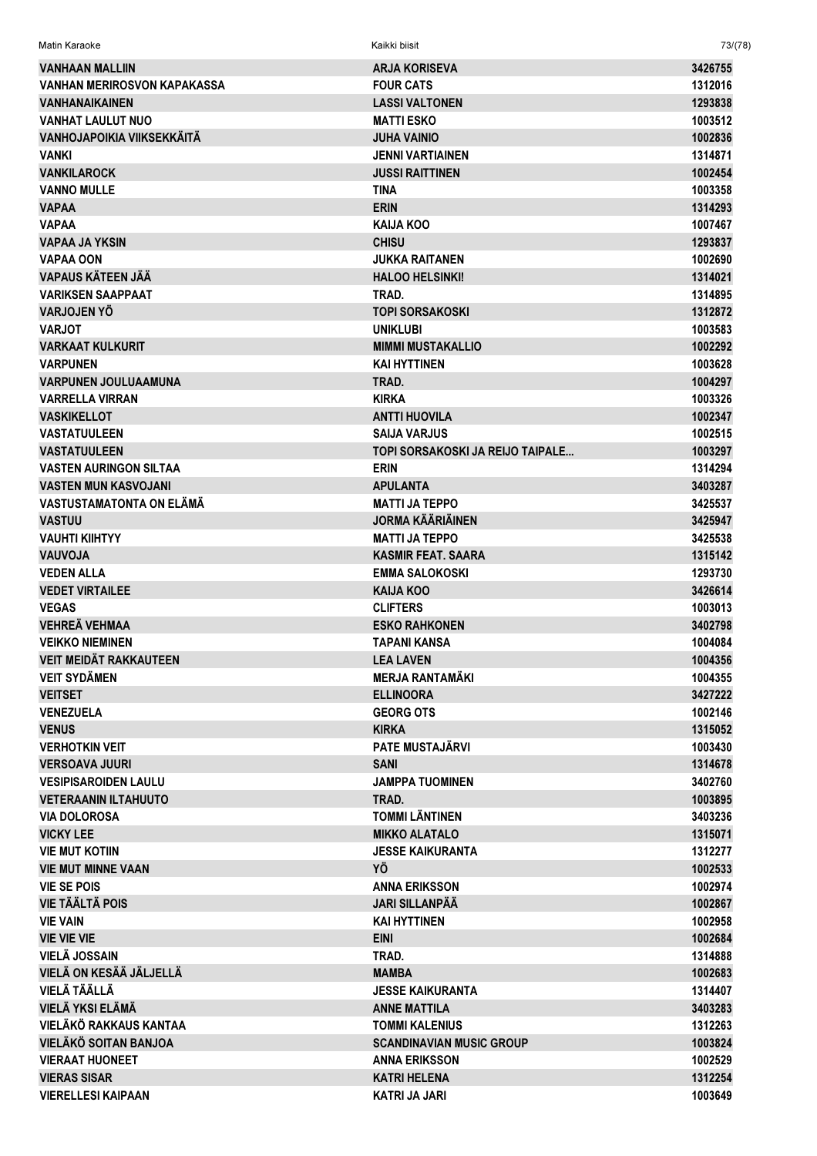| Matin Karaoke                      | Kaikki biisit                    | 73/(78) |
|------------------------------------|----------------------------------|---------|
| <b>VANHAAN MALLIIN</b>             | <b>ARJA KORISEVA</b>             | 3426755 |
| <b>VANHAN MERIROSVON KAPAKASSA</b> | <b>FOUR CATS</b>                 | 1312016 |
| <b><i>VANHANAIKAINEN</i></b>       | <b>LASSI VALTONEN</b>            | 1293838 |
| <b>VANHAT LAULUT NUO</b>           | <b>MATTI ESKO</b>                | 1003512 |
| <b>VANHOJAPOIKIA VIIKSEKKÄITÄ</b>  | <b>JUHA VAINIO</b>               | 1002836 |
| <b>VANKI</b>                       | <b>JENNI VARTIAINEN</b>          | 1314871 |
| <b>VANKILAROCK</b>                 | <b>JUSSI RAITTINEN</b>           | 1002454 |
| <b>VANNO MULLE</b>                 | TINA                             | 1003358 |
| <b>VAPAA</b>                       | <b>ERIN</b>                      | 1314293 |
| <b>VAPAA</b>                       | <b>KAIJA KOO</b>                 | 1007467 |
| <b>VAPAA JA YKSIN</b>              | <b>CHISU</b>                     | 1293837 |
| <b>VAPAA OON</b>                   | JUKKA RAITANEN                   | 1002690 |
| VAPAUS KÄTEEN JÄÄ                  | <b>HALOO HELSINKI!</b>           | 1314021 |
| <b>VARIKSEN SAAPPAAT</b>           | TRAD.                            | 1314895 |
| VARJOJEN YÖ                        | <b>TOPI SORSAKOSKI</b>           | 1312872 |
| <b>VARJOT</b>                      | <b>UNIKLUBI</b>                  | 1003583 |
| <b>VARKAAT KULKURIT</b>            | <b>MIMMI MUSTAKALLIO</b>         | 1002292 |
| <b>VARPUNEN</b>                    | <b>KAI HYTTINEN</b>              | 1003628 |
| <b>VARPUNEN JOULUAAMUNA</b>        | TRAD.                            | 1004297 |
| <b>VARRELLA VIRRAN</b>             | <b>KIRKA</b>                     | 1003326 |
| <b>VASKIKELLOT</b>                 | <b>ANTTI HUOVILA</b>             | 1002347 |
| <b>VASTATUULEEN</b>                | <b>SAIJA VARJUS</b>              | 1002515 |
| <b>VASTATUULEEN</b>                | TOPI SORSAKOSKI JA REIJO TAIPALE | 1003297 |
| <b>VASTEN AURINGON SILTAA</b>      | <b>ERIN</b>                      | 1314294 |
| <b>VASTEN MUN KASVOJANI</b>        | <b>APULANTA</b>                  | 3403287 |
| VASTUSTAMATONTA ON ELÄMÄ           | <b>MATTI JA TEPPO</b>            | 3425537 |
| <b>VASTUU</b>                      | <b>JORMA KÄÄRIÄINEN</b>          | 3425947 |
| <b>VAUHTI KIIHTYY</b>              | <b>MATTI JA TEPPO</b>            | 3425538 |
| <b>NLOVUAV</b>                     | <b>KASMIR FEAT. SAARA</b>        | 1315142 |
| <b>VEDEN ALLA</b>                  | <b>EMMA SALOKOSKI</b>            | 1293730 |
| <b>VEDET VIRTAILEE</b>             | KAIJA KOO                        | 3426614 |
| <b>VEGAS</b>                       | <b>CLIFTERS</b>                  | 1003013 |
| <b>VEHREÄ VEHMAA</b>               | <b>ESKO RAHKONEN</b>             | 3402798 |
| <b>VEIKKO NIEMINEN</b>             | TAPANI KANSA                     | 1004084 |
| <b>VEIT MEIDÄT RAKKAUTEEN</b>      | <b>LEA LAVEN</b>                 | 1004356 |
| <b>VEIT SYDÄMEN</b>                | <b>MERJA RANTAMÄKI</b>           | 1004355 |
| <b>VEITSET</b>                     | <b>ELLINOORA</b>                 | 3427222 |
| <b>VENEZUELA</b>                   | <b>GEORG OTS</b>                 | 1002146 |
| <b>VENUS</b>                       | <b>KIRKA</b>                     | 1315052 |
| <b>VERHOTKIN VEIT</b>              | <b>PATE MUSTAJÄRVI</b>           | 1003430 |
| <b>VERSOAVA JUURI</b>              | <b>SANI</b>                      | 1314678 |
| <b>VESIPISAROIDEN LAULU</b>        | <b>JAMPPA TUOMINEN</b>           | 3402760 |
| <b>VETERAANIN ILTAHUUTO</b>        | TRAD.                            | 1003895 |
| <b>VIA DOLOROSA</b>                | <b>TOMMI LÄNTINEN</b>            | 3403236 |
| <b>VICKY LEE</b>                   | <b>MIKKO ALATALO</b>             | 1315071 |
| <b>VIE MUT KOTIIN</b>              | <b>JESSE KAIKURANTA</b>          | 1312277 |
| <b>VIE MUT MINNE VAAN</b>          | ΥÖ                               | 1002533 |
| <b>VIE SE POIS</b>                 | <b>ANNA ERIKSSON</b>             | 1002974 |
| <b>VIE TÄÄLTÄ POIS</b>             | JARI SILLANPÄÄ                   | 1002867 |
| <b>VIE VAIN</b>                    | <b>KAI HYTTINEN</b>              | 1002958 |
| <b>VIE VIE VIE</b>                 | <b>EINI</b>                      | 1002684 |
| VIELÄ JOSSAIN                      | TRAD.                            | 1314888 |
| VIELÄ ON KESÄÄ JÄLJELLÄ            | <b>MAMBA</b>                     | 1002683 |
| VIELÄ TÄÄLLÄ                       | <b>JESSE KAIKURANTA</b>          | 1314407 |
| VIELÄ YKSI ELÄMÄ                   | <b>ANNE MATTILA</b>              | 3403283 |
| VIELÄKÖ RAKKAUS KANTAA             | <b>TOMMI KALENIUS</b>            | 1312263 |
| VIELÄKÖ SOITAN BANJOA              | <b>SCANDINAVIAN MUSIC GROUP</b>  | 1003824 |
| <b>VIERAAT HUONEET</b>             | <b>ANNA ERIKSSON</b>             | 1002529 |
| <b>VIERAS SISAR</b>                | <b>KATRI HELENA</b>              | 1312254 |
| <b>VIERELLESI KAIPAAN</b>          | <b>KATRI JA JARI</b>             | 1003649 |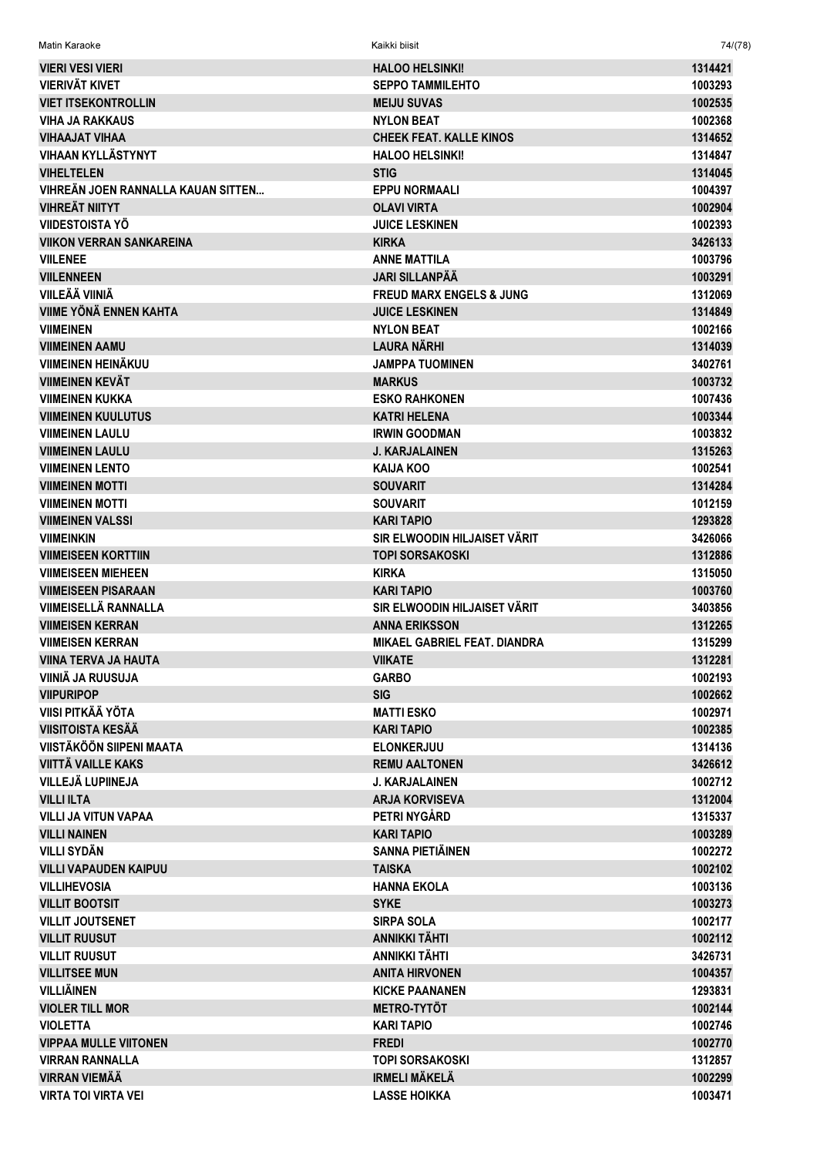**HALOO HELSINKI! VIERI VESI VIERI** 1314421 **VIERIVÄT KIVET SEPPO TAMMILEHTO** 1003293 **VIET ITSEKONTROLLIN MEIJU SUVAS** 1002535 **VIHA JA RAKKAUS NYLON BEAT** 1002368 **VIHAAJAT VIHAA CHEEK FEAT. KALLE KINOS** 1314652 **VIHAAN KYLLÄSTYNYT HALOO HELSINKI!** 1314847 **VIHELTELEN STIG** 1314045 VIHREÄN JOEN RANNALLA KAUAN SITTEN... **EPPU NORMAALI** 1004397 **VIHREÄT NIITYT OLAVI VIRTA** 1002904 **VIIDESTOISTA YÖ JUICE LESKINEN** 1002393 **VIIKON VERRAN SANKAREINA KIRKA** 3426133 **VIII FNFF ANNE MATTILA** 1003796 **VIILENNEEN JARI SILLANPÄÄ** 1003291 **VIILEÄÄ VIINIÄ FREUD MARX ENGELS & JUNG** 1312069 **VIIME YÖNÄ ENNEN KAHTA JUICE LESKINEN** 1314849 **VIIMFINFN** NYI ON REAT 1002166 **VIIMEINEN AAMU LAURA NÄRHI** 1314039 **VIIMEINEN HEINÄKUU JAMPPA TUOMINEN** 3402761 **VIIMEINEN KEVÄT** 1003732 **MARKUS VIIMEINEN KUKKA FSKO RAHKONEN** 1007436 **VIIMEINEN KUULUTUS KATRI HELENA** 1003344 **VIIMEINEN LAULU IRWIN GOODMAN** 1003832 **VIIMEINEN LAULU J. KARJALAINEN** 1315263 **VIIMEINEN LENTO** 1002541 **KAIJA KOO VIIMEINEN MOTTI SOUVARIT** 1314284 **VIIMEINEN MOTTI SOUVARIT** 1012159 1293828 **VIIMEINEN VALSSI KARI TAPIO** SIR ELWOODIN HILJAISET VÄRIT **VIIMEINKIN** 3426066 **VIIMEISEEN KORTTIIN TOPI SORSAKOSKI** 1312886 **VIIMEISEEN MIEHEEN KIRKA** 1315050 **VIIMEISEEN PISARAAN KARI TAPIO** 1003760 SIR ELWOODIN HILJAISET VÄRIT VIIMEISELLÄ RANNALLA 3403856 **VIIMEISEN KERRAN ANNA ERIKSSON** 1312265 **VIIMEISEN KERRAN MIKAEL GABRIEL FEAT. DIANDRA** 1315299 **VIINA TERVA JA HAUTA** 1312281 **VIIKATF** VIINIÄ JA RUUSUJA **GARBO** 1002193 **VIIPURIPOP SIG** 1002662 **VIISI PITKÄÄ YÖTA MATTI ESKO** 1002971 **VIISITOISTA KESÄÄ KARI TAPIO** 1002385 **VIISTÄKÖÖN SIIPENI MAATA ELONKERJUU** 1314136 **VIITTÄ VAII I F KAKS REMILAALTONEN** 3426612 **VILLEJÄ LUPIINEJA J. KARJALAINEN** 1002712 **VILL LIITA ARIA KORVISEVA** 1312004 **VILLI JA VITUN VAPAA** PETRI NYGÅRD 1315337 **VILLI NAINEN** 1003289 **KARI TAPIO VILLI SYDÄN SANNA PIETIÄINEN** 1002272 **VILLI VAPAUDEN KAIPUU** 1002102 **TAISKA VILLIHEVOSIA HANNA EKOLA** 1003136 **VILLIT BOOTSIT SYKF** 1003273 **VILLIT JOUTSENET SIRPA SOLA** 1002177 **VILLIT RUUSUT ANNIKKI TÄHTI** 1002112 **VILLIT RUUSUT ANNIKKI TÄHTI** 3426731 **VILLITSEE MUN ANITA HIRVONEN** 1004357 **VILLIÄINEN KICKE PAANANEN** 1293831 **VIOLER TILL MOR METRO-TYTÖT** 1002144 **VIOLETTA KARI TAPIO** 1002746 **VIPPAA MULLE VIITONEN FREDI** 1002770 **VIRRAN RANNALLA TOPI SORSAKOSKI** 1312857

**IRMELI MÄKELÄ** 

**LASSE HOIKKA** 

Kaikki biisit

**Matin Karaoke** 

**VIRRAN VIEMÄÄ** 

**VIRTA TOI VIRTA VEI** 

 $74/(78)$ 

1002299

1003471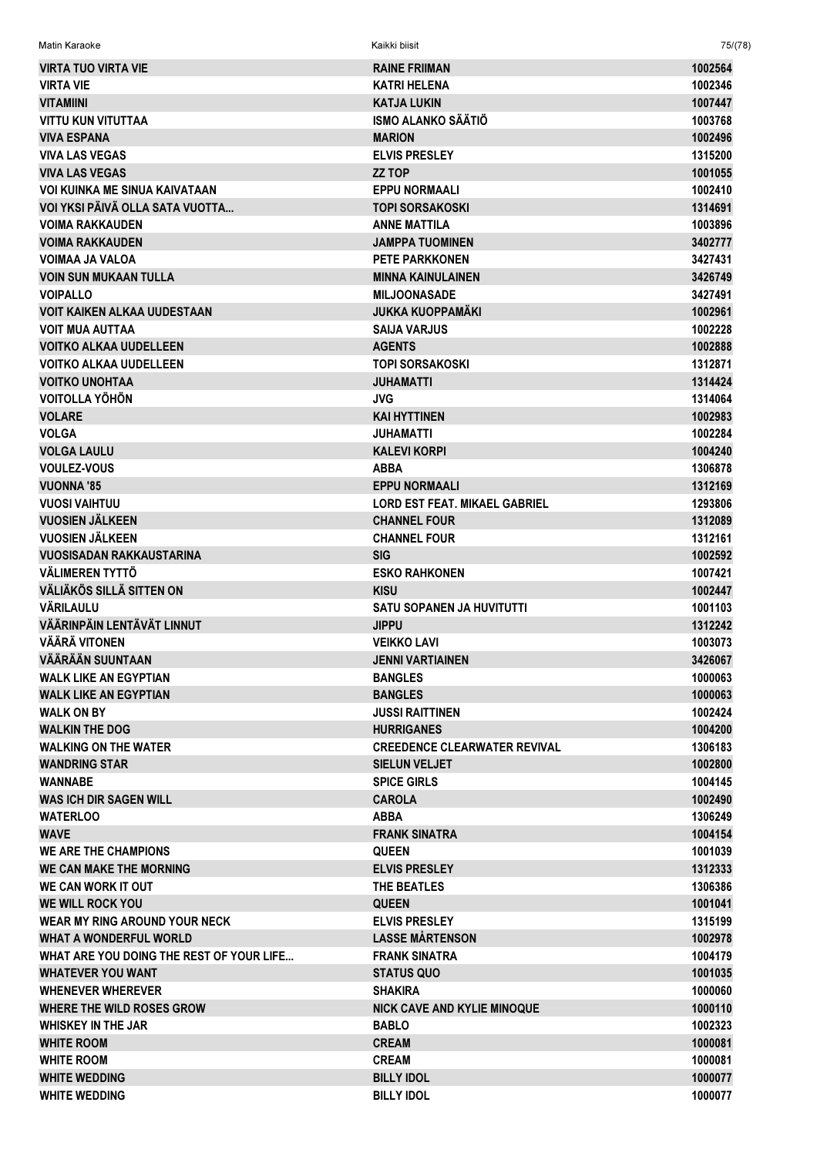| Matin Karaoke                            | Kaikki biisit                        | 75/(78) |
|------------------------------------------|--------------------------------------|---------|
| <b>VIRTA TUO VIRTA VIE</b>               | <b>RAINE FRIIMAN</b>                 | 1002564 |
| <b>VIRTA VIE</b>                         | <b>KATRI HELENA</b>                  | 1002346 |
| <b>VITAMIINI</b>                         | <b>KATJA LUKIN</b>                   | 1007447 |
| <b>VITTU KUN VITUTTAA</b>                | ISMO ALANKO SÄÄTIÖ                   | 1003768 |
| <b>VIVA ESPANA</b>                       | <b>MARION</b>                        | 1002496 |
| <b>VIVA LAS VEGAS</b>                    | <b>ELVIS PRESLEY</b>                 | 1315200 |
| <b>VIVA LAS VEGAS</b>                    | <b>ZZ TOP</b>                        | 1001055 |
| <b>VOI KUINKA ME SINUA KAIVATAAN</b>     | <b>EPPU NORMAALI</b>                 | 1002410 |
| VOI YKSI PÄIVÄ OLLA SATA VUOTTA          | <b>TOPI SORSAKOSKI</b>               | 1314691 |
| <b>VOIMA RAKKAUDEN</b>                   | <b>ANNE MATTILA</b>                  | 1003896 |
| <b>VOIMA RAKKAUDEN</b>                   | <b>JAMPPA TUOMINEN</b>               | 3402777 |
| <b>VOIMAA JA VALOA</b>                   | <b>PETE PARKKONEN</b>                | 3427431 |
| <b>VOIN SUN MUKAAN TULLA</b>             | <b>MINNA KAINULAINEN</b>             | 3426749 |
| <b>VOIPALLO</b>                          | <b>MILJOONASADE</b>                  | 3427491 |
| <b>VOIT KAIKEN ALKAA UUDESTAAN</b>       | JUKKA KUOPPAMÄKI                     | 1002961 |
| <b>VOIT MUA AUTTAA</b>                   | <b>SAIJA VARJUS</b>                  | 1002228 |
| <b>VOITKO ALKAA UUDELLEEN</b>            | <b>AGENTS</b>                        | 1002888 |
| <b>VOITKO ALKAA UUDELLEEN</b>            | TOPI SORSAKOSKI                      | 1312871 |
| <b>VOITKO UNOHTAA</b>                    | JUHAMATTI                            | 1314424 |
| <b>VOITOLLA YÖHÖN</b>                    | <b>JVG</b>                           | 1314064 |
| <b>VOLARE</b>                            | <b>KAI HYTTINEN</b>                  | 1002983 |
| <b>VOLGA</b>                             | JUHAMATTI                            | 1002284 |
| <b>VOLGA LAULU</b>                       | <b>KALEVI KORPI</b>                  | 1004240 |
| <b>VOULEZ-VOUS</b>                       | <b>ABBA</b>                          | 1306878 |
| <b>VUONNA '85</b>                        | <b>EPPU NORMAALI</b>                 | 1312169 |
| <b>VUOSI VAIHTUU</b>                     | <b>LORD EST FEAT. MIKAEL GABRIEL</b> | 1293806 |
| <b>VUOSIEN JÄLKEEN</b>                   | <b>CHANNEL FOUR</b>                  | 1312089 |
| <b>VUOSIEN JÄLKEEN</b>                   | <b>CHANNEL FOUR</b>                  | 1312161 |
| <b>VUOSISADAN RAKKAUSTARINA</b>          | <b>SIG</b>                           | 1002592 |
| VÄLIMEREN TYTTÖ                          | <b>ESKO RAHKONEN</b>                 | 1007421 |
| <b>VÄLIÄKÖS SILLÄ SITTEN ON</b>          | <b>KISU</b>                          | 1002447 |
| <b>VÄRILAULU</b>                         | <b>SATU SOPANEN JA HUVITUTTI</b>     | 1001103 |
| VÄÄRINPÄIN LENTÄVÄT LINNUT               | <b>JIPPU</b>                         | 1312242 |
| <b>VÄÄRÄ VITONEN</b>                     | VEIKKO LAVI                          | 1003073 |
| <b>VÄÄRÄÄN SUUNTAAN</b>                  | <b>JENNI VARTIAINEN</b>              | 3426067 |
| <b>WALK LIKE AN EGYPTIAN</b>             | <b>BANGLES</b>                       | 1000063 |
| <b>WALK LIKE AN EGYPTIAN</b>             | <b>BANGLES</b>                       | 1000063 |
| <b>WALK ON BY</b>                        | JUSSI RAITTINEN                      | 1002424 |
| <b>WALKIN THE DOG</b>                    | <b>HURRIGANES</b>                    | 1004200 |
| <b>WALKING ON THE WATER</b>              | <b>CREEDENCE CLEARWATER REVIVAL</b>  | 1306183 |
| <b>WANDRING STAR</b>                     | <b>SIELUN VELJET</b>                 | 1002800 |
| <b>WANNABE</b>                           | <b>SPICE GIRLS</b>                   | 1004145 |
| <b>WAS ICH DIR SAGEN WILL</b>            | <b>CAROLA</b>                        | 1002490 |
| <b>WATERLOO</b>                          | <b>ABBA</b>                          | 1306249 |
| <b>WAVE</b>                              | <b>FRANK SINATRA</b>                 | 1004154 |
| <b>WE ARE THE CHAMPIONS</b>              | <b>QUEEN</b>                         | 1001039 |
| WE CAN MAKE THE MORNING                  | <b>ELVIS PRESLEY</b>                 | 1312333 |
| WE CAN WORK IT OUT                       | THE BEATLES                          | 1306386 |
| <b>WE WILL ROCK YOU</b>                  | <b>QUEEN</b>                         | 1001041 |
| WEAR MY RING AROUND YOUR NECK            | <b>ELVIS PRESLEY</b>                 | 1315199 |
| <b>WHAT A WONDERFUL WORLD</b>            | <b>LASSE MÅRTENSON</b>               | 1002978 |
| WHAT ARE YOU DOING THE REST OF YOUR LIFE | <b>FRANK SINATRA</b>                 | 1004179 |
| <b>WHATEVER YOU WANT</b>                 | <b>STATUS QUO</b>                    | 1001035 |
| <b>WHENEVER WHEREVER</b>                 | <b>SHAKIRA</b>                       | 1000060 |
| WHERE THE WILD ROSES GROW                | <b>NICK CAVE AND KYLIE MINOQUE</b>   | 1000110 |
| <b>WHISKEY IN THE JAR</b>                | <b>BABLO</b>                         | 1002323 |
| <b>WHITE ROOM</b>                        | <b>CREAM</b>                         | 1000081 |
| <b>WHITE ROOM</b>                        | <b>CREAM</b>                         | 1000081 |
| <b>WHITE WEDDING</b>                     | <b>BILLY IDOL</b>                    | 1000077 |
| <b>WHITE WEDDING</b>                     | <b>BILLY IDOL</b>                    | 1000077 |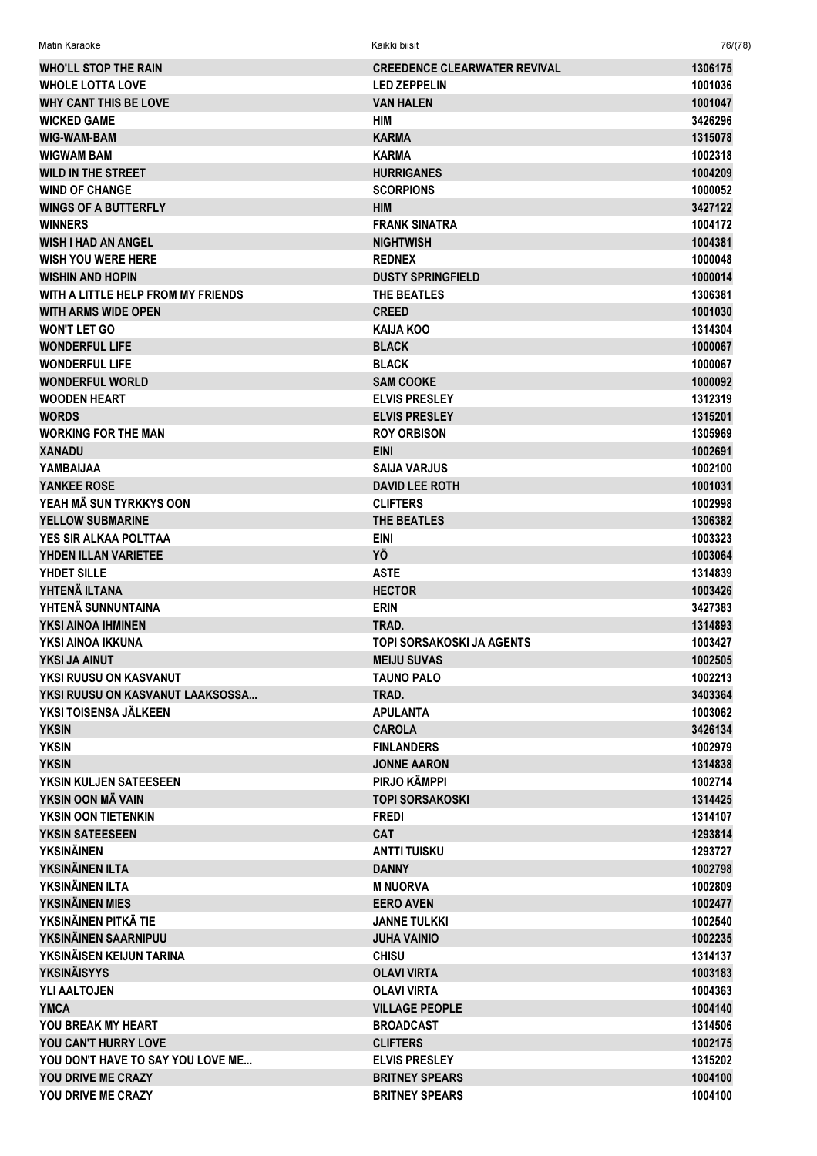| Matin Karaoke                      | Kaikki biisit                       | 76/(78)            |
|------------------------------------|-------------------------------------|--------------------|
| <b>WHO'LL STOP THE RAIN</b>        | <b>CREEDENCE CLEARWATER REVIVAL</b> | 1306175            |
| <b>WHOLE LOTTA LOVE</b>            | <b>LED ZEPPELIN</b>                 | 1001036            |
| <b>WHY CANT THIS BE LOVE</b>       | <b>VAN HALEN</b>                    | 1001047            |
| <b>WICKED GAME</b>                 | HIM                                 | 3426296            |
| <b>WIG-WAM-BAM</b>                 | <b>KARMA</b>                        | 1315078            |
| <b>WIGWAM BAM</b>                  | <b>KARMA</b>                        | 1002318            |
| <b>WILD IN THE STREET</b>          | <b>HURRIGANES</b>                   | 1004209            |
| <b>WIND OF CHANGE</b>              | <b>SCORPIONS</b>                    | 1000052            |
| <b>WINGS OF A BUTTERFLY</b>        | <b>HIM</b>                          | 3427122            |
| <b>WINNERS</b>                     | <b>FRANK SINATRA</b>                | 1004172            |
| <b>WISH I HAD AN ANGEL</b>         | <b>NIGHTWISH</b>                    | 1004381            |
| WISH YOU WERE HERE                 | <b>REDNEX</b>                       | 1000048            |
| <b>WISHIN AND HOPIN</b>            | <b>DUSTY SPRINGFIELD</b>            | 1000014            |
| WITH A LITTLE HELP FROM MY FRIENDS | THE BEATLES                         | 1306381            |
| <b>WITH ARMS WIDE OPEN</b>         | <b>CREED</b>                        | 1001030            |
| <b>WON'T LET GO</b>                | KAIJA KOO                           | 1314304            |
| <b>WONDERFUL LIFE</b>              | <b>BLACK</b>                        | 1000067            |
| <b>WONDERFUL LIFE</b>              | <b>BLACK</b>                        | 1000067            |
| <b>WONDERFUL WORLD</b>             | <b>SAM COOKE</b>                    | 1000092            |
| <b>WOODEN HEART</b>                | <b>ELVIS PRESLEY</b>                | 1312319            |
| <b>WORDS</b>                       | <b>ELVIS PRESLEY</b>                | 1315201            |
| <b>WORKING FOR THE MAN</b>         | <b>ROY ORBISON</b>                  | 1305969            |
| <b>XANADU</b>                      | <b>EINI</b>                         | 1002691            |
| YAMBAIJAA                          | <b>SAIJA VARJUS</b>                 | 1002100            |
| <b>YANKEE ROSE</b>                 | <b>DAVID LEE ROTH</b>               | 1001031            |
| YEAH MÄ SUN TYRKKYS OON            | <b>CLIFTERS</b>                     | 1002998            |
| <b>YELLOW SUBMARINE</b>            | THE BEATLES                         | 1306382            |
| YES SIR ALKAA POLTTAA              | <b>EINI</b>                         | 1003323            |
| <b>YHDEN ILLAN VARIETEE</b>        | ΥÖ                                  | 1003064            |
| YHDET SILLE<br>YHTENÄ ILTANA       | <b>ASTE</b>                         | 1314839            |
| YHTENÄ SUNNUNTAINA                 | <b>HECTOR</b><br><b>ERIN</b>        | 1003426<br>3427383 |
| YKSI AINOA IHMINEN                 | TRAD.                               | 1314893            |
| YKSI AINOA IKKUNA                  | TOPI SORSAKOSKI JA AGENTS           | 1003427            |
| YKSI JA AINUT                      | <b>MEIJU SUVAS</b>                  | 1002505            |
| YKSI RUUSU ON KASVANUT             | <b>TAUNO PALO</b>                   | 1002213            |
| YKSI RUUSU ON KASVANUT LAAKSOSSA   | TRAD.                               | 3403364            |
| YKSI TOISENSA JÄLKEEN              | <b>APULANTA</b>                     | 1003062            |
| <b>YKSIN</b>                       | <b>CAROLA</b>                       | 3426134            |
| <b>YKSIN</b>                       | <b>FINLANDERS</b>                   | 1002979            |
| <b>YKSIN</b>                       | <b>JONNE AARON</b>                  | 1314838            |
| YKSIN KULJEN SATEESEEN             | PIRJO KÄMPPI                        | 1002714            |
| YKSIN OON MÄ VAIN                  | <b>TOPI SORSAKOSKI</b>              | 1314425            |
| YKSIN OON TIETENKIN                | <b>FREDI</b>                        | 1314107            |
| YKSIN SATEESEEN                    | <b>CAT</b>                          | 1293814            |
| <b>YKSINÄINEN</b>                  | <b>ANTTI TUISKU</b>                 | 1293727            |
| YKSINÄINEN ILTA                    | <b>DANNY</b>                        | 1002798            |
| YKSINÄINEN ILTA                    | <b>M NUORVA</b>                     | 1002809            |
| YKSINÄINEN MIES                    | <b>EERO AVEN</b>                    | 1002477            |
| YKSINÄINEN PITKÄ TIE               | <b>JANNE TULKKI</b>                 | 1002540            |
| YKSINÄINEN SAARNIPUU               | <b>JUHA VAINIO</b>                  | 1002235            |
| YKSINÄISEN KEIJUN TARINA           | <b>CHISU</b>                        | 1314137            |
| <b>YKSINÄISYYS</b>                 | <b>OLAVI VIRTA</b>                  | 1003183            |
| YLI AALTOJEN                       | <b>OLAVI VIRTA</b>                  | 1004363            |
| <b>YMCA</b>                        | <b>VILLAGE PEOPLE</b>               | 1004140            |
| YOU BREAK MY HEART                 | <b>BROADCAST</b>                    | 1314506            |
| YOU CAN'T HURRY LOVE               | <b>CLIFTERS</b>                     | 1002175            |
| YOU DON'T HAVE TO SAY YOU LOVE ME  | <b>ELVIS PRESLEY</b>                | 1315202            |
| <b>YOU DRIVE ME CRAZY</b>          | <b>BRITNEY SPEARS</b>               | 1004100            |
| YOU DRIVE ME CRAZY                 | <b>BRITNEY SPEARS</b>               | 1004100            |
|                                    |                                     |                    |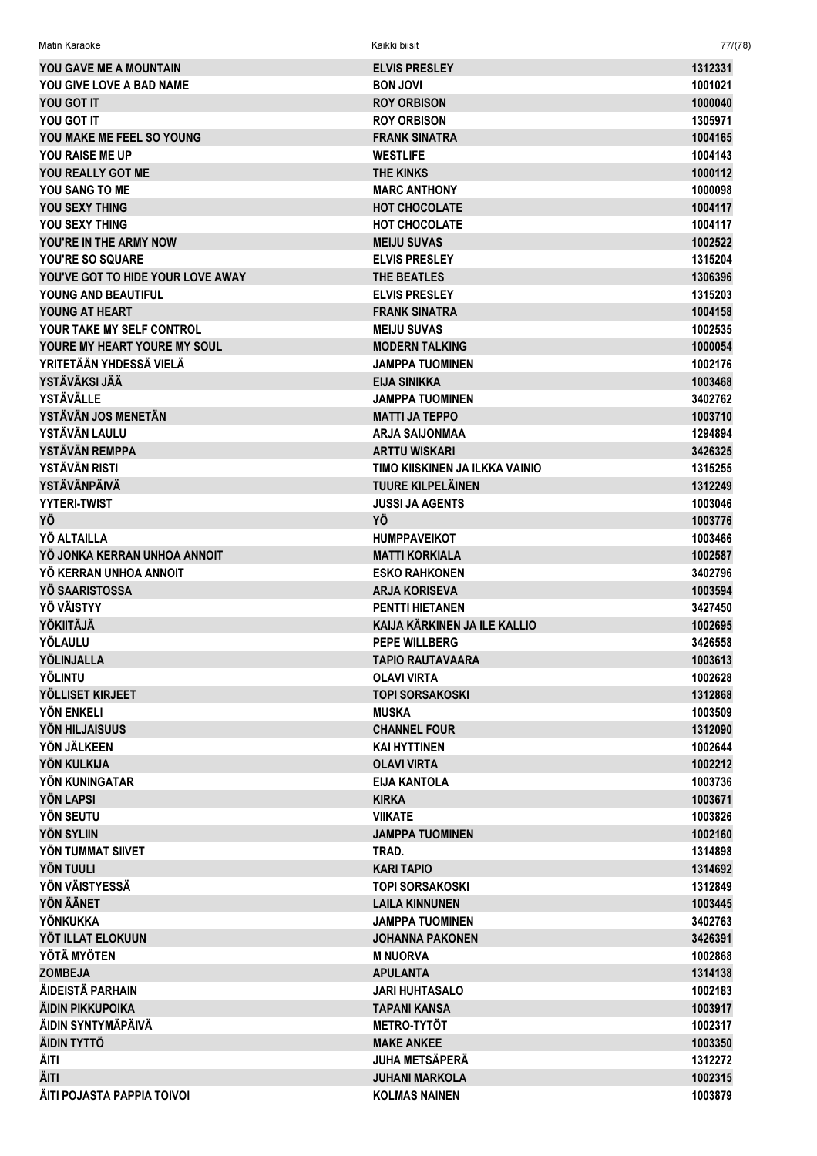| YOU GAVE ME A MOUNTAIN             | <b>ELVIS PRESLEY</b>           | 1312331 |
|------------------------------------|--------------------------------|---------|
| YOU GIVE LOVE A BAD NAME           | <b>BON JOVI</b>                | 1001021 |
| YOU GOT IT                         | <b>ROY ORBISON</b>             | 1000040 |
| YOU GOT IT                         | <b>ROY ORBISON</b>             | 1305971 |
| YOU MAKE ME FEEL SO YOUNG          | <b>FRANK SINATRA</b>           | 1004165 |
| <b>YOU RAISE ME UP</b>             | <b>WESTLIFE</b>                | 1004143 |
| YOU REALLY GOT ME                  | <b>THE KINKS</b>               | 1000112 |
| YOU SANG TO ME                     | <b>MARC ANTHONY</b>            | 1000098 |
| YOU SEXY THING                     | <b>HOT CHOCOLATE</b>           | 1004117 |
| YOU SEXY THING                     | <b>HOT CHOCOLATE</b>           | 1004117 |
| YOU'RE IN THE ARMY NOW             | <b>MEIJU SUVAS</b>             | 1002522 |
| YOU'RE SO SQUARE                   | <b>ELVIS PRESLEY</b>           | 1315204 |
| YOU'VE GOT TO HIDE YOUR LOVE AWAY  | THE BEATLES                    | 1306396 |
| YOUNG AND BEAUTIFUL                | <b>ELVIS PRESLEY</b>           | 1315203 |
| YOUNG AT HEART                     | <b>FRANK SINATRA</b>           | 1004158 |
|                                    |                                |         |
| YOUR TAKE MY SELF CONTROL          | <b>MEIJU SUVAS</b>             | 1002535 |
| YOURE MY HEART YOURE MY SOUL       | <b>MODERN TALKING</b>          | 1000054 |
| YRITETÄÄN YHDESSÄ VIELÄ            | <b>JAMPPA TUOMINEN</b>         | 1002176 |
| YSTÄVÄKSI JÄÄ                      | <b>EIJA SINIKKA</b>            | 1003468 |
| <b>YSTÄVÄLLE</b>                   | <b>JAMPPA TUOMINEN</b>         | 3402762 |
| YSTÄVÄN JOS MENETÄN                | <b>MATTI JA TEPPO</b>          | 1003710 |
| YSTÄVÄN LAULU                      | <b>ARJA SAIJONMAA</b>          | 1294894 |
| YSTÄVÄN REMPPA                     | <b>ARTTU WISKARI</b>           | 3426325 |
| YSTÄVÄN RISTI                      | TIMO KIISKINEN JA ILKKA VAINIO | 1315255 |
| <b>YSTÄVÄNPÄIVÄ</b>                | <b>TUURE KILPELÄINEN</b>       | 1312249 |
| <b>YYTERI-TWIST</b>                | <b>JUSSI JA AGENTS</b>         | 1003046 |
| YÖ                                 | YÖ                             | 1003776 |
| YÖ ALTAILLA                        | <b>HUMPPAVEIKOT</b>            | 1003466 |
| YÖ JONKA KERRAN UNHOA ANNOIT       | <b>MATTI KORKIALA</b>          | 1002587 |
| YÖ KERRAN UNHOA ANNOIT             | <b>ESKO RAHKONEN</b>           | 3402796 |
| YÖ SAARISTOSSA                     | <b>ARJA KORISEVA</b>           | 1003594 |
| YÖ VÄISTYY                         | <b>PENTTI HIETANEN</b>         | 3427450 |
| <b>YÖKIITÄJÄ</b>                   | KAIJA KÄRKINEN JA ILE KALLIO   | 1002695 |
| YÖLAULU                            | <b>PEPE WILLBERG</b>           | 3426558 |
| YÖLINJALLA                         | <b>TAPIO RAUTAVAARA</b>        | 1003613 |
| <b>YÖLINTU</b>                     | <b>OLAVI VIRTA</b>             | 1002628 |
| YÖLLISET KIRJEET                   | <b>TOPI SORSAKOSKI</b>         | 1312868 |
| YÖN ENKELI                         | <b>MUSKA</b>                   | 1003509 |
| YÖN HILJAISUUS                     | <b>CHANNEL FOUR</b>            | 1312090 |
| YÖN JÄLKEEN                        | <b>KAI HYTTINEN</b>            | 1002644 |
| <b>YÖN KULKIJA</b>                 | <b>OLAVI VIRTA</b>             | 1002212 |
| YÖN KUNINGATAR                     | <b>EIJA KANTOLA</b>            | 1003736 |
| <b>YÖN LAPSI</b>                   | <b>KIRKA</b>                   | 1003671 |
| YÖN SEUTU                          | <b>VIIKATE</b>                 | 1003826 |
| <b>YÖN SYLIIN</b>                  | <b>JAMPPA TUOMINEN</b>         | 1002160 |
| YÖN TUMMAT SIIVET                  | TRAD.                          | 1314898 |
|                                    |                                |         |
| <b>YÖN TUULI</b><br>YÖN VÄISTYESSÄ | <b>KARI TAPIO</b>              | 1314692 |
|                                    | <b>TOPI SORSAKOSKI</b>         | 1312849 |
| <b>YÖN ÄÄNET</b>                   | <b>LAILA KINNUNEN</b>          | 1003445 |
| YÖNKUKKA                           | <b>JAMPPA TUOMINEN</b>         | 3402763 |
| YÖT ILLAT ELOKUUN                  | <b>JOHANNA PAKONEN</b>         | 3426391 |
| YÖTÄ MYÖTEN                        | <b>M NUORVA</b>                | 1002868 |
| <b>ZOMBEJA</b>                     | <b>APULANTA</b>                | 1314138 |
| ÄIDEISTÄ PARHAIN                   | <b>JARI HUHTASALO</b>          | 1002183 |
| ÄIDIN PIKKUPOIKA                   | <b>TAPANI KANSA</b>            | 1003917 |
| ÄIDIN SYNTYMÄPÄIVÄ                 | <b>METRO-TYTÖT</b>             | 1002317 |
|                                    |                                |         |
| ÄIDIN TYTTÖ                        | <b>MAKE ANKEE</b>              | 1003350 |
| ÄITI                               | <b>JUHA METSÄPERÄ</b>          | 1312272 |
| ÄITI                               | <b>JUHANI MARKOLA</b>          | 1002315 |

Matin Karaoke Kaikki biisit 77/(78)